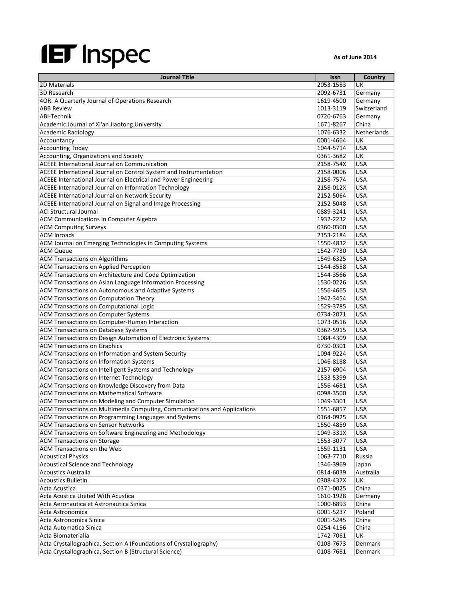## **IET** Inspec

## **As of June 2014**

| <b>Journal Title</b>                                                      | issn                   | Country     |
|---------------------------------------------------------------------------|------------------------|-------------|
| 2D Materials                                                              | 2053-1583              | UK          |
| 3D Research                                                               | 2092-6731              | Germany     |
| 4OR: A Quarterly Journal of Operations Research                           | 1619-4500              | Germany     |
| <b>ABB Review</b>                                                         | 1013-3119              | Switzerland |
| ABI-Technik                                                               | 0720-6763              | Germany     |
| Academic Journal of Xi'an Jiaotong University                             | 1671-8267              | China       |
| <b>Academic Radiology</b>                                                 | 1076-6332              | Netherlands |
| Accountancy                                                               | 0001-4664              | UK          |
| <b>Accounting Today</b>                                                   | 1044-5714              | <b>USA</b>  |
| Accounting, Organizations and Society                                     | 0361-3682              | UK          |
| ACEEE International Journal on Communication                              | 2158-754X              | <b>USA</b>  |
| ACEEE International Journal on Control System and Instrumentation         | 2158-0006              | <b>USA</b>  |
| ACEEE International Journal on Electrical and Power Engineering           | 2158-7574              | <b>USA</b>  |
| <b>ACEEE International Journal on Information Technology</b>              | 2158-012X              | USA         |
| <b>ACEEE International Journal on Network Security</b>                    | 2152-5064              | <b>USA</b>  |
| ACEEE International Journal on Signal and Image Processing                | 2152-5048              | <b>USA</b>  |
| <b>ACI Structural Journal</b>                                             | 0889-3241              | <b>USA</b>  |
| <b>ACM Communications in Computer Algebra</b>                             | 1932-2232              | USA         |
| <b>ACM Computing Surveys</b>                                              | 0360-0300              | <b>USA</b>  |
| <b>ACM Inroads</b>                                                        | 2153-2184              | USA         |
| ACM Journal on Emerging Technologies in Computing Systems                 | 1550-4832              | USA         |
| <b>ACM Queue</b>                                                          | 1542-7730              | USA         |
| <b>ACM Transactions on Algorithms</b>                                     | 1549-6325              | <b>USA</b>  |
| <b>ACM Transactions on Applied Perception</b>                             | 1544-3558              | <b>USA</b>  |
| ACM Transactions on Architecture and Code Optimization                    | 1544-3566              | USA         |
| ACM Transactions on Asian Language Information Processing                 |                        | USA         |
| ACM Transactions on Autonomous and Adaptive Systems                       | 1530-0226<br>1556-4665 | USA         |
|                                                                           |                        | <b>USA</b>  |
| <b>ACM Transactions on Computation Theory</b>                             | 1942-3454              |             |
| <b>ACM Transactions on Computational Logic</b>                            | 1529-3785              | USA         |
| <b>ACM Transactions on Computer Systems</b>                               | 0734-2071              | USA         |
| ACM Transactions on Computer-Human Interaction                            | 1073-0516              | USA         |
| ACM Transactions on Database Systems                                      | 0362-5915              | <b>USA</b>  |
| ACM Transactions on Design Automation of Electronic Systems               | 1084-4309              | USA         |
| <b>ACM Transactions on Graphics</b>                                       | 0730-0301              | <b>USA</b>  |
| ACM Transactions on Information and System Security                       | 1094-9224              | <b>USA</b>  |
| <b>ACM Transactions on Information Systems</b>                            | 1046-8188              | <b>USA</b>  |
| ACM Transactions on Intelligent Systems and Technology                    | 2157-6904              | USA         |
| <b>ACM Transactions on Internet Technology</b>                            | 1533-5399              | <b>USA</b>  |
| ACM Transactions on Knowledge Discovery from Data                         | 1556-4681              | <b>USA</b>  |
| <b>ACM Transactions on Mathematical Software</b>                          | 0098-3500              | USA         |
| ACM Transactions on Modeling and Computer Simulation                      | 1049-3301              | USA         |
| ACM Transactions on Multimedia Computing, Communications and Applications | 1551-6857              | USA         |
| ACM Transactions on Programming Languages and Systems                     | 0164-0925              | <b>USA</b>  |
| <b>ACM Transactions on Sensor Networks</b>                                | 1550-4859              | USA         |
| ACM Transactions on Software Engineering and Methodology                  | 1049-331X              | <b>USA</b>  |
| <b>ACM Transactions on Storage</b>                                        | 1553-3077              | USA         |
| ACM Transactions on the Web                                               | 1559-1131              | USA         |
| <b>Acoustical Physics</b>                                                 | 1063-7710              | Russia      |
| <b>Acoustical Science and Technology</b>                                  | 1346-3969              | Japan       |
| <b>Acoustics Australia</b>                                                | 0814-6039              | Australia   |
| <b>Acoustics Bulletin</b>                                                 | 0308-437X              | UK          |
| Acta Acustica                                                             | 0371-0025              | China       |
| Acta Acustica United With Acustica                                        | 1610-1928              | Germany     |
| Acta Aeronautica et Astronautica Sinica                                   | 1000-6893              | China       |
| Acta Astronomica                                                          | 0001-5237              | Poland      |
| Acta Astronomica Sinica                                                   | 0001-5245              | China       |
| Acta Automatica Sinica                                                    | 0254-4156              | China       |
| Acta Biomaterialia                                                        | 1742-7061              | UK          |
| Acta Crystallographica, Section A (Foundations of Crystallography)        | 0108-7673              | Denmark     |
| Acta Crystallographica, Section B (Structural Science)                    | 0108-7681              | Denmark     |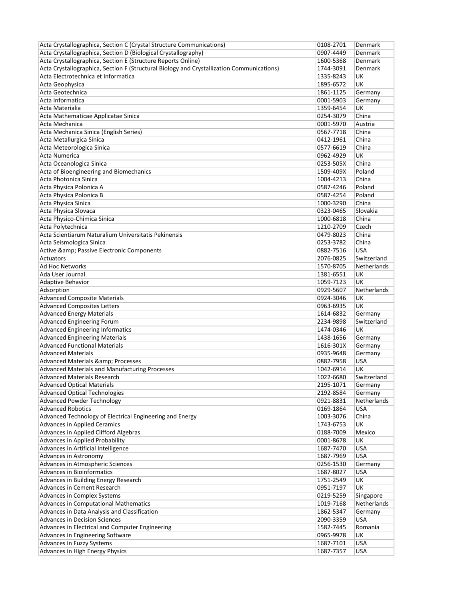| Acta Crystallographica, Section C (Crystal Structure Communications)                      | 0108-2701 | Denmark                |
|-------------------------------------------------------------------------------------------|-----------|------------------------|
| Acta Crystallographica, Section D (Biological Crystallography)                            | 0907-4449 | Denmark                |
| Acta Crystallographica, Section E (Structure Reports Online)                              | 1600-5368 | Denmark                |
| Acta Crystallographica, Section F (Structural Biology and Crystallization Communications) | 1744-3091 | Denmark                |
| Acta Electrotechnica et Informatica                                                       | 1335-8243 | UK                     |
| Acta Geophysica                                                                           | 1895-6572 | UK                     |
| Acta Geotechnica                                                                          | 1861-1125 | Germany                |
| Acta Informatica                                                                          | 0001-5903 | Germany                |
| Acta Materialia                                                                           | 1359-6454 | UK                     |
| Acta Mathematicae Applicatae Sinica                                                       | 0254-3079 | China                  |
| Acta Mechanica                                                                            | 0001-5970 | Austria                |
| Acta Mechanica Sinica (English Series)                                                    | 0567-7718 | China                  |
| Acta Metallurgica Sinica                                                                  | 0412-1961 | China                  |
| Acta Meteorologica Sinica                                                                 | 0577-6619 | China                  |
| Acta Numerica                                                                             | 0962-4929 | UK                     |
| Acta Oceanologica Sinica                                                                  | 0253-505X | China                  |
| Acta of Bioengineering and Biomechanics                                                   | 1509-409X | Poland                 |
| Acta Photonica Sinica                                                                     | 1004-4213 | China                  |
| Acta Physica Polonica A                                                                   | 0587-4246 | Poland                 |
| Acta Physica Polonica B                                                                   | 0587-4254 | Poland                 |
| Acta Physica Sinica                                                                       | 1000-3290 | China                  |
| Acta Physica Slovaca                                                                      | 0323-0465 | Slovakia               |
| Acta Physico-Chimica Sinica                                                               | 1000-6818 | China                  |
| Acta Polytechnica                                                                         | 1210-2709 | Czech                  |
| Acta Scientiarum Naturalium Universitatis Pekinensis                                      | 0479-8023 | China                  |
| Acta Seismologica Sinica                                                                  | 0253-3782 | China                  |
| Active & Passive Electronic Components                                                    | 0882-7516 | <b>USA</b>             |
| <b>Actuators</b>                                                                          | 2076-0825 | Switzerland            |
| <b>Ad Hoc Networks</b>                                                                    | 1570-8705 | Netherlands            |
| Ada User Journal                                                                          | 1381-6551 | UK                     |
| <b>Adaptive Behavior</b>                                                                  | 1059-7123 | <b>UK</b>              |
| Adsorption                                                                                | 0929-5607 | Netherlands            |
| <b>Advanced Composite Materials</b>                                                       | 0924-3046 | UK                     |
| <b>Advanced Composites Letters</b>                                                        | 0963-6935 | UK                     |
|                                                                                           | 1614-6832 |                        |
| <b>Advanced Energy Materials</b><br><b>Advanced Engineering Forum</b>                     | 2234-9898 | Germany<br>Switzerland |
| <b>Advanced Engineering Informatics</b>                                                   | 1474-0346 | UK                     |
|                                                                                           |           |                        |
| <b>Advanced Engineering Materials</b><br><b>Advanced Functional Materials</b>             | 1438-1656 | Germany                |
| <b>Advanced Materials</b>                                                                 | 1616-301X | Germany                |
|                                                                                           | 0935-9648 | Germany                |
| Advanced Materials & Processes                                                            | 0882-7958 | USA                    |
| Advanced Materials and Manufacturing Processes                                            | 1042-6914 | UK                     |
| <b>Advanced Materials Research</b>                                                        | 1022-6680 | Switzerland            |
| <b>Advanced Optical Materials</b>                                                         | 2195-1071 | Germany                |
| <b>Advanced Optical Technologies</b>                                                      | 2192-8584 | Germany                |
| <b>Advanced Powder Technology</b>                                                         | 0921-8831 | Netherlands            |
| <b>Advanced Robotics</b>                                                                  | 0169-1864 | USA                    |
| Advanced Technology of Electrical Engineering and Energy                                  | 1003-3076 | China                  |
| <b>Advances in Applied Ceramics</b>                                                       | 1743-6753 | UK                     |
| Advances in Applied Clifford Algebras                                                     | 0188-7009 | Mexico                 |
| Advances in Applied Probability                                                           | 0001-8678 | UK                     |
| Advances in Artificial Intelligence                                                       | 1687-7470 | <b>USA</b>             |
| Advances in Astronomy                                                                     | 1687-7969 | <b>USA</b>             |
| Advances in Atmospheric Sciences                                                          | 0256-1530 | Germany                |
| Advances in Bioinformatics                                                                | 1687-8027 | <b>USA</b>             |
| Advances in Building Energy Research                                                      | 1751-2549 | UK                     |
| Advances in Cement Research                                                               | 0951-7197 | UK                     |
| Advances in Complex Systems                                                               | 0219-5259 | Singapore              |
| Advances in Computational Mathematics                                                     | 1019-7168 | Netherlands            |
| Advances in Data Analysis and Classification                                              | 1862-5347 | Germany                |
| <b>Advances in Decision Sciences</b>                                                      | 2090-3359 | <b>USA</b>             |
| Advances in Electrical and Computer Engineering                                           | 1582-7445 | Romania                |
| Advances in Engineering Software                                                          | 0965-9978 | UK                     |
| Advances in Fuzzy Systems                                                                 | 1687-7101 | <b>USA</b>             |
| Advances in High Energy Physics                                                           | 1687-7357 | <b>USA</b>             |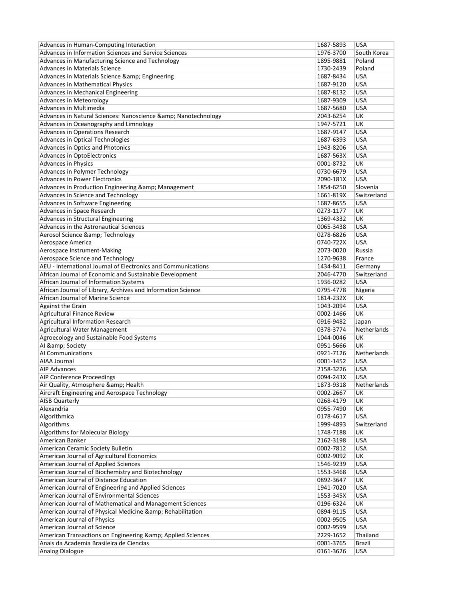| Advances in Human-Computing Interaction                            | 1687-5893              | <b>USA</b>         |
|--------------------------------------------------------------------|------------------------|--------------------|
| Advances in Information Sciences and Service Sciences              | 1976-3700              | South Korea        |
| Advances in Manufacturing Science and Technology                   | 1895-9881              | Poland             |
| Advances in Materials Science                                      | 1730-2439              | Poland             |
| Advances in Materials Science & amp; Engineering                   | 1687-8434              | <b>USA</b>         |
| Advances in Mathematical Physics                                   | 1687-9120              | <b>USA</b>         |
| Advances in Mechanical Engineering                                 | 1687-8132              | <b>USA</b>         |
| Advances in Meteorology                                            | 1687-9309              | <b>USA</b>         |
| Advances in Multimedia                                             | 1687-5680              | USA                |
| Advances in Natural Sciences: Nanoscience & Nanotechnology         | 2043-6254              | UK                 |
| Advances in Oceanography and Limnology                             | 1947-5721              | UK                 |
| Advances in Operations Research                                    | 1687-9147              | <b>USA</b>         |
| Advances in Optical Technologies                                   | 1687-6393              | USA                |
| Advances in Optics and Photonics                                   | 1943-8206              | USA                |
| <b>Advances in OptoElectronics</b>                                 | 1687-563X              | USA                |
| Advances in Physics                                                | 0001-8732              | UK                 |
| Advances in Polymer Technology                                     | 0730-6679              | <b>USA</b>         |
| Advances in Power Electronics                                      | 2090-181X              | <b>USA</b>         |
| Advances in Production Engineering & Management                    | 1854-6250              | Slovenia           |
| Advances in Science and Technology                                 | 1661-819X              | Switzerland        |
| Advances in Software Engineering                                   | 1687-8655              | USA                |
| Advances in Space Research                                         | 0273-1177              | UK                 |
| Advances in Structural Engineering                                 | 1369-4332              | UK                 |
| Advances in the Astronautical Sciences                             | 0065-3438              | <b>USA</b>         |
| Aerosol Science & Technology                                       | 0278-6826              | <b>USA</b>         |
| Aerospace America                                                  | 0740-722X              | <b>USA</b>         |
| Aerospace Instrument-Making                                        | 2073-0020              | Russia             |
| Aerospace Science and Technology                                   | 1270-9638              | France             |
| AEU - International Journal of Electronics and Communications      | 1434-8411              | Germany            |
| African Journal of Economic and Sustainable Development            | 2046-4770              | Switzerland        |
| African Journal of Information Systems                             | 1936-0282              | USA                |
| African Journal of Library, Archives and Information Science       | 0795-4778              | Nigeria            |
| African Journal of Marine Science                                  | 1814-232X              | UK                 |
| Against the Grain                                                  | 1043-2094              | USA                |
| Agricultural Finance Review                                        | 0002-1466              | UK                 |
| Agricultural Information Research                                  | 0916-9482              | Japan              |
| Agricultural Water Management                                      | 0378-3774              | Netherlands        |
| Agroecology and Sustainable Food Systems                           | 1044-0046              | UK                 |
| Al & Society                                                       |                        | UK                 |
| Al Communications                                                  | 0951-5666<br>0921-7126 | <b>Netherlands</b> |
| AIAA Journal                                                       | 0001-1452              | USA                |
| <b>AIP Advances</b>                                                | 2158-3226              |                    |
|                                                                    |                        | USA                |
| <b>AIP Conference Proceedings</b>                                  | 0094-243X              | <b>USA</b>         |
| Air Quality, Atmosphere & Health                                   | 1873-9318              | Netherlands        |
| Aircraft Engineering and Aerospace Technology                      | 0002-2667              | UK                 |
| <b>AISB Quarterly</b>                                              | 0268-4179              | UK                 |
| Alexandria                                                         | 0955-7490              | UK                 |
| Algorithmica                                                       | 0178-4617              | <b>USA</b>         |
| Algorithms                                                         | 1999-4893              | Switzerland        |
| Algorithms for Molecular Biology                                   | 1748-7188              | UK                 |
| American Banker                                                    |                        | <b>USA</b>         |
| American Ceramic Society Bulletin                                  | 2162-3198              |                    |
|                                                                    | 0002-7812              | <b>USA</b>         |
| American Journal of Agricultural Economics                         | 0002-9092              | UK                 |
| American Journal of Applied Sciences                               | 1546-9239              | <b>USA</b>         |
| American Journal of Biochemistry and Biotechnology                 | 1553-3468              | <b>USA</b>         |
| American Journal of Distance Education                             | 0892-3647              | UK                 |
| American Journal of Engineering and Applied Sciences               | 1941-7020              | <b>USA</b>         |
| American Journal of Environmental Sciences                         | 1553-345X              | <b>USA</b>         |
| American Journal of Mathematical and Management Sciences           | 0196-6324              | UK                 |
| American Journal of Physical Medicine & Rehabilitation             | 0894-9115              | <b>USA</b>         |
| American Journal of Physics                                        | 0002-9505              | <b>USA</b>         |
| American Journal of Science                                        | 0002-9599              | <b>USA</b>         |
| American Transactions on Engineering & Applied Sciences            | 2229-1652              | Thailand           |
| Anais da Academia Brasileira de Ciencias<br><b>Analog Dialogue</b> | 0001-3765<br>0161-3626 | Brazil<br>USA      |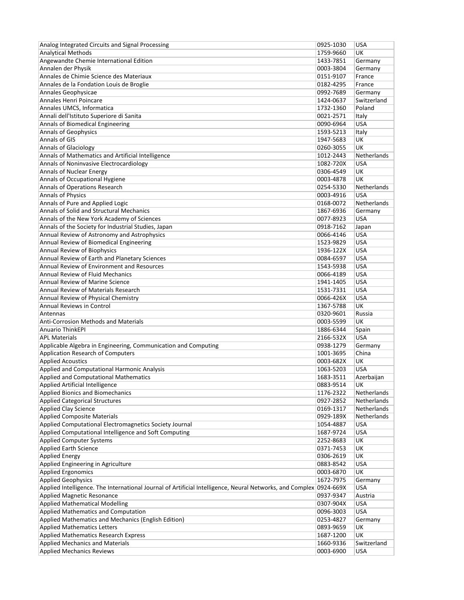| Analog Integrated Circuits and Signal Processing                                                                   | 0925-1030              | <b>USA</b>         |
|--------------------------------------------------------------------------------------------------------------------|------------------------|--------------------|
| <b>Analytical Methods</b>                                                                                          | 1759-9660              | UK                 |
| Angewandte Chemie International Edition                                                                            | 1433-7851              | Germany            |
| Annalen der Physik                                                                                                 | 0003-3804              | Germany            |
| Annales de Chimie Science des Materiaux                                                                            | 0151-9107              | France             |
| Annales de la Fondation Louis de Broglie                                                                           | 0182-4295              | France             |
| Annales Geophysicae                                                                                                | 0992-7689              | Germany            |
| Annales Henri Poincare                                                                                             | 1424-0637              | Switzerland        |
| Annales UMCS, Informatica                                                                                          | 1732-1360              | Poland             |
| Annali dell'Istituto Superiore di Sanita                                                                           | 0021-2571              | Italy              |
| Annals of Biomedical Engineering                                                                                   | 0090-6964              | USA                |
| <b>Annals of Geophysics</b>                                                                                        | 1593-5213              | Italy              |
| Annals of GIS                                                                                                      | 1947-5683              | UK                 |
|                                                                                                                    |                        |                    |
| <b>Annals of Glaciology</b>                                                                                        | 0260-3055              | UK                 |
| Annals of Mathematics and Artificial Intelligence                                                                  | 1012-2443              | <b>Netherlands</b> |
| Annals of Noninvasive Electrocardiology                                                                            | 1082-720X              | <b>USA</b>         |
| Annals of Nuclear Energy                                                                                           | 0306-4549              | UK                 |
| Annals of Occupational Hygiene                                                                                     | 0003-4878              | UK                 |
| Annals of Operations Research                                                                                      | 0254-5330              | Netherlands        |
| <b>Annals of Physics</b>                                                                                           | 0003-4916              | <b>USA</b>         |
| Annals of Pure and Applied Logic                                                                                   | 0168-0072              | Netherlands        |
| Annals of Solid and Structural Mechanics                                                                           | 1867-6936              | Germany            |
| Annals of the New York Academy of Sciences                                                                         | 0077-8923              | <b>USA</b>         |
| Annals of the Society for Industrial Studies, Japan                                                                | 0918-7162              | Japan              |
| Annual Review of Astronomy and Astrophysics                                                                        | 0066-4146              | <b>USA</b>         |
| Annual Review of Biomedical Engineering                                                                            | 1523-9829              | <b>USA</b>         |
| Annual Review of Biophysics                                                                                        | 1936-122X              | USA                |
|                                                                                                                    |                        |                    |
| Annual Review of Earth and Planetary Sciences                                                                      | 0084-6597              | USA                |
| Annual Review of Environment and Resources                                                                         | 1543-5938              | USA                |
| <b>Annual Review of Fluid Mechanics</b>                                                                            | 0066-4189              | USA                |
| Annual Review of Marine Science                                                                                    | 1941-1405              | USA                |
| Annual Review of Materials Research                                                                                | 1531-7331              | USA                |
| Annual Review of Physical Chemistry                                                                                | 0066-426X              | <b>USA</b>         |
| <b>Annual Reviews in Control</b>                                                                                   | 1367-5788              | UK                 |
| Antennas                                                                                                           | 0320-9601              | Russia             |
| <b>Anti-Corrosion Methods and Materials</b>                                                                        | 0003-5599              | UK                 |
| <b>Anuario ThinkEPI</b>                                                                                            | 1886-6344              | Spain              |
| <b>APL Materials</b>                                                                                               | 2166-532X              | USA                |
| Applicable Algebra in Engineering, Communication and Computing                                                     | 0938-1279              | Germany            |
| Application Research of Computers                                                                                  | 1001-3695              | China              |
| <b>Applied Acoustics</b>                                                                                           | 0003-682X              | UK                 |
| Applied and Computational Harmonic Analysis                                                                        | 1063-5203              | USA                |
| Applied and Computational Mathematics                                                                              | 1683-3511              | Azerbaijan         |
| Applied Artificial Intelligence                                                                                    | 0883-9514              | UK                 |
| Applied Bionics and Biomechanics                                                                                   | 1176-2322              | Netherlands        |
| <b>Applied Categorical Structures</b>                                                                              | 0927-2852              | <b>Netherlands</b> |
|                                                                                                                    |                        |                    |
| <b>Applied Clay Science</b>                                                                                        | 0169-1317              | Netherlands        |
| <b>Applied Composite Materials</b>                                                                                 | 0929-189X              | Netherlands        |
| Applied Computational Electromagnetics Society Journal                                                             | 1054-4887              | USA                |
| Applied Computational Intelligence and Soft Computing                                                              | 1687-9724              | <b>USA</b>         |
| <b>Applied Computer Systems</b>                                                                                    | 2252-8683              | UK                 |
| <b>Applied Earth Science</b>                                                                                       | 0371-7453              | UK                 |
| <b>Applied Energy</b>                                                                                              | 0306-2619              | UK                 |
| Applied Engineering in Agriculture                                                                                 | 0883-8542              | <b>USA</b>         |
| <b>Applied Ergonomics</b>                                                                                          | 0003-6870              | UK                 |
| <b>Applied Geophysics</b>                                                                                          | 1672-7975              | Germany            |
| Applied Intelligence. The International Journal of Artificial Intelligence, Neural Networks, and Complex 0924-669X |                        | USA                |
| Applied Magnetic Resonance                                                                                         | 0937-9347              | Austria            |
| <b>Applied Mathematical Modelling</b>                                                                              | 0307-904X              | <b>USA</b>         |
| Applied Mathematics and Computation                                                                                | 0096-3003              | <b>USA</b>         |
| Applied Mathematics and Mechanics (English Edition)                                                                | 0253-4827              | Germany            |
| <b>Applied Mathematics Letters</b>                                                                                 | 0893-9659              | UK                 |
| <b>Applied Mathematics Research Express</b>                                                                        | 1687-1200              | UK                 |
|                                                                                                                    |                        |                    |
|                                                                                                                    |                        |                    |
| <b>Applied Mechanics and Materials</b><br><b>Applied Mechanics Reviews</b>                                         | 1660-9336<br>0003-6900 | Switzerland<br>USA |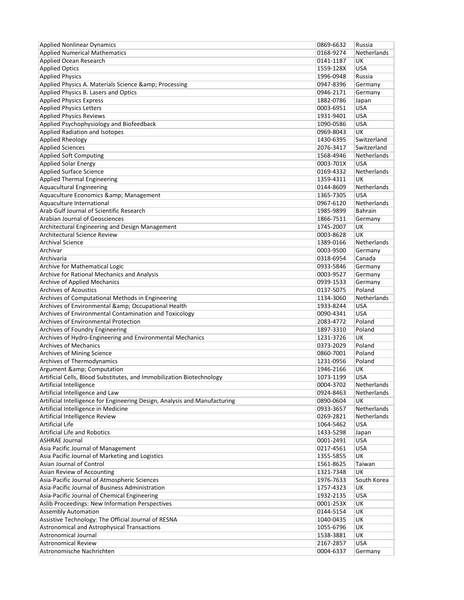| <b>Applied Nonlinear Dynamics</b>                                          | 0869-6632              | Russia            |
|----------------------------------------------------------------------------|------------------------|-------------------|
| <b>Applied Numerical Mathematics</b>                                       | 0168-9274              | Netherlands       |
| Applied Ocean Research                                                     | 0141-1187              | UK                |
| <b>Applied Optics</b>                                                      | 1559-128X              | USA               |
| <b>Applied Physics</b>                                                     | 1996-0948              | <b>Russia</b>     |
| Applied Physics A. Materials Science & Processing                          | 0947-8396              | Germany           |
| Applied Physics B. Lasers and Optics                                       | 0946-2171              | Germany           |
| <b>Applied Physics Express</b>                                             | 1882-0786              | Japan             |
| <b>Applied Physics Letters</b>                                             | 0003-6951              | <b>USA</b>        |
| <b>Applied Physics Reviews</b>                                             | 1931-9401              | USA               |
| Applied Psychophysiology and Biofeedback                                   | 1090-0586              | USA               |
| Applied Radiation and Isotopes                                             | 0969-8043              | UK                |
| <b>Applied Rheology</b>                                                    | 1430-6395              | Switzerland       |
| <b>Applied Sciences</b>                                                    | 2076-3417              | Switzerland       |
| <b>Applied Soft Computing</b>                                              | 1568-4946              | Netherlands       |
| <b>Applied Solar Energy</b>                                                | 0003-701X              | <b>USA</b>        |
| <b>Applied Surface Science</b>                                             | 0169-4332              | Netherlands       |
| <b>Applied Thermal Engineering</b>                                         | 1359-4311              | UK                |
| <b>Aquacultural Engineering</b>                                            | 0144-8609              | Netherlands       |
| Aquaculture Economics & Management                                         | 1365-7305              | USA               |
| Aquaculture International                                                  | 0967-6120              | Netherlands       |
| Arab Gulf Journal of Scientific Research                                   | 1985-9899              | <b>Bahrain</b>    |
| Arabian Journal of Geosciences                                             | 1866-7511              | Germany           |
| Architectural Engineering and Design Management                            | 1745-2007              | UK                |
| <b>Architectural Science Review</b>                                        | 0003-8628              | UK                |
| <b>Archival Science</b>                                                    | 1389-0166              | Netherlands       |
| Archivar                                                                   | 0003-9500              | Germany           |
| Archivaria                                                                 | 0318-6954              | Canada            |
| Archive for Mathematical Logic                                             | 0933-5846              | Germany           |
| <b>Archive for Rational Mechanics and Analysis</b>                         | 0003-9527              | Germany           |
| <b>Archive of Applied Mechanics</b><br><b>Archives of Acoustics</b>        | 0939-1533<br>0137-5075 | Germany<br>Poland |
| Archives of Computational Methods in Engineering                           | 1134-3060              | Netherlands       |
| Archives of Environmental & Occupational Health                            | 1933-8244              | USA               |
| Archives of Environmental Contamination and Toxicology                     | 0090-4341              | USA               |
| <b>Archives of Environmental Protection</b>                                | 2083-4772              | Poland            |
| Archives of Foundry Engineering                                            | 1897-3310              | Poland            |
| Archives of Hydro-Engineering and Environmental Mechanics                  | 1231-3726              | UK                |
| <b>Archives of Mechanics</b>                                               | 0373-2029              | Poland            |
| Archives of Mining Science                                                 | 0860-7001              | Poland            |
| Archives of Thermodynamics                                                 | 1231-0956              | Poland            |
| Argument & Computation                                                     | 1946-2166              | UK                |
| Artificial Cells, Blood Substitutes, and Immobilization Biotechnology      | 1073-1199              | <b>USA</b>        |
| Artificial Intelligence                                                    | 0004-3702              | Netherlands       |
| Artificial Intelligence and Law                                            | 0924-8463              | Netherlands       |
| Artificial Intelligence for Engineering Design, Analysis and Manufacturing | 0890-0604              | UK                |
| Artificial Intelligence in Medicine                                        | 0933-3657              | Netherlands       |
| Artificial Intelligence Review                                             | 0269-2821              | Netherlands       |
| <b>Artificial Life</b>                                                     | 1064-5462              | USA               |
| Artificial Life and Robotics                                               | 1433-5298              | Japan             |
| <b>ASHRAE Journal</b>                                                      | 0001-2491              | <b>USA</b>        |
| Asia Pacific Journal of Management                                         | 0217-4561              | <b>USA</b>        |
| Asia Pacific Journal of Marketing and Logistics                            | 1355-5855              | UK                |
| Asian Journal of Control                                                   | 1561-8625              | Taiwan            |
| Asian Review of Accounting                                                 | 1321-7348              | UK                |
| Asia-Pacific Journal of Atmospheric Sciences                               | 1976-7633              | South Korea       |
| Asia-Pacific Journal of Business Administration                            | 1757-4323              | UK                |
| Asia-Pacific Journal of Chemical Engineering                               | 1932-2135              | <b>USA</b>        |
| Aslib Proceedings: New Information Perspectives                            | 0001-253X              | UK                |
| <b>Assembly Automation</b>                                                 | 0144-5154              | UK                |
| Assistive Technology: The Official Journal of RESNA                        | 1040-0435              | UK                |
| <b>Astronomical and Astrophysical Transactions</b>                         | 1055-6796              | UK                |
| Astronomical Journal                                                       | 1538-3881              | UK                |
| <b>Astronomical Review</b>                                                 | 2167-2857              | <b>USA</b>        |
| Astronomische Nachrichten                                                  | 0004-6337              | Germany           |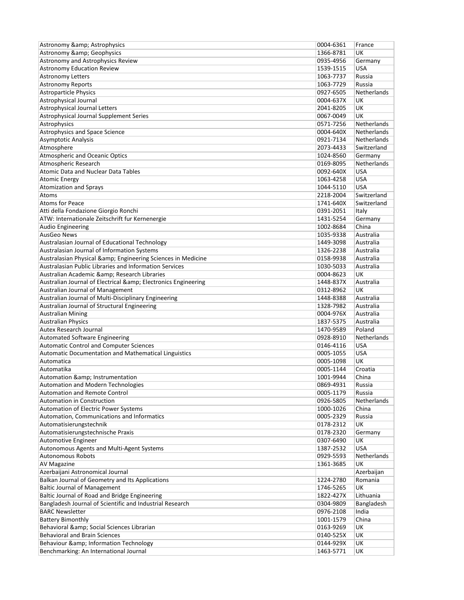| Astronomy & Astrophysics                                                | 0004-6361              | France             |
|-------------------------------------------------------------------------|------------------------|--------------------|
| Astronomy & Geophysics                                                  | 1366-8781              | UK                 |
| Astronomy and Astrophysics Review                                       | 0935-4956              | Germany            |
| <b>Astronomy Education Review</b>                                       | 1539-1515              | <b>USA</b>         |
| <b>Astronomy Letters</b>                                                | 1063-7737              | Russia             |
| <b>Astronomy Reports</b>                                                | 1063-7729              | <b>Russia</b>      |
| <b>Astroparticle Physics</b>                                            | 0927-6505              | <b>Netherlands</b> |
| Astrophysical Journal                                                   | 0004-637X              | UK                 |
| Astrophysical Journal Letters                                           | 2041-8205              | UK                 |
| Astrophysical Journal Supplement Series                                 | 0067-0049              | UK                 |
| Astrophysics                                                            | 0571-7256              | <b>Netherlands</b> |
| Astrophysics and Space Science                                          | 0004-640X              | Netherlands        |
| Asymptotic Analysis                                                     | 0921-7134              | <b>Netherlands</b> |
| Atmosphere                                                              | 2073-4433              | Switzerland        |
| Atmospheric and Oceanic Optics                                          | 1024-8560              | Germany            |
| Atmospheric Research                                                    | 0169-8095              | Netherlands        |
| Atomic Data and Nuclear Data Tables                                     | 0092-640X              | <b>USA</b>         |
| <b>Atomic Energy</b>                                                    | 1063-4258              | <b>USA</b>         |
| <b>Atomization and Sprays</b>                                           | 1044-5110              | <b>USA</b>         |
| Atoms                                                                   | 2218-2004              | Switzerland        |
| <b>Atoms for Peace</b>                                                  | 1741-640X              | Switzerland        |
| Atti della Fondazione Giorgio Ronchi                                    | 0391-2051              | Italy              |
| ATW: Internationale Zeitschrift fur Kernenergie                         | 1431-5254              | Germany            |
| <b>Audio Engineering</b>                                                | 1002-8684              | China              |
| AusGeo News                                                             | 1035-9338              | Australia          |
| Australasian Journal of Educational Technology                          | 1449-3098              | Australia          |
| Australasian Journal of Information Systems                             | 1326-2238              | Australia          |
| Australasian Physical & amp; Engineering Sciences in Medicine           | 0158-9938              | Australia          |
| Australasian Public Libraries and Information Services                  | 1030-5033              | Australia          |
| Australian Academic & Research Libraries                                | 0004-8623              | UK                 |
| Australian Journal of Electrical & Electronics Engineering              | 1448-837X              | Australia          |
| Australian Journal of Management                                        | 0312-8962              | UK                 |
| Australian Journal of Multi-Disciplinary Engineering                    | 1448-8388              | Australia          |
| Australian Journal of Structural Engineering                            | 1328-7982              | Australia          |
| <b>Australian Mining</b>                                                | 0004-976X              | Australia          |
| <b>Australian Physics</b>                                               | 1837-5375              | Australia          |
| <b>Autex Research Journal</b>                                           | 1470-9589              | Poland             |
| Automated Software Engineering                                          | 0928-8910              | <b>Netherlands</b> |
| Automatic Control and Computer Sciences                                 | 0146-4116              | <b>USA</b>         |
| Automatic Documentation and Mathematical Linguistics                    | 0005-1055              | <b>USA</b>         |
| Automatica                                                              | 0005-1098              | UK                 |
| Automatika                                                              | 0005-1144              | Croatia            |
| Automation & Instrumentation                                            | 1001-9944              | China              |
| Automation and Modern Technologies                                      | 0869-4931              | Russia             |
| <b>Automation and Remote Control</b>                                    | 0005-1179              | Russia             |
| <b>Automation in Construction</b>                                       | 0926-5805              | Netherlands        |
| Automation of Electric Power Systems                                    | 1000-1026              | China              |
| Automation, Communications and Informatics                              | 0005-2329              | Russia<br>UK       |
| Automatisierungstechnik                                                 | 0178-2312              |                    |
| Automatisierungstechnische Praxis                                       | 0178-2320              | Germany<br>UK      |
| <b>Automotive Engineer</b><br>Autonomous Agents and Multi-Agent Systems | 0307-6490<br>1387-2532 | <b>USA</b>         |
| <b>Autonomous Robots</b>                                                | 0929-5593              | <b>Netherlands</b> |
| <b>AV Magazine</b>                                                      | 1361-3685              | UK                 |
| Azerbaijani Astronomical Journal                                        |                        | Azerbaijan         |
| Balkan Journal of Geometry and Its Applications                         | 1224-2780              | Romania            |
| <b>Baltic Journal of Management</b>                                     | 1746-5265              | UK                 |
| Baltic Journal of Road and Bridge Engineering                           | 1822-427X              | Lithuania          |
| Bangladesh Journal of Scientific and Industrial Research                | 0304-9809              | Bangladesh         |
| <b>BARC Newsletter</b>                                                  | 0976-2108              | India              |
| <b>Battery Bimonthly</b>                                                | 1001-1579              | China              |
| Behavioral & Social Sciences Librarian                                  | 0163-9269              | UK                 |
| <b>Behavioral and Brain Sciences</b>                                    | 0140-525X              | UK                 |
| Behaviour & Information Technology                                      | 0144-929X              | UK                 |
| Benchmarking: An International Journal                                  | 1463-5771              | UK                 |
|                                                                         |                        |                    |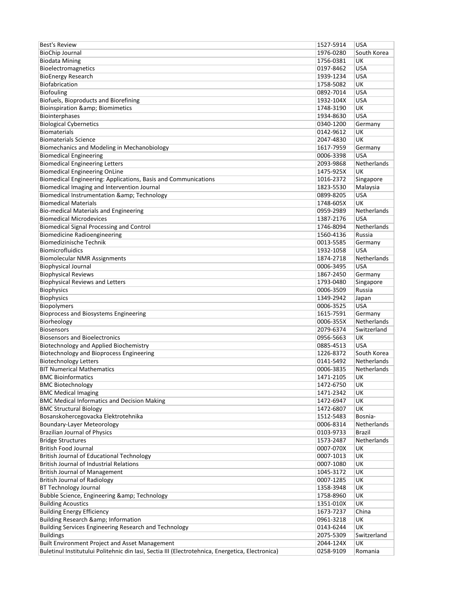| <b>Best's Review</b>                                                                             | 1527-5914              | <b>USA</b>                |
|--------------------------------------------------------------------------------------------------|------------------------|---------------------------|
| <b>BioChip Journal</b>                                                                           | 1976-0280              | South Korea               |
| <b>Biodata Mining</b>                                                                            | 1756-0381              | UK                        |
| Bioelectromagnetics                                                                              | 0197-8462              | USA                       |
| <b>BioEnergy Research</b>                                                                        | 1939-1234              | <b>USA</b>                |
| Biofabrication                                                                                   | 1758-5082              | UK                        |
| <b>Biofouling</b>                                                                                | 0892-7014              | <b>USA</b>                |
| Biofuels, Bioproducts and Biorefining                                                            | 1932-104X              | <b>USA</b>                |
| <b>Bioinspiration &amp; Biomimetics</b>                                                          | 1748-3190              | UK                        |
| Biointerphases                                                                                   | 1934-8630              | <b>USA</b>                |
| <b>Biological Cybernetics</b>                                                                    | 0340-1200              | Germany                   |
| <b>Biomaterials</b>                                                                              | 0142-9612              | UK                        |
| <b>Biomaterials Science</b>                                                                      | 2047-4830              | UK                        |
| Biomechanics and Modeling in Mechanobiology                                                      | 1617-7959              | Germany                   |
| <b>Biomedical Engineering</b>                                                                    | 0006-3398              | USA                       |
| <b>Biomedical Engineering Letters</b>                                                            | 2093-9868              | Netherlands               |
| <b>Biomedical Engineering OnLine</b>                                                             | 1475-925X              | UK                        |
| Biomedical Engineering: Applications, Basis and Communications                                   | 1016-2372              | Singapore                 |
| Biomedical Imaging and Intervention Journal                                                      | 1823-5530              | Malaysia                  |
| Biomedical Instrumentation & Technology                                                          | 0899-8205              | <b>USA</b>                |
| <b>Biomedical Materials</b>                                                                      | 1748-605X              | UK                        |
| Bio-medical Materials and Engineering                                                            | 0959-2989              | Netherlands               |
| <b>Biomedical Microdevices</b>                                                                   | 1387-2176              | <b>USA</b>                |
| <b>Biomedical Signal Processing and Control</b>                                                  | 1746-8094              | Netherlands               |
| <b>Biomedicine Radioengineering</b>                                                              | 1560-4136              | Russia                    |
| Biomedizinische Technik                                                                          | 0013-5585              | Germany                   |
| <b>Biomicrofluidics</b>                                                                          | 1932-1058              | USA                       |
| <b>Biomolecular NMR Assignments</b>                                                              | 1874-2718<br>0006-3495 | Netherlands<br><b>USA</b> |
| <b>Biophysical Journal</b>                                                                       | 1867-2450              |                           |
| <b>Biophysical Reviews</b><br><b>Biophysical Reviews and Letters</b>                             | 1793-0480              | Germany<br>Singapore      |
| Biophysics                                                                                       | 0006-3509              | Russia                    |
| <b>Biophysics</b>                                                                                | 1349-2942              | Japan                     |
| Biopolymers                                                                                      | 0006-3525              | <b>USA</b>                |
| Bioprocess and Biosystems Engineering                                                            | 1615-7591              | Germany                   |
| Biorheology                                                                                      | 0006-355X              | Netherlands               |
| <b>Biosensors</b>                                                                                | 2079-6374              | Switzerland               |
| <b>Biosensors and Bioelectronics</b>                                                             | 0956-5663              | UK                        |
| Biotechnology and Applied Biochemistry                                                           | 0885-4513              | <b>USA</b>                |
| Biotechnology and Bioprocess Engineering                                                         | 1226-8372              | South Korea               |
| <b>Biotechnology Letters</b>                                                                     | 0141-5492              | Netherlands               |
| <b>BIT Numerical Mathematics</b>                                                                 | 0006-3835              | <b>Netherlands</b>        |
| <b>BMC Bioinformatics</b>                                                                        | 1471-2105              | UK                        |
| <b>BMC Biotechnology</b>                                                                         | 1472-6750              | UK                        |
| <b>BMC Medical Imaging</b>                                                                       | 1471-2342              | UK                        |
| <b>BMC Medical Informatics and Decision Making</b>                                               | 1472-6947              | UK                        |
| <b>BMC Structural Biology</b>                                                                    | 1472-6807              | UK                        |
| Bosanskohercegovacka Elektrotehnika                                                              | 1512-5483              | Bosnia-                   |
| <b>Boundary-Layer Meteorology</b>                                                                | 0006-8314              | Netherlands               |
| <b>Brazilian Journal of Physics</b>                                                              | 0103-9733              | <b>Brazil</b>             |
| <b>Bridge Structures</b>                                                                         | 1573-2487              | Netherlands               |
| <b>British Food Journal</b>                                                                      | 0007-070X              | UK                        |
| <b>British Journal of Educational Technology</b>                                                 | 0007-1013              | UK                        |
| <b>British Journal of Industrial Relations</b>                                                   | 0007-1080              | UK                        |
| <b>British Journal of Management</b>                                                             | 1045-3172              | UK                        |
| <b>British Journal of Radiology</b>                                                              | 0007-1285              | UK                        |
| BT Technology Journal                                                                            | 1358-3948              | UK                        |
| Bubble Science, Engineering & Technology                                                         | 1758-8960              | UK                        |
| <b>Building Acoustics</b>                                                                        | 1351-010X              | UK                        |
| <b>Building Energy Efficiency</b>                                                                | 1673-7237              | China                     |
| Building Research & Information                                                                  | 0961-3218              | UK                        |
| Building Services Engineering Research and Technology                                            | 0143-6244              | UK                        |
| <b>Buildings</b>                                                                                 | 2075-5309              | Switzerland               |
| Built Environment Project and Asset Management                                                   | 2044-124X              | UK                        |
| Buletinul Institutului Politehnic din Iasi, Sectia III (Electrotehnica, Energetica, Electronica) | 0258-9109              | Romania                   |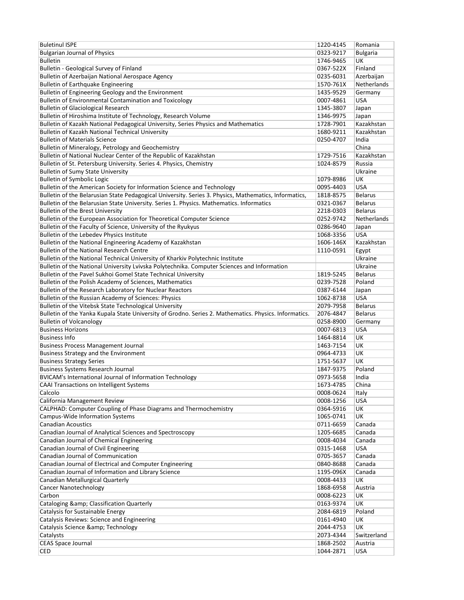| <b>Buletinul ISPE</b>                                                                                                                                           | 1220-4145              | Romania               |
|-----------------------------------------------------------------------------------------------------------------------------------------------------------------|------------------------|-----------------------|
| <b>Bulgarian Journal of Physics</b>                                                                                                                             | 0323-9217              | <b>Bulgaria</b>       |
| <b>Bulletin</b>                                                                                                                                                 | 1746-9465              | UK                    |
| Bulletin - Geological Survey of Finland                                                                                                                         | 0367-522X              | Finland               |
| Bulletin of Azerbaijan National Aerospace Agency                                                                                                                | 0235-6031              | Azerbaijan            |
| <b>Bulletin of Earthquake Engineering</b>                                                                                                                       | 1570-761X              | Netherlands           |
| Bulletin of Engineering Geology and the Environment                                                                                                             | 1435-9529              | Germany               |
| Bulletin of Environmental Contamination and Toxicology                                                                                                          | 0007-4861              | <b>USA</b>            |
| <b>Bulletin of Glaciological Research</b>                                                                                                                       | 1345-3807              | Japan                 |
| Bulletin of Hiroshima Institute of Technology, Research Volume                                                                                                  | 1346-9975              | Japan                 |
| Bulletin of Kazakh National Pedagogical University, Series Physics and Mathematics                                                                              | 1728-7901              | Kazakhstan            |
| Bulletin of Kazakh National Technical University                                                                                                                | 1680-9211              | Kazakhstan            |
| <b>Bulletin of Materials Science</b>                                                                                                                            | 0250-4707              | India                 |
| Bulletin of Mineralogy, Petrology and Geochemistry                                                                                                              |                        | China                 |
| Bulletin of National Nuclear Center of the Republic of Kazakhstan                                                                                               | 1729-7516              | Kazakhstan            |
| Bulletin of St. Petersburg University. Series 4. Physics, Chemistry                                                                                             | 1024-8579              | Russia                |
| <b>Bulletin of Sumy State University</b>                                                                                                                        |                        | Ukraine               |
| <b>Bulletin of Symbolic Logic</b>                                                                                                                               | 1079-8986              | UK                    |
| Bulletin of the American Society for Information Science and Technology                                                                                         | 0095-4403              | <b>USA</b>            |
| Bulletin of the Belarusian State Pedagogical University. Series 3. Physics, Mathematics, Informatics,                                                           | 1818-8575              | <b>Belarus</b>        |
| Bulletin of the Belarusian State University. Series 1. Physics. Mathematics. Informatics                                                                        | 0321-0367              | <b>Belarus</b>        |
| <b>Bulletin of the Brest University</b>                                                                                                                         | 2218-0303              | <b>Belarus</b>        |
| Bulletin of the European Association for Theoretical Computer Science                                                                                           | 0252-9742              | Netherlands           |
| Bulletin of the Faculty of Science, University of the Ryukyus                                                                                                   | 0286-9640              | Japan                 |
| Bulletin of the Lebedev Physics Institute                                                                                                                       | 1068-3356              | <b>USA</b>            |
| Bulletin of the National Engineering Academy of Kazakhstan                                                                                                      | 1606-146X              | Kazakhstan            |
| <b>Bulletin of the National Research Centre</b>                                                                                                                 | 1110-0591              | Egypt                 |
| Bulletin of the National Technical University of Kharkiv Polytechnic Institute                                                                                  |                        | Ukraine               |
| Bulletin of the National University Lvivska Polytechnika. Computer Sciences and Information                                                                     |                        | Ukraine               |
| Bulletin of the Pavel Sukhoi Gomel State Technical University                                                                                                   | 1819-5245              | <b>Belarus</b>        |
| Bulletin of the Polish Academy of Sciences, Mathematics                                                                                                         | 0239-7528              | Poland                |
| Bulletin of the Research Laboratory for Nuclear Reactors                                                                                                        | 0387-6144              |                       |
|                                                                                                                                                                 | 1062-8738              | Japan<br><b>USA</b>   |
| Bulletin of the Russian Academy of Sciences: Physics                                                                                                            | 2079-7958              | <b>Belarus</b>        |
| Bulletin of the Vitebsk State Technological University<br>Bulletin of the Yanka Kupala State University of Grodno. Series 2. Mathematics. Physics. Informatics. | 2076-4847              | <b>Belarus</b>        |
|                                                                                                                                                                 | 0258-8900              |                       |
| <b>Bulletin of Volcanology</b><br><b>Business Horizons</b>                                                                                                      |                        | Germany<br><b>USA</b> |
|                                                                                                                                                                 | 0007-6813<br>1464-8814 |                       |
| <b>Business Info</b>                                                                                                                                            |                        | UK                    |
| <b>Business Process Management Journal</b>                                                                                                                      | 1463-7154              | UK<br>UK              |
| Business Strategy and the Environment                                                                                                                           | 0964-4733              | UK                    |
| <b>Business Strategy Series</b>                                                                                                                                 | 1751-5637              |                       |
| <b>Business Systems Research Journal</b>                                                                                                                        | 1847-9375              | Poland                |
| BVICAM's International Journal of Information Technology                                                                                                        | 0973-5658              | India                 |
| CAAI Transactions on Intelligent Systems                                                                                                                        | 1673-4785              | China                 |
| Calcolo                                                                                                                                                         | 0008-0624              | Italy                 |
| California Management Review                                                                                                                                    | 0008-1256              | <b>USA</b>            |
| CALPHAD: Computer Coupling of Phase Diagrams and Thermochemistry                                                                                                | 0364-5916              | UK                    |
| <b>Campus-Wide Information Systems</b>                                                                                                                          | 1065-0741              | UK                    |
| <b>Canadian Acoustics</b>                                                                                                                                       | 0711-6659              | Canada                |
| Canadian Journal of Analytical Sciences and Spectroscopy                                                                                                        | 1205-6685              | Canada                |
| Canadian Journal of Chemical Engineering                                                                                                                        | 0008-4034              | Canada                |
| Canadian Journal of Civil Engineering                                                                                                                           | 0315-1468              | <b>USA</b>            |
| Canadian Journal of Communication                                                                                                                               | 0705-3657              | Canada                |
| Canadian Journal of Electrical and Computer Engineering                                                                                                         | 0840-8688              | Canada                |
| Canadian Journal of Information and Library Science                                                                                                             | 1195-096X              | Canada                |
| Canadian Metallurgical Quarterly                                                                                                                                | 0008-4433              | UK                    |
| <b>Cancer Nanotechnology</b>                                                                                                                                    | 1868-6958              | Austria               |
| Carbon                                                                                                                                                          | 0008-6223              | UK                    |
| Cataloging & Classification Quarterly                                                                                                                           | 0163-9374              | UK                    |
| Catalysis for Sustainable Energy                                                                                                                                | 2084-6819              | Poland                |
| Catalysis Reviews: Science and Engineering                                                                                                                      | 0161-4940              | UK                    |
| Catalysis Science & Technology                                                                                                                                  | 2044-4753              | UK                    |
| Catalysts                                                                                                                                                       | 2073-4344              | Switzerland           |
| <b>CEAS Space Journal</b>                                                                                                                                       | 1868-2502              | Austria               |
| <b>CED</b>                                                                                                                                                      | 1044-2871              | <b>USA</b>            |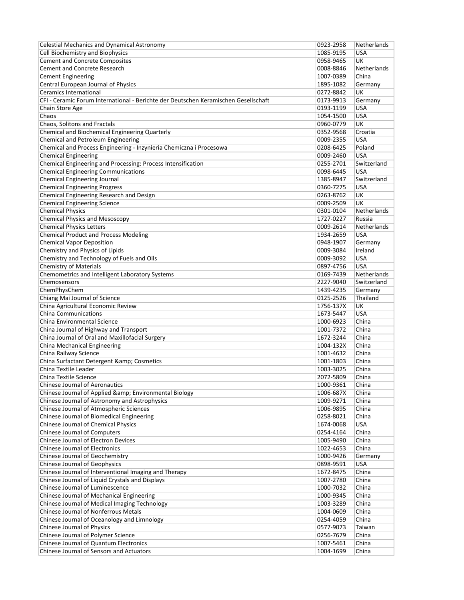| <b>Celestial Mechanics and Dynamical Astronomy</b>                                  | 0923-2958              | Netherlands         |
|-------------------------------------------------------------------------------------|------------------------|---------------------|
| Cell Biochemistry and Biophysics                                                    | 1085-9195              | <b>USA</b>          |
| Cement and Concrete Composites                                                      | 0958-9465              | UK                  |
| <b>Cement and Concrete Research</b>                                                 | 0008-8846              | Netherlands         |
| <b>Cement Engineering</b>                                                           | 1007-0389              | China               |
| Central European Journal of Physics                                                 | 1895-1082              | Germany             |
| Ceramics International                                                              | 0272-8842              | UK                  |
| CFI - Ceramic Forum International - Berichte der Deutschen Keramischen Gesellschaft | 0173-9913              | Germany             |
| Chain Store Age                                                                     | 0193-1199              | USA                 |
| Chaos                                                                               | 1054-1500              | <b>USA</b>          |
| Chaos, Solitons and Fractals                                                        | 0960-0779              | UK                  |
| Chemical and Biochemical Engineering Quarterly                                      | 0352-9568              | Croatia             |
| Chemical and Petroleum Engineering                                                  | 0009-2355              | <b>USA</b>          |
| Chemical and Process Engineering - Inzynieria Chemiczna i Procesowa                 | 0208-6425              | Poland              |
| <b>Chemical Engineering</b>                                                         | 0009-2460              | <b>USA</b>          |
| Chemical Engineering and Processing: Process Intensification                        | 0255-2701              | Switzerland         |
| <b>Chemical Engineering Communications</b>                                          | 0098-6445              | <b>USA</b>          |
| <b>Chemical Engineering Journal</b>                                                 | 1385-8947              | Switzerland         |
| <b>Chemical Engineering Progress</b>                                                | 0360-7275              | USA                 |
| Chemical Engineering Research and Design                                            | 0263-8762              | UK                  |
| <b>Chemical Engineering Science</b>                                                 | 0009-2509              | UK                  |
| <b>Chemical Physics</b>                                                             | 0301-0104              | Netherlands         |
| <b>Chemical Physics and Mesoscopy</b>                                               | 1727-0227              | <b>Russia</b>       |
| <b>Chemical Physics Letters</b>                                                     | 0009-2614              | <b>Netherlands</b>  |
| <b>Chemical Product and Process Modeling</b>                                        | 1934-2659              | <b>USA</b>          |
| <b>Chemical Vapor Deposition</b>                                                    | 0948-1907              | Germany             |
| Chemistry and Physics of Lipids                                                     | 0009-3084              | Ireland             |
| Chemistry and Technology of Fuels and Oils                                          | 0009-3092              | <b>USA</b>          |
| <b>Chemistry of Materials</b>                                                       | 0897-4756              | <b>USA</b>          |
| Chemometrics and Intelligent Laboratory Systems                                     | 0169-7439              | <b>Netherlands</b>  |
| Chemosensors<br>ChemPhysChem                                                        | 2227-9040<br>1439-4235 | Switzerland         |
| Chiang Mai Journal of Science                                                       | 0125-2526              | Germany<br>Thailand |
| China Agricultural Economic Review                                                  | 1756-137X              | UK                  |
| <b>China Communications</b>                                                         | 1673-5447              | <b>USA</b>          |
| China Environmental Science                                                         | 1000-6923              | China               |
| China Journal of Highway and Transport                                              | 1001-7372              | China               |
| China Journal of Oral and Maxillofacial Surgery                                     | 1672-3244              | China               |
| China Mechanical Engineering                                                        | 1004-132X              | China               |
| China Railway Science                                                               | 1001-4632              | China               |
| China Surfactant Detergent & Cosmetics                                              | 1001-1803              | China               |
| China Textile Leader                                                                | 1003-3025              | China               |
| China Textile Science                                                               | 2072-5809              | China               |
| <b>Chinese Journal of Aeronautics</b>                                               | 1000-9361              | China               |
| Chinese Journal of Applied & Environmental Biology                                  | 1006-687X              | China               |
| Chinese Journal of Astronomy and Astrophysics                                       | 1009-9271              | China               |
| Chinese Journal of Atmospheric Sciences                                             | 1006-9895              | China               |
| Chinese Journal of Biomedical Engineering                                           | 0258-8021              | China               |
| Chinese Journal of Chemical Physics                                                 | 1674-0068              | <b>USA</b>          |
| Chinese Journal of Computers                                                        | 0254-4164              | China               |
| <b>Chinese Journal of Electron Devices</b>                                          | 1005-9490              | China               |
| <b>Chinese Journal of Electronics</b>                                               | 1022-4653              | China               |
| Chinese Journal of Geochemistry                                                     | 1000-9426              | Germany             |
| Chinese Journal of Geophysics                                                       | 0898-9591              | <b>USA</b>          |
| Chinese Journal of Interventional Imaging and Therapy                               | 1672-8475              | China               |
| Chinese Journal of Liquid Crystals and Displays                                     | 1007-2780              | China               |
| Chinese Journal of Luminescence                                                     | 1000-7032              | China               |
| Chinese Journal of Mechanical Engineering                                           | 1000-9345              | China               |
| Chinese Journal of Medical Imaging Technology                                       | 1003-3289              | China               |
| Chinese Journal of Nonferrous Metals                                                | 1004-0609              | China               |
| Chinese Journal of Oceanology and Limnology                                         | 0254-4059              | China               |
| Chinese Journal of Physics                                                          | 0577-9073              | Taiwan              |
| Chinese Journal of Polymer Science                                                  | 0256-7679              | China               |
| Chinese Journal of Quantum Electronics                                              | 1007-5461              | China               |
| Chinese Journal of Sensors and Actuators                                            | 1004-1699              | China               |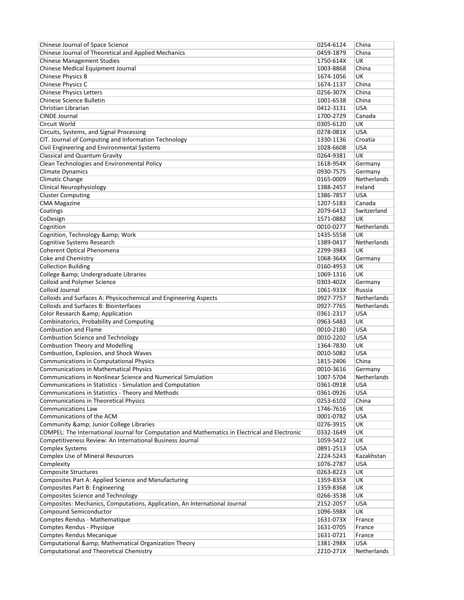| Chinese Journal of Space Science                                                                                                                            | 0254-6124              | China                     |
|-------------------------------------------------------------------------------------------------------------------------------------------------------------|------------------------|---------------------------|
| Chinese Journal of Theoretical and Applied Mechanics                                                                                                        | 0459-1879              | China                     |
| <b>Chinese Management Studies</b>                                                                                                                           | 1750-614X              | <b>UK</b>                 |
| Chinese Medical Equipment Journal                                                                                                                           | 1003-8868              | China                     |
| Chinese Physics B                                                                                                                                           | 1674-1056              | <b>UK</b>                 |
| Chinese Physics C                                                                                                                                           | 1674-1137              | China                     |
| <b>Chinese Physics Letters</b>                                                                                                                              | 0256-307X              | China                     |
| Chinese Science Bulletin                                                                                                                                    | 1001-6538              | China                     |
| Christian Librarian                                                                                                                                         | 0412-3131              | <b>USA</b>                |
| <b>CINDE Journal</b>                                                                                                                                        | 1700-2729              | Canada                    |
| Circuit World                                                                                                                                               | 0305-6120              | UK                        |
| Circuits, Systems, and Signal Processing                                                                                                                    | 0278-081X              | <b>USA</b>                |
| CIT. Journal of Computing and Information Technology                                                                                                        | 1330-1136              | Croatia                   |
| Civil Engineering and Environmental Systems                                                                                                                 | 1028-6608              | <b>USA</b>                |
| Classical and Quantum Gravity                                                                                                                               | 0264-9381              | UK                        |
| Clean Technologies and Environmental Policy                                                                                                                 | 1618-954X              | Germany                   |
| <b>Climate Dynamics</b>                                                                                                                                     | 0930-7575              | Germany                   |
| <b>Climatic Change</b>                                                                                                                                      | 0165-0009              | Netherlands               |
| <b>Clinical Neurophysiology</b>                                                                                                                             | 1388-2457              | Ireland                   |
| <b>Cluster Computing</b>                                                                                                                                    | 1386-7857              | <b>USA</b>                |
| <b>CMA Magazine</b>                                                                                                                                         | 1207-5183              | Canada                    |
| Coatings                                                                                                                                                    | 2079-6412              | Switzerland               |
| CoDesign                                                                                                                                                    | 1571-0882              | UK                        |
| Cognition                                                                                                                                                   | 0010-0277              | <b>Netherlands</b>        |
| Cognition, Technology & Work                                                                                                                                | 1435-5558              | UK                        |
| Cognitive Systems Research                                                                                                                                  | 1389-0417              | <b>Netherlands</b>        |
| Coherent Optical Phenomena                                                                                                                                  | 2299-3983              | UK                        |
| Coke and Chemistry                                                                                                                                          | 1068-364X              | Germany                   |
| <b>Collection Building</b>                                                                                                                                  | 0160-4953              | <b>UK</b>                 |
| College & Undergraduate Libraries                                                                                                                           | 1069-1316              | UK                        |
| <b>Colloid and Polymer Science</b><br><b>Colloid Journal</b>                                                                                                | 0303-402X<br>1061-933X | Germany<br>Russia         |
| Colloids and Surfaces A: Physicochemical and Engineering Aspects                                                                                            | 0927-7757              | Netherlands               |
| <b>Colloids and Surfaces B: Biointerfaces</b>                                                                                                               | 0927-7765              | Netherlands               |
| Color Research & Application                                                                                                                                | 0361-2317              | <b>USA</b>                |
| Combinatorics, Probability and Computing                                                                                                                    | 0963-5483              | UK                        |
| <b>Combustion and Flame</b>                                                                                                                                 | 0010-2180              | <b>USA</b>                |
| <b>Combustion Science and Technology</b>                                                                                                                    | 0010-2202              | USA                       |
| <b>Combustion Theory and Modelling</b>                                                                                                                      | 1364-7830              | UK                        |
| Combustion, Explosion, and Shock Waves                                                                                                                      | 0010-5082              | <b>USA</b>                |
| <b>Communications in Computational Physics</b>                                                                                                              | 1815-2406              | China                     |
| <b>Communications in Mathematical Physics</b>                                                                                                               | 0010-3616              | Germany                   |
| <b>Communications in Nonlinear Science and Numerical Simulation</b>                                                                                         | 1007-5704              | Netherlands               |
| Communications in Statistics - Simulation and Computation                                                                                                   | 0361-0918              | <b>USA</b>                |
| Communications in Statistics - Theory and Methods                                                                                                           | 0361-0926              | <b>USA</b>                |
| <b>Communications in Theoretical Physics</b>                                                                                                                | 0253-6102              | China                     |
| <b>Communications Law</b>                                                                                                                                   | 1746-7616              | UK                        |
| Communications of the ACM                                                                                                                                   | 0001-0782              | <b>USA</b>                |
| Community & Junior College Libraries                                                                                                                        |                        |                           |
|                                                                                                                                                             | 0276-3915              | UK                        |
|                                                                                                                                                             |                        | UK                        |
| COMPEL: The International Journal for Computation and Mathematics in Electrical and Electronic<br>Competitiveness Review: An International Business Journal | 0332-1649              | UK                        |
| <b>Complex Systems</b>                                                                                                                                      | 1059-5422<br>0891-2513 | <b>USA</b>                |
| <b>Complex Use of Mineral Resources</b>                                                                                                                     | 2224-5243              | Kazakhstan                |
| Complexity                                                                                                                                                  | 1076-2787              | <b>USA</b>                |
| <b>Composite Structures</b>                                                                                                                                 | 0263-8223              | UK                        |
| Composites Part A: Applied Science and Manufacturing                                                                                                        | 1359-835X              | UK                        |
| Composites Part B: Engineering                                                                                                                              | 1359-8368              | UK                        |
| <b>Composites Science and Technology</b>                                                                                                                    | 0266-3538              | UK                        |
| Composites: Mechanics, Computations, Application, An International Journal                                                                                  | 2152-2057              | USA                       |
| <b>Compound Semiconductor</b>                                                                                                                               | 1096-598X              | UK                        |
| Comptes Rendus - Mathematique                                                                                                                               | 1631-073X              | France                    |
| Comptes Rendus - Physique                                                                                                                                   | 1631-0705              | France                    |
| Comptes Rendus Mecanique                                                                                                                                    | 1631-0721              | France                    |
| Computational & Mathematical Organization Theory<br><b>Computational and Theoretical Chemistry</b>                                                          | 1381-298X<br>2210-271X | <b>USA</b><br>Netherlands |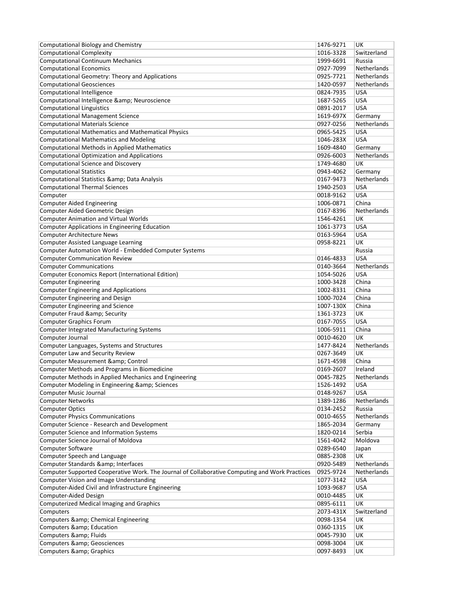| Computational Biology and Chemistry                                                            | 1476-9271              | UK                   |
|------------------------------------------------------------------------------------------------|------------------------|----------------------|
| <b>Computational Complexity</b>                                                                | 1016-3328              | Switzerland          |
| <b>Computational Continuum Mechanics</b>                                                       | 1999-6691              | Russia               |
| <b>Computational Economics</b>                                                                 | 0927-7099              | Netherlands          |
| Computational Geometry: Theory and Applications                                                | 0925-7721              | <b>Netherlands</b>   |
| <b>Computational Geosciences</b>                                                               | 1420-0597              | Netherlands          |
| Computational Intelligence                                                                     | 0824-7935              | USA                  |
| Computational Intelligence & Neuroscience                                                      | 1687-5265              | USA                  |
| <b>Computational Linguistics</b>                                                               | 0891-2017              | <b>USA</b>           |
| <b>Computational Management Science</b>                                                        | 1619-697X              | Germany              |
| <b>Computational Materials Science</b>                                                         | 0927-0256              | Netherlands          |
| <b>Computational Mathematics and Mathematical Physics</b>                                      | 0965-5425              | <b>USA</b>           |
| <b>Computational Mathematics and Modeling</b>                                                  | 1046-283X              | <b>USA</b>           |
| Computational Methods in Applied Mathematics                                                   | 1609-4840              | Germany              |
| <b>Computational Optimization and Applications</b>                                             | 0926-6003              | Netherlands          |
| Computational Science and Discovery                                                            | 1749-4680              | UK                   |
| <b>Computational Statistics</b>                                                                | 0943-4062              | Germany              |
| Computational Statistics & Data Analysis                                                       | 0167-9473              | <b>Netherlands</b>   |
| <b>Computational Thermal Sciences</b>                                                          | 1940-2503              | USA                  |
| Computer                                                                                       | 0018-9162              | <b>USA</b>           |
| <b>Computer Aided Engineering</b>                                                              | 1006-0871              | China                |
| Computer Aided Geometric Design                                                                | 0167-8396              | <b>Netherlands</b>   |
| <b>Computer Animation and Virtual Worlds</b>                                                   | 1546-4261              | UK                   |
| <b>Computer Applications in Engineering Education</b>                                          | 1061-3773              | <b>USA</b>           |
| <b>Computer Architecture News</b>                                                              | 0163-5964              | <b>USA</b>           |
| <b>Computer Assisted Language Learning</b>                                                     | 0958-8221              | UK                   |
| Computer Automation World - Embedded Computer Systems                                          |                        | Russia<br><b>USA</b> |
| <b>Computer Communication Review</b>                                                           | 0146-4833              |                      |
| <b>Computer Communications</b>                                                                 | 0140-3664<br>1054-5026 | Netherlands<br>USA   |
| <b>Computer Economics Report (International Edition)</b><br><b>Computer Engineering</b>        | 1000-3428              | China                |
| <b>Computer Engineering and Applications</b>                                                   | 1002-8331              | China                |
| Computer Engineering and Design                                                                | 1000-7024              | China                |
| <b>Computer Engineering and Science</b>                                                        | 1007-130X              | China                |
| Computer Fraud & Security                                                                      | 1361-3723              | UK                   |
| <b>Computer Graphics Forum</b>                                                                 | 0167-7055              | <b>USA</b>           |
| <b>Computer Integrated Manufacturing Systems</b>                                               | 1006-5911              | China                |
| Computer Journal                                                                               | 0010-4620              | UK                   |
| Computer Languages, Systems and Structures                                                     | 1477-8424              | Netherlands          |
| Computer Law and Security Review                                                               | 0267-3649              | UK                   |
| Computer Measurement & Control                                                                 | 1671-4598              | China                |
| Computer Methods and Programs in Biomedicine                                                   | 0169-2607              | Ireland              |
| Computer Methods in Applied Mechanics and Engineering                                          | 0045-7825              | <b>Netherlands</b>   |
| Computer Modeling in Engineering & Sciences                                                    | 1526-1492              | <b>USA</b>           |
| <b>Computer Music Journal</b>                                                                  | 0148-9267              | USA                  |
| <b>Computer Networks</b>                                                                       | 1389-1286              | Netherlands          |
| <b>Computer Optics</b>                                                                         | 0134-2452              | Russia               |
| <b>Computer Physics Communications</b>                                                         | 0010-4655              | Netherlands          |
| Computer Science - Research and Development                                                    | 1865-2034              | Germany              |
| Computer Science and Information Systems                                                       | 1820-0214              | Serbia               |
| Computer Science Journal of Moldova                                                            | 1561-4042              | Moldova              |
| Computer Software                                                                              | 0289-6540              | Japan                |
| Computer Speech and Language                                                                   | 0885-2308              | UK                   |
| Computer Standards & Interfaces                                                                | 0920-5489              | Netherlands          |
| Computer Supported Cooperative Work. The Journal of Collaborative Computing and Work Practices | 0925-9724              | Netherlands          |
| Computer Vision and Image Understanding                                                        | 1077-3142              | USA                  |
| Computer-Aided Civil and Infrastructure Engineering                                            | 1093-9687              | <b>USA</b>           |
| Computer-Aided Design                                                                          | 0010-4485              | UK                   |
| Computerized Medical Imaging and Graphics                                                      | 0895-6111              | UK                   |
| Computers                                                                                      | 2073-431X              | Switzerland          |
| Computers & Chemical Engineering                                                               | 0098-1354              | UK                   |
| Computers & Education                                                                          | 0360-1315              | UK                   |
| Computers & Fluids                                                                             | 0045-7930              | UK                   |
| Computers & Geosciences                                                                        | 0098-3004              | UK                   |
| Computers & Graphics                                                                           | 0097-8493              | UK                   |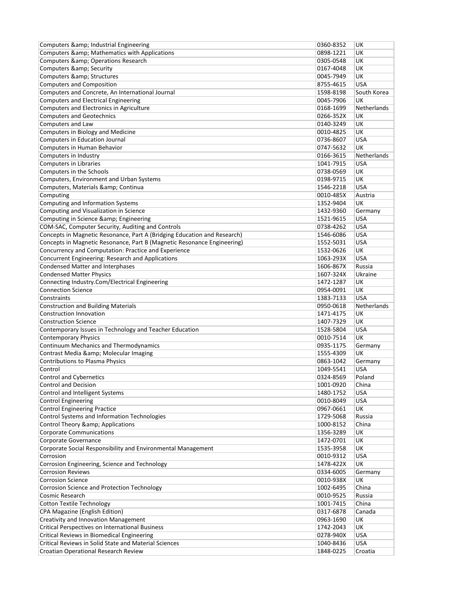| Computers & Industrial Engineering                                          | 0360-8352              | UK                |
|-----------------------------------------------------------------------------|------------------------|-------------------|
| Computers & Mathematics with Applications                                   | 0898-1221              | UK                |
| Computers & Operations Research                                             | 0305-0548              | UK                |
| Computers & Security                                                        | 0167-4048              | UK                |
| Computers & Structures                                                      | 0045-7949              | <b>UK</b>         |
| <b>Computers and Composition</b>                                            | 8755-4615              | <b>USA</b>        |
| Computers and Concrete, An International Journal                            | 1598-8198              | South Korea       |
| <b>Computers and Electrical Engineering</b>                                 | 0045-7906              | <b>UK</b>         |
| Computers and Electronics in Agriculture                                    | 0168-1699              | Netherlands       |
| <b>Computers and Geotechnics</b>                                            | 0266-352X              | UK                |
| Computers and Law                                                           | 0140-3249              | UK                |
| Computers in Biology and Medicine                                           | 0010-4825              | UK                |
| <b>Computers in Education Journal</b>                                       | 0736-8607              | <b>USA</b>        |
| Computers in Human Behavior                                                 | 0747-5632              | <b>UK</b>         |
| Computers in Industry                                                       | 0166-3615              | Netherlands       |
| Computers in Libraries                                                      | 1041-7915              | <b>USA</b>        |
| Computers in the Schools                                                    | 0738-0569              | <b>UK</b>         |
| Computers, Environment and Urban Systems                                    | 0198-9715              | UK                |
| Computers, Materials & Continua                                             | 1546-2218              | USA               |
| Computing                                                                   | 0010-485X              | Austria           |
| Computing and Information Systems                                           | 1352-9404              | <b>UK</b>         |
| Computing and Visualization in Science                                      | 1432-9360              | Germany           |
| Computing in Science & Engineering                                          | 1521-9615              | <b>USA</b>        |
| COM-SAC, Computer Security, Auditing and Controls                           | 0738-4262              | <b>USA</b>        |
| Concepts in Magnetic Resonance, Part A (Bridging Education and Research)    | 1546-6086              | <b>USA</b>        |
| Concepts in Magnetic Resonance, Part B (Magnetic Resonance Engineering)     | 1552-5031              | <b>USA</b>        |
| Concurrency and Computation: Practice and Experience                        | 1532-0626              | UK                |
| Concurrent Engineering: Research and Applications                           | 1063-293X              | <b>USA</b>        |
| <b>Condensed Matter and Interphases</b>                                     | 1606-867X              | Russia<br>Ukraine |
| <b>Condensed Matter Physics</b>                                             | 1607-324X              | UK                |
| Connecting Industry.Com/Electrical Engineering<br><b>Connection Science</b> | 1472-1287<br>0954-0091 | <b>UK</b>         |
| Constraints                                                                 | 1383-7133              | <b>USA</b>        |
| <b>Construction and Building Materials</b>                                  | 0950-0618              | Netherlands       |
| <b>Construction Innovation</b>                                              | 1471-4175              | UK                |
| <b>Construction Science</b>                                                 | 1407-7329              | UK                |
| Contemporary Issues in Technology and Teacher Education                     | 1528-5804              | <b>USA</b>        |
| <b>Contemporary Physics</b>                                                 | 0010-7514              | UK                |
| <b>Continuum Mechanics and Thermodynamics</b>                               | 0935-1175              | Germany           |
| Contrast Media & Molecular Imaging                                          | 1555-4309              | <b>UK</b>         |
| Contributions to Plasma Physics                                             | 0863-1042              | Germany           |
| Control                                                                     | 1049-5541              | USA               |
| <b>Control and Cybernetics</b>                                              | 0324-8569              | Poland            |
| <b>Control and Decision</b>                                                 | 1001-0920              | China             |
| Control and Intelligent Systems                                             | 1480-1752              | <b>USA</b>        |
| <b>Control Engineering</b>                                                  | 0010-8049              | <b>USA</b>        |
| <b>Control Engineering Practice</b>                                         | 0967-0661              | UK                |
| Control Systems and Information Technologies                                | 1729-5068              | Russia            |
| Control Theory & Applications                                               | 1000-8152              | China             |
| <b>Corporate Communications</b>                                             | 1356-3289              | UK                |
| Corporate Governance                                                        | 1472-0701              | UK                |
| Corporate Social Responsibility and Environmental Management                | 1535-3958              | UK                |
| Corrosion                                                                   | 0010-9312              | USA               |
| Corrosion Engineering, Science and Technology                               | 1478-422X              | UK                |
| <b>Corrosion Reviews</b>                                                    | 0334-6005              | Germany           |
| <b>Corrosion Science</b>                                                    | 0010-938X              | UK                |
| Corrosion Science and Protection Technology                                 | 1002-6495              | China             |
| <b>Cosmic Research</b>                                                      | 0010-9525              | Russia            |
| <b>Cotton Textile Technology</b>                                            | 1001-7415              | China             |
| CPA Magazine (English Edition)                                              | 0317-6878              | Canada            |
| Creativity and Innovation Management                                        | 0963-1690              | UK                |
| Critical Perspectives on International Business                             | 1742-2043              | UK                |
| Critical Reviews in Biomedical Engineering                                  | 0278-940X              | USA               |
| <b>Critical Reviews in Solid State and Material Sciences</b>                | 1040-8436              | <b>USA</b>        |
| Croatian Operational Research Review                                        | 1848-0225              | Croatia           |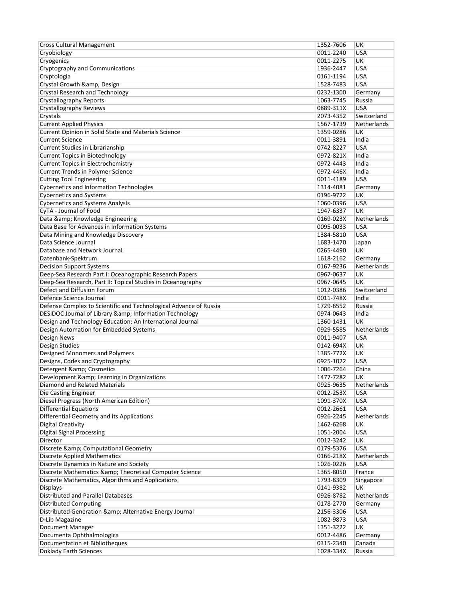| <b>Cross Cultural Management</b>                                  | 1352-7606 | UK                 |
|-------------------------------------------------------------------|-----------|--------------------|
| Cryobiology                                                       | 0011-2240 | <b>USA</b>         |
| Cryogenics                                                        | 0011-2275 | UK                 |
| Cryptography and Communications                                   | 1936-2447 | <b>USA</b>         |
| Cryptologia                                                       | 0161-1194 | <b>USA</b>         |
| Crystal Growth & Design                                           | 1528-7483 | <b>USA</b>         |
| <b>Crystal Research and Technology</b>                            | 0232-1300 | Germany            |
| <b>Crystallography Reports</b>                                    | 1063-7745 | Russia             |
| Crystallography Reviews                                           | 0889-311X | <b>USA</b>         |
| Crystals                                                          | 2073-4352 | Switzerland        |
| <b>Current Applied Physics</b>                                    | 1567-1739 | Netherlands        |
| Current Opinion in Solid State and Materials Science              | 1359-0286 | UK                 |
| <b>Current Science</b>                                            | 0011-3891 | India              |
| Current Studies in Librarianship                                  | 0742-8227 | <b>USA</b>         |
| <b>Current Topics in Biotechnology</b>                            | 0972-821X | India              |
| <b>Current Topics in Electrochemistry</b>                         | 0972-4443 | India              |
| <b>Current Trends in Polymer Science</b>                          | 0972-446X | India              |
| <b>Cutting Tool Engineering</b>                                   | 0011-4189 | <b>USA</b>         |
| <b>Cybernetics and Information Technologies</b>                   | 1314-4081 | Germany            |
| <b>Cybernetics and Systems</b>                                    | 0196-9722 | UK                 |
| <b>Cybernetics and Systems Analysis</b>                           | 1060-0396 | <b>USA</b>         |
| CyTA - Journal of Food                                            | 1947-6337 | <b>UK</b>          |
| Data & Knowledge Engineering                                      | 0169-023X | Netherlands        |
| Data Base for Advances in Information Systems                     | 0095-0033 | <b>USA</b>         |
| Data Mining and Knowledge Discovery                               | 1384-5810 | <b>USA</b>         |
| Data Science Journal                                              | 1683-1470 | Japan              |
| Database and Network Journal                                      | 0265-4490 | UK                 |
| Datenbank-Spektrum                                                | 1618-2162 | Germany            |
| <b>Decision Support Systems</b>                                   | 0167-9236 | <b>Netherlands</b> |
| Deep-Sea Research Part I: Oceanographic Research Papers           | 0967-0637 | UK                 |
| Deep-Sea Research, Part II: Topical Studies in Oceanography       | 0967-0645 | UK                 |
| Defect and Diffusion Forum                                        | 1012-0386 | Switzerland        |
| Defence Science Journal                                           | 0011-748X | India              |
| Defense Complex to Scientific and Technological Advance of Russia | 1729-6552 | Russia             |
| DESIDOC Journal of Library & Information Technology               | 0974-0643 | India              |
| Design and Technology Education: An International Journal         | 1360-1431 | UK                 |
| Design Automation for Embedded Systems                            | 0929-5585 | Netherlands        |
| <b>Design News</b>                                                | 0011-9407 | <b>USA</b>         |
| <b>Design Studies</b>                                             | 0142-694X | UK                 |
| Designed Monomers and Polymers                                    | 1385-772X | UK                 |
| Designs, Codes and Cryptography                                   | 0925-1022 | <b>USA</b>         |
| Detergent & Cosmetics                                             | 1006-7264 | China              |
| Development & Learning in Organizations                           | 1477-7282 | UK                 |
| Diamond and Related Materials                                     | 0925-9635 | <b>Netherlands</b> |
| Die Casting Engineer                                              | 0012-253X | <b>USA</b>         |
| Diesel Progress (North American Edition)                          | 1091-370X | <b>USA</b>         |
| <b>Differential Equations</b>                                     | 0012-2661 | <b>USA</b>         |
| Differential Geometry and its Applications                        | 0926-2245 | Netherlands        |
| <b>Digital Creativity</b>                                         | 1462-6268 | <b>UK</b>          |
| <b>Digital Signal Processing</b>                                  | 1051-2004 | <b>USA</b>         |
| Director                                                          | 0012-3242 | UK                 |
| Discrete & Computational Geometry                                 | 0179-5376 | <b>USA</b>         |
| <b>Discrete Applied Mathematics</b>                               | 0166-218X | Netherlands        |
| Discrete Dynamics in Nature and Society                           | 1026-0226 | <b>USA</b>         |
| Discrete Mathematics & Theoretical Computer Science               | 1365-8050 | France             |
| Discrete Mathematics, Algorithms and Applications                 | 1793-8309 | Singapore          |
| <b>Displays</b>                                                   | 0141-9382 | UK                 |
| Distributed and Parallel Databases                                | 0926-8782 | Netherlands        |
| <b>Distributed Computing</b>                                      | 0178-2770 | Germany            |
| Distributed Generation & Alternative Energy Journal               | 2156-3306 | <b>USA</b>         |
| D-Lib Magazine                                                    | 1082-9873 | <b>USA</b>         |
| Document Manager                                                  | 1351-3222 | UK                 |
| Documenta Ophthalmologica                                         | 0012-4486 | Germany            |
|                                                                   |           |                    |
| Documentation et Bibliotheques                                    | 0315-2340 | Canada             |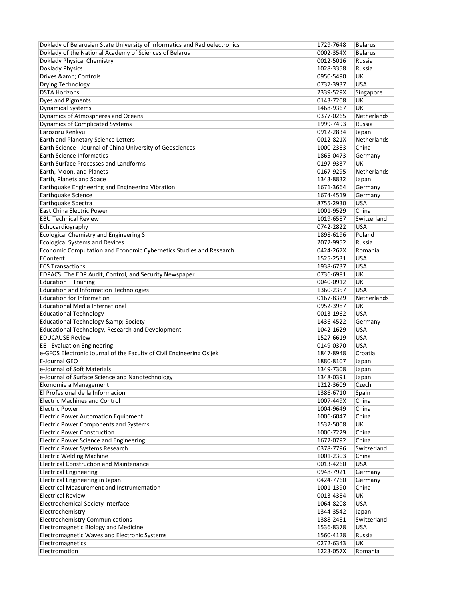| Doklady of Belarusian State University of Informatics and Radioelectronics                  | 1729-7648 | <b>Belarus</b>     |
|---------------------------------------------------------------------------------------------|-----------|--------------------|
| Doklady of the National Academy of Sciences of Belarus                                      | 0002-354X | <b>Belarus</b>     |
| Doklady Physical Chemistry                                                                  | 0012-5016 | Russia             |
| <b>Doklady Physics</b>                                                                      | 1028-3358 | Russia             |
| Drives & Controls                                                                           | 0950-5490 | UK                 |
| <b>Drying Technology</b>                                                                    | 0737-3937 | <b>USA</b>         |
| <b>DSTA Horizons</b>                                                                        | 2339-529X | Singapore          |
| <b>Dyes and Pigments</b>                                                                    | 0143-7208 | UK                 |
| <b>Dynamical Systems</b>                                                                    | 1468-9367 | UK                 |
| Dynamics of Atmospheres and Oceans                                                          | 0377-0265 | <b>Netherlands</b> |
| <b>Dynamics of Complicated Systems</b>                                                      |           |                    |
|                                                                                             | 1999-7493 | Russia             |
| Earozoru Kenkyu                                                                             | 0912-2834 | Japan              |
| <b>Earth and Planetary Science Letters</b>                                                  | 0012-821X | <b>Netherlands</b> |
| Earth Science - Journal of China University of Geosciences                                  | 1000-2383 | China              |
| <b>Earth Science Informatics</b>                                                            | 1865-0473 | Germany            |
| Earth Surface Processes and Landforms                                                       | 0197-9337 | <b>UK</b>          |
| Earth, Moon, and Planets                                                                    | 0167-9295 | <b>Netherlands</b> |
| Earth, Planets and Space                                                                    | 1343-8832 | Japan              |
| Earthquake Engineering and Engineering Vibration                                            | 1671-3664 | Germany            |
| Earthquake Science                                                                          | 1674-4519 | Germany            |
| Earthquake Spectra                                                                          | 8755-2930 | <b>USA</b>         |
| <b>East China Electric Power</b>                                                            | 1001-9529 | China              |
| <b>EBU Technical Review</b>                                                                 | 1019-6587 | Switzerland        |
| Echocardiography                                                                            | 0742-2822 | <b>USA</b>         |
| <b>Ecological Chemistry and Engineering S</b>                                               | 1898-6196 | Poland             |
| <b>Ecological Systems and Devices</b>                                                       | 2072-9952 | Russia             |
| Economic Computation and Economic Cybernetics Studies and Research                          | 0424-267X | Romania            |
| EContent                                                                                    | 1525-2531 | <b>USA</b>         |
| <b>ECS Transactions</b>                                                                     | 1938-6737 | <b>USA</b>         |
| EDPACS: The EDP Audit, Control, and Security Newspaper                                      | 0736-6981 | UK                 |
| <b>Education + Training</b>                                                                 | 0040-0912 | UK                 |
| <b>Education and Information Technologies</b>                                               | 1360-2357 | <b>USA</b>         |
| <b>Education for Information</b>                                                            | 0167-8329 | Netherlands        |
| <b>Educational Media International</b>                                                      | 0952-3987 | UK                 |
| <b>Educational Technology</b>                                                               | 0013-1962 | <b>USA</b>         |
| <b>Educational Technology &amp; Society</b>                                                 | 1436-4522 | Germany            |
|                                                                                             | 1042-1629 | <b>USA</b>         |
| Educational Technology, Research and Development<br><b>EDUCAUSE Review</b>                  |           |                    |
|                                                                                             | 1527-6619 | <b>USA</b>         |
| <b>EE</b> - Evaluation Engineering                                                          | 0149-0370 | <b>USA</b>         |
| e-GFOS Electronic Journal of the Faculty of Civil Engineering Osijek                        | 1847-8948 | Croatia            |
| <b>E-Journal GEO</b>                                                                        | 1880-8107 | Japan              |
| e-Journal of Soft Materials                                                                 | 1349-7308 | Japan              |
| e-Journal of Surface Science and Nanotechnology                                             | 1348-0391 | Japan              |
| Ekonomie a Management                                                                       | 1212-3609 | Czech              |
| El Profesional de la Informacion                                                            | 1386-6710 | Spain              |
| <b>Electric Machines and Control</b>                                                        | 1007-449X | China              |
| <b>Electric Power</b>                                                                       | 1004-9649 | China              |
| <b>Electric Power Automation Equipment</b>                                                  | 1006-6047 | China              |
| <b>Electric Power Components and Systems</b>                                                | 1532-5008 | UK                 |
| <b>Electric Power Construction</b>                                                          | 1000-7229 | China              |
| <b>Electric Power Science and Engineering</b>                                               | 1672-0792 | China              |
| Electric Power Systems Research                                                             | 0378-7796 | Switzerland        |
| <b>Electric Welding Machine</b>                                                             | 1001-2303 | China              |
| <b>Electrical Construction and Maintenance</b>                                              | 0013-4260 | <b>USA</b>         |
| <b>Electrical Engineering</b>                                                               | 0948-7921 | Germany            |
| Electrical Engineering in Japan                                                             | 0424-7760 | Germany            |
| <b>Electrical Measurement and Instrumentation</b>                                           | 1001-1390 | China              |
| <b>Electrical Review</b>                                                                    | 0013-4384 | UK                 |
| Electrochemical Society Interface                                                           | 1064-8208 | <b>USA</b>         |
| Electrochemistry                                                                            | 1344-3542 | Japan              |
| <b>Electrochemistry Communications</b>                                                      |           |                    |
|                                                                                             | 1388-2481 | Switzerland        |
|                                                                                             | 1536-8378 | <b>USA</b>         |
| <b>Electromagnetic Biology and Medicine</b><br>Electromagnetic Waves and Electronic Systems | 1560-4128 | Russia             |
| Electromagnetics                                                                            | 0272-6343 | UK                 |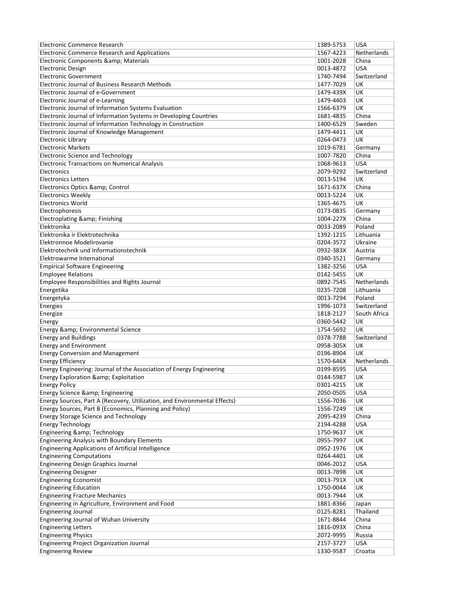| Electronic Commerce Research                                              | 1389-5753              | <b>USA</b>   |
|---------------------------------------------------------------------------|------------------------|--------------|
| <b>Electronic Commerce Research and Applications</b>                      | 1567-4223              | Netherlands  |
| Electronic Components & Materials                                         | 1001-2028              | China        |
| <b>Electronic Design</b>                                                  | 0013-4872              | <b>USA</b>   |
| <b>Electronic Government</b>                                              | 1740-7494              | Switzerland  |
| Electronic Journal of Business Research Methods                           | 1477-7029              | UK           |
| Electronic Journal of e-Government                                        | 1479-439X              | UK           |
| Electronic Journal of e-Learning                                          | 1479-4403              | UK           |
| Electronic Journal of Information Systems Evaluation                      | 1566-6379              | UK           |
| Electronic Journal of Information Systems in Developing Countries         | 1681-4835              | China        |
| Electronic Journal of Information Technology in Construction              | 1400-6529              | Sweden       |
| Electronic Journal of Knowledge Management                                | 1479-4411              | UK           |
| <b>Electronic Library</b>                                                 | 0264-0473              | UK           |
| <b>Electronic Markets</b>                                                 | 1019-6781              | Germany      |
| <b>Electronic Science and Technology</b>                                  | 1007-7820              | China        |
| <b>Electronic Transactions on Numerical Analysis</b>                      | 1068-9613              | <b>USA</b>   |
| Electronics                                                               | 2079-9292              | Switzerland  |
| <b>Electronics Letters</b>                                                | 0013-5194              | UK           |
| Electronics Optics & Control                                              | 1671-637X              | China        |
| <b>Electronics Weekly</b>                                                 | 0013-5224              | UK           |
| <b>Electronics World</b>                                                  | 1365-4675              | UK           |
| Electrophoresis                                                           | 0173-0835              | Germany      |
| Electroplating & Finishing                                                | 1004-227X              | China        |
| Elektronika                                                               | 0033-2089              | Poland       |
| Elektronika ir Elektrotechnika                                            | 1392-1215              | Lithuania    |
| Elektronnoe Modelirovanie                                                 | 0204-3572              | Ukraine      |
| Elektrotechnik und Informationstechnik                                    | 0932-383X              | Austria      |
| Elektrowarme International                                                | 0340-3521              | Germany      |
| <b>Empirical Software Engineering</b>                                     | 1382-3256              | <b>USA</b>   |
| <b>Employee Relations</b>                                                 | 0142-5455              | UK           |
| Employee Responsibilities and Rights Journal                              | 0892-7545              | Netherlands  |
| Energetika                                                                | 0235-7208              | Lithuania    |
| Energetyka                                                                | 0013-7294              | Poland       |
| Energies                                                                  | 1996-1073              | Switzerland  |
| Energize                                                                  | 1818-2127              | South Africa |
| Energy                                                                    | 0360-5442              | UK           |
| Energy & Environmental Science                                            | 1754-5692              | UK           |
| <b>Energy and Buildings</b>                                               | 0378-7788              | Switzerland  |
| <b>Energy and Environment</b>                                             | 0958-305X              | UK           |
| <b>Energy Conversion and Management</b>                                   | 0196-8904              | UK           |
| <b>Energy Efficiency</b>                                                  | 1570-646X              | Netherlands  |
| Energy Engineering: Journal of the Association of Energy Engineering      | 0199-8595              | USA          |
| Energy Exploration & Exploitation                                         | 0144-5987              | UK           |
| <b>Energy Policy</b><br>Energy Science & Engineering                      | 0301-4215<br>2050-0505 | UK<br>USA    |
| Energy Sources, Part A (Recovery, Utilization, and Environmental Effects) | 1556-7036              | UK           |
| Energy Sources, Part B (Economics, Planning and Policy)                   | 1556-7249              | UK           |
| <b>Energy Storage Science and Technology</b>                              | 2095-4239              | China        |
| <b>Energy Technology</b>                                                  | 2194-4288              | <b>USA</b>   |
| Engineering & Technology                                                  | 1750-9637              | UK           |
| Engineering Analysis with Boundary Elements                               | 0955-7997              | UK           |
| Engineering Applications of Artificial Intelligence                       | 0952-1976              | UK           |
| <b>Engineering Computations</b>                                           | 0264-4401              | UK           |
| <b>Engineering Design Graphics Journal</b>                                | 0046-2012              | <b>USA</b>   |
| <b>Engineering Designer</b>                                               | 0013-7898              | UK           |
| <b>Engineering Economist</b>                                              | 0013-791X              | UK           |
| <b>Engineering Education</b>                                              | 1750-0044              | UK           |
| <b>Engineering Fracture Mechanics</b>                                     | 0013-7944              | UK           |
| Engineering in Agriculture, Environment and Food                          | 1881-8366              | Japan        |
| <b>Engineering Journal</b>                                                | 0125-8281              | Thailand     |
| Engineering Journal of Wuhan University                                   | 1671-8844              | China        |
| <b>Engineering Letters</b>                                                | 1816-093X              | China        |
| <b>Engineering Physics</b>                                                | 2072-9995              | Russia       |
| Engineering Project Organization Journal                                  | 2157-3727              | <b>USA</b>   |
| <b>Engineering Review</b>                                                 | 1330-9587              | Croatia      |
|                                                                           |                        |              |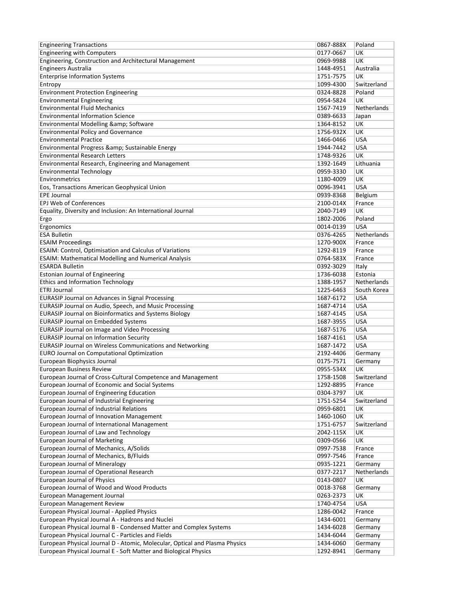| <b>Engineering Transactions</b>                                                                            | 0867-888X              | Poland                    |
|------------------------------------------------------------------------------------------------------------|------------------------|---------------------------|
| <b>Engineering with Computers</b>                                                                          | 0177-0667              | UK                        |
| Engineering, Construction and Architectural Management                                                     | 0969-9988              | UK                        |
| Engineers Australia                                                                                        | 1448-4951              | Australia                 |
| <b>Enterprise Information Systems</b>                                                                      | 1751-7575              | UK                        |
| Entropy                                                                                                    | 1099-4300              | Switzerland               |
| <b>Environment Protection Engineering</b>                                                                  | 0324-8828              | Poland                    |
| <b>Environmental Engineering</b>                                                                           | 0954-5824              | UK                        |
| <b>Environmental Fluid Mechanics</b>                                                                       | 1567-7419              | Netherlands               |
| <b>Environmental Information Science</b>                                                                   | 0389-6633              | Japan                     |
| Environmental Modelling & Software                                                                         | 1364-8152              | UK                        |
| <b>Environmental Policy and Governance</b>                                                                 | 1756-932X              | UK                        |
| <b>Environmental Practice</b>                                                                              | 1466-0466              | <b>USA</b>                |
| Environmental Progress & Sustainable Energy                                                                | 1944-7442              | <b>USA</b>                |
| <b>Environmental Research Letters</b>                                                                      | 1748-9326              | UK                        |
| Environmental Research, Engineering and Management                                                         | 1392-1649              | Lithuania                 |
| <b>Environmental Technology</b>                                                                            | 0959-3330              | UK                        |
| Environmetrics                                                                                             | 1180-4009              | UK                        |
| Eos, Transactions American Geophysical Union                                                               | 0096-3941              | <b>USA</b>                |
| <b>EPE Journal</b>                                                                                         | 0939-8368              | Belgium                   |
| <b>EPJ Web of Conferences</b>                                                                              | 2100-014X              | France                    |
| Equality, Diversity and Inclusion: An International Journal                                                | 2040-7149              | UK                        |
| Ergo                                                                                                       | 1802-2006              | Poland                    |
| Ergonomics                                                                                                 | 0014-0139              | <b>USA</b>                |
| <b>ESA Bulletin</b>                                                                                        | 0376-4265              | Netherlands               |
| <b>ESAIM Proceedings</b>                                                                                   | 1270-900X              | France                    |
| ESAIM: Control, Optimisation and Calculus of Variations                                                    | 1292-8119              | France                    |
| <b>ESAIM: Mathematical Modelling and Numerical Analysis</b>                                                | 0764-583X              | France                    |
| <b>ESARDA Bulletin</b>                                                                                     | 0392-3029              | Italy                     |
| <b>Estonian Journal of Engineering</b>                                                                     | 1736-6038              | Estonia                   |
| Ethics and Information Technology<br><b>ETRI Journal</b>                                                   | 1388-1957              | <b>Netherlands</b>        |
|                                                                                                            | 1225-6463              | South Korea<br><b>USA</b> |
| EURASIP Journal on Advances in Signal Processing<br>EURASIP Journal on Audio, Speech, and Music Processing | 1687-6172<br>1687-4714 | <b>USA</b>                |
| <b>EURASIP Journal on Bioinformatics and Systems Biology</b>                                               | 1687-4145              | <b>USA</b>                |
| <b>EURASIP Journal on Embedded Systems</b>                                                                 | 1687-3955              | <b>USA</b>                |
| EURASIP Journal on Image and Video Processing                                                              | 1687-5176              | <b>USA</b>                |
| <b>EURASIP Journal on Information Security</b>                                                             | 1687-4161              | <b>USA</b>                |
| <b>EURASIP Journal on Wireless Communications and Networking</b>                                           | 1687-1472              | <b>USA</b>                |
| EURO Journal on Computational Optimization                                                                 | 2192-4406              | Germany                   |
| European Biophysics Journal                                                                                | 0175-7571              | Germany                   |
| <b>European Business Review</b>                                                                            | 0955-534X              | UK                        |
| European Journal of Cross-Cultural Competence and Management                                               | 1758-1508              | Switzerland               |
| European Journal of Economic and Social Systems                                                            | 1292-8895              | France                    |
| European Journal of Engineering Education                                                                  | 0304-3797              | UK                        |
| European Journal of Industrial Engineering                                                                 | 1751-5254              | Switzerland               |
| European Journal of Industrial Relations                                                                   | 0959-6801              | UK                        |
| European Journal of Innovation Management                                                                  | 1460-1060              | UK                        |
| European Journal of International Management                                                               | 1751-6757              | Switzerland               |
| European Journal of Law and Technology                                                                     | 2042-115X              | UK                        |
| <b>European Journal of Marketing</b>                                                                       | 0309-0566              | UK                        |
| European Journal of Mechanics, A/Solids                                                                    | 0997-7538              | France                    |
| European Journal of Mechanics, B/Fluids                                                                    | 0997-7546              | France                    |
| <b>European Journal of Mineralogy</b>                                                                      | 0935-1221              | Germany                   |
| European Journal of Operational Research                                                                   | 0377-2217              | Netherlands               |
| European Journal of Physics                                                                                | 0143-0807              | UK                        |
| European Journal of Wood and Wood Products                                                                 | 0018-3768              | Germany                   |
| European Management Journal                                                                                | 0263-2373              | UK                        |
| <b>European Management Review</b>                                                                          | 1740-4754              | <b>USA</b>                |
| European Physical Journal - Applied Physics                                                                | 1286-0042              | France                    |
| European Physical Journal A - Hadrons and Nuclei                                                           | 1434-6001              | Germany                   |
| European Physical Journal B - Condensed Matter and Complex Systems                                         | 1434-6028              | Germany                   |
| European Physical Journal C - Particles and Fields                                                         | 1434-6044              | Germany                   |
| European Physical Journal D - Atomic, Molecular, Optical and Plasma Physics                                | 1434-6060              | Germany                   |
| European Physical Journal E - Soft Matter and Biological Physics                                           | 1292-8941              | Germany                   |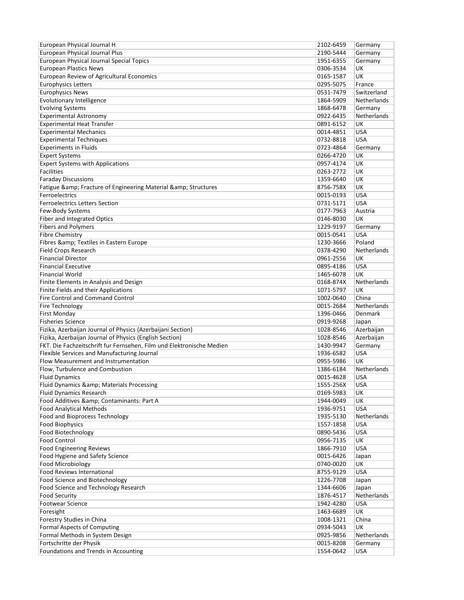| European Physical Journal H                                           | 2102-6459              | Germany            |
|-----------------------------------------------------------------------|------------------------|--------------------|
| <b>European Physical Journal Plus</b>                                 | 2190-5444              | Germany            |
| European Physical Journal Special Topics                              | 1951-6355              | Germany            |
| <b>European Plastics News</b>                                         | 0306-3534              | UK                 |
| European Review of Agricultural Economics                             | 0165-1587              | UK                 |
| <b>Europhysics Letters</b>                                            | 0295-5075              | France             |
| <b>Europhysics News</b>                                               | 0531-7479              | Switzerland        |
| <b>Evolutionary Intelligence</b>                                      | 1864-5909              | Netherlands        |
| <b>Evolving Systems</b>                                               | 1868-6478              | Germany            |
| <b>Experimental Astronomy</b>                                         | 0922-6435              | Netherlands        |
| <b>Experimental Heat Transfer</b>                                     | 0891-6152              | UK                 |
| <b>Experimental Mechanics</b>                                         | 0014-4851              | <b>USA</b>         |
| <b>Experimental Techniques</b>                                        | 0732-8818              | <b>USA</b>         |
| <b>Experiments in Fluids</b>                                          | 0723-4864              | Germany            |
| <b>Expert Systems</b>                                                 | 0266-4720              | UK                 |
| <b>Expert Systems with Applications</b>                               | 0957-4174              | UK                 |
| <b>Facilities</b>                                                     | 0263-2772              | UK                 |
| <b>Faraday Discussions</b>                                            | 1359-6640              | UK                 |
| Fatigue & Fracture of Engineering Material & Structures               | 8756-758X              | UK                 |
| Ferroelectrics                                                        | 0015-0193              | <b>USA</b>         |
| <b>Ferroelectrics Letters Section</b>                                 | 0731-5171              | <b>USA</b>         |
| Few-Body Systems                                                      | 0177-7963              | Austria            |
| Fiber and Integrated Optics                                           | 0146-8030              | UK                 |
| <b>Fibers and Polymers</b>                                            | 1229-9197              | Germany            |
| <b>Fibre Chemistry</b>                                                | 0015-0541              | <b>USA</b>         |
| Fibres & Textiles in Eastern Europe                                   | 1230-3666              | Poland             |
| Field Crops Research                                                  | 0378-4290              | <b>Netherlands</b> |
| <b>Financial Director</b>                                             | 0961-2556              | UK                 |
| <b>Financial Executive</b>                                            | 0895-4186              | <b>USA</b>         |
| <b>Financial World</b>                                                | 1465-6078              | UK                 |
| Finite Elements in Analysis and Design                                | 0168-874X              | Netherlands        |
| Finite Fields and their Applications                                  | 1071-5797              | UK                 |
| Fire Control and Command Control                                      | 1002-0640              | China              |
| Fire Technology                                                       | 0015-2684              | <b>Netherlands</b> |
| <b>First Monday</b>                                                   | 1396-0466              | Denmark            |
| <b>Fisheries Science</b>                                              | 0919-9268              | Japan              |
| Fizika, Azerbaijan Journal of Physics (Azerbaijani Section)           | 1028-8546              | Azerbaijan         |
| Fizika, Azerbaijan Journal of Physics (English Section)               | 1028-8546              | Azerbaijan         |
| FKT. Die Fachzeitschrift fur Fernsehen, Film und Elektronische Medien | 1430-9947              | Germany            |
| Flexible Services and Manufacturing Journal                           | 1936-6582              | USA                |
| Flow Measurement and Instrumentation                                  | 0955-5986              | UK                 |
| Flow, Turbulence and Combustion                                       | 1386-6184              | Netherlands        |
| <b>Fluid Dynamics</b>                                                 | 0015-4628              | <b>USA</b>         |
| Fluid Dynamics & Materials Processing                                 | 1555-256X              | USA                |
| <b>Fluid Dynamics Research</b>                                        | 0169-5983              | UK                 |
| Food Additives & Contaminants: Part A                                 | 1944-0049              | UK                 |
| <b>Food Analytical Methods</b>                                        | 1936-9751              | <b>USA</b>         |
| Food and Bioprocess Technology                                        | 1935-5130              | Netherlands        |
| <b>Food Biophysics</b>                                                | 1557-1858              | USA                |
| Food Biotechnology<br><b>Food Control</b>                             | 0890-5436              | <b>USA</b>         |
| <b>Food Engineering Reviews</b>                                       | 0956-7135<br>1866-7910 | UK<br><b>USA</b>   |
|                                                                       | 0015-6426              |                    |
| Food Hygiene and Safety Science<br>Food Microbiology                  | 0740-0020              | Japan<br>UK        |
| <b>Food Reviews International</b>                                     | 8755-9129              | <b>USA</b>         |
| Food Science and Biotechnology                                        | 1226-7708              | Japan              |
| Food Science and Technology Research                                  | 1344-6606              | Japan              |
| <b>Food Security</b>                                                  | 1876-4517              | Netherlands        |
| <b>Footwear Science</b>                                               | 1942-4280              | USA                |
| Foresight                                                             | 1463-6689              | UK                 |
| Forestry Studies in China                                             | 1008-1321              | China              |
| <b>Formal Aspects of Computing</b>                                    | 0934-5043              | UK                 |
| Formal Methods in System Design                                       | 0925-9856              | Netherlands        |
| Fortschritte der Physik                                               | 0015-8208              | Germany            |
| Foundations and Trends in Accounting                                  | 1554-0642              | <b>USA</b>         |
|                                                                       |                        |                    |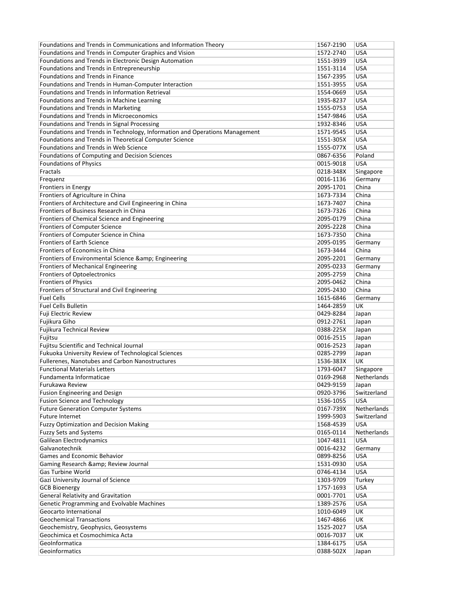| Foundations and Trends in Communications and Information Theory                   | 1567-2190              | <b>USA</b>                |
|-----------------------------------------------------------------------------------|------------------------|---------------------------|
| Foundations and Trends in Computer Graphics and Vision                            | 1572-2740              | <b>USA</b>                |
| Foundations and Trends in Electronic Design Automation                            | 1551-3939              | <b>USA</b>                |
| Foundations and Trends in Entrepreneurship                                        | 1551-3114              | <b>USA</b>                |
| Foundations and Trends in Finance                                                 | 1567-2395              | <b>USA</b>                |
| Foundations and Trends in Human-Computer Interaction                              | 1551-3955              | <b>USA</b>                |
| Foundations and Trends in Information Retrieval                                   | 1554-0669              | <b>USA</b>                |
| Foundations and Trends in Machine Learning                                        | 1935-8237              | <b>USA</b>                |
| Foundations and Trends in Marketing                                               | 1555-0753              | <b>USA</b>                |
| Foundations and Trends in Microeconomics                                          | 1547-9846              | <b>USA</b>                |
| Foundations and Trends in Signal Processing                                       | 1932-8346              | <b>USA</b>                |
| Foundations and Trends in Technology, Information and Operations Management       | 1571-9545              | <b>USA</b>                |
| Foundations and Trends in Theoretical Computer Science                            | 1551-305X              | <b>USA</b>                |
| Foundations and Trends in Web Science                                             | 1555-077X              | <b>USA</b>                |
| Foundations of Computing and Decision Sciences                                    | 0867-6356              | Poland                    |
| Foundations of Physics                                                            | 0015-9018              | <b>USA</b>                |
| Fractals                                                                          | 0218-348X              | Singapore                 |
| Frequenz                                                                          | 0016-1136              | Germany                   |
| Frontiers in Energy                                                               | 2095-1701              | China                     |
| Frontiers of Agriculture in China                                                 | 1673-7334              | China                     |
| Frontiers of Architecture and Civil Engineering in China                          | 1673-7407              | China                     |
| Frontiers of Business Research in China                                           | 1673-7326              | China                     |
| Frontiers of Chemical Science and Engineering                                     | 2095-0179              | China                     |
| <b>Frontiers of Computer Science</b>                                              | 2095-2228              | China                     |
| Frontiers of Computer Science in China                                            | 1673-7350              | China                     |
| <b>Frontiers of Earth Science</b>                                                 | 2095-0195              | Germany                   |
| Frontiers of Economics in China                                                   | 1673-3444              | China                     |
| Frontiers of Environmental Science & Engineering                                  | 2095-2201              | Germany                   |
| Frontiers of Mechanical Engineering                                               | 2095-0233              | Germany                   |
| Frontiers of Optoelectronics                                                      | 2095-2759              | China                     |
| <b>Frontiers of Physics</b>                                                       | 2095-0462              | China                     |
| Frontiers of Structural and Civil Engineering                                     | 2095-2430              | China                     |
| <b>Fuel Cells</b>                                                                 | 1615-6846              | Germany                   |
| <b>Fuel Cells Bulletin</b>                                                        | 1464-2859              | UK                        |
| Fuji Electric Review                                                              | 0429-8284              | Japan                     |
| Fujikura Giho                                                                     | 0912-2761              | Japan                     |
| Fujikura Technical Review                                                         | 0388-225X              | Japan                     |
| Fujitsu                                                                           | 0016-2515              | Japan                     |
| Fujitsu Scientific and Technical Journal                                          | 0016-2523              | Japan                     |
| Fukuoka University Review of Technological Sciences                               | 0285-2799              | Japan                     |
| Fullerenes, Nanotubes and Carbon Nanostructures                                   | 1536-383X              | UK                        |
| <b>Functional Materials Letters</b>                                               | 1793-6047              | Singapore                 |
| Fundamenta Informaticae                                                           | 0169-2968              | <b>Netherlands</b>        |
| Furukawa Review                                                                   | 0429-9159              | Japan                     |
| Fusion Engineering and Design                                                     | 0920-3796<br>1536-1055 | Switzerland<br><b>USA</b> |
| <b>Fusion Science and Technology</b><br><b>Future Generation Computer Systems</b> | 0167-739X              | Netherlands               |
| <b>Future Internet</b>                                                            | 1999-5903              | Switzerland               |
| Fuzzy Optimization and Decision Making                                            | 1568-4539              | USA                       |
| <b>Fuzzy Sets and Systems</b>                                                     | 0165-0114              | Netherlands               |
| Galilean Electrodynamics                                                          | 1047-4811              | <b>USA</b>                |
| Galvanotechnik                                                                    | 0016-4232              | Germany                   |
| Games and Economic Behavior                                                       | 0899-8256              | <b>USA</b>                |
| Gaming Research & Review Journal                                                  | 1531-0930              | <b>USA</b>                |
| Gas Turbine World                                                                 | 0746-4134              | <b>USA</b>                |
| Gazi University Journal of Science                                                | 1303-9709              | Turkey                    |
| <b>GCB Bioenergy</b>                                                              | 1757-1693              | <b>USA</b>                |
| General Relativity and Gravitation                                                | 0001-7701              | <b>USA</b>                |
| <b>Genetic Programming and Evolvable Machines</b>                                 | 1389-2576              | <b>USA</b>                |
| Geocarto International                                                            | 1010-6049              | UK                        |
| <b>Geochemical Transactions</b>                                                   | 1467-4866              | UK                        |
| Geochemistry, Geophysics, Geosystems                                              | 1525-2027              | <b>USA</b>                |
| Geochimica et Cosmochimica Acta                                                   | 0016-7037              | UK                        |
| GeoInformatica                                                                    | 1384-6175              | <b>USA</b>                |
| Geoinformatics                                                                    | 0388-502X              | Japan                     |
|                                                                                   |                        |                           |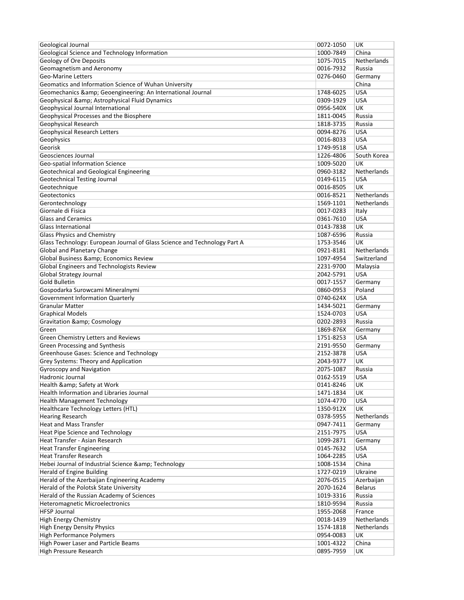| Geological Journal                                                        | 0072-1050 | UK             |
|---------------------------------------------------------------------------|-----------|----------------|
| Geological Science and Technology Information                             | 1000-7849 | China          |
| Geology of Ore Deposits                                                   | 1075-7015 | Netherlands    |
| Geomagnetism and Aeronomy                                                 | 0016-7932 | Russia         |
| Geo-Marine Letters                                                        | 0276-0460 | Germany        |
| Geomatics and Information Science of Wuhan University                     |           | China          |
| Geomechanics & Geoengineering: An International Journal                   | 1748-6025 | <b>USA</b>     |
| Geophysical & Astrophysical Fluid Dynamics                                | 0309-1929 | USA            |
| Geophysical Journal International                                         | 0956-540X | UK             |
| Geophysical Processes and the Biosphere                                   | 1811-0045 | Russia         |
| Geophysical Research                                                      | 1818-3735 | Russia         |
| <b>Geophysical Research Letters</b>                                       | 0094-8276 | USA            |
| Geophysics                                                                | 0016-8033 | <b>USA</b>     |
| Georisk                                                                   | 1749-9518 | <b>USA</b>     |
| Geosciences Journal                                                       | 1226-4806 | South Korea    |
| Geo-spatial Information Science                                           | 1009-5020 | UK             |
| Geotechnical and Geological Engineering                                   | 0960-3182 | Netherlands    |
| <b>Geotechnical Testing Journal</b>                                       | 0149-6115 | <b>USA</b>     |
| Geotechnique                                                              | 0016-8505 | UK             |
| Geotectonics                                                              | 0016-8521 | Netherlands    |
| Gerontechnology                                                           | 1569-1101 | Netherlands    |
| Giornale di Fisica                                                        | 0017-0283 | Italy          |
| <b>Glass and Ceramics</b>                                                 | 0361-7610 | USA            |
| <b>Glass International</b>                                                | 0143-7838 | UK             |
| <b>Glass Physics and Chemistry</b>                                        | 1087-6596 | Russia         |
| Glass Technology: European Journal of Glass Science and Technology Part A | 1753-3546 | UK             |
| Global and Planetary Change                                               | 0921-8181 | Netherlands    |
| Global Business & Economics Review                                        | 1097-4954 | Switzerland    |
| Global Engineers and Technologists Review                                 | 2231-9700 | Malaysia       |
|                                                                           |           | <b>USA</b>     |
| <b>Global Strategy Journal</b>                                            | 2042-5791 |                |
| <b>Gold Bulletin</b>                                                      | 0017-1557 | Germany        |
| Gospodarka Surowcami Mineralnymi                                          | 0860-0953 | Poland         |
| <b>Government Information Quarterly</b>                                   | 0740-624X | USA            |
| <b>Granular Matter</b>                                                    | 1434-5021 | Germany        |
| <b>Graphical Models</b>                                                   | 1524-0703 | USA            |
| <b>Gravitation &amp; Cosmology</b>                                        | 0202-2893 | <b>Russia</b>  |
| Green                                                                     | 1869-876X | Germany        |
| Green Chemistry Letters and Reviews                                       | 1751-8253 | USA            |
| Green Processing and Synthesis                                            | 2191-9550 | Germany        |
| <b>Greenhouse Gases: Science and Technology</b>                           | 2152-3878 | USA            |
| Grey Systems: Theory and Application                                      | 2043-9377 | UK             |
| <b>Gyroscopy and Navigation</b>                                           | 2075-1087 | Russia         |
| Hadronic Journal                                                          | 0162-5519 | <b>USA</b>     |
| Health & Safety at Work                                                   | 0141-8246 | UK             |
| Health Information and Libraries Journal                                  | 1471-1834 | UK             |
| <b>Health Management Technology</b>                                       | 1074-4770 | USA            |
| Healthcare Technology Letters (HTL)                                       | 1350-912X | UK             |
| <b>Hearing Research</b>                                                   | 0378-5955 | Netherlands    |
| <b>Heat and Mass Transfer</b>                                             | 0947-7411 | Germany        |
| Heat Pipe Science and Technology                                          | 2151-7975 | USA            |
| Heat Transfer - Asian Research                                            | 1099-2871 | Germany        |
| <b>Heat Transfer Engineering</b>                                          | 0145-7632 | <b>USA</b>     |
| Heat Transfer Research                                                    | 1064-2285 | <b>USA</b>     |
| Hebei Journal of Industrial Science & Technology                          | 1008-1534 | China          |
| Herald of Engine Building                                                 | 1727-0219 | Ukraine        |
| Herald of the Azerbaijan Engineering Academy                              | 2076-0515 | Azerbaijan     |
| Herald of the Polotsk State University                                    | 2070-1624 | <b>Belarus</b> |
| Herald of the Russian Academy of Sciences                                 | 1019-3316 | Russia         |
| <b>Heteromagnetic Microelectronics</b>                                    | 1810-9594 | Russia         |
| <b>HFSP Journal</b>                                                       | 1955-2068 | France         |
| High Energy Chemistry                                                     | 0018-1439 | Netherlands    |
| High Energy Density Physics                                               | 1574-1818 | Netherlands    |
| <b>High Performance Polymers</b>                                          | 0954-0083 | UK             |
| High Power Laser and Particle Beams                                       | 1001-4322 | China          |
| High Pressure Research                                                    | 0895-7959 | UK             |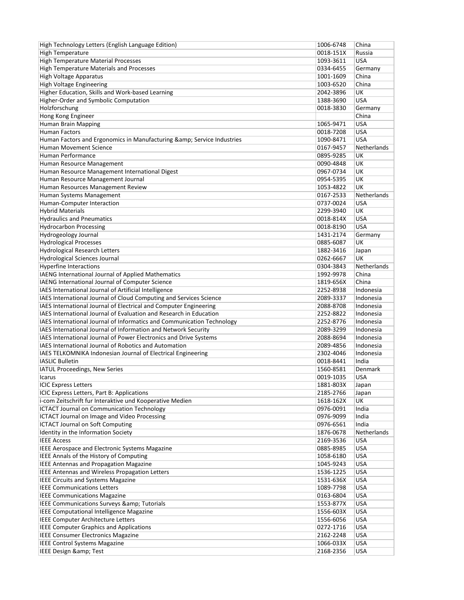| High Technology Letters (English Language Edition)                     | 1006-6748 | China                  |
|------------------------------------------------------------------------|-----------|------------------------|
| High Temperature                                                       | 0018-151X | Russia                 |
| <b>High Temperature Material Processes</b>                             | 1093-3611 | <b>USA</b>             |
| High Temperature Materials and Processes                               | 0334-6455 | Germany                |
| <b>High Voltage Apparatus</b>                                          | 1001-1609 | China                  |
| High Voltage Engineering                                               | 1003-6520 | China                  |
| Higher Education, Skills and Work-based Learning                       | 2042-3896 | UK                     |
| Higher-Order and Symbolic Computation                                  | 1388-3690 | <b>USA</b>             |
| Holzforschung                                                          | 0018-3830 | Germany                |
| Hong Kong Engineer                                                     |           | China                  |
| Human Brain Mapping                                                    | 1065-9471 | <b>USA</b>             |
| <b>Human Factors</b>                                                   | 0018-7208 | <b>USA</b>             |
| Human Factors and Ergonomics in Manufacturing & Service Industries     | 1090-8471 | <b>USA</b>             |
| <b>Human Movement Science</b>                                          | 0167-9457 | <b>Netherlands</b>     |
| <b>Human Performance</b>                                               | 0895-9285 | UK                     |
| Human Resource Management                                              | 0090-4848 | UK                     |
| Human Resource Management International Digest                         | 0967-0734 | UK                     |
| Human Resource Management Journal                                      | 0954-5395 | UK                     |
| Human Resources Management Review                                      | 1053-4822 | UK                     |
| Human Systems Management                                               | 0167-2533 | Netherlands            |
| Human-Computer Interaction                                             | 0737-0024 | <b>USA</b>             |
| <b>Hybrid Materials</b>                                                | 2299-3940 | UK                     |
| <b>Hydraulics and Pneumatics</b>                                       | 0018-814X | <b>USA</b>             |
| <b>Hydrocarbon Processing</b>                                          | 0018-8190 | <b>USA</b>             |
| Hydrogeology Journal                                                   | 1431-2174 | Germany                |
| <b>Hydrological Processes</b>                                          | 0885-6087 | UK                     |
| Hydrological Research Letters                                          | 1882-3416 | Japan                  |
| Hydrological Sciences Journal                                          | 0262-6667 | UK                     |
| <b>Hyperfine Interactions</b>                                          | 0304-3843 | <b>Netherlands</b>     |
|                                                                        | 1992-9978 | China                  |
| IAENG International Journal of Applied Mathematics                     |           | China                  |
| IAENG International Journal of Computer Science                        | 1819-656X |                        |
| IAES International Journal of Artificial Intelligence                  | 2252-8938 | Indonesia              |
| IAES International Journal of Cloud Computing and Services Science     | 2089-3337 | Indonesia<br>Indonesia |
| IAES International Journal of Electrical and Computer Engineering      | 2088-8708 |                        |
| IAES International Journal of Evaluation and Research in Education     | 2252-8822 | Indonesia              |
| IAES International Journal of Informatics and Communication Technology | 2252-8776 | Indonesia              |
| IAES International Journal of Information and Network Security         | 2089-3299 | Indonesia              |
| IAES International Journal of Power Electronics and Drive Systems      | 2088-8694 | Indonesia              |
| IAES International Journal of Robotics and Automation                  | 2089-4856 | Indonesia              |
| IAES TELKOMNIKA Indonesian Journal of Electrical Engineering           | 2302-4046 | Indonesia              |
| <b>IASLIC Bulletin</b>                                                 | 0018-8441 | India                  |
| <b>IATUL Proceedings, New Series</b>                                   | 1560-8581 | Denmark                |
| Icarus                                                                 | 0019-1035 | <b>USA</b>             |
| <b>ICIC Express Letters</b>                                            | 1881-803X | Japan                  |
| ICIC Express Letters, Part B: Applications                             | 2185-2766 | Japan                  |
| i-com Zeitschrift fur Interaktive und Kooperative Medien               | 1618-162X | UK                     |
| ICTACT Journal on Communication Technology                             | 0976-0091 | India                  |
| ICTACT Journal on Image and Video Processing                           | 0976-9099 | India                  |
| <b>ICTACT Journal on Soft Computing</b>                                | 0976-6561 | India                  |
| Identity in the Information Society                                    | 1876-0678 | Netherlands            |
| <b>IEEE Access</b>                                                     | 2169-3536 | <b>USA</b>             |
| IEEE Aerospace and Electronic Systems Magazine                         | 0885-8985 | <b>USA</b>             |
| IEEE Annals of the History of Computing                                | 1058-6180 | <b>USA</b>             |
| IEEE Antennas and Propagation Magazine                                 | 1045-9243 | USA                    |
| IEEE Antennas and Wireless Propagation Letters                         | 1536-1225 | <b>USA</b>             |
| IEEE Circuits and Systems Magazine                                     | 1531-636X | <b>USA</b>             |
| <b>IEEE Communications Letters</b>                                     | 1089-7798 | <b>USA</b>             |
| <b>IEEE Communications Magazine</b>                                    | 0163-6804 | <b>USA</b>             |
| IEEE Communications Surveys & Tutorials                                | 1553-877X | <b>USA</b>             |
| IEEE Computational Intelligence Magazine                               | 1556-603X | <b>USA</b>             |
| IEEE Computer Architecture Letters                                     | 1556-6056 | <b>USA</b>             |
| <b>IEEE Computer Graphics and Applications</b>                         | 0272-1716 | <b>USA</b>             |
| <b>IEEE Consumer Electronics Magazine</b>                              | 2162-2248 | <b>USA</b>             |
| IEEE Control Systems Magazine                                          | 1066-033X | <b>USA</b>             |
| <b>IEEE Design &amp; Test</b>                                          | 2168-2356 | USA                    |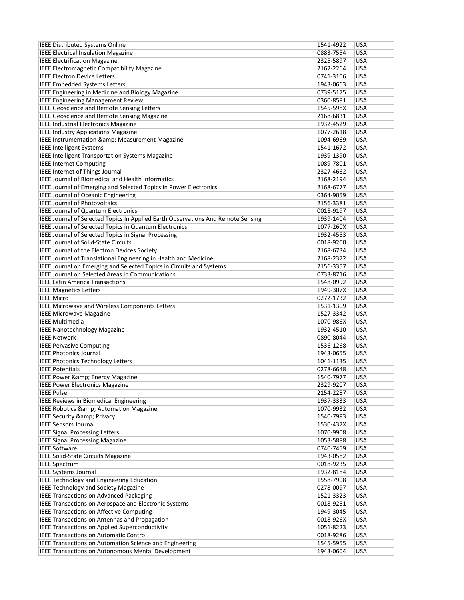| IEEE Distributed Systems Online                                                  | 1541-4922 | USA        |
|----------------------------------------------------------------------------------|-----------|------------|
|                                                                                  |           |            |
| IEEE Electrical Insulation Magazine                                              | 0883-7554 | USA        |
| <b>IEEE Electrification Magazine</b>                                             | 2325-5897 | USA        |
| IEEE Electromagnetic Compatibility Magazine                                      | 2162-2264 | <b>USA</b> |
| <b>IEEE Electron Device Letters</b>                                              | 0741-3106 | USA        |
| <b>IEEE Embedded Systems Letters</b>                                             | 1943-0663 | USA        |
| IEEE Engineering in Medicine and Biology Magazine                                | 0739-5175 | USA        |
| <b>IEEE Engineering Management Review</b>                                        | 0360-8581 | <b>USA</b> |
| IEEE Geoscience and Remote Sensing Letters                                       | 1545-598X | <b>USA</b> |
| IEEE Geoscience and Remote Sensing Magazine                                      | 2168-6831 | USA        |
|                                                                                  |           |            |
| IEEE Industrial Electronics Magazine                                             | 1932-4529 | USA        |
| IEEE Industry Applications Magazine                                              | 1077-2618 | <b>USA</b> |
| IEEE Instrumentation & Measurement Magazine                                      | 1094-6969 | <b>USA</b> |
| <b>IEEE Intelligent Systems</b>                                                  | 1541-1672 | USA        |
| IEEE Intelligent Transportation Systems Magazine                                 | 1939-1390 | <b>USA</b> |
| <b>IEEE Internet Computing</b>                                                   | 1089-7801 | USA        |
| IEEE Internet of Things Journal                                                  | 2327-4662 | USA        |
| IEEE Journal of Biomedical and Health Informatics                                | 2168-2194 | USA        |
| IEEE Journal of Emerging and Selected Topics in Power Electronics                | 2168-6777 | USA        |
| IEEE Journal of Oceanic Engineering                                              | 0364-9059 | <b>USA</b> |
| <b>IEEE Journal of Photovoltaics</b>                                             | 2156-3381 | USA        |
| <b>IEEE Journal of Quantum Electronics</b>                                       | 0018-9197 | USA        |
|                                                                                  |           |            |
| IEEE Journal of Selected Topics In Applied Earth Observations And Remote Sensing | 1939-1404 | USA        |
| IEEE Journal of Selected Topics in Quantum Electronics                           | 1077-260X | USA        |
| IEEE Journal of Selected Topics in Signal Processing                             | 1932-4553 | <b>USA</b> |
| IEEE Journal of Solid-State Circuits                                             | 0018-9200 | USA        |
| IEEE Journal of the Electron Devices Society                                     | 2168-6734 | <b>USA</b> |
| IEEE Journal of Translational Engineering in Health and Medicine                 | 2168-2372 | USA        |
| IEEE Journal on Emerging and Selected Topics in Circuits and Systems             | 2156-3357 | <b>USA</b> |
| <b>IEEE Journal on Selected Areas in Communications</b>                          | 0733-8716 | USA        |
| <b>IEEE Latin America Transactions</b>                                           | 1548-0992 | <b>USA</b> |
| <b>IEEE Magnetics Letters</b>                                                    | 1949-307X | <b>USA</b> |
| <b>IEEE Micro</b>                                                                | 0272-1732 | <b>USA</b> |
|                                                                                  |           |            |
| IEEE Microwave and Wireless Components Letters                                   | 1531-1309 | USA        |
| <b>IEEE Microwave Magazine</b>                                                   | 1527-3342 | <b>USA</b> |
| <b>IEEE Multimedia</b>                                                           | 1070-986X | <b>USA</b> |
| <b>IEEE Nanotechnology Magazine</b>                                              | 1932-4510 | USA        |
| <b>IEEE Network</b>                                                              | 0890-8044 | <b>USA</b> |
| <b>IEEE Pervasive Computing</b>                                                  | 1536-1268 | <b>USA</b> |
| <b>IEEE Photonics Journal</b>                                                    | 1943-0655 | USA        |
| IEEE Photonics Technology Letters                                                | 1041-1135 | USA        |
| <b>IEEE Potentials</b>                                                           | 0278-6648 | USA        |
| IEEE Power & Energy Magazine                                                     | 1540-7977 | <b>USA</b> |
| <b>IEEE Power Electronics Magazine</b>                                           | 2329-9207 | <b>USA</b> |
|                                                                                  |           |            |
| <b>IEEE Pulse</b>                                                                | 2154-2287 | USA        |
| IEEE Reviews in Biomedical Engineering                                           | 1937-3333 | <b>USA</b> |
| IEEE Robotics & Automation Magazine                                              | 1070-9932 | USA        |
| <b>IEEE Security &amp; Privacy</b>                                               | 1540-7993 | <b>USA</b> |
| <b>IEEE Sensors Journal</b>                                                      | 1530-437X | <b>USA</b> |
| <b>IEEE Signal Processing Letters</b>                                            | 1070-9908 | <b>USA</b> |
| <b>IEEE Signal Processing Magazine</b>                                           | 1053-5888 | USA        |
| <b>IEEE Software</b>                                                             | 0740-7459 | <b>USA</b> |
| IEEE Solid-State Circuits Magazine                                               | 1943-0582 | <b>USA</b> |
| <b>IEEE Spectrum</b>                                                             | 0018-9235 | <b>USA</b> |
| <b>IEEE Systems Journal</b>                                                      | 1932-8184 | <b>USA</b> |
| IEEE Technology and Engineering Education                                        | 1558-7908 | <b>USA</b> |
|                                                                                  |           |            |
| <b>IEEE Technology and Society Magazine</b>                                      | 0278-0097 | <b>USA</b> |
| <b>IEEE Transactions on Advanced Packaging</b>                                   | 1521-3323 | <b>USA</b> |
| IEEE Transactions on Aerospace and Electronic Systems                            | 0018-9251 | <b>USA</b> |
| IEEE Transactions on Affective Computing                                         | 1949-3045 | <b>USA</b> |
| IEEE Transactions on Antennas and Propagation                                    | 0018-926X | <b>USA</b> |
| IEEE Transactions on Applied Superconductivity                                   | 1051-8223 | <b>USA</b> |
| <b>IEEE Transactions on Automatic Control</b>                                    | 0018-9286 | <b>USA</b> |
| IEEE Transactions on Automation Science and Engineering                          | 1545-5955 | <b>USA</b> |
| IEEE Transactions on Autonomous Mental Development                               | 1943-0604 | <b>USA</b> |
|                                                                                  |           |            |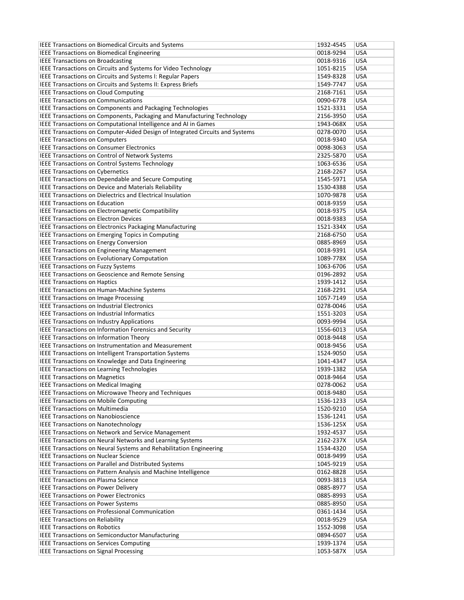| IEEE Transactions on Biomedical Circuits and Systems                                        | 1932-4545 | USA        |
|---------------------------------------------------------------------------------------------|-----------|------------|
| IEEE Transactions on Biomedical Engineering                                                 | 0018-9294 | USA        |
| <b>IEEE Transactions on Broadcasting</b>                                                    | 0018-9316 | USA        |
| IEEE Transactions on Circuits and Systems for Video Technology                              | 1051-8215 | <b>USA</b> |
| IEEE Transactions on Circuits and Systems I: Regular Papers                                 | 1549-8328 | <b>USA</b> |
| IEEE Transactions on Circuits and Systems II: Express Briefs                                | 1549-7747 | USA        |
| <b>IEEE Transactions on Cloud Computing</b>                                                 | 2168-7161 | USA        |
| <b>IEEE Transactions on Communications</b>                                                  | 0090-6778 | <b>USA</b> |
| IEEE Transactions on Components and Packaging Technologies                                  | 1521-3331 | <b>USA</b> |
| IEEE Transactions on Components, Packaging and Manufacturing Technology                     | 2156-3950 | <b>USA</b> |
| IEEE Transactions on Computational Intelligence and AI in Games                             | 1943-068X | USA        |
| IEEE Transactions on Computer-Aided Design of Integrated Circuits and Systems               | 0278-0070 | <b>USA</b> |
| <b>IEEE Transactions on Computers</b>                                                       | 0018-9340 | <b>USA</b> |
| <b>IEEE Transactions on Consumer Electronics</b>                                            | 0098-3063 | <b>USA</b> |
| IEEE Transactions on Control of Network Systems                                             | 2325-5870 | <b>USA</b> |
| IEEE Transactions on Control Systems Technology                                             | 1063-6536 | <b>USA</b> |
| <b>IEEE Transactions on Cybernetics</b>                                                     | 2168-2267 | <b>USA</b> |
|                                                                                             | 1545-5971 | <b>USA</b> |
| IEEE Transactions on Dependable and Secure Computing                                        |           |            |
| IEEE Transactions on Device and Materials Reliability                                       | 1530-4388 | <b>USA</b> |
| IEEE Transactions on Dielectrics and Electrical Insulation                                  | 1070-9878 | <b>USA</b> |
| <b>IEEE Transactions on Education</b>                                                       | 0018-9359 | USA        |
| IEEE Transactions on Electromagnetic Compatibility                                          | 0018-9375 | USA        |
| IEEE Transactions on Electron Devices                                                       | 0018-9383 | USA        |
| IEEE Transactions on Electronics Packaging Manufacturing                                    | 1521-334X | <b>USA</b> |
| IEEE Transactions on Emerging Topics in Computing                                           | 2168-6750 | <b>USA</b> |
| IEEE Transactions on Energy Conversion                                                      | 0885-8969 | USA        |
| <b>IEEE Transactions on Engineering Management</b>                                          | 0018-9391 | USA        |
| IEEE Transactions on Evolutionary Computation                                               | 1089-778X | USA        |
| <b>IEEE Transactions on Fuzzy Systems</b>                                                   | 1063-6706 | <b>USA</b> |
| <b>IEEE Transactions on Geoscience and Remote Sensing</b>                                   | 0196-2892 | USA        |
| <b>IEEE Transactions on Haptics</b>                                                         | 1939-1412 | <b>USA</b> |
| <b>IEEE Transactions on Human-Machine Systems</b>                                           | 2168-2291 | USA        |
| IEEE Transactions on Image Processing                                                       | 1057-7149 | <b>USA</b> |
| <b>IEEE Transactions on Industrial Electronics</b>                                          | 0278-0046 | USA        |
| <b>IEEE Transactions on Industrial Informatics</b>                                          | 1551-3203 | <b>USA</b> |
| IEEE Transactions on Industry Applications                                                  | 0093-9994 | <b>USA</b> |
| IEEE Transactions on Information Forensics and Security                                     | 1556-6013 | <b>USA</b> |
| <b>IEEE Transactions on Information Theory</b>                                              | 0018-9448 | USA        |
| IEEE Transactions on Instrumentation and Measurement                                        | 0018-9456 | <b>USA</b> |
| IEEE Transactions on Intelligent Transportation Systems                                     | 1524-9050 | <b>USA</b> |
| IEEE Transactions on Knowledge and Data Engineering                                         | 1041-4347 | <b>USA</b> |
| <b>IEEE Transactions on Learning Technologies</b>                                           | 1939-1382 | <b>USA</b> |
| <b>IEEE Transactions on Magnetics</b>                                                       | 0018-9464 | <b>USA</b> |
| IEEE Transactions on Medical Imaging                                                        | 0278-0062 | <b>USA</b> |
| IEEE Transactions on Microwave Theory and Techniques                                        | 0018-9480 | USA        |
| <b>IEEE Transactions on Mobile Computing</b>                                                | 1536-1233 | <b>USA</b> |
| <b>IEEE Transactions on Multimedia</b>                                                      | 1520-9210 | <b>USA</b> |
| <b>IEEE Transactions on Nanobioscience</b>                                                  |           |            |
|                                                                                             | 1536-1241 | <b>USA</b> |
| IEEE Transactions on Nanotechnology                                                         | 1536-125X | <b>USA</b> |
| IEEE Transactions on Network and Service Management                                         | 1932-4537 | <b>USA</b> |
| IEEE Transactions on Neural Networks and Learning Systems                                   | 2162-237X | <b>USA</b> |
| IEEE Transactions on Neural Systems and Rehabilitation Engineering                          | 1534-4320 | <b>USA</b> |
| <b>IEEE Transactions on Nuclear Science</b>                                                 | 0018-9499 | <b>USA</b> |
| IEEE Transactions on Parallel and Distributed Systems                                       |           | <b>USA</b> |
|                                                                                             | 1045-9219 |            |
| IEEE Transactions on Pattern Analysis and Machine Intelligence                              | 0162-8828 | USA        |
| <b>IEEE Transactions on Plasma Science</b>                                                  | 0093-3813 | <b>USA</b> |
| IEEE Transactions on Power Delivery                                                         | 0885-8977 | <b>USA</b> |
| <b>IEEE Transactions on Power Electronics</b>                                               | 0885-8993 | <b>USA</b> |
| IEEE Transactions on Power Systems                                                          | 0885-8950 | <b>USA</b> |
| IEEE Transactions on Professional Communication                                             | 0361-1434 | <b>USA</b> |
| <b>IEEE Transactions on Reliability</b>                                                     | 0018-9529 | <b>USA</b> |
| <b>IEEE Transactions on Robotics</b>                                                        | 1552-3098 | <b>USA</b> |
|                                                                                             | 0894-6507 | <b>USA</b> |
| IEEE Transactions on Semiconductor Manufacturing<br>IEEE Transactions on Services Computing | 1939-1374 | <b>USA</b> |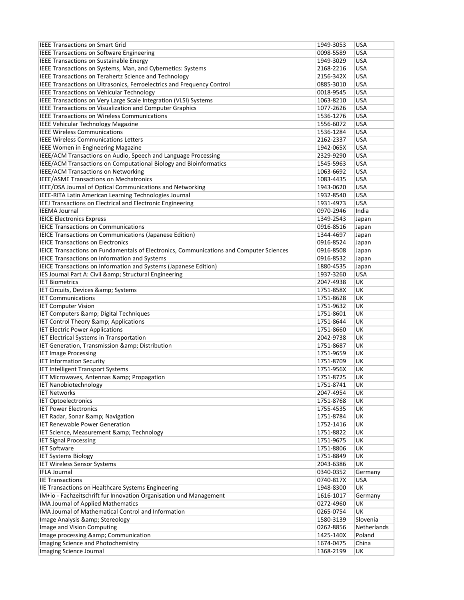| <b>IEEE Transactions on Smart Grid</b>                                                  | 1949-3053              | USA         |
|-----------------------------------------------------------------------------------------|------------------------|-------------|
| IEEE Transactions on Software Engineering                                               | 0098-5589              | <b>USA</b>  |
| IEEE Transactions on Sustainable Energy                                                 | 1949-3029              | USA         |
| IEEE Transactions on Systems, Man, and Cybernetics: Systems                             | 2168-2216              | USA         |
| IEEE Transactions on Terahertz Science and Technology                                   | 2156-342X              | <b>USA</b>  |
| IEEE Transactions on Ultrasonics, Ferroelectrics and Frequency Control                  | 0885-3010              | <b>USA</b>  |
| IEEE Transactions on Vehicular Technology                                               | 0018-9545              | USA         |
| IEEE Transactions on Very Large Scale Integration (VLSI) Systems                        | 1063-8210              | <b>USA</b>  |
|                                                                                         |                        |             |
| IEEE Transactions on Visualization and Computer Graphics                                | 1077-2626              | USA         |
| IEEE Transactions on Wireless Communications                                            | 1536-1276              | USA         |
| IEEE Vehicular Technology Magazine                                                      | 1556-6072              | USA         |
| <b>IEEE Wireless Communications</b>                                                     | 1536-1284              | <b>USA</b>  |
| <b>IEEE Wireless Communications Letters</b>                                             | 2162-2337              | USA         |
| IEEE Women in Engineering Magazine                                                      | 1942-065X              | USA         |
| IEEE/ACM Transactions on Audio, Speech and Language Processing                          | 2329-9290              | <b>USA</b>  |
| IEEE/ACM Transactions on Computational Biology and Bioinformatics                       | 1545-5963              | <b>USA</b>  |
| IEEE/ACM Transactions on Networking                                                     | 1063-6692              | <b>USA</b>  |
| IEEE/ASME Transactions on Mechatronics                                                  | 1083-4435              | <b>USA</b>  |
| IEEE/OSA Journal of Optical Communications and Networking                               | 1943-0620              | USA         |
| IEEE-RITA Latin American Learning Technologies Journal                                  | 1932-8540              | <b>USA</b>  |
| IEEJ Transactions on Electrical and Electronic Engineering                              | 1931-4973              | <b>USA</b>  |
| <b>IEEMA Journal</b>                                                                    | 0970-2946              | India       |
| <b>IEICE Electronics Express</b>                                                        | 1349-2543              | Japan       |
| <b>IEICE Transactions on Communications</b>                                             | 0916-8516              | Japan       |
| <b>IEICE Transactions on Communications (Japanese Edition)</b>                          | 1344-4697              | Japan       |
| <b>IEICE Transactions on Electronics</b>                                                | 0916-8524              | Japan       |
| IEICE Transactions on Fundamentals of Electronics, Communications and Computer Sciences | 0916-8508              | Japan       |
| IEICE Transactions on Information and Systems                                           | 0916-8532              | Japan       |
| IEICE Transactions on Information and Systems (Japanese Edition)                        | 1880-4535              | Japan       |
| IES Journal Part A: Civil & Structural Engineering                                      | 1937-3260              | USA         |
| <b>IET Biometrics</b>                                                                   | 2047-4938              | UK          |
|                                                                                         |                        | UK          |
| IET Circuits, Devices & Systems                                                         | 1751-858X              | UK          |
| <b>IET Communications</b>                                                               | 1751-8628<br>1751-9632 | UK          |
| <b>IET Computer Vision</b>                                                              |                        |             |
| IET Computers & Digital Techniques                                                      | 1751-8601              | UK<br>UK    |
| IET Control Theory & Applications                                                       | 1751-8644              |             |
| <b>IET Electric Power Applications</b>                                                  | 1751-8660              | UK          |
| IET Electrical Systems in Transportation                                                | 2042-9738              | UK          |
| IET Generation, Transmission & Distribution                                             | 1751-8687              | UK          |
| <b>IET Image Processing</b>                                                             | 1751-9659              | UK          |
| <b>IET Information Security</b>                                                         | 1751-8709              | UK          |
| <b>IET Intelligent Transport Systems</b>                                                | 1751-956X              | UK          |
| IET Microwaves, Antennas & Propagation                                                  | 1751-8725              | UK          |
| <b>IET Nanobiotechnology</b>                                                            | 1751-8741              | UK          |
| <b>IET Networks</b>                                                                     | 2047-4954              | UK          |
| <b>IET Optoelectronics</b>                                                              | 1751-8768              | UK          |
| <b>IET Power Electronics</b>                                                            | 1755-4535              | UK          |
| IET Radar, Sonar & Navigation                                                           | 1751-8784              | UK          |
| IET Renewable Power Generation                                                          | 1752-1416              | UK          |
| IET Science, Measurement & Technology                                                   | 1751-8822              | UK          |
| <b>IET Signal Processing</b>                                                            | 1751-9675              | UK          |
| <b>IET Software</b>                                                                     | 1751-8806              | UK          |
| <b>IET Systems Biology</b>                                                              | 1751-8849              | UK          |
| <b>IET Wireless Sensor Systems</b>                                                      | 2043-6386              | UK          |
| <b>IFLA Journal</b>                                                                     | 0340-0352              | Germany     |
| <b>IIE Transactions</b>                                                                 | 0740-817X              | USA         |
| IIE Transactions on Healthcare Systems Engineering                                      | 1948-8300              | UK          |
| IM+io - Fachzeitschrift fur Innovation Organisation und Management                      | 1616-1017              | Germany     |
| IMA Journal of Applied Mathematics                                                      | 0272-4960              | UK          |
| IMA Journal of Mathematical Control and Information                                     | 0265-0754              | UK          |
| Image Analysis & Stereology                                                             | 1580-3139              | Slovenia    |
| Image and Vision Computing                                                              | 0262-8856              | Netherlands |
| Image processing & Communication                                                        | 1425-140X              | Poland      |
| Imaging Science and Photochemistry                                                      | 1674-0475              | China       |
| Imaging Science Journal                                                                 | 1368-2199              | UK          |
|                                                                                         |                        |             |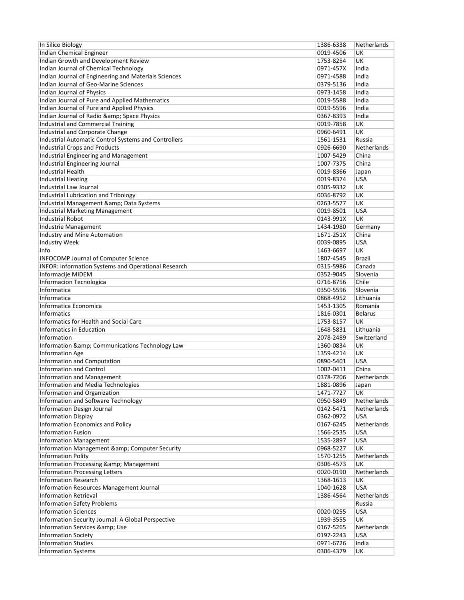| In Silico Biology                                           | 1386-6338              | Netherlands             |
|-------------------------------------------------------------|------------------------|-------------------------|
| <b>Indian Chemical Engineer</b>                             | 0019-4506              | UK                      |
| Indian Growth and Development Review                        | 1753-8254              | UK                      |
| Indian Journal of Chemical Technology                       | 0971-457X              | India                   |
| Indian Journal of Engineering and Materials Sciences        | 0971-4588              | India                   |
| Indian Journal of Geo-Marine Sciences                       | 0379-5136              | India                   |
| Indian Journal of Physics                                   | 0973-1458              | India                   |
| Indian Journal of Pure and Applied Mathematics              | 0019-5588              | India                   |
| Indian Journal of Pure and Applied Physics                  | 0019-5596              | India                   |
| Indian Journal of Radio & Space Physics                     | 0367-8393              | India                   |
| <b>Industrial and Commercial Training</b>                   | 0019-7858              | UK                      |
| Industrial and Corporate Change                             | 0960-6491              | UK                      |
| <b>Industrial Automatic Control Systems and Controllers</b> | 1561-1531              | Russia                  |
| <b>Industrial Crops and Products</b>                        | 0926-6690              | Netherlands             |
| Industrial Engineering and Management                       | 1007-5429              | China                   |
| Industrial Engineering Journal                              | 1007-7375              | China                   |
| <b>Industrial Health</b>                                    | 0019-8366              | Japan                   |
| <b>Industrial Heating</b>                                   | 0019-8374              | <b>USA</b>              |
| <b>Industrial Law Journal</b>                               | 0305-9332              | UK                      |
| Industrial Lubrication and Tribology                        | 0036-8792              | UK                      |
| Industrial Management & Data Systems                        | 0263-5577              | UK                      |
| <b>Industrial Marketing Management</b>                      | 0019-8501              | <b>USA</b>              |
| <b>Industrial Robot</b>                                     | 0143-991X              | UK                      |
| <b>Industrie Management</b>                                 | 1434-1980              | Germany                 |
| Industry and Mine Automation                                | 1671-251X              | China                   |
| <b>Industry Week</b>                                        | 0039-0895              | <b>USA</b>              |
| Info                                                        | 1463-6697              | UK                      |
| INFOCOMP Journal of Computer Science                        | 1807-4545              | <b>Brazil</b><br>Canada |
| <b>INFOR: Information Systems and Operational Research</b>  | 0315-5986              | Slovenia                |
| Informacije MIDEM                                           | 0352-9045              | Chile                   |
| <b>Informacion Tecnologica</b><br>Informatica               | 0716-8756<br>0350-5596 | Slovenia                |
| Informatica                                                 | 0868-4952              | Lithuania               |
| Informatica Economica                                       | 1453-1305              | Romania                 |
| <b>Informatics</b>                                          | 1816-0301              | <b>Belarus</b>          |
| Informatics for Health and Social Care                      | 1753-8157              | UK                      |
| Informatics in Education                                    | 1648-5831              | Lithuania               |
| Information                                                 | 2078-2489              | Switzerland             |
| Information & Communications Technology Law                 | 1360-0834              | UK                      |
| <b>Information Age</b>                                      | 1359-4214              | UK                      |
| Information and Computation                                 | 0890-5401              | <b>USA</b>              |
| <b>Information and Control</b>                              | 1002-0411              | China                   |
| Information and Management                                  | 0378-7206              | Netherlands             |
| Information and Media Technologies                          | 1881-0896              | Japan                   |
| Information and Organization                                | 1471-7727              | UK                      |
| Information and Software Technology                         | 0950-5849              | Netherlands             |
| Information Design Journal                                  | 0142-5471              | Netherlands             |
| <b>Information Display</b>                                  | 0362-0972              | <b>USA</b>              |
| Information Economics and Policy                            | 0167-6245              | Netherlands             |
| <b>Information Fusion</b>                                   | 1566-2535              | <b>USA</b>              |
| <b>Information Management</b>                               | 1535-2897              | <b>USA</b>              |
| Information Management & Computer Security                  | 0968-5227              | UK                      |
| <b>Information Polity</b>                                   | 1570-1255              | Netherlands             |
| Information Processing & Management                         | 0306-4573              | UK                      |
| <b>Information Processing Letters</b>                       | 0020-0190              | Netherlands             |
| <b>Information Research</b>                                 | 1368-1613              | UK                      |
| Information Resources Management Journal                    | 1040-1628              | <b>USA</b>              |
| <b>Information Retrieval</b>                                | 1386-4564              | Netherlands             |
| <b>Information Safety Problems</b>                          |                        | Russia                  |
| <b>Information Sciences</b>                                 | 0020-0255              | <b>USA</b>              |
| Information Security Journal: A Global Perspective          | 1939-3555              | UK                      |
| Information Services & Use                                  | 0167-5265              | Netherlands             |
| <b>Information Society</b>                                  | 0197-2243              | <b>USA</b>              |
| <b>Information Studies</b>                                  | 0971-6726              | India                   |
| <b>Information Systems</b>                                  | 0306-4379              | UK                      |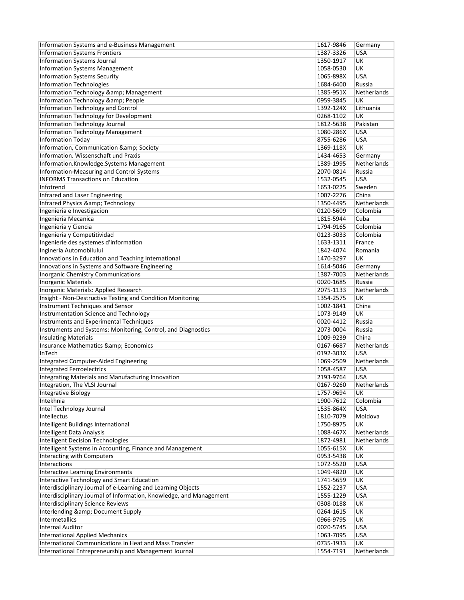| Information Systems and e-Business Management                       | 1617-9846              | Germany            |
|---------------------------------------------------------------------|------------------------|--------------------|
| <b>Information Systems Frontiers</b>                                | 1387-3326              | <b>USA</b>         |
| Information Systems Journal                                         | 1350-1917              | UK                 |
| Information Systems Management                                      | 1058-0530              | UK                 |
| <b>Information Systems Security</b>                                 | 1065-898X              | <b>USA</b>         |
| <b>Information Technologies</b>                                     | 1684-6400              | Russia             |
| Information Technology & Management                                 | 1385-951X              | Netherlands        |
| Information Technology & People                                     | 0959-3845              | UK                 |
| Information Technology and Control                                  | 1392-124X              | Lithuania          |
| Information Technology for Development                              | 0268-1102              | UK                 |
| Information Technology Journal                                      | 1812-5638              | Pakistan           |
| <b>Information Technology Management</b>                            | 1080-286X              | USA                |
| <b>Information Today</b>                                            | 8755-6286              | USA                |
| Information, Communication & Society                                | 1369-118X              | UK                 |
| Information. Wissenschaft und Praxis                                | 1434-4653              | Germany            |
| Information.Knowledge.Systems Management                            | 1389-1995              | Netherlands        |
| Information-Measuring and Control Systems                           | 2070-0814              | <b>Russia</b>      |
| <b>INFORMS Transactions on Education</b>                            | 1532-0545              | <b>USA</b>         |
| Infotrend                                                           | 1653-0225              | Sweden             |
| Infrared and Laser Engineering                                      | 1007-2276              | China              |
| Infrared Physics & Technology                                       | 1350-4495              | <b>Netherlands</b> |
| Ingenieria e Investigacion                                          | 0120-5609              | Colombia           |
| Ingenieria Mecanica                                                 | 1815-5944              | Cuba               |
| Ingenieria y Ciencia                                                | 1794-9165              | Colombia           |
| Ingenieria y Competitividad                                         | 0123-3033              | Colombia           |
| Ingenierie des systemes d'information                               | 1633-1311              | France             |
| Ingineria Automobilului                                             | 1842-4074              | Romania            |
| Innovations in Education and Teaching International                 | 1470-3297              | UK                 |
| Innovations in Systems and Software Engineering                     | 1614-5046              | Germany            |
| Inorganic Chemistry Communications                                  | 1387-7003              | Netherlands        |
| Inorganic Materials                                                 | 0020-1685              | <b>Russia</b>      |
| Inorganic Materials: Applied Research                               | 2075-1133              | Netherlands        |
| Insight - Non-Destructive Testing and Condition Monitoring          | 1354-2575              | UK                 |
| Instrument Techniques and Sensor                                    | 1002-1841              | China              |
| <b>Instrumentation Science and Technology</b>                       | 1073-9149              | UK                 |
| Instruments and Experimental Techniques                             | 0020-4412              | Russia             |
| Instruments and Systems: Monitoring, Control, and Diagnostics       | 2073-0004              | Russia             |
| <b>Insulating Materials</b>                                         | 1009-9239              | China              |
| Insurance Mathematics & Economics                                   | 0167-6687              | Netherlands        |
| <b>InTech</b>                                                       | 0192-303X              | <b>USA</b>         |
| Integrated Computer-Aided Engineering                               | 1069-2509              | Netherlands        |
| <b>Integrated Ferroelectrics</b>                                    | 1058-4587              | USA                |
| Integrating Materials and Manufacturing Innovation                  | 2193-9764              | <b>USA</b>         |
| Integration, The VLSI Journal                                       | 0167-9260              | Netherlands        |
| Integrative Biology                                                 | 1757-9694              | UK                 |
| Intekhnia                                                           | 1900-7612              | Colombia           |
| Intel Technology Journal                                            | 1535-864X              | <b>USA</b>         |
| <b>Intellectus</b>                                                  | 1810-7079              | Moldova            |
| Intelligent Buildings International                                 | 1750-8975              | UK                 |
| Intelligent Data Analysis                                           | 1088-467X              | Netherlands        |
| Intelligent Decision Technologies                                   | 1872-4981              | Netherlands        |
| Intelligent Systems in Accounting, Finance and Management           | 1055-615X              | UK                 |
| Interacting with Computers                                          | 0953-5438              | UK                 |
| Interactions                                                        | 1072-5520              | <b>USA</b>         |
| <b>Interactive Learning Environments</b>                            | 1049-4820              | UK                 |
| <b>Interactive Technology and Smart Education</b>                   | 1741-5659              | UK                 |
| Interdisciplinary Journal of e-Learning and Learning Objects        | 1552-2237              | <b>USA</b>         |
| Interdisciplinary Journal of Information, Knowledge, and Management | 1555-1229              | <b>USA</b>         |
| <b>Interdisciplinary Science Reviews</b>                            | 0308-0188              | UK                 |
| Interlending & Document Supply<br>Intermetallics                    | 0264-1615              | UK                 |
| <b>Internal Auditor</b>                                             | 0966-9795<br>0020-5745 | UK<br><b>USA</b>   |
| <b>International Applied Mechanics</b>                              | 1063-7095              | <b>USA</b>         |
| International Communications in Heat and Mass Transfer              | 0735-1933              | UK                 |
| International Entrepreneurship and Management Journal               | 1554-7191              | Netherlands        |
|                                                                     |                        |                    |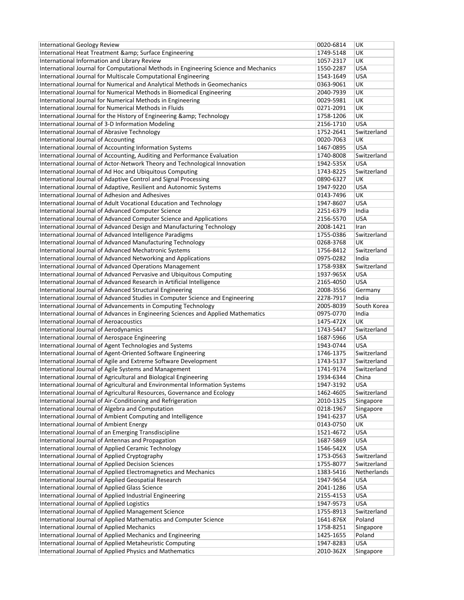| International Geology Review                                                                              | 0020-6814              | UK                       |
|-----------------------------------------------------------------------------------------------------------|------------------------|--------------------------|
| International Heat Treatment & Surface Engineering                                                        | 1749-5148              | UK                       |
| International Information and Library Review                                                              | 1057-2317              | UK                       |
| International Journal for Computational Methods in Engineering Science and Mechanics                      | 1550-2287              | <b>USA</b>               |
| International Journal for Multiscale Computational Engineering                                            | 1543-1649              | <b>USA</b>               |
| International Journal for Numerical and Analytical Methods in Geomechanics                                | 0363-9061              | UK                       |
| International Journal for Numerical Methods in Biomedical Engineering                                     | 2040-7939              | UK                       |
| International Journal for Numerical Methods in Engineering                                                | 0029-5981              | UK                       |
| International Journal for Numerical Methods in Fluids                                                     | 0271-2091              | UK                       |
| International Journal for the History of Engineering & Technology                                         | 1758-1206              | UK                       |
| International Journal of 3-D Information Modeling                                                         | 2156-1710              | <b>USA</b>               |
| International Journal of Abrasive Technology                                                              | 1752-2641              | Switzerland              |
| International Journal of Accounting                                                                       | 0020-7063              | <b>UK</b>                |
| International Journal of Accounting Information Systems                                                   | 1467-0895              | <b>USA</b>               |
| International Journal of Accounting, Auditing and Performance Evaluation                                  | 1740-8008              | Switzerland              |
| International Journal of Actor-Network Theory and Technological Innovation                                | 1942-535X              | <b>USA</b>               |
| International Journal of Ad Hoc and Ubiquitous Computing                                                  | 1743-8225              | Switzerland              |
| International Journal of Adaptive Control and Signal Processing                                           | 0890-6327              | UK                       |
| International Journal of Adaptive, Resilient and Autonomic Systems                                        | 1947-9220              | <b>USA</b>               |
| International Journal of Adhesion and Adhesives                                                           | 0143-7496              | UK                       |
| International Journal of Adult Vocational Education and Technology                                        | 1947-8607              | <b>USA</b>               |
| International Journal of Advanced Computer Science                                                        | 2251-6379              | India                    |
| International Journal of Advanced Computer Science and Applications                                       | 2156-5570              | <b>USA</b>               |
| International Journal of Advanced Design and Manufacturing Technology                                     | 2008-1421              | Iran                     |
| International Journal of Advanced Intelligence Paradigms                                                  | 1755-0386              | Switzerland              |
| International Journal of Advanced Manufacturing Technology                                                | 0268-3768              | UK                       |
| International Journal of Advanced Mechatronic Systems                                                     | 1756-8412              | Switzerland              |
| International Journal of Advanced Networking and Applications                                             | 0975-0282              | India                    |
| International Journal of Advanced Operations Management                                                   | 1758-938X              | Switzerland              |
| International Journal of Advanced Pervasive and Ubiquitous Computing                                      | 1937-965X              | <b>USA</b>               |
| International Journal of Advanced Research in Artificial Intelligence                                     | 2165-4050              | <b>USA</b>               |
| International Journal of Advanced Structural Engineering                                                  | 2008-3556              | Germany                  |
| International Journal of Advanced Studies in Computer Science and Engineering                             | 2278-7917              | India                    |
| International Journal of Advancements in Computing Technology                                             | 2005-8039              | South Korea              |
| International Journal of Advances in Engineering Sciences and Applied Mathematics                         | 0975-0770              | India                    |
| International Journal of Aeroacoustics                                                                    | 1475-472X              | <b>UK</b>                |
| International Journal of Aerodynamics                                                                     | 1743-5447              | Switzerland              |
| International Journal of Aerospace Engineering                                                            | 1687-5966              | <b>USA</b>               |
| International Journal of Agent Technologies and Systems                                                   | 1943-0744              | <b>USA</b>               |
| International Journal of Agent-Oriented Software Engineering                                              | 1746-1375              | Switzerland              |
| International Journal of Agile and Extreme Software Development                                           | 1743-5137              | Switzerland              |
| International Journal of Agile Systems and Management                                                     | 1741-9174              | Switzerland              |
| International Journal of Agricultural and Biological Engineering                                          | 1934-6344              | China                    |
| International Journal of Agricultural and Environmental Information Systems                               | 1947-3192              | <b>USA</b>               |
| International Journal of Agricultural Resources, Governance and Ecology                                   | 1462-4605              | Switzerland              |
| International Journal of Air-Conditioning and Refrigeration                                               | 2010-1325              | Singapore                |
| International Journal of Algebra and Computation                                                          | 0218-1967              | Singapore                |
| International Journal of Ambient Computing and Intelligence                                               | 1941-6237              | <b>USA</b>               |
| International Journal of Ambient Energy                                                                   | 0143-0750<br>1521-4672 | UK                       |
| International Journal of an Emerging Transdiscipline<br>International Journal of Antennas and Propagation | 1687-5869              | <b>USA</b><br><b>USA</b> |
| International Journal of Applied Ceramic Technology                                                       | 1546-542X              | <b>USA</b>               |
| International Journal of Applied Cryptography                                                             | 1753-0563              | Switzerland              |
| International Journal of Applied Decision Sciences                                                        | 1755-8077              | Switzerland              |
| International Journal of Applied Electromagnetics and Mechanics                                           | 1383-5416              | Netherlands              |
| International Journal of Applied Geospatial Research                                                      | 1947-9654              | <b>USA</b>               |
| International Journal of Applied Glass Science                                                            | 2041-1286              | <b>USA</b>               |
| International Journal of Applied Industrial Engineering                                                   | 2155-4153              | <b>USA</b>               |
| International Journal of Applied Logistics                                                                | 1947-9573              | <b>USA</b>               |
| International Journal of Applied Management Science                                                       | 1755-8913              | Switzerland              |
| International Journal of Applied Mathematics and Computer Science                                         | 1641-876X              | Poland                   |
| International Journal of Applied Mechanics                                                                | 1758-8251              | Singapore                |
| International Journal of Applied Mechanics and Engineering                                                | 1425-1655              | Poland                   |
| International Journal of Applied Metaheuristic Computing                                                  | 1947-8283              | <b>USA</b>               |
| International Journal of Applied Physics and Mathematics                                                  | 2010-362X              | Singapore                |
|                                                                                                           |                        |                          |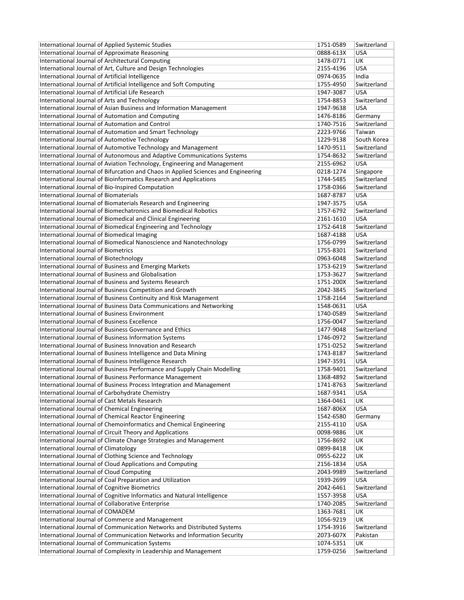| International Journal of Applied Systemic Studies                                                         | 1751-0589              | Switzerland                |
|-----------------------------------------------------------------------------------------------------------|------------------------|----------------------------|
| International Journal of Approximate Reasoning                                                            | 0888-613X              | <b>USA</b>                 |
| International Journal of Architectural Computing                                                          | 1478-0771              | UK                         |
| International Journal of Art, Culture and Design Technologies                                             | 2155-4196              | <b>USA</b>                 |
| International Journal of Artificial Intelligence                                                          | 0974-0635              | India                      |
| International Journal of Artificial Intelligence and Soft Computing                                       | 1755-4950              | Switzerland                |
| International Journal of Artificial Life Research                                                         | 1947-3087              | USA                        |
| International Journal of Arts and Technology                                                              | 1754-8853              | Switzerland                |
| International Journal of Asian Business and Information Management                                        | 1947-9638              | <b>USA</b>                 |
| International Journal of Automation and Computing                                                         | 1476-8186              | Germany                    |
| International Journal of Automation and Control                                                           | 1740-7516              | Switzerland                |
| International Journal of Automation and Smart Technology                                                  | 2223-9766              | Taiwan                     |
| International Journal of Automotive Technology                                                            | 1229-9138              | South Korea                |
| International Journal of Automotive Technology and Management                                             | 1470-9511              | Switzerland                |
| International Journal of Autonomous and Adaptive Communications Systems                                   | 1754-8632              | Switzerland                |
| International Journal of Aviation Technology, Engineering and Management                                  | 2155-6962              | <b>USA</b>                 |
| International Journal of Bifurcation and Chaos in Applied Sciences and Engineering                        | 0218-1274              | Singapore                  |
| International Journal of Bioinformatics Research and Applications                                         | 1744-5485              | Switzerland                |
| International Journal of Bio-Inspired Computation                                                         | 1758-0366              | Switzerland                |
| International Journal of Biomaterials                                                                     | 1687-8787              | USA                        |
| International Journal of Biomaterials Research and Engineering                                            | 1947-3575              | <b>USA</b>                 |
| International Journal of Biomechatronics and Biomedical Robotics                                          | 1757-6792              | Switzerland                |
| International Journal of Biomedical and Clinical Engineering                                              | 2161-1610              | <b>USA</b>                 |
| International Journal of Biomedical Engineering and Technology                                            | 1752-6418              | Switzerland                |
| International Journal of Biomedical Imaging                                                               | 1687-4188              | <b>USA</b>                 |
| International Journal of Biomedical Nanoscience and Nanotechnology<br>International Journal of Biometrics | 1756-0799              | Switzerland<br>Switzerland |
| International Journal of Biotechnology                                                                    | 1755-8301<br>0963-6048 | Switzerland                |
| International Journal of Business and Emerging Markets                                                    | 1753-6219              | Switzerland                |
| International Journal of Business and Globalisation                                                       | 1753-3627              | Switzerland                |
| International Journal of Business and Systems Research                                                    | 1751-200X              | Switzerland                |
| International Journal of Business Competition and Growth                                                  | 2042-3845              | Switzerland                |
| International Journal of Business Continuity and Risk Management                                          | 1758-2164              | Switzerland                |
| International Journal of Business Data Communications and Networking                                      | 1548-0631              | USA                        |
| International Journal of Business Environment                                                             | 1740-0589              | Switzerland                |
| International Journal of Business Excellence                                                              | 1756-0047              | Switzerland                |
| International Journal of Business Governance and Ethics                                                   | 1477-9048              | Switzerland                |
| International Journal of Business Information Systems                                                     | 1746-0972              | Switzerland                |
| International Journal of Business Innovation and Research                                                 | 1751-0252              | Switzerland                |
| International Journal of Business Intelligence and Data Mining                                            | 1743-8187              | Switzerland                |
| International Journal of Business Intelligence Research                                                   | 1947-3591              | <b>USA</b>                 |
| International Journal of Business Performance and Supply Chain Modelling                                  | 1758-9401              | Switzerland                |
| International Journal of Business Performance Management                                                  | 1368-4892              | Switzerland                |
| International Journal of Business Process Integration and Management                                      | 1741-8763              | Switzerland                |
| International Journal of Carbohydrate Chemistry                                                           | 1687-9341              | USA                        |
| International Journal of Cast Metals Research                                                             | 1364-0461              | UK                         |
| International Journal of Chemical Engineering                                                             | 1687-806X              | <b>USA</b>                 |
| International Journal of Chemical Reactor Engineering                                                     | 1542-6580              | Germany                    |
| International Journal of Chemoinformatics and Chemical Engineering                                        | 2155-4110              | USA                        |
| International Journal of Circuit Theory and Applications                                                  | 0098-9886              | UK                         |
| International Journal of Climate Change Strategies and Management                                         | 1756-8692              | UK                         |
| International Journal of Climatology                                                                      | 0899-8418              | UK                         |
| International Journal of Clothing Science and Technology                                                  | 0955-6222              | UK                         |
| International Journal of Cloud Applications and Computing                                                 | 2156-1834              | <b>USA</b>                 |
| International Journal of Cloud Computing                                                                  | 2043-9989              | Switzerland                |
| International Journal of Coal Preparation and Utilization                                                 | 1939-2699              | USA                        |
| International Journal of Cognitive Biometrics                                                             | 2042-6461              | Switzerland                |
| International Journal of Cognitive Informatics and Natural Intelligence                                   | 1557-3958              | USA                        |
| International Journal of Collaborative Enterprise                                                         | 1740-2085              | Switzerland                |
| International Journal of COMADEM                                                                          | 1363-7681              | UK                         |
| International Journal of Commerce and Management                                                          | 1056-9219              | UK                         |
| International Journal of Communication Networks and Distributed Systems                                   | 1754-3916              | Switzerland                |
| International Journal of Communication Networks and Information Security                                  | 2073-607X              | Pakistan                   |
| International Journal of Communication Systems                                                            | 1074-5351              | UK                         |
| International Journal of Complexity in Leadership and Management                                          | 1759-0256              | Switzerland                |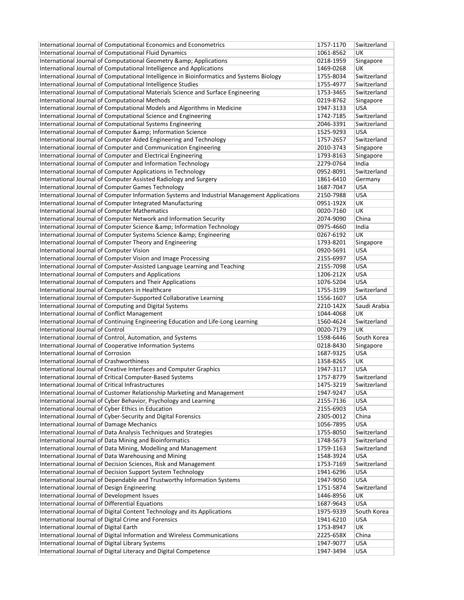| International Journal of Computational Economics and Econometrics                            | 1757-1170 | Switzerland  |
|----------------------------------------------------------------------------------------------|-----------|--------------|
| International Journal of Computational Fluid Dynamics                                        | 1061-8562 | UK           |
| International Journal of Computational Geometry & Applications                               | 0218-1959 | Singapore    |
| International Journal of Computational Intelligence and Applications                         | 1469-0268 | UK           |
|                                                                                              |           |              |
| International Journal of Computational Intelligence in Bioinformatics and Systems Biology    | 1755-8034 | Switzerland  |
| International Journal of Computational Intelligence Studies                                  | 1755-4977 | Switzerland  |
| International Journal of Computational Materials Science and Surface Engineering             | 1753-3465 | Switzerland  |
| International Journal of Computational Methods                                               | 0219-8762 | Singapore    |
| International Journal of Computational Models and Algorithms in Medicine                     | 1947-3133 | USA          |
| International Journal of Computational Science and Engineering                               | 1742-7185 | Switzerland  |
| International Journal of Computational Systems Engineering                                   | 2046-3391 | Switzerland  |
| International Journal of Computer & Information Science                                      | 1525-9293 | USA          |
| International Journal of Computer Aided Engineering and Technology                           | 1757-2657 | Switzerland  |
| International Journal of Computer and Communication Engineering                              | 2010-3743 | Singapore    |
|                                                                                              |           |              |
| International Journal of Computer and Electrical Engineering                                 | 1793-8163 | Singapore    |
| International Journal of Computer and Information Technology                                 | 2279-0764 | India        |
| International Journal of Computer Applications in Technology                                 | 0952-8091 | Switzerland  |
| International Journal of Computer Assisted Radiology and Surgery                             | 1861-6410 | Germany      |
| International Journal of Computer Games Technology                                           | 1687-7047 | USA          |
| International Journal of Computer Information Systems and Industrial Management Applications | 2150-7988 | <b>USA</b>   |
| International Journal of Computer Integrated Manufacturing                                   | 0951-192X | UK           |
| International Journal of Computer Mathematics                                                | 0020-7160 | UK           |
| International Journal of Computer Network and Information Security                           | 2074-9090 | China        |
|                                                                                              |           |              |
| International Journal of Computer Science & Information Technology                           | 0975-4660 | India        |
| International Journal of Computer Systems Science & amp; Engineering                         | 0267-6192 | UK           |
| International Journal of Computer Theory and Engineering                                     | 1793-8201 | Singapore    |
| International Journal of Computer Vision                                                     | 0920-5691 | <b>USA</b>   |
| International Journal of Computer Vision and Image Processing                                | 2155-6997 | <b>USA</b>   |
| International Journal of Computer-Assisted Language Learning and Teaching                    | 2155-7098 | <b>USA</b>   |
| International Journal of Computers and Applications                                          | 1206-212X | <b>USA</b>   |
| International Journal of Computers and Their Applications                                    | 1076-5204 | <b>USA</b>   |
| International Journal of Computers in Healthcare                                             | 1755-3199 | Switzerland  |
|                                                                                              |           |              |
| International Journal of Computer-Supported Collaborative Learning                           | 1556-1607 | <b>USA</b>   |
| International Journal of Computing and Digital Systems                                       | 2210-142X | Saudi Arabia |
| International Journal of Conflict Management                                                 | 1044-4068 | UK           |
| International Journal of Continuing Engineering Education and Life-Long Learning             | 1560-4624 | Switzerland  |
| International Journal of Control                                                             | 0020-7179 | UK           |
| International Journal of Control, Automation, and Systems                                    | 1598-6446 | South Korea  |
| International Journal of Cooperative Information Systems                                     | 0218-8430 | Singapore    |
| International Journal of Corrosion                                                           | 1687-9325 | USA          |
| International Journal of Crashworthiness                                                     | 1358-8265 | UK           |
| International Journal of Creative Interfaces and Computer Graphics                           | 1947-3117 | USA          |
|                                                                                              |           |              |
| International Journal of Critical Computer-Based Systems                                     | 1757-8779 | Switzerland  |
| International Journal of Critical Infrastructures                                            | 1475-3219 | Switzerland  |
| International Journal of Customer Relationship Marketing and Management                      | 1947-9247 | USA          |
| International Journal of Cyber Behavior, Psychology and Learning                             | 2155-7136 | <b>USA</b>   |
| International Journal of Cyber Ethics in Education                                           | 2155-6903 | <b>USA</b>   |
| International Journal of Cyber-Security and Digital Forensics                                | 2305-0012 | China        |
| International Journal of Damage Mechanics                                                    | 1056-7895 | <b>USA</b>   |
| International Journal of Data Analysis Techniques and Strategies                             | 1755-8050 | Switzerland  |
|                                                                                              |           |              |
| International Journal of Data Mining and Bioinformatics                                      | 1748-5673 | Switzerland  |
| International Journal of Data Mining, Modelling and Management                               | 1759-1163 | Switzerland  |
| International Journal of Data Warehousing and Mining                                         | 1548-3924 | <b>USA</b>   |
| International Journal of Decision Sciences, Risk and Management                              | 1753-7169 | Switzerland  |
| International Journal of Decision Support System Technology                                  | 1941-6296 | <b>USA</b>   |
| International Journal of Dependable and Trustworthy Information Systems                      | 1947-9050 | <b>USA</b>   |
| International Journal of Design Engineering                                                  | 1751-5874 | Switzerland  |
| International Journal of Development Issues                                                  | 1446-8956 | UK           |
| International Journal of Differential Equations                                              | 1687-9643 | <b>USA</b>   |
|                                                                                              |           |              |
| International Journal of Digital Content Technology and its Applications                     | 1975-9339 | South Korea  |
| International Journal of Digital Crime and Forensics                                         | 1941-6210 | <b>USA</b>   |
| International Journal of Digital Earth                                                       | 1753-8947 | UK           |
| International Journal of Digital Information and Wireless Communications                     | 2225-658X | China        |
| International Journal of Digital Library Systems                                             | 1947-9077 | <b>USA</b>   |
| International Journal of Digital Literacy and Digital Competence                             | 1947-3494 | USA          |
|                                                                                              |           |              |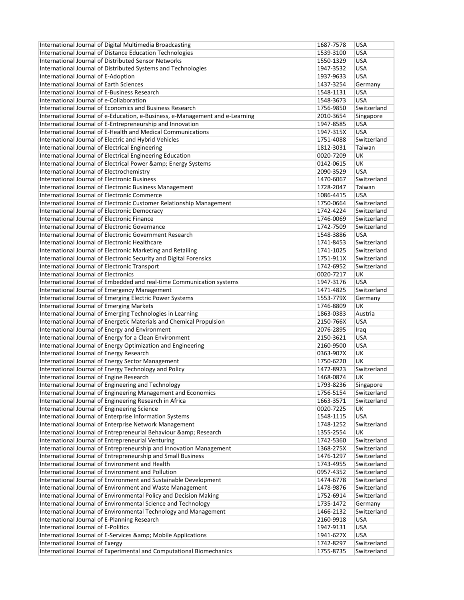| International Journal of Digital Multimedia Broadcasting                                                      | 1687-7578              | <b>USA</b>                 |
|---------------------------------------------------------------------------------------------------------------|------------------------|----------------------------|
| International Journal of Distance Education Technologies                                                      | 1539-3100              | <b>USA</b>                 |
| International Journal of Distributed Sensor Networks                                                          | 1550-1329              | <b>USA</b>                 |
| International Journal of Distributed Systems and Technologies                                                 | 1947-3532              | <b>USA</b>                 |
| International Journal of E-Adoption                                                                           | 1937-9633              | <b>USA</b>                 |
| International Journal of Earth Sciences                                                                       | 1437-3254              | Germany                    |
| International Journal of E-Business Research                                                                  | 1548-1131              | <b>USA</b>                 |
| International Journal of e-Collaboration                                                                      | 1548-3673              | <b>USA</b>                 |
| International Journal of Economics and Business Research                                                      | 1756-9850              | Switzerland                |
| International Journal of e-Education, e-Business, e-Management and e-Learning                                 | 2010-3654              | Singapore                  |
| International Journal of E-Entrepreneurship and Innovation                                                    | 1947-8585              | <b>USA</b>                 |
| International Journal of E-Health and Medical Communications                                                  | 1947-315X              | <b>USA</b>                 |
| International Journal of Electric and Hybrid Vehicles                                                         | 1751-4088              | Switzerland                |
| International Journal of Electrical Engineering                                                               | 1812-3031              | Taiwan                     |
| International Journal of Electrical Engineering Education                                                     | 0020-7209              | UK                         |
| International Journal of Electrical Power & Energy Systems                                                    | 0142-0615              | <b>UK</b>                  |
| International Journal of Electrochemistry                                                                     | 2090-3529              | <b>USA</b>                 |
| International Journal of Electronic Business                                                                  | 1470-6067              | Switzerland                |
| International Journal of Electronic Business Management                                                       | 1728-2047              | Taiwan                     |
| International Journal of Electronic Commerce                                                                  | 1086-4415              | <b>USA</b>                 |
| International Journal of Electronic Customer Relationship Management                                          | 1750-0664              | Switzerland                |
| International Journal of Electronic Democracy                                                                 | 1742-4224              | Switzerland                |
| International Journal of Electronic Finance                                                                   | 1746-0069              | Switzerland                |
| International Journal of Electronic Governance                                                                | 1742-7509              | Switzerland                |
| International Journal of Electronic Government Research                                                       | 1548-3886              | <b>USA</b>                 |
|                                                                                                               |                        |                            |
| International Journal of Electronic Healthcare<br>International Journal of Electronic Marketing and Retailing | 1741-8453<br>1741-1025 | Switzerland<br>Switzerland |
|                                                                                                               |                        |                            |
| International Journal of Electronic Security and Digital Forensics                                            | 1751-911X              | Switzerland                |
| International Journal of Electronic Transport                                                                 | 1742-6952              | Switzerland                |
| International Journal of Electronics                                                                          | 0020-7217              | UK                         |
| International Journal of Embedded and real-time Communication systems                                         | 1947-3176              | <b>USA</b>                 |
| International Journal of Emergency Management                                                                 | 1471-4825              | Switzerland                |
| International Journal of Emerging Electric Power Systems                                                      | 1553-779X              | Germany                    |
| International Journal of Emerging Markets                                                                     | 1746-8809              | UK                         |
| International Journal of Emerging Technologies in Learning                                                    | 1863-0383              | Austria                    |
| International Journal of Energetic Materials and Chemical Propulsion                                          | 2150-766X              | <b>USA</b>                 |
| International Journal of Energy and Environment                                                               | 2076-2895              | Iraq                       |
| International Journal of Energy for a Clean Environment                                                       | 2150-3621              | <b>USA</b>                 |
| International Journal of Energy Optimization and Engineering                                                  | 2160-9500              | <b>USA</b>                 |
| International Journal of Energy Research                                                                      | 0363-907X              | UK                         |
| International Journal of Energy Sector Management                                                             | 1750-6220              | UK                         |
| International Journal of Energy Technology and Policy                                                         | 1472-8923              | Switzerland                |
| International Journal of Engine Research                                                                      | 1468-0874              | UK                         |
| International Journal of Engineering and Technology                                                           | 1793-8236              | Singapore                  |
| International Journal of Engineering Management and Economics                                                 | 1756-5154              | Switzerland                |
| International Journal of Engineering Research in Africa                                                       | 1663-3571              | Switzerland                |
| International Journal of Engineering Science                                                                  | 0020-7225              | UK                         |
| International Journal of Enterprise Information Systems                                                       | 1548-1115              | <b>USA</b>                 |
| International Journal of Enterprise Network Management                                                        | 1748-1252              | Switzerland                |
| International Journal of Entrepreneurial Behaviour & Research                                                 | 1355-2554              | <b>UK</b>                  |
| International Journal of Entrepreneurial Venturing                                                            | 1742-5360              | Switzerland                |
| International Journal of Entrepreneurship and Innovation Management                                           | 1368-275X              | Switzerland                |
| International Journal of Entrepreneurship and Small Business                                                  | 1476-1297              | Switzerland                |
| International Journal of Environment and Health                                                               | 1743-4955              | Switzerland                |
| International Journal of Environment and Pollution                                                            | 0957-4352              | Switzerland                |
| International Journal of Environment and Sustainable Development                                              | 1474-6778              | Switzerland                |
| International Journal of Environment and Waste Management                                                     | 1478-9876              | Switzerland                |
| International Journal of Environmental Policy and Decision Making                                             | 1752-6914              | Switzerland                |
| International Journal of Environmental Science and Technology                                                 | 1735-1472              | Germany                    |
| International Journal of Environmental Technology and Management                                              | 1466-2132              | Switzerland                |
| International Journal of E-Planning Research                                                                  | 2160-9918              | <b>USA</b>                 |
| International Journal of E-Politics                                                                           | 1947-9131              | <b>USA</b>                 |
| International Journal of E-Services & Mobile Applications                                                     | 1941-627X              | <b>USA</b>                 |
| International Journal of Exergy                                                                               | 1742-8297              | Switzerland                |
| International Journal of Experimental and Computational Biomechanics                                          | 1755-8735              | Switzerland                |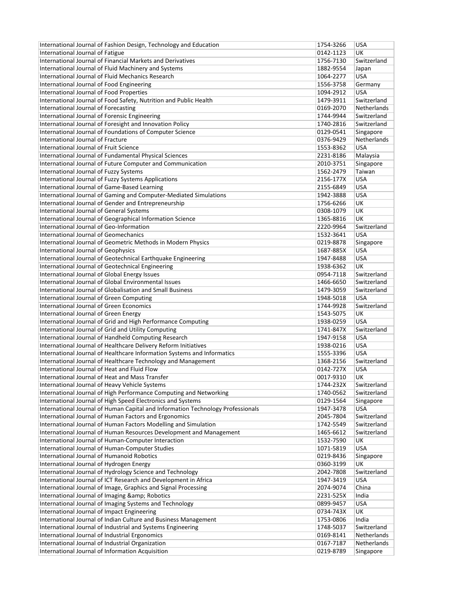| International Journal of Fashion Design, Technology and Education               | 1754-3266 | <b>USA</b>  |
|---------------------------------------------------------------------------------|-----------|-------------|
| International Journal of Fatigue                                                | 0142-1123 | <b>UK</b>   |
| International Journal of Financial Markets and Derivatives                      | 1756-7130 | Switzerland |
| International Journal of Fluid Machinery and Systems                            | 1882-9554 | Japan       |
| International Journal of Fluid Mechanics Research                               | 1064-2277 | <b>USA</b>  |
| International Journal of Food Engineering                                       | 1556-3758 | Germany     |
| International Journal of Food Properties                                        | 1094-2912 | <b>USA</b>  |
| International Journal of Food Safety, Nutrition and Public Health               | 1479-3911 | Switzerland |
| International Journal of Forecasting                                            | 0169-2070 | Netherlands |
| International Journal of Forensic Engineering                                   | 1744-9944 | Switzerland |
| International Journal of Foresight and Innovation Policy                        | 1740-2816 | Switzerland |
| International Journal of Foundations of Computer Science                        | 0129-0541 | Singapore   |
| International Journal of Fracture                                               | 0376-9429 | Netherlands |
|                                                                                 |           |             |
| International Journal of Fruit Science                                          | 1553-8362 | <b>USA</b>  |
| International Journal of Fundamental Physical Sciences                          | 2231-8186 | Malaysia    |
| International Journal of Future Computer and Communication                      | 2010-3751 | Singapore   |
| International Journal of Fuzzy Systems                                          | 1562-2479 | Taiwan      |
| International Journal of Fuzzy Systems Applications                             | 2156-177X | <b>USA</b>  |
| International Journal of Game-Based Learning                                    | 2155-6849 | <b>USA</b>  |
| International Journal of Gaming and Computer-Mediated Simulations               | 1942-3888 | <b>USA</b>  |
| International Journal of Gender and Entrepreneurship                            | 1756-6266 | UK          |
| International Journal of General Systems                                        | 0308-1079 | UK          |
| International Journal of Geographical Information Science                       | 1365-8816 | <b>UK</b>   |
| International Journal of Geo-Information                                        | 2220-9964 | Switzerland |
| International Journal of Geomechanics                                           | 1532-3641 | <b>USA</b>  |
| International Journal of Geometric Methods in Modern Physics                    | 0219-8878 | Singapore   |
| International Journal of Geophysics                                             | 1687-885X | <b>USA</b>  |
| International Journal of Geotechnical Earthquake Engineering                    | 1947-8488 | <b>USA</b>  |
| International Journal of Geotechnical Engineering                               | 1938-6362 | <b>UK</b>   |
|                                                                                 |           |             |
| International Journal of Global Energy Issues                                   | 0954-7118 | Switzerland |
| International Journal of Global Environmental Issues                            | 1466-6650 | Switzerland |
| International Journal of Globalisation and Small Business                       | 1479-3059 | Switzerland |
| International Journal of Green Computing                                        | 1948-5018 | <b>USA</b>  |
| International Journal of Green Economics                                        | 1744-9928 | Switzerland |
| International Journal of Green Energy                                           | 1543-5075 | UK          |
| International Journal of Grid and High Performance Computing                    | 1938-0259 | <b>USA</b>  |
| International Journal of Grid and Utility Computing                             | 1741-847X | Switzerland |
| International Journal of Handheld Computing Research                            | 1947-9158 | <b>USA</b>  |
| International Journal of Healthcare Delivery Reform Initiatives                 | 1938-0216 | <b>USA</b>  |
| International Journal of Healthcare Information Systems and Informatics         | 1555-3396 | <b>USA</b>  |
| International Journal of Healthcare Technology and Management                   | 1368-2156 | Switzerland |
| International Journal of Heat and Fluid Flow                                    | 0142-727X | <b>USA</b>  |
| International Journal of Heat and Mass Transfer                                 | 0017-9310 | <b>UK</b>   |
| International Journal of Heavy Vehicle Systems                                  | 1744-232X | Switzerland |
| International Journal of High Performance Computing and Networking              | 1740-0562 | Switzerland |
| International Journal of High Speed Electronics and Systems                     | 0129-1564 | Singapore   |
| International Journal of Human Capital and Information Technology Professionals | 1947-3478 | <b>USA</b>  |
| International Journal of Human Factors and Ergonomics                           | 2045-7804 | Switzerland |
|                                                                                 |           |             |
| International Journal of Human Factors Modelling and Simulation                 | 1742-5549 | Switzerland |
| International Journal of Human Resources Development and Management             | 1465-6612 | Switzerland |
| International Journal of Human-Computer Interaction                             | 1532-7590 | UK          |
| International Journal of Human-Computer Studies                                 | 1071-5819 | <b>USA</b>  |
| International Journal of Humanoid Robotics                                      | 0219-8436 | Singapore   |
| International Journal of Hydrogen Energy                                        | 0360-3199 | UK          |
| International Journal of Hydrology Science and Technology                       | 2042-7808 | Switzerland |
| International Journal of ICT Research and Development in Africa                 | 1947-3419 | <b>USA</b>  |
| International Journal of Image, Graphics and Signal Processing                  | 2074-9074 | China       |
| International Journal of Imaging & Robotics                                     | 2231-525X | India       |
| International Journal of Imaging Systems and Technology                         | 0899-9457 | <b>USA</b>  |
| International Journal of Impact Engineering                                     | 0734-743X | UK          |
| International Journal of Indian Culture and Business Management                 | 1753-0806 | India       |
| International Journal of Industrial and Systems Engineering                     | 1748-5037 | Switzerland |
| International Journal of Industrial Ergonomics                                  | 0169-8141 | Netherlands |
| International Journal of Industrial Organization                                | 0167-7187 | Netherlands |
| International Journal of Information Acquisition                                | 0219-8789 | Singapore   |
|                                                                                 |           |             |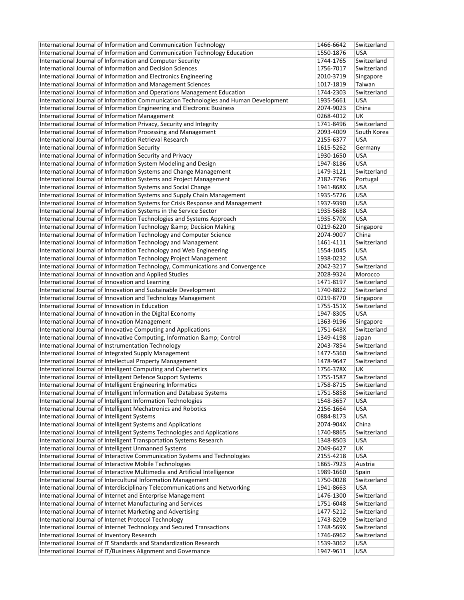| International Journal of Information and Communication Technology                     | 1466-6642 | Switzerland |
|---------------------------------------------------------------------------------------|-----------|-------------|
| International Journal of Information and Communication Technology Education           | 1550-1876 | <b>USA</b>  |
| International Journal of Information and Computer Security                            | 1744-1765 | Switzerland |
| International Journal of Information and Decision Sciences                            | 1756-7017 | Switzerland |
| International Journal of Information and Electronics Engineering                      | 2010-3719 | Singapore   |
| International Journal of Information and Management Sciences                          | 1017-1819 | Taiwan      |
| International Journal of Information and Operations Management Education              | 1744-2303 | Switzerland |
| International Journal of Information Communication Technologies and Human Development | 1935-5661 | <b>USA</b>  |
| International Journal of Information Engineering and Electronic Business              | 2074-9023 | China       |
| International Journal of Information Management                                       | 0268-4012 | UK          |
| International Journal of Information Privacy, Security and Integrity                  | 1741-8496 | Switzerland |
|                                                                                       |           | South Korea |
| International Journal of Information Processing and Management                        | 2093-4009 |             |
| International Journal of Information Retrieval Research                               | 2155-6377 | <b>USA</b>  |
| International Journal of Information Security                                         | 1615-5262 | Germany     |
| International Journal of information Security and Privacy                             | 1930-1650 | <b>USA</b>  |
| International Journal of Information System Modeling and Design                       | 1947-8186 | <b>USA</b>  |
| International Journal of Information Systems and Change Management                    | 1479-3121 | Switzerland |
| International Journal of Information Systems and Project Management                   | 2182-7796 | Portugal    |
| International Journal of Information Systems and Social Change                        | 1941-868X | <b>USA</b>  |
| International Journal of Information Systems and Supply Chain Management              | 1935-5726 | <b>USA</b>  |
| International Journal of Information Systems for Crisis Response and Management       | 1937-9390 | <b>USA</b>  |
| International Journal of Information Systems in the Service Sector                    | 1935-5688 | <b>USA</b>  |
| International Journal of Information Technologies and Systems Approach                | 1935-570X | <b>USA</b>  |
| International Journal of Information Technology & amp; Decision Making                | 0219-6220 | Singapore   |
|                                                                                       |           | China       |
| International Journal of Information Technology and Computer Science                  | 2074-9007 |             |
| International Journal of Information Technology and Management                        | 1461-4111 | Switzerland |
| International Journal of Information Technology and Web Engineering                   | 1554-1045 | <b>USA</b>  |
| International Journal of Information Technology Project Management                    | 1938-0232 | <b>USA</b>  |
| International Journal of Information Technology, Communications and Convergence       | 2042-3217 | Switzerland |
| International Journal of Innovation and Applied Studies                               | 2028-9324 | Morocco     |
| International Journal of Innovation and Learning                                      | 1471-8197 | Switzerland |
| International Journal of Innovation and Sustainable Development                       | 1740-8822 | Switzerland |
| International Journal of Innovation and Technology Management                         | 0219-8770 | Singapore   |
| International Journal of Innovation in Education                                      | 1755-151X | Switzerland |
| International Journal of Innovation in the Digital Economy                            | 1947-8305 | <b>USA</b>  |
| International Journal of Innovation Management                                        | 1363-9196 | Singapore   |
| International Journal of Innovative Computing and Applications                        | 1751-648X | Switzerland |
| International Journal of Innovative Computing, Information & Control                  |           |             |
|                                                                                       | 1349-4198 | Japan       |
| International Journal of Instrumentation Technology                                   | 2043-7854 | Switzerland |
| International Journal of Integrated Supply Management                                 | 1477-5360 | Switzerland |
| International Journal of Intellectual Property Management                             | 1478-9647 | Switzerland |
| International Journal of Intelligent Computing and Cybernetics                        | 1756-378X | UK          |
| International Journal of Intelligent Defence Support Systems                          | 1755-1587 | Switzerland |
| International Journal of Intelligent Engineering Informatics                          | 1758-8715 | Switzerland |
| International Journal of Intelligent Information and Database Systems                 | 1751-5858 | Switzerland |
| International Journal of Intelligent Information Technologies                         | 1548-3657 | <b>USA</b>  |
| International Journal of Intelligent Mechatronics and Robotics                        | 2156-1664 | <b>USA</b>  |
| International Journal of Intelligent Systems                                          | 0884-8173 | <b>USA</b>  |
| International Journal of Intelligent Systems and Applications                         | 2074-904X | China       |
| International Journal of Intelligent Systems Technologies and Applications            | 1740-8865 | Switzerland |
| International Journal of Intelligent Transportation Systems Research                  | 1348-8503 | <b>USA</b>  |
| International Journal of Intelligent Unmanned Systems                                 | 2049-6427 | UK          |
|                                                                                       | 2155-4218 | <b>USA</b>  |
| International Journal of Interactive Communication Systems and Technologies           |           |             |
| International Journal of Interactive Mobile Technologies                              | 1865-7923 | Austria     |
| International Journal of Interactive Multimedia and Artificial Intelligence           | 1989-1660 | Spain       |
| International Journal of Intercultural Information Management                         | 1750-0028 | Switzerland |
| International Journal of Interdisciplinary Telecommunications and Networking          | 1941-8663 | <b>USA</b>  |
| International Journal of Internet and Enterprise Management                           | 1476-1300 | Switzerland |
| International Journal of Internet Manufacturing and Services                          | 1751-6048 | Switzerland |
| International Journal of Internet Marketing and Advertising                           | 1477-5212 | Switzerland |
| International Journal of Internet Protocol Technology                                 | 1743-8209 | Switzerland |
| International Journal of Internet Technology and Secured Transactions                 | 1748-569X | Switzerland |
| International Journal of Inventory Research                                           | 1746-6962 | Switzerland |
| International Journal of IT Standards and Standardization Research                    | 1539-3062 | <b>USA</b>  |
| International Journal of IT/Business Alignment and Governance                         | 1947-9611 | USA         |
|                                                                                       |           |             |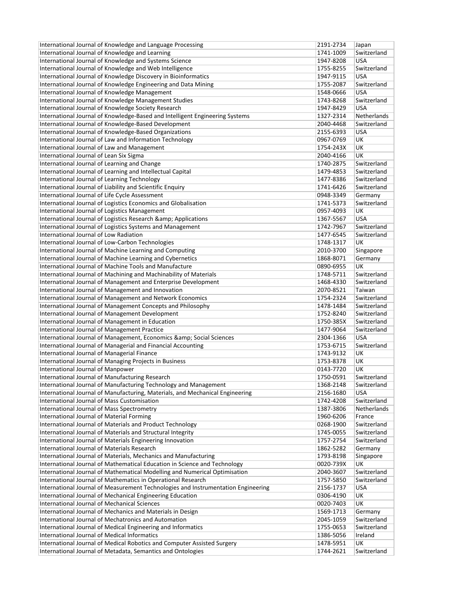| International Journal of Knowledge and Language Processing                                                                             | 2191-2734              | Japan             |
|----------------------------------------------------------------------------------------------------------------------------------------|------------------------|-------------------|
| International Journal of Knowledge and Learning                                                                                        | 1741-1009              | Switzerland       |
| International Journal of Knowledge and Systems Science                                                                                 | 1947-8208              | USA               |
| International Journal of Knowledge and Web Intelligence                                                                                | 1755-8255              | Switzerland       |
| International Journal of Knowledge Discovery in Bioinformatics                                                                         | 1947-9115              | <b>USA</b>        |
| International Journal of Knowledge Engineering and Data Mining                                                                         | 1755-2087              | Switzerland       |
| International Journal of Knowledge Management                                                                                          | 1548-0666              | <b>USA</b>        |
| International Journal of Knowledge Management Studies                                                                                  | 1743-8268              | Switzerland       |
| International Journal of Knowledge Society Research                                                                                    | 1947-8429              | USA               |
| International Journal of Knowledge-Based and Intelligent Engineering Systems                                                           | 1327-2314              | Netherlands       |
|                                                                                                                                        |                        |                   |
| International Journal of Knowledge-Based Development                                                                                   | 2040-4468              | Switzerland       |
| International Journal of Knowledge-Based Organizations                                                                                 | 2155-6393              | USA               |
| International Journal of Law and Information Technology                                                                                | 0967-0769              | UK                |
| International Journal of Law and Management                                                                                            | 1754-243X              | UK                |
| International Journal of Lean Six Sigma                                                                                                | 2040-4166              | UK                |
| International Journal of Learning and Change                                                                                           | 1740-2875              | Switzerland       |
| International Journal of Learning and Intellectual Capital                                                                             | 1479-4853              | Switzerland       |
| International Journal of Learning Technology                                                                                           | 1477-8386              | Switzerland       |
| International Journal of Liability and Scientific Enquiry                                                                              | 1741-6426              | Switzerland       |
| International Journal of Life Cycle Assessment                                                                                         | 0948-3349              | Germany           |
| International Journal of Logistics Economics and Globalisation                                                                         | 1741-5373              | Switzerland       |
| International Journal of Logistics Management                                                                                          | 0957-4093              | UK                |
| International Journal of Logistics Research & Applications                                                                             | 1367-5567              | <b>USA</b>        |
| International Journal of Logistics Systems and Management                                                                              | 1742-7967              | Switzerland       |
| International Journal of Low Radiation                                                                                                 | 1477-6545              | Switzerland       |
|                                                                                                                                        |                        |                   |
| International Journal of Low-Carbon Technologies                                                                                       | 1748-1317              | UK                |
| International Journal of Machine Learning and Computing                                                                                | 2010-3700              | Singapore         |
| International Journal of Machine Learning and Cybernetics                                                                              | 1868-8071              | Germany           |
| International Journal of Machine Tools and Manufacture                                                                                 | 0890-6955              | UK                |
| International Journal of Machining and Machinability of Materials                                                                      | 1748-5711              | Switzerland       |
| International Journal of Management and Enterprise Development                                                                         | 1468-4330              | Switzerland       |
| International Journal of Management and Innovation                                                                                     | 2070-8521              | Taiwan            |
| International Journal of Management and Network Economics                                                                              | 1754-2324              | Switzerland       |
| International Journal of Management Concepts and Philosophy                                                                            | 1478-1484              | Switzerland       |
| International Journal of Management Development                                                                                        | 1752-8240              | Switzerland       |
| International Journal of Management in Education                                                                                       | 1750-385X              | Switzerland       |
| <b>International Journal of Management Practice</b>                                                                                    | 1477-9064              | Switzerland       |
| International Journal of Management, Economics & Social Sciences                                                                       | 2304-1366              | USA               |
| International Journal of Managerial and Financial Accounting                                                                           | 1753-6715              | Switzerland       |
| International Journal of Managerial Finance                                                                                            | 1743-9132              | UK                |
| International Journal of Managing Projects in Business                                                                                 | 1753-8378              | UK                |
| International Journal of Manpower                                                                                                      | 0143-7720              | UK                |
| International Journal of Manufacturing Research                                                                                        | 1750-0591              | Switzerland       |
|                                                                                                                                        |                        |                   |
| International Journal of Manufacturing Technology and Management                                                                       | 1368-2148              | Switzerland       |
| International Journal of Manufacturing, Materials, and Mechanical Engineering                                                          | 2156-1680              | USA               |
| International Journal of Mass Customisation                                                                                            | 1742-4208              | Switzerland       |
| International Journal of Mass Spectrometry                                                                                             | 1387-3806              | Netherlands       |
| International Journal of Material Forming                                                                                              | 1960-6206              | France            |
| International Journal of Materials and Product Technology                                                                              | 0268-1900              | Switzerland       |
| International Journal of Materials and Structural Integrity                                                                            | 1745-0055              | Switzerland       |
| International Journal of Materials Engineering Innovation                                                                              | 1757-2754              | Switzerland       |
| International Journal of Materials Research                                                                                            | 1862-5282              | Germany           |
| International Journal of Materials, Mechanics and Manufacturing                                                                        | 1793-8198              | Singapore         |
| International Journal of Mathematical Education in Science and Technology                                                              | 0020-739X              | UK                |
| International Journal of Mathematical Modelling and Numerical Optimisation                                                             |                        | Switzerland       |
| International Journal of Mathematics in Operational Research                                                                           | 2040-3607              |                   |
|                                                                                                                                        | 1757-5850              | Switzerland       |
|                                                                                                                                        | 2156-1737              | USA               |
| International Journal of Measurement Technologies and Instrumentation Engineering                                                      |                        |                   |
| International Journal of Mechanical Engineering Education                                                                              | 0306-4190              | UK                |
| International Journal of Mechanical Sciences                                                                                           | 0020-7403              | UK                |
| International Journal of Mechanics and Materials in Design                                                                             | 1569-1713              | Germany           |
| International Journal of Mechatronics and Automation                                                                                   | 2045-1059              | Switzerland       |
| International Journal of Medical Engineering and Informatics                                                                           | 1755-0653              | Switzerland       |
| International Journal of Medical Informatics                                                                                           | 1386-5056              | Ireland           |
| International Journal of Medical Robotics and Computer Assisted Surgery<br>International Journal of Metadata, Semantics and Ontologies | 1478-5951<br>1744-2621 | UK<br>Switzerland |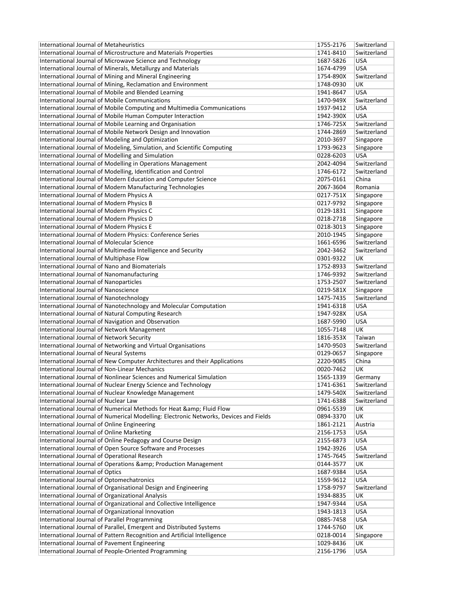| International Journal of Metaheuristics                                                               | 1755-2176 | Switzerland |
|-------------------------------------------------------------------------------------------------------|-----------|-------------|
| International Journal of Microstructure and Materials Properties                                      | 1741-8410 | Switzerland |
| International Journal of Microwave Science and Technology                                             | 1687-5826 | <b>USA</b>  |
| International Journal of Minerals, Metallurgy and Materials                                           | 1674-4799 | <b>USA</b>  |
| International Journal of Mining and Mineral Engineering                                               | 1754-890X | Switzerland |
| International Journal of Mining, Reclamation and Environment                                          | 1748-0930 | <b>UK</b>   |
| International Journal of Mobile and Blended Learning                                                  | 1941-8647 | <b>USA</b>  |
| International Journal of Mobile Communications                                                        | 1470-949X | Switzerland |
| International Journal of Mobile Computing and Multimedia Communications                               | 1937-9412 | <b>USA</b>  |
| International Journal of Mobile Human Computer Interaction                                            | 1942-390X | <b>USA</b>  |
| International Journal of Mobile Learning and Organisation                                             | 1746-725X | Switzerland |
| International Journal of Mobile Network Design and Innovation                                         | 1744-2869 | Switzerland |
| International Journal of Modeling and Optimization                                                    | 2010-3697 | Singapore   |
| International Journal of Modeling, Simulation, and Scientific Computing                               | 1793-9623 | Singapore   |
| International Journal of Modelling and Simulation                                                     | 0228-6203 | USA         |
| International Journal of Modelling in Operations Management                                           | 2042-4094 | Switzerland |
| International Journal of Modelling, Identification and Control                                        | 1746-6172 | Switzerland |
| International Journal of Modern Education and Computer Science                                        | 2075-0161 | China       |
| International Journal of Modern Manufacturing Technologies                                            | 2067-3604 | Romania     |
| International Journal of Modern Physics A                                                             | 0217-751X | Singapore   |
| International Journal of Modern Physics B                                                             | 0217-9792 | Singapore   |
| International Journal of Modern Physics C                                                             | 0129-1831 | Singapore   |
| International Journal of Modern Physics D                                                             | 0218-2718 | Singapore   |
| International Journal of Modern Physics E                                                             | 0218-3013 | Singapore   |
| International Journal of Modern Physics: Conference Series                                            | 2010-1945 | Singapore   |
| International Journal of Molecular Science                                                            | 1661-6596 | Switzerland |
| International Journal of Multimedia Intelligence and Security                                         | 2042-3462 | Switzerland |
| International Journal of Multiphase Flow                                                              | 0301-9322 | UK          |
| International Journal of Nano and Biomaterials                                                        | 1752-8933 | Switzerland |
| International Journal of Nanomanufacturing                                                            | 1746-9392 | Switzerland |
| International Journal of Nanoparticles                                                                | 1753-2507 | Switzerland |
| International Journal of Nanoscience                                                                  | 0219-581X | Singapore   |
| International Journal of Nanotechnology                                                               | 1475-7435 | Switzerland |
| International Journal of Nanotechnology and Molecular Computation                                     | 1941-6318 | USA         |
| International Journal of Natural Computing Research                                                   | 1947-928X | <b>USA</b>  |
| International Journal of Navigation and Observation                                                   | 1687-5990 | <b>USA</b>  |
| International Journal of Network Management                                                           | 1055-7148 | UK          |
| International Journal of Network Security                                                             | 1816-353X | Taiwan      |
| International Journal of Networking and Virtual Organisations                                         | 1470-9503 | Switzerland |
| International Journal of Neural Systems                                                               | 0129-0657 | Singapore   |
| International Journal of New Computer Architectures and their Applications                            | 2220-9085 | China       |
| International Journal of Non-Linear Mechanics                                                         | 0020-7462 | UK          |
| International Journal of Nonlinear Sciences and Numerical Simulation                                  | 1565-1339 | Germany     |
| International Journal of Nuclear Energy Science and Technology                                        | 1741-6361 | Switzerland |
| International Journal of Nuclear Knowledge Management                                                 | 1479-540X | Switzerland |
| International Journal of Nuclear Law                                                                  | 1741-6388 | Switzerland |
| International Journal of Numerical Methods for Heat & Fluid Flow                                      | 0961-5539 | UK          |
| International Journal of Numerical Modelling: Electronic Networks, Devices and Fields                 | 0894-3370 | UK          |
| International Journal of Online Engineering                                                           | 1861-2121 | Austria     |
| International Journal of Online Marketing                                                             | 2156-1753 | <b>USA</b>  |
| International Journal of Online Pedagogy and Course Design                                            | 2155-6873 | <b>USA</b>  |
| International Journal of Open Source Software and Processes                                           | 1942-3926 | <b>USA</b>  |
| International Journal of Operational Research                                                         | 1745-7645 | Switzerland |
| International Journal of Operations & Production Management                                           | 0144-3577 | UK          |
| <b>International Journal of Optics</b>                                                                | 1687-9384 | <b>USA</b>  |
| International Journal of Optomechatronics                                                             | 1559-9612 | <b>USA</b>  |
| International Journal of Organisational Design and Engineering                                        | 1758-9797 | Switzerland |
| International Journal of Organizational Analysis                                                      | 1934-8835 | UK          |
| International Journal of Organizational and Collective Intelligence                                   | 1947-9344 | USA         |
| International Journal of Organizational Innovation                                                    | 1943-1813 | <b>USA</b>  |
| International Journal of Parallel Programming                                                         | 0885-7458 | USA         |
| International Journal of Parallel, Emergent and Distributed Systems                                   | 1744-5760 | UK          |
| International Journal of Pattern Recognition and Artificial Intelligence                              | 0218-0014 | Singapore   |
| International Journal of Pavement Engineering<br>International Journal of People-Oriented Programming | 1029-8436 | UK          |
|                                                                                                       | 2156-1796 | USA         |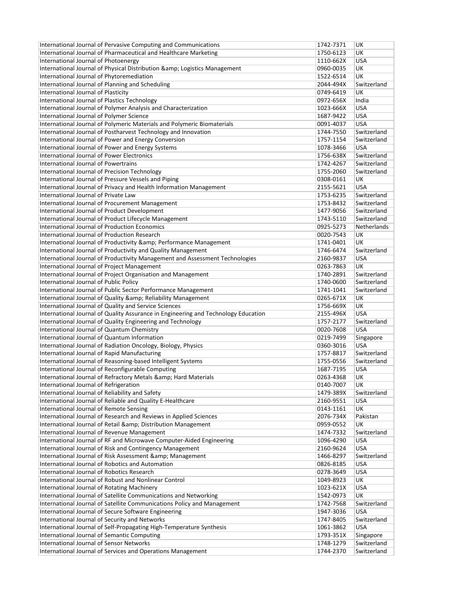| International Journal of Pervasive Computing and Communications                    | 1742-7371              | UK                         |
|------------------------------------------------------------------------------------|------------------------|----------------------------|
| International Journal of Pharmaceutical and Healthcare Marketing                   | 1750-6123              | UK                         |
| <b>International Journal of Photoenergy</b>                                        | 1110-662X              | <b>USA</b>                 |
| International Journal of Physical Distribution & Logistics Management              | 0960-0035              | UK                         |
| International Journal of Phytoremediation                                          | 1522-6514              | <b>UK</b>                  |
| International Journal of Planning and Scheduling                                   | 2044-494X              | Switzerland                |
| International Journal of Plasticity                                                | 0749-6419              | UK                         |
| International Journal of Plastics Technology                                       | 0972-656X              | India                      |
| International Journal of Polymer Analysis and Characterization                     | 1023-666X              | <b>USA</b>                 |
| International Journal of Polymer Science                                           | 1687-9422              | <b>USA</b>                 |
| International Journal of Polymeric Materials and Polymeric Biomaterials            | 0091-4037              | <b>USA</b>                 |
| International Journal of Postharvest Technology and Innovation                     | 1744-7550              | Switzerland                |
|                                                                                    | 1757-1154              |                            |
| International Journal of Power and Energy Conversion                               |                        | Switzerland                |
| International Journal of Power and Energy Systems                                  | 1078-3466              | <b>USA</b>                 |
| International Journal of Power Electronics                                         | 1756-638X              | Switzerland                |
| International Journal of Powertrains                                               | 1742-4267              | Switzerland                |
| International Journal of Precision Technology                                      | 1755-2060              | Switzerland                |
| International Journal of Pressure Vessels and Piping                               | 0308-0161              | UK                         |
| International Journal of Privacy and Health Information Management                 | 2155-5621              | <b>USA</b>                 |
| International Journal of Private Law                                               | 1753-6235              | Switzerland                |
| International Journal of Procurement Management                                    | 1753-8432              | Switzerland                |
| International Journal of Product Development                                       | 1477-9056              | Switzerland                |
| International Journal of Product Lifecycle Management                              | 1743-5110              | Switzerland                |
| International Journal of Production Economics                                      | 0925-5273              | <b>Netherlands</b>         |
| International Journal of Production Research                                       | 0020-7543              | UK                         |
| International Journal of Productivity & Performance Management                     | 1741-0401              | UK                         |
| International Journal of Productivity and Quality Management                       | 1746-6474              | Switzerland                |
| International Journal of Productivity Management and Assessment Technologies       |                        |                            |
|                                                                                    | 2160-9837              | <b>USA</b>                 |
| International Journal of Project Management                                        | 0263-7863              | <b>UK</b>                  |
| International Journal of Project Organisation and Management                       | 1740-2891              | Switzerland                |
| International Journal of Public Policy                                             | 1740-0600              | Switzerland                |
| International Journal of Public Sector Performance Management                      | 1741-1041              | Switzerland                |
| International Journal of Quality & amp; Reliability Management                     | 0265-671X              | <b>UK</b>                  |
| International Journal of Quality and Service Sciences                              | 1756-669X              | UK                         |
| International Journal of Quality Assurance in Engineering and Technology Education | 2155-496X              | <b>USA</b>                 |
| International Journal of Quality Engineering and Technology                        | 1757-2177              | Switzerland                |
| International Journal of Quantum Chemistry                                         | 0020-7608              | <b>USA</b>                 |
| International Journal of Quantum Information                                       | 0219-7499              | Singapore                  |
| International Journal of Radiation Oncology, Biology, Physics                      | 0360-3016              | <b>USA</b>                 |
| International Journal of Rapid Manufacturing                                       | 1757-8817              | Switzerland                |
| International Journal of Reasoning-based Intelligent Systems                       | 1755-0556              | Switzerland                |
| International Journal of Reconfigurable Computing                                  | 1687-7195              | <b>USA</b>                 |
| International Journal of Refractory Metals & amp; Hard Materials                   | 0263-4368              | UK                         |
| International Journal of Refrigeration                                             | 0140-7007              | UK                         |
|                                                                                    | 1479-389X              |                            |
| International Journal of Reliability and Safety                                    |                        | Switzerland                |
| International Journal of Reliable and Quality E-Healthcare                         | 2160-9551              | <b>USA</b>                 |
| International Journal of Remote Sensing                                            | 0143-1161              | UK                         |
| International Journal of Research and Reviews in Applied Sciences                  | 2076-734X              | Pakistan                   |
| International Journal of Retail & amp; Distribution Management                     | 0959-0552              | UK                         |
| International Journal of Revenue Management                                        | 1474-7332              | Switzerland                |
| International Journal of RF and Microwave Computer-Aided Engineering               | 1096-4290              | <b>USA</b>                 |
| International Journal of Risk and Contingency Management                           | 2160-9624              | <b>USA</b>                 |
| International Journal of Risk Assessment & Management                              | 1466-8297              | Switzerland                |
| International Journal of Robotics and Automation                                   | 0826-8185              | <b>USA</b>                 |
| International Journal of Robotics Research                                         | 0278-3649              | <b>USA</b>                 |
| International Journal of Robust and Nonlinear Control                              | 1049-8923              | UK                         |
| International Journal of Rotating Machinery                                        | 1023-621X              | <b>USA</b>                 |
| International Journal of Satellite Communications and Networking                   | 1542-0973              | UK                         |
| International Journal of Satellite Communications Policy and Management            | 1742-7568              | Switzerland                |
| International Journal of Secure Software Engineering                               | 1947-3036              | <b>USA</b>                 |
| International Journal of Security and Networks                                     | 1747-8405              | Switzerland                |
|                                                                                    |                        |                            |
| International Journal of Self-Propagating High-Temperature Synthesis               | 1061-3862              | <b>USA</b>                 |
| International Journal of Semantic Computing                                        | 1793-351X              | Singapore                  |
| International Journal of Sensor Networks                                           |                        |                            |
| International Journal of Services and Operations Management                        | 1748-1279<br>1744-2370 | Switzerland<br>Switzerland |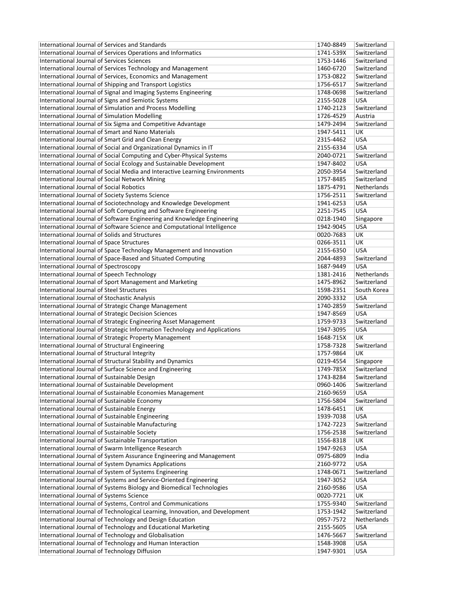| International Journal of Services and Standards                              | 1740-8849 | Switzerland |
|------------------------------------------------------------------------------|-----------|-------------|
| International Journal of Services Operations and Informatics                 | 1741-539X | Switzerland |
| International Journal of Services Sciences                                   | 1753-1446 | Switzerland |
| International Journal of Services Technology and Management                  | 1460-6720 | Switzerland |
| International Journal of Services, Economics and Management                  | 1753-0822 | Switzerland |
| International Journal of Shipping and Transport Logistics                    | 1756-6517 | Switzerland |
| International Journal of Signal and Imaging Systems Engineering              | 1748-0698 | Switzerland |
| International Journal of Signs and Semiotic Systems                          | 2155-5028 | <b>USA</b>  |
| International Journal of Simulation and Process Modelling                    | 1740-2123 | Switzerland |
| International Journal of Simulation Modelling                                | 1726-4529 | Austria     |
| International Journal of Six Sigma and Competitive Advantage                 | 1479-2494 | Switzerland |
| International Journal of Smart and Nano Materials                            | 1947-5411 | UK          |
| International Journal of Smart Grid and Clean Energy                         | 2315-4462 | <b>USA</b>  |
| International Journal of Social and Organizational Dynamics in IT            | 2155-6334 | <b>USA</b>  |
| International Journal of Social Computing and Cyber-Physical Systems         | 2040-0721 | Switzerland |
| International Journal of Social Ecology and Sustainable Development          | 1947-8402 | <b>USA</b>  |
| International Journal of Social Media and Interactive Learning Environments  | 2050-3954 | Switzerland |
| <b>International Journal of Social Network Mining</b>                        | 1757-8485 | Switzerland |
| International Journal of Social Robotics                                     | 1875-4791 | Netherlands |
| International Journal of Society Systems Science                             | 1756-2511 | Switzerland |
| International Journal of Sociotechnology and Knowledge Development           | 1941-6253 | <b>USA</b>  |
| International Journal of Soft Computing and Software Engineering             | 2251-7545 | <b>USA</b>  |
| International Journal of Software Engineering and Knowledge Engineering      | 0218-1940 | Singapore   |
| International Journal of Software Science and Computational Intelligence     | 1942-9045 | <b>USA</b>  |
| International Journal of Solids and Structures                               | 0020-7683 | UK          |
| International Journal of Space Structures                                    | 0266-3511 | UK          |
| International Journal of Space Technology Management and Innovation          | 2155-6350 | <b>USA</b>  |
| International Journal of Space-Based and Situated Computing                  | 2044-4893 | Switzerland |
| International Journal of Spectroscopy                                        | 1687-9449 | <b>USA</b>  |
| International Journal of Speech Technology                                   | 1381-2416 | Netherlands |
| International Journal of Sport Management and Marketing                      | 1475-8962 | Switzerland |
| International Journal of Steel Structures                                    | 1598-2351 | South Korea |
| International Journal of Stochastic Analysis                                 | 2090-3332 | <b>USA</b>  |
| International Journal of Strategic Change Management                         | 1740-2859 | Switzerland |
| International Journal of Strategic Decision Sciences                         | 1947-8569 | <b>USA</b>  |
| International Journal of Strategic Engineering Asset Management              | 1759-9733 | Switzerland |
| International Journal of Strategic Information Technology and Applications   | 1947-3095 | <b>USA</b>  |
| International Journal of Strategic Property Management                       | 1648-715X | UK          |
| International Journal of Structural Engineering                              | 1758-7328 | Switzerland |
| International Journal of Structural Integrity                                | 1757-9864 | <b>UK</b>   |
| International Journal of Structural Stability and Dynamics                   | 0219-4554 | Singapore   |
| International Journal of Surface Science and Engineering                     | 1749-785X | Switzerland |
| International Journal of Sustainable Design                                  | 1743-8284 | Switzerland |
| International Journal of Sustainable Development                             | 0960-1406 | Switzerland |
| International Journal of Sustainable Economies Management                    | 2160-9659 | <b>USA</b>  |
| International Journal of Sustainable Economy                                 | 1756-5804 | Switzerland |
| International Journal of Sustainable Energy                                  | 1478-6451 | UK          |
| International Journal of Sustainable Engineering                             | 1939-7038 | <b>USA</b>  |
| International Journal of Sustainable Manufacturing                           | 1742-7223 | Switzerland |
| International Journal of Sustainable Society                                 | 1756-2538 | Switzerland |
| International Journal of Sustainable Transportation                          | 1556-8318 | UK          |
| International Journal of Swarm Intelligence Research                         | 1947-9263 | <b>USA</b>  |
| International Journal of System Assurance Engineering and Management         | 0975-6809 | India       |
| International Journal of System Dynamics Applications                        | 2160-9772 | <b>USA</b>  |
| International Journal of System of Systems Engineering                       | 1748-0671 | Switzerland |
| International Journal of Systems and Service-Oriented Engineering            | 1947-3052 | <b>USA</b>  |
| International Journal of Systems Biology and Biomedical Technologies         | 2160-9586 | <b>USA</b>  |
| International Journal of Systems Science                                     | 0020-7721 | UK          |
| International Journal of Systems, Control and Communications                 | 1755-9340 | Switzerland |
| International Journal of Technological Learning, Innovation, and Development | 1753-1942 | Switzerland |
| International Journal of Technology and Design Education                     | 0957-7572 | Netherlands |
| International Journal of Technology and Educational Marketing                | 2155-5605 | <b>USA</b>  |
| International Journal of Technology and Globalisation                        | 1476-5667 | Switzerland |
| International Journal of Technology and Human Interaction                    | 1548-3908 | <b>USA</b>  |
| International Journal of Technology Diffusion                                | 1947-9301 | USA         |
|                                                                              |           |             |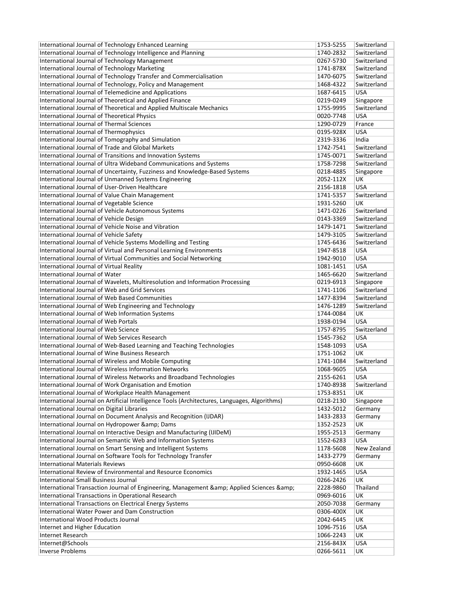| International Journal of Technology Enhanced Learning                                                                           | 1753-5255              | Switzerland              |
|---------------------------------------------------------------------------------------------------------------------------------|------------------------|--------------------------|
| International Journal of Technology Intelligence and Planning                                                                   | 1740-2832              | Switzerland              |
| International Journal of Technology Management                                                                                  | 0267-5730              | Switzerland              |
| International Journal of Technology Marketing                                                                                   | 1741-878X              | Switzerland              |
| International Journal of Technology Transfer and Commercialisation                                                              | 1470-6075              | Switzerland              |
| International Journal of Technology, Policy and Management                                                                      | 1468-4322              | Switzerland              |
| International Journal of Telemedicine and Applications                                                                          | 1687-6415              | <b>USA</b>               |
| International Journal of Theoretical and Applied Finance                                                                        | 0219-0249              | Singapore                |
| International Journal of Theoretical and Applied Multiscale Mechanics                                                           | 1755-9995              | Switzerland              |
| International Journal of Theoretical Physics                                                                                    | 0020-7748              | <b>USA</b>               |
| International Journal of Thermal Sciences                                                                                       | 1290-0729              | France                   |
| International Journal of Thermophysics                                                                                          | 0195-928X              | <b>USA</b>               |
| International Journal of Tomography and Simulation                                                                              | 2319-3336              | India                    |
| International Journal of Trade and Global Markets                                                                               | 1742-7541              | Switzerland              |
| International Journal of Transitions and Innovation Systems                                                                     | 1745-0071              | Switzerland              |
| International Journal of Ultra Wideband Communications and Systems                                                              | 1758-7298              | Switzerland              |
| International Journal of Uncertainty, Fuzziness and Knowledge-Based Systems                                                     | 0218-4885              | Singapore                |
| International Journal of Unmanned Systems Engineering                                                                           | 2052-112X              | UK                       |
| International Journal of User-Driven Healthcare                                                                                 | 2156-1818              | <b>USA</b>               |
| International Journal of Value Chain Management                                                                                 | 1741-5357              | Switzerland              |
| International Journal of Vegetable Science                                                                                      | 1931-5260              | UK                       |
| International Journal of Vehicle Autonomous Systems                                                                             | 1471-0226              | Switzerland              |
| International Journal of Vehicle Design                                                                                         | 0143-3369              | Switzerland              |
| International Journal of Vehicle Noise and Vibration                                                                            | 1479-1471              | Switzerland              |
| International Journal of Vehicle Safety                                                                                         | 1479-3105              | Switzerland              |
| International Journal of Vehicle Systems Modelling and Testing                                                                  | 1745-6436              | Switzerland              |
| International Journal of Virtual and Personal Learning Environments                                                             | 1947-8518              | <b>USA</b>               |
| International Journal of Virtual Communities and Social Networking                                                              | 1942-9010              | <b>USA</b><br><b>USA</b> |
| International Journal of Virtual Reality<br>International Journal of Water                                                      | 1081-1451<br>1465-6620 | Switzerland              |
|                                                                                                                                 |                        |                          |
| International Journal of Wavelets, Multiresolution and Information Processing<br>International Journal of Web and Grid Services | 0219-6913<br>1741-1106 | Singapore<br>Switzerland |
| International Journal of Web Based Communities                                                                                  | 1477-8394              | Switzerland              |
| International Journal of Web Engineering and Technology                                                                         | 1476-1289              | Switzerland              |
| International Journal of Web Information Systems                                                                                | 1744-0084              | UK                       |
| International Journal of Web Portals                                                                                            | 1938-0194              | <b>USA</b>               |
| International Journal of Web Science                                                                                            | 1757-8795              | Switzerland              |
| International Journal of Web Services Research                                                                                  | 1545-7362              | <b>USA</b>               |
| International Journal of Web-Based Learning and Teaching Technologies                                                           | 1548-1093              | <b>USA</b>               |
| International Journal of Wine Business Research                                                                                 | 1751-1062              | UK                       |
| International Journal of Wireless and Mobile Computing                                                                          | 1741-1084              | Switzerland              |
| International Journal of Wireless Information Networks                                                                          | 1068-9605              | <b>USA</b>               |
| International Journal of Wireless Networks and Broadband Technologies                                                           | 2155-6261              | <b>USA</b>               |
| International Journal of Work Organisation and Emotion                                                                          | 1740-8938              | Switzerland              |
| International Journal of Workplace Health Management                                                                            | 1753-8351              | UK                       |
| International Journal on Artificial Intelligence Tools (Architectures, Languages, Algorithms)                                   | 0218-2130              | Singapore                |
| International Journal on Digital Libraries                                                                                      | 1432-5012              | Germany                  |
| International Journal on Document Analysis and Recognition (IJDAR)                                                              | 1433-2833              | Germany                  |
| International Journal on Hydropower & Dams                                                                                      | 1352-2523              | UK                       |
| International Journal on Interactive Design and Manufacturing (IJIDeM)                                                          | 1955-2513              | Germany                  |
| International Journal on Semantic Web and Information Systems                                                                   | 1552-6283              | <b>USA</b>               |
| International Journal on Smart Sensing and Intelligent Systems                                                                  | 1178-5608              | New Zealand              |
| International Journal on Software Tools for Technology Transfer                                                                 | 1433-2779              | Germany                  |
| <b>International Materials Reviews</b>                                                                                          | 0950-6608              | UK                       |
| International Review of Environmental and Resource Economics                                                                    | 1932-1465              | <b>USA</b>               |
| <b>International Small Business Journal</b>                                                                                     | 0266-2426              | UK                       |
| International Transaction Journal of Engineering, Management & Applied Sciences &                                               | 2228-9860              | Thailand                 |
| International Transactions in Operational Research                                                                              | 0969-6016              | UK                       |
| International Transactions on Electrical Energy Systems                                                                         | 2050-7038              | Germany                  |
| International Water Power and Dam Construction                                                                                  | 0306-400X              | UK                       |
| International Wood Products Journal                                                                                             | 2042-6445              | UK                       |
| Internet and Higher Education                                                                                                   | 1096-7516              | <b>USA</b>               |
| Internet Research                                                                                                               | 1066-2243              | UK                       |
| Internet@Schools                                                                                                                | 2156-843X              | <b>USA</b>               |
| <b>Inverse Problems</b>                                                                                                         | 0266-5611              | UK                       |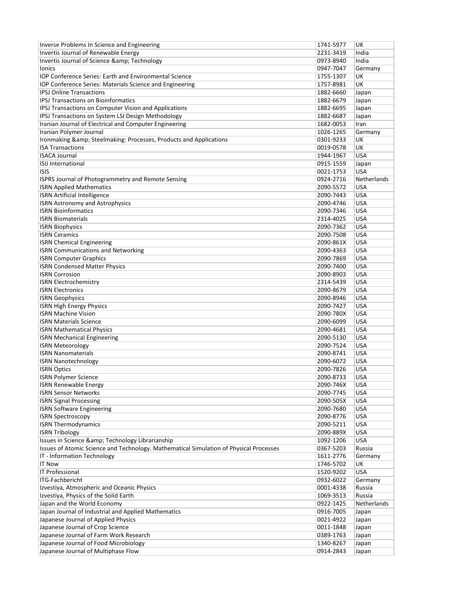| Inverse Problems In Science and Engineering                                            | 1741-5977 | UK                 |
|----------------------------------------------------------------------------------------|-----------|--------------------|
| Invertis Journal of Renewable Energy                                                   | 2231-3419 | India              |
| Invertis Journal of Science & Technology                                               | 0973-8940 | India              |
| <b>lonics</b>                                                                          | 0947-7047 | Germany            |
| IOP Conference Series: Earth and Environmental Science                                 | 1755-1307 | UK                 |
| IOP Conference Series: Materials Science and Engineering                               | 1757-8981 | UK                 |
| <b>IPSJ Online Transactions</b>                                                        | 1882-6660 | Japan              |
| <b>IPSJ Transactions on Bioinformatics</b>                                             | 1882-6679 |                    |
| IPSJ Transactions on Computer Vision and Applications                                  | 1882-6695 | Japan              |
|                                                                                        |           | Japan              |
| IPSJ Transactions on System LSI Design Methodology                                     | 1882-6687 | Japan              |
| Iranian Journal of Electrical and Computer Engineering                                 | 1682-0053 | Iran               |
| Iranian Polymer Journal                                                                | 1026-1265 | Germany            |
| Ironmaking & Steelmaking: Processes, Products and Applications                         | 0301-9233 | UK                 |
| <b>ISA Transactions</b>                                                                | 0019-0578 | UK                 |
| <b>ISACA Journal</b>                                                                   | 1944-1967 | <b>USA</b>         |
| <b>ISIJ International</b>                                                              | 0915-1559 | Japan              |
| <b>ISIS</b>                                                                            | 0021-1753 | <b>USA</b>         |
| ISPRS Journal of Photogrammetry and Remote Sensing                                     | 0924-2716 | <b>Netherlands</b> |
| <b>ISRN Applied Mathematics</b>                                                        | 2090-5572 | USA                |
| <b>ISRN Artificial Intelligence</b>                                                    | 2090-7443 | USA                |
| <b>ISRN Astronomy and Astrophysics</b>                                                 | 2090-4746 | <b>USA</b>         |
| <b>ISRN Bioinformatics</b>                                                             | 2090-7346 | USA                |
| <b>ISRN Biomaterials</b>                                                               | 2314-4025 | <b>USA</b>         |
| <b>ISRN Biophysics</b>                                                                 | 2090-7362 | <b>USA</b>         |
| <b>ISRN Ceramics</b>                                                                   | 2090-7508 | <b>USA</b>         |
| <b>ISRN Chemical Engineering</b>                                                       | 2090-861X | USA                |
| <b>ISRN Communications and Networking</b>                                              | 2090-4363 | <b>USA</b>         |
| <b>ISRN Computer Graphics</b>                                                          | 2090-7869 | <b>USA</b>         |
| <b>ISRN Condensed Matter Physics</b>                                                   | 2090-7400 | <b>USA</b>         |
| <b>ISRN Corrosion</b>                                                                  | 2090-8903 | <b>USA</b>         |
| <b>ISRN Electrochemistry</b>                                                           | 2314-5439 | <b>USA</b>         |
| <b>ISRN Electronics</b>                                                                | 2090-8679 | <b>USA</b>         |
| <b>ISRN Geophysics</b>                                                                 | 2090-8946 | <b>USA</b>         |
| <b>ISRN High Energy Physics</b>                                                        | 2090-7427 | USA                |
| <b>ISRN Machine Vision</b>                                                             |           | <b>USA</b>         |
|                                                                                        | 2090-780X | <b>USA</b>         |
| <b>ISRN Materials Science</b>                                                          | 2090-6099 |                    |
| <b>ISRN Mathematical Physics</b>                                                       | 2090-4681 | USA                |
| <b>ISRN Mechanical Engineering</b>                                                     | 2090-5130 | USA                |
| <b>ISRN Meteorology</b>                                                                | 2090-7524 | <b>USA</b>         |
| <b>ISRN Nanomaterials</b>                                                              | 2090-8741 | <b>USA</b>         |
| <b>ISRN Nanotechnology</b>                                                             | 2090-6072 | USA                |
| <b>ISRN Optics</b>                                                                     | 2090-7826 | USA                |
| <b>ISRN Polymer Science</b>                                                            | 2090-8733 | USA                |
| <b>ISRN Renewable Energy</b>                                                           | 2090-746X | <b>USA</b>         |
| <b>ISRN Sensor Networks</b>                                                            | 2090-7745 | USA                |
| <b>ISRN Signal Processing</b>                                                          | 2090-505X | <b>USA</b>         |
| <b>ISRN Software Engineering</b>                                                       | 2090-7680 | <b>USA</b>         |
| <b>ISRN Spectroscopy</b>                                                               | 2090-8776 | <b>USA</b>         |
| <b>ISRN Thermodynamics</b>                                                             | 2090-5211 | <b>USA</b>         |
| <b>ISRN Tribology</b>                                                                  | 2090-889X | <b>USA</b>         |
| Issues in Science & Technology Librarianship                                           | 1092-1206 | <b>USA</b>         |
| Issues of Atomic Science and Technology. Mathematical Simulation of Physical Processes | 0367-5203 | Russia             |
| IT - Information Technology                                                            | 1611-2776 | Germany            |
| <b>IT Now</b>                                                                          | 1746-5702 | UK                 |
| IT Professional                                                                        | 1520-9202 | <b>USA</b>         |
| ITG-Fachbericht                                                                        | 0932-6022 | Germany            |
| Izvestiya, Atmospheric and Oceanic Physics                                             | 0001-4338 | Russia             |
| Izvestiya, Physics of the Solid Earth                                                  | 1069-3513 | Russia             |
| Japan and the World Economy                                                            | 0922-1425 | Netherlands        |
| Japan Journal of Industrial and Applied Mathematics                                    | 0916-7005 | Japan              |
| Japanese Journal of Applied Physics                                                    | 0021-4922 | Japan              |
| Japanese Journal of Crop Science                                                       | 0011-1848 | Japan              |
| Japanese Journal of Farm Work Research                                                 | 0389-1763 | Japan              |
| Japanese Journal of Food Microbiology                                                  | 1340-8267 | Japan              |
| Japanese Journal of Multiphase Flow                                                    | 0914-2843 | Japan              |
|                                                                                        |           |                    |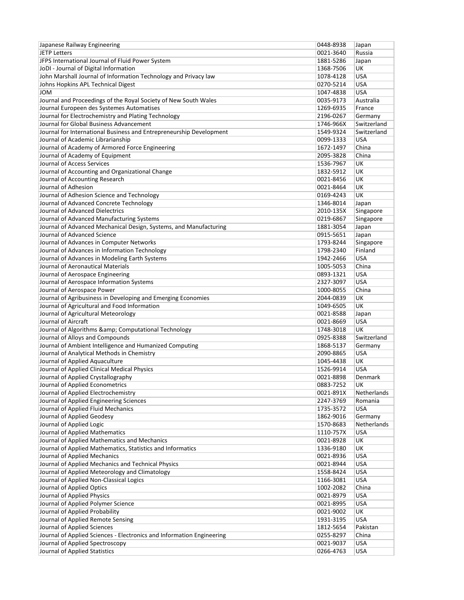| Japanese Railway Engineering                                                                                 | 0448-8938              | Japan               |
|--------------------------------------------------------------------------------------------------------------|------------------------|---------------------|
| <b>JETP Letters</b>                                                                                          | 0021-3640              | Russia              |
| JFPS International Journal of Fluid Power System                                                             | 1881-5286              | Japan               |
| JoDI - Journal of Digital Information                                                                        | 1368-7506              | UK                  |
| John Marshall Journal of Information Technology and Privacy law                                              | 1078-4128              | <b>USA</b>          |
| Johns Hopkins APL Technical Digest                                                                           | 0270-5214              | <b>USA</b>          |
| <b>MOL</b>                                                                                                   | 1047-4838              | <b>USA</b>          |
| Journal and Proceedings of the Royal Society of New South Wales                                              | 0035-9173              | Australia           |
| Journal Europeen des Systemes Automatises                                                                    | 1269-6935              | France              |
| Journal for Electrochemistry and Plating Technology                                                          | 2196-0267              | Germany             |
| Journal for Global Business Advancement                                                                      | 1746-966X              | Switzerland         |
| Journal for International Business and Entrepreneurship Development                                          | 1549-9324              | Switzerland         |
| Journal of Academic Librarianship                                                                            | 0099-1333              | <b>USA</b>          |
| Journal of Academy of Armored Force Engineering                                                              | 1672-1497              | China               |
| Journal of Academy of Equipment                                                                              | 2095-3828              | China               |
| Journal of Access Services                                                                                   | 1536-7967              | UK                  |
| Journal of Accounting and Organizational Change                                                              | 1832-5912              | UK                  |
| Journal of Accounting Research                                                                               | 0021-8456              | UK                  |
| Journal of Adhesion                                                                                          | 0021-8464              | UK                  |
| Journal of Adhesion Science and Technology                                                                   | 0169-4243              | UK                  |
| Journal of Advanced Concrete Technology                                                                      | 1346-8014              | Japan               |
| Journal of Advanced Dielectrics                                                                              | 2010-135X              | Singapore           |
| Journal of Advanced Manufacturing Systems                                                                    | 0219-6867              | Singapore           |
| Journal of Advanced Mechanical Design, Systems, and Manufacturing                                            | 1881-3054              | Japan               |
| Journal of Advanced Science                                                                                  | 0915-5651              | Japan               |
| Journal of Advances in Computer Networks                                                                     | 1793-8244              | Singapore           |
| Journal of Advances in Information Technology                                                                | 1798-2340              | Finland             |
| Journal of Advances in Modeling Earth Systems                                                                | 1942-2466              | <b>USA</b>          |
| Journal of Aeronautical Materials                                                                            | 1005-5053              | China               |
| Journal of Aerospace Engineering                                                                             | 0893-1321              | USA                 |
| Journal of Aerospace Information Systems                                                                     | 2327-3097              | <b>USA</b><br>China |
| Journal of Aerospace Power                                                                                   | 1000-8055              | UK                  |
| Journal of Agribusiness in Developing and Emerging Economies<br>Journal of Agricultural and Food Information | 2044-0839<br>1049-6505 | UK                  |
| Journal of Agricultural Meteorology                                                                          | 0021-8588              | Japan               |
| Journal of Aircraft                                                                                          | 0021-8669              | <b>USA</b>          |
| Journal of Algorithms & Computational Technology                                                             | 1748-3018              | UK                  |
| Journal of Alloys and Compounds                                                                              | 0925-8388              | Switzerland         |
| Journal of Ambient Intelligence and Humanized Computing                                                      | 1868-5137              | Germany             |
| Journal of Analytical Methods in Chemistry                                                                   | 2090-8865              | USA                 |
| Journal of Applied Aquaculture                                                                               | 1045-4438              | UK                  |
| Journal of Applied Clinical Medical Physics                                                                  | 1526-9914              | USA                 |
| Journal of Applied Crystallography                                                                           | 0021-8898              | Denmark             |
| Journal of Applied Econometrics                                                                              | 0883-7252              | UK                  |
| Journal of Applied Electrochemistry                                                                          | 0021-891X              | Netherlands         |
| Journal of Applied Engineering Sciences                                                                      | 2247-3769              | Romania             |
| Journal of Applied Fluid Mechanics                                                                           | 1735-3572              | <b>USA</b>          |
| Journal of Applied Geodesy                                                                                   | 1862-9016              | Germany             |
| Journal of Applied Logic                                                                                     | 1570-8683              | <b>Netherlands</b>  |
| Journal of Applied Mathematics                                                                               | 1110-757X              | USA                 |
| Journal of Applied Mathematics and Mechanics                                                                 | 0021-8928              | UK                  |
| Journal of Applied Mathematics, Statistics and Informatics                                                   | 1336-9180              | UK                  |
| Journal of Applied Mechanics                                                                                 | 0021-8936              | <b>USA</b>          |
| Journal of Applied Mechanics and Technical Physics                                                           | 0021-8944              | <b>USA</b>          |
| Journal of Applied Meteorology and Climatology                                                               | 1558-8424              | <b>USA</b>          |
| Journal of Applied Non-Classical Logics                                                                      | 1166-3081              | <b>USA</b>          |
| Journal of Applied Optics                                                                                    | 1002-2082              | China               |
| Journal of Applied Physics                                                                                   | 0021-8979              | <b>USA</b>          |
| Journal of Applied Polymer Science                                                                           | 0021-8995              | <b>USA</b>          |
| Journal of Applied Probability                                                                               | 0021-9002              | UK                  |
| Journal of Applied Remote Sensing                                                                            | 1931-3195              | USA                 |
| Journal of Applied Sciences                                                                                  | 1812-5654              | Pakistan            |
| Journal of Applied Sciences - Electronics and Information Engineering                                        | 0255-8297              | China               |
| Journal of Applied Spectroscopy                                                                              | 0021-9037              | <b>USA</b>          |
| Journal of Applied Statistics                                                                                | 0266-4763              | USA                 |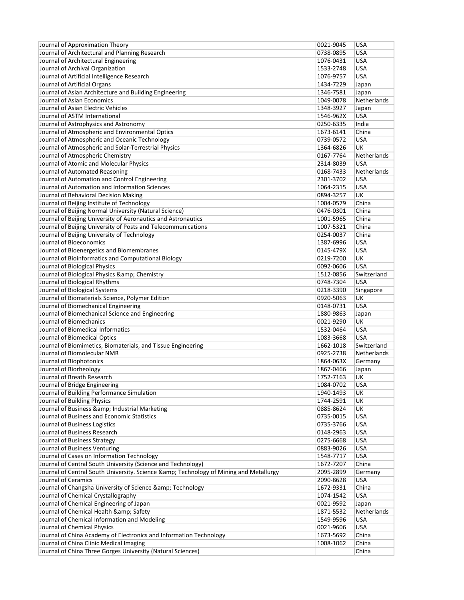| Journal of Approximation Theory                                                                              | 0021-9045              | USA                      |
|--------------------------------------------------------------------------------------------------------------|------------------------|--------------------------|
| Journal of Architectural and Planning Research                                                               | 0738-0895              | USA                      |
| Journal of Architectural Engineering                                                                         | 1076-0431              | USA                      |
| Journal of Archival Organization                                                                             | 1533-2748              | USA                      |
| Journal of Artificial Intelligence Research                                                                  | 1076-9757              | <b>USA</b>               |
| Journal of Artificial Organs                                                                                 | 1434-7229              | Japan                    |
| Journal of Asian Architecture and Building Engineering                                                       | 1346-7581              | Japan                    |
| Journal of Asian Economics                                                                                   | 1049-0078              | Netherlands              |
| Journal of Asian Electric Vehicles                                                                           | 1348-3927              | Japan                    |
| Journal of ASTM International                                                                                | 1546-962X              | <b>USA</b>               |
| Journal of Astrophysics and Astronomy                                                                        | 0250-6335              | India                    |
| Journal of Atmospheric and Environmental Optics                                                              | 1673-6141              | China                    |
| Journal of Atmospheric and Oceanic Technology                                                                | 0739-0572              | <b>USA</b>               |
| Journal of Atmospheric and Solar-Terrestrial Physics                                                         | 1364-6826              | UK                       |
| Journal of Atmospheric Chemistry                                                                             | 0167-7764              | Netherlands              |
| Journal of Atomic and Molecular Physics                                                                      | 2314-8039              | <b>USA</b>               |
| Journal of Automated Reasoning                                                                               | 0168-7433              | <b>Netherlands</b>       |
| Journal of Automation and Control Engineering                                                                | 2301-3702              | USA                      |
| Journal of Automation and Information Sciences                                                               | 1064-2315              | USA                      |
| Journal of Behavioral Decision Making                                                                        | 0894-3257              | UK                       |
| Journal of Beijing Institute of Technology                                                                   | 1004-0579              | China                    |
| Journal of Beijing Normal University (Natural Science)                                                       | 0476-0301              | China                    |
| Journal of Beijing University of Aeronautics and Astronautics                                                | 1001-5965              | China                    |
| Journal of Beijing University of Posts and Telecommunications<br>Journal of Beijing University of Technology | 1007-5321              | China<br>China           |
| Journal of Bioeconomics                                                                                      | 0254-0037              | USA                      |
| Journal of Bioenergetics and Biomembranes                                                                    | 1387-6996<br>0145-479X | USA                      |
| Journal of Bioinformatics and Computational Biology                                                          | 0219-7200              | UK                       |
| Journal of Biological Physics                                                                                | 0092-0606              | <b>USA</b>               |
| Journal of Biological Physics & Chemistry                                                                    | 1512-0856              | Switzerland              |
| Journal of Biological Rhythms                                                                                | 0748-7304              | USA                      |
| Journal of Biological Systems                                                                                | 0218-3390              | Singapore                |
| Journal of Biomaterials Science, Polymer Edition                                                             | 0920-5063              | UK                       |
| Journal of Biomechanical Engineering                                                                         | 0148-0731              | USA                      |
| Journal of Biomechanical Science and Engineering                                                             | 1880-9863              | Japan                    |
| Journal of Biomechanics                                                                                      | 0021-9290              | UK                       |
| Journal of Biomedical Informatics                                                                            | 1532-0464              | <b>USA</b>               |
| Journal of Biomedical Optics                                                                                 | 1083-3668              | USA                      |
| Journal of Biomimetics, Biomaterials, and Tissue Engineering                                                 | 1662-1018              | Switzerland              |
| Journal of Biomolecular NMR                                                                                  | 0925-2738              | Netherlands              |
| Journal of Biophotonics                                                                                      | 1864-063X              | Germany                  |
| Journal of Biorheology                                                                                       | 1867-0466              | Japan                    |
| Journal of Breath Research                                                                                   | 1752-7163              | UK                       |
| Journal of Bridge Engineering                                                                                | 1084-0702              | <b>USA</b>               |
| Journal of Building Performance Simulation                                                                   | 1940-1493              | UK                       |
| Journal of Building Physics                                                                                  | 1744-2591              | UK                       |
| Journal of Business & Industrial Marketing                                                                   | 0885-8624              | UK                       |
| Journal of Business and Economic Statistics                                                                  | 0735-0015              | <b>USA</b>               |
| Journal of Business Logistics                                                                                | 0735-3766              | <b>USA</b>               |
| Journal of Business Research                                                                                 | 0148-2963              | <b>USA</b>               |
| Journal of Business Strategy                                                                                 | 0275-6668              | <b>USA</b>               |
| Journal of Business Venturing                                                                                | 0883-9026              | <b>USA</b>               |
| Journal of Cases on Information Technology                                                                   | 1548-7717              | <b>USA</b>               |
| Journal of Central South University (Science and Technology)                                                 | 1672-7207              | China                    |
| Journal of Central South University. Science & Technology of Mining and Metallurgy                           | 2095-2899              | Germany                  |
| Journal of Ceramics                                                                                          | 2090-8628              | <b>USA</b>               |
| Journal of Changsha University of Science & Technology                                                       | 1672-9331              | China                    |
| Journal of Chemical Crystallography                                                                          | 1074-1542              | <b>USA</b>               |
| Journal of Chemical Engineering of Japan                                                                     | 0021-9592              | Japan                    |
| Journal of Chemical Health & Safety                                                                          | 1871-5532              | Netherlands              |
| Journal of Chemical Information and Modeling<br>Journal of Chemical Physics                                  | 1549-9596<br>0021-9606 | <b>USA</b><br><b>USA</b> |
| Journal of China Academy of Electronics and Information Technology                                           | 1673-5692              | China                    |
| Journal of China Clinic Medical Imaging                                                                      | 1008-1062              | China                    |
| Journal of China Three Gorges University (Natural Sciences)                                                  |                        | China                    |
|                                                                                                              |                        |                          |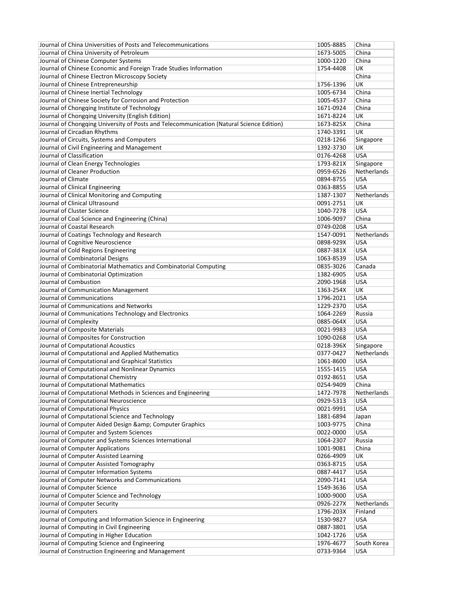| Journal of China Universities of Posts and Telecommunications                                   | 1005-8885 | China              |
|-------------------------------------------------------------------------------------------------|-----------|--------------------|
| Journal of China University of Petroleum                                                        | 1673-5005 | China              |
| Journal of Chinese Computer Systems                                                             | 1000-1220 | China              |
| Journal of Chinese Economic and Foreign Trade Studies Information                               | 1754-4408 | UK                 |
| Journal of Chinese Electron Microscopy Society                                                  |           | China              |
| Journal of Chinese Entrepreneurship                                                             | 1756-1396 | UK                 |
| Journal of Chinese Inertial Technology                                                          | 1005-6734 | China              |
| Journal of Chinese Society for Corrosion and Protection                                         | 1005-4537 | China              |
| Journal of Chongqing Institute of Technology                                                    | 1671-0924 | China              |
| Journal of Chongqing University (English Edition)                                               | 1671-8224 | UK                 |
| Journal of Chongqing University of Posts and Telecommunication (Natural Science Edition)        | 1673-825X | China              |
| Journal of Circadian Rhythms                                                                    | 1740-3391 | UK                 |
| Journal of Circuits, Systems and Computers                                                      | 0218-1266 | Singapore          |
| Journal of Civil Engineering and Management                                                     | 1392-3730 | UK                 |
| Journal of Classification                                                                       | 0176-4268 | USA                |
| Journal of Clean Energy Technologies                                                            | 1793-821X | Singapore          |
| Journal of Cleaner Production                                                                   | 0959-6526 | Netherlands        |
| Journal of Climate                                                                              |           | <b>USA</b>         |
|                                                                                                 | 0894-8755 |                    |
| Journal of Clinical Engineering                                                                 | 0363-8855 | USA                |
| Journal of Clinical Monitoring and Computing                                                    | 1387-1307 | Netherlands        |
| Journal of Clinical Ultrasound                                                                  | 0091-2751 | UK                 |
| Journal of Cluster Science                                                                      | 1040-7278 | <b>USA</b>         |
| Journal of Coal Science and Engineering (China)                                                 | 1006-9097 | China              |
| Journal of Coastal Research                                                                     | 0749-0208 | <b>USA</b>         |
| Journal of Coatings Technology and Research                                                     | 1547-0091 | <b>Netherlands</b> |
| Journal of Cognitive Neuroscience                                                               | 0898-929X | USA                |
| Journal of Cold Regions Engineering                                                             | 0887-381X | USA                |
| Journal of Combinatorial Designs                                                                | 1063-8539 | <b>USA</b>         |
| Journal of Combinatorial Mathematics and Combinatorial Computing                                | 0835-3026 | Canada             |
| Journal of Combinatorial Optimization                                                           | 1382-6905 | USA                |
| Journal of Combustion                                                                           | 2090-1968 | USA                |
| Journal of Communication Management                                                             | 1363-254X | UK                 |
| Journal of Communications                                                                       | 1796-2021 | <b>USA</b>         |
| Journal of Communications and Networks                                                          | 1229-2370 | USA                |
| Journal of Communications Technology and Electronics                                            | 1064-2269 | Russia             |
| Journal of Complexity                                                                           | 0885-064X | USA                |
| Journal of Composite Materials                                                                  | 0021-9983 | <b>USA</b>         |
| Journal of Composites for Construction                                                          | 1090-0268 | USA                |
| Journal of Computational Acoustics                                                              | 0218-396X | Singapore          |
| Journal of Computational and Applied Mathematics                                                | 0377-0427 | Netherlands        |
| Journal of Computational and Graphical Statistics                                               | 1061-8600 | <b>USA</b>         |
| Journal of Computational and Nonlinear Dynamics                                                 | 1555-1415 | USA                |
| Journal of Computational Chemistry                                                              | 0192-8651 | <b>USA</b>         |
| Journal of Computational Mathematics                                                            | 0254-9409 | China              |
| Journal of Computational Methods in Sciences and Engineering                                    | 1472-7978 | <b>Netherlands</b> |
| Journal of Computational Neuroscience                                                           | 0929-5313 | <b>USA</b>         |
| Journal of Computational Physics                                                                | 0021-9991 | <b>USA</b>         |
| Journal of Computational Science and Technology                                                 | 1881-6894 |                    |
|                                                                                                 |           | Japan              |
| Journal of Computer Aided Design & Computer Graphics<br>Journal of Computer and System Sciences | 1003-9775 | China              |
|                                                                                                 | 0022-0000 | <b>USA</b>         |
| Journal of Computer and Systems Sciences International                                          | 1064-2307 | Russia             |
| Journal of Computer Applications                                                                | 1001-9081 | China              |
| Journal of Computer Assisted Learning                                                           | 0266-4909 | UK                 |
| Journal of Computer Assisted Tomography                                                         | 0363-8715 | <b>USA</b>         |
| Journal of Computer Information Systems                                                         | 0887-4417 | USA                |
| Journal of Computer Networks and Communications                                                 | 2090-7141 | <b>USA</b>         |
| Journal of Computer Science                                                                     | 1549-3636 | <b>USA</b>         |
| Journal of Computer Science and Technology                                                      | 1000-9000 | <b>USA</b>         |
| Journal of Computer Security                                                                    | 0926-227X | Netherlands        |
| Journal of Computers                                                                            | 1796-203X | Finland            |
| Journal of Computing and Information Science in Engineering                                     | 1530-9827 | <b>USA</b>         |
| Journal of Computing in Civil Engineering                                                       | 0887-3801 | <b>USA</b>         |
| Journal of Computing in Higher Education                                                        | 1042-1726 | USA                |
| Journal of Computing Science and Engineering                                                    | 1976-4677 | South Korea        |
| Journal of Construction Engineering and Management                                              | 0733-9364 | USA                |
|                                                                                                 |           |                    |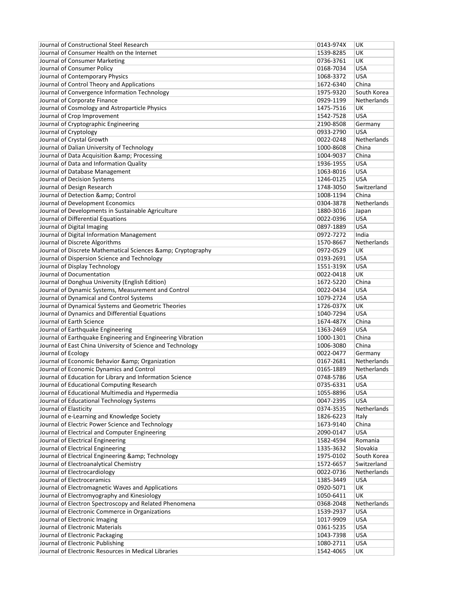| Journal of Constructional Steel Research                    | 0143-974X              | UK                       |
|-------------------------------------------------------------|------------------------|--------------------------|
| Journal of Consumer Health on the Internet                  | 1539-8285              | UK                       |
| Journal of Consumer Marketing                               | 0736-3761              | UK                       |
| Journal of Consumer Policy                                  | 0168-7034              | <b>USA</b>               |
| Journal of Contemporary Physics                             | 1068-3372              | <b>USA</b>               |
| Journal of Control Theory and Applications                  | 1672-6340              | China                    |
| Journal of Convergence Information Technology               | 1975-9320              | South Korea              |
| Journal of Corporate Finance                                | 0929-1199              | Netherlands              |
| Journal of Cosmology and Astroparticle Physics              | 1475-7516              | UK                       |
| Journal of Crop Improvement                                 | 1542-7528              | <b>USA</b>               |
| Journal of Cryptographic Engineering                        | 2190-8508              | Germany                  |
| Journal of Cryptology                                       | 0933-2790              | <b>USA</b>               |
| Journal of Crystal Growth                                   | 0022-0248              | Netherlands              |
| Journal of Dalian University of Technology                  | 1000-8608              | China                    |
| Journal of Data Acquisition & Processing                    | 1004-9037              | China                    |
| Journal of Data and Information Quality                     | 1936-1955              | <b>USA</b>               |
| Journal of Database Management                              | 1063-8016              | <b>USA</b>               |
| Journal of Decision Systems                                 | 1246-0125              | <b>USA</b>               |
| Journal of Design Research                                  | 1748-3050              | Switzerland              |
| Journal of Detection & Control                              | 1008-1194              | China                    |
| Journal of Development Economics                            | 0304-3878              | <b>Netherlands</b>       |
| Journal of Developments in Sustainable Agriculture          | 1880-3016              | Japan                    |
| Journal of Differential Equations                           | 0022-0396              | USA                      |
| Journal of Digital Imaging                                  | 0897-1889              | USA                      |
| Journal of Digital Information Management                   | 0972-7272              | India                    |
| Journal of Discrete Algorithms                              | 1570-8667              | <b>Netherlands</b>       |
| Journal of Discrete Mathematical Sciences & Cryptography    | 0972-0529              | UK                       |
| Journal of Dispersion Science and Technology                | 0193-2691              | <b>USA</b><br><b>USA</b> |
| Journal of Display Technology<br>Journal of Documentation   | 1551-319X<br>0022-0418 | UK                       |
| Journal of Donghua University (English Edition)             | 1672-5220              | China                    |
| Journal of Dynamic Systems, Measurement and Control         | 0022-0434              | USA                      |
| Journal of Dynamical and Control Systems                    | 1079-2724              | USA                      |
| Journal of Dynamical Systems and Geometric Theories         | 1726-037X              | UK                       |
| Journal of Dynamics and Differential Equations              | 1040-7294              | <b>USA</b>               |
| Journal of Earth Science                                    | 1674-487X              | China                    |
| Journal of Earthquake Engineering                           | 1363-2469              | <b>USA</b>               |
| Journal of Earthquake Engineering and Engineering Vibration | 1000-1301              | China                    |
| Journal of East China University of Science and Technology  | 1006-3080              | China                    |
| Journal of Ecology                                          | 0022-0477              | Germany                  |
| Journal of Economic Behavior & Organization                 | 0167-2681              | Netherlands              |
| Journal of Economic Dynamics and Control                    | 0165-1889              | Netherlands              |
| Journal of Education for Library and Information Science    | 0748-5786              | USA                      |
| Journal of Educational Computing Research                   | 0735-6331              | USA                      |
| Journal of Educational Multimedia and Hypermedia            | 1055-8896              | USA                      |
| Journal of Educational Technology Systems                   | 0047-2395              | <b>USA</b>               |
| Journal of Elasticity                                       | 0374-3535              | Netherlands              |
| Journal of e-Learning and Knowledge Society                 | 1826-6223              | Italy                    |
| Journal of Electric Power Science and Technology            | 1673-9140              | China                    |
| Journal of Electrical and Computer Engineering              | 2090-0147              | <b>USA</b>               |
| Journal of Electrical Engineering                           | 1582-4594              | Romania                  |
| Journal of Electrical Engineering                           | 1335-3632              | Slovakia                 |
| Journal of Electrical Engineering & Technology              | 1975-0102              | South Korea              |
| Journal of Electroanalytical Chemistry                      | 1572-6657              | Switzerland              |
| Journal of Electrocardiology                                | 0022-0736              | Netherlands              |
| Journal of Electroceramics                                  | 1385-3449              | USA                      |
| Journal of Electromagnetic Waves and Applications           | 0920-5071              | UK                       |
| Journal of Electromyography and Kinesiology                 | 1050-6411              | UK                       |
| Journal of Electron Spectroscopy and Related Phenomena      | 0368-2048              | Netherlands              |
| Journal of Electronic Commerce in Organizations             | 1539-2937              | <b>USA</b>               |
| Journal of Electronic Imaging                               | 1017-9909              | <b>USA</b>               |
| Journal of Electronic Materials                             | 0361-5235              | <b>USA</b>               |
| Journal of Electronic Packaging                             | 1043-7398              | <b>USA</b>               |
| Journal of Electronic Publishing                            | 1080-2711              | <b>USA</b>               |
| Journal of Electronic Resources in Medical Libraries        | 1542-4065              | UK                       |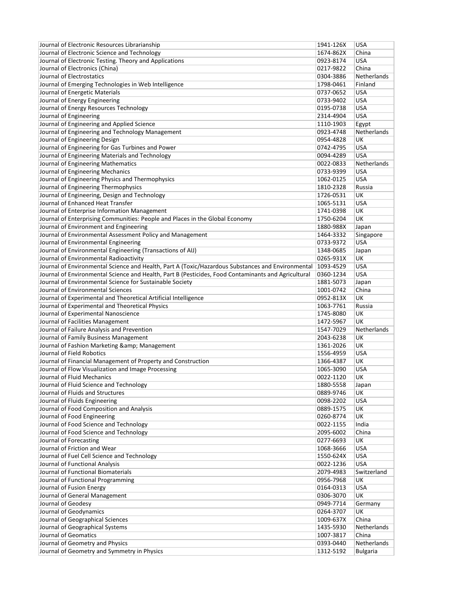| Journal of Electronic Resources Librarianship                                                       | 1941-126X | <b>USA</b>         |
|-----------------------------------------------------------------------------------------------------|-----------|--------------------|
| Journal of Electronic Science and Technology                                                        | 1674-862X | China              |
| Journal of Electronic Testing. Theory and Applications                                              | 0923-8174 | <b>USA</b>         |
| Journal of Electronics (China)                                                                      | 0217-9822 | China              |
| Journal of Electrostatics                                                                           | 0304-3886 | Netherlands        |
| Journal of Emerging Technologies in Web Intelligence                                                | 1798-0461 | Finland            |
| Journal of Energetic Materials                                                                      | 0737-0652 | <b>USA</b>         |
| Journal of Energy Engineering                                                                       | 0733-9402 | <b>USA</b>         |
| Journal of Energy Resources Technology                                                              | 0195-0738 | <b>USA</b>         |
| Journal of Engineering                                                                              | 2314-4904 | <b>USA</b>         |
| Journal of Engineering and Applied Science                                                          | 1110-1903 | Egypt              |
| Journal of Engineering and Technology Management                                                    | 0923-4748 | <b>Netherlands</b> |
|                                                                                                     | 0954-4828 | UK                 |
| Journal of Engineering Design                                                                       |           |                    |
| Journal of Engineering for Gas Turbines and Power                                                   | 0742-4795 | <b>USA</b>         |
| Journal of Engineering Materials and Technology                                                     | 0094-4289 | <b>USA</b>         |
| Journal of Engineering Mathematics                                                                  | 0022-0833 | Netherlands        |
| Journal of Engineering Mechanics                                                                    | 0733-9399 | <b>USA</b>         |
| Journal of Engineering Physics and Thermophysics                                                    | 1062-0125 | <b>USA</b>         |
| Journal of Engineering Thermophysics                                                                | 1810-2328 | Russia             |
| Journal of Engineering, Design and Technology                                                       | 1726-0531 | <b>UK</b>          |
| Journal of Enhanced Heat Transfer                                                                   | 1065-5131 | <b>USA</b>         |
| Journal of Enterprise Information Management                                                        | 1741-0398 | UK                 |
| Journal of Enterprising Communities: People and Places in the Global Economy                        | 1750-6204 | UK                 |
| Journal of Environment and Engineering                                                              | 1880-988X | Japan              |
| Journal of Environmental Assessment Policy and Management                                           | 1464-3332 | Singapore          |
| Journal of Environmental Engineering                                                                | 0733-9372 | <b>USA</b>         |
| Journal of Environmental Engineering (Transactions of AIJ)                                          | 1348-0685 | Japan              |
| Journal of Environmental Radioactivity                                                              | 0265-931X | UK                 |
|                                                                                                     |           | <b>USA</b>         |
| Journal of Environmental Science and Health, Part A (Toxic/Hazardous Substances and Environmental   | 1093-4529 |                    |
| Journal of Environmental Science and Health, Part B (Pesticides, Food Contaminants and Agricultural | 0360-1234 | <b>USA</b>         |
| Journal of Environmental Science for Sustainable Society                                            | 1881-5073 | Japan              |
| Journal of Environmental Sciences                                                                   | 1001-0742 | China              |
| Journal of Experimental and Theoretical Artificial Intelligence                                     | 0952-813X | UK                 |
| Journal of Experimental and Theoretical Physics                                                     | 1063-7761 | Russia             |
| Journal of Experimental Nanoscience                                                                 | 1745-8080 | UK                 |
| Journal of Facilities Management                                                                    | 1472-5967 | UK                 |
| Journal of Failure Analysis and Prevention                                                          | 1547-7029 | Netherlands        |
| Journal of Family Business Management                                                               | 2043-6238 | UK                 |
| Journal of Fashion Marketing & Management                                                           | 1361-2026 | UK                 |
| Journal of Field Robotics                                                                           | 1556-4959 | <b>USA</b>         |
| Journal of Financial Management of Property and Construction                                        | 1366-4387 | UK                 |
| Journal of Flow Visualization and Image Processing                                                  | 1065-3090 | <b>USA</b>         |
| Journal of Fluid Mechanics                                                                          | 0022-1120 | UK                 |
| Journal of Fluid Science and Technology                                                             | 1880-5558 | Japan              |
| Journal of Fluids and Structures                                                                    | 0889-9746 | UK                 |
| Journal of Fluids Engineering                                                                       | 0098-2202 | <b>USA</b>         |
| Journal of Food Composition and Analysis                                                            | 0889-1575 | UK                 |
| Journal of Food Engineering                                                                         | 0260-8774 | UK                 |
| Journal of Food Science and Technology                                                              | 0022-1155 | India              |
|                                                                                                     |           |                    |
| Journal of Food Science and Technology                                                              | 2095-6002 | China              |
| Journal of Forecasting                                                                              | 0277-6693 | UK                 |
| Journal of Friction and Wear                                                                        | 1068-3666 | <b>USA</b>         |
| Journal of Fuel Cell Science and Technology                                                         | 1550-624X | <b>USA</b>         |
| Journal of Functional Analysis                                                                      | 0022-1236 | <b>USA</b>         |
| Journal of Functional Biomaterials                                                                  | 2079-4983 | Switzerland        |
| Journal of Functional Programming                                                                   | 0956-7968 | UK                 |
| Journal of Fusion Energy                                                                            | 0164-0313 | <b>USA</b>         |
| Journal of General Management                                                                       | 0306-3070 | UK                 |
| Journal of Geodesy                                                                                  | 0949-7714 | Germany            |
| Journal of Geodynamics                                                                              | 0264-3707 | UK                 |
| Journal of Geographical Sciences                                                                    | 1009-637X | China              |
| Journal of Geographical Systems                                                                     | 1435-5930 | Netherlands        |
| Journal of Geomatics                                                                                | 1007-3817 | China              |
| Journal of Geometry and Physics                                                                     | 0393-0440 | Netherlands        |
| Journal of Geometry and Symmetry in Physics                                                         | 1312-5192 | <b>Bulgaria</b>    |
|                                                                                                     |           |                    |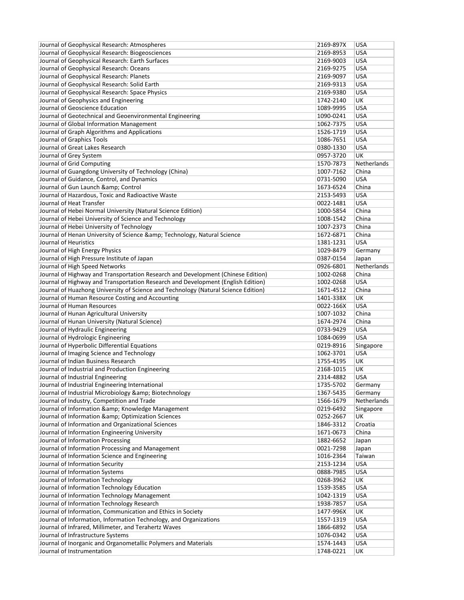| Journal of Geophysical Research: Atmospheres                                                 | 2169-897X              | <b>USA</b>       |
|----------------------------------------------------------------------------------------------|------------------------|------------------|
| Journal of Geophysical Research: Biogeosciences                                              | 2169-8953              | <b>USA</b>       |
| Journal of Geophysical Research: Earth Surfaces                                              | 2169-9003              | <b>USA</b>       |
| Journal of Geophysical Research: Oceans                                                      | 2169-9275              | <b>USA</b>       |
| Journal of Geophysical Research: Planets                                                     | 2169-9097              | <b>USA</b>       |
| Journal of Geophysical Research: Solid Earth                                                 | 2169-9313              | <b>USA</b>       |
| Journal of Geophysical Research: Space Physics                                               | 2169-9380              | <b>USA</b>       |
| Journal of Geophysics and Engineering                                                        | 1742-2140              | UK               |
| Journal of Geoscience Education                                                              | 1089-9995              | <b>USA</b>       |
| Journal of Geotechnical and Geoenvironmental Engineering                                     | 1090-0241              | <b>USA</b>       |
| Journal of Global Information Management                                                     | 1062-7375              | <b>USA</b>       |
| Journal of Graph Algorithms and Applications                                                 | 1526-1719              | <b>USA</b>       |
| Journal of Graphics Tools                                                                    | 1086-7651              | <b>USA</b>       |
| Journal of Great Lakes Research                                                              | 0380-1330              | <b>USA</b>       |
| Journal of Grey System                                                                       | 0957-3720              | UK               |
| Journal of Grid Computing                                                                    | 1570-7873              | Netherlands      |
| Journal of Guangdong University of Technology (China)                                        | 1007-7162              | China            |
| Journal of Guidance, Control, and Dynamics                                                   | 0731-5090              | <b>USA</b>       |
| Journal of Gun Launch & Control                                                              | 1673-6524              | China            |
| Journal of Hazardous, Toxic and Radioactive Waste                                            | 2153-5493              | <b>USA</b>       |
| Journal of Heat Transfer                                                                     | 0022-1481              | <b>USA</b>       |
|                                                                                              | 1000-5854              | China            |
| Journal of Hebei Normal University (Natural Science Edition)                                 | 1008-1542              | China            |
| Journal of Hebei University of Science and Technology                                        |                        |                  |
| Journal of Hebei University of Technology                                                    | 1007-2373              | China            |
| Journal of Henan University of Science & Technology, Natural Science                         | 1672-6871              | China            |
| Journal of Heuristics                                                                        | 1381-1231              | <b>USA</b>       |
| Journal of High Energy Physics                                                               | 1029-8479              | Germany          |
| Journal of High Pressure Institute of Japan                                                  | 0387-0154              | Japan            |
| Journal of High Speed Networks                                                               | 0926-6801              | Netherlands      |
| Journal of Highway and Transportation Research and Development (Chinese Edition)             | 1002-0268              | China            |
| Journal of Highway and Transportation Research and Development (English Edition)             | 1002-0268              | <b>USA</b>       |
| Journal of Huazhong University of Science and Technology (Natural Science Edition)           | 1671-4512              | China            |
| Journal of Human Resource Costing and Accounting                                             | 1401-338X              | UK               |
| Journal of Human Resources                                                                   | 0022-166X              | <b>USA</b>       |
| Journal of Hunan Agricultural University                                                     | 1007-1032              | China            |
| Journal of Hunan University (Natural Science)                                                | 1674-2974              | China            |
| Journal of Hydraulic Engineering                                                             | 0733-9429              | <b>USA</b>       |
| Journal of Hydrologic Engineering                                                            | 1084-0699              | <b>USA</b>       |
| Journal of Hyperbolic Differential Equations                                                 | 0219-8916              | Singapore        |
| Journal of Imaging Science and Technology                                                    | 1062-3701              | <b>USA</b>       |
| Journal of Indian Business Research                                                          | 1755-4195              | UK               |
| Journal of Industrial and Production Engineering                                             | 2168-1015              | UK               |
| Journal of Industrial Engineering                                                            | 2314-4882              | <b>USA</b>       |
| Journal of Industrial Engineering International                                              | 1735-5702              | Germany          |
| Journal of Industrial Microbiology & Biotechnology                                           | 1367-5435              | Germany          |
| Journal of Industry, Competition and Trade                                                   | 1566-1679              | Netherlands      |
| Journal of Information & Knowledge Management                                                | 0219-6492              | Singapore        |
| Journal of Information & Optimization Sciences                                               | 0252-2667              | UK               |
| Journal of Information and Organizational Sciences                                           | 1846-3312              | Croatia          |
| Journal of Information Engineering University                                                | 1671-0673              | China            |
| Journal of Information Processing                                                            | 1882-6652              | Japan            |
| Journal of Information Processing and Management                                             | 0021-7298              | Japan            |
| Journal of Information Science and Engineering                                               | 1016-2364              | Taiwan           |
| Journal of Information Security                                                              | 2153-1234              | <b>USA</b>       |
| Journal of Information Systems                                                               | 0888-7985              | <b>USA</b>       |
| Journal of Information Technology                                                            | 0268-3962              | UK               |
| Journal of Information Technology Education                                                  | 1539-3585              | <b>USA</b>       |
| Journal of Information Technology Management                                                 | 1042-1319              | <b>USA</b>       |
| Journal of Information Technology Research                                                   | 1938-7857              | <b>USA</b>       |
| Journal of Information, Communication and Ethics in Society                                  | 1477-996X              | UK               |
| Journal of Information, Information Technology, and Organizations                            |                        |                  |
|                                                                                              |                        |                  |
|                                                                                              | 1557-1319              | <b>USA</b>       |
| Journal of Infrared, Millimeter, and Terahertz Waves                                         | 1866-6892              | <b>USA</b>       |
| Journal of Infrastructure Systems                                                            | 1076-0342              | <b>USA</b>       |
| Journal of Inorganic and Organometallic Polymers and Materials<br>Journal of Instrumentation | 1574-1443<br>1748-0221 | <b>USA</b><br>UK |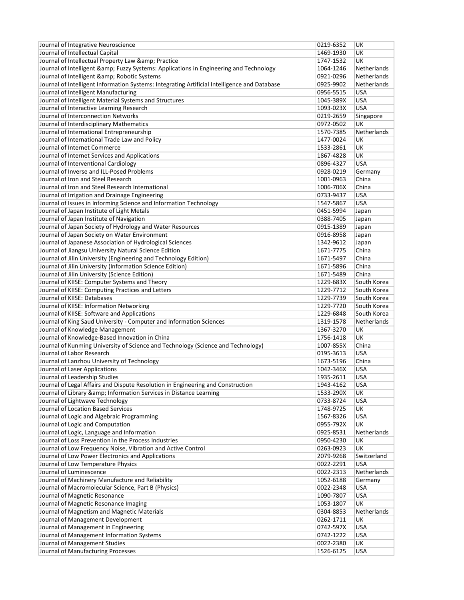| Journal of Integrative Neuroscience                                                                           | 0219-6352              | UK          |
|---------------------------------------------------------------------------------------------------------------|------------------------|-------------|
| Journal of Intellectual Capital                                                                               | 1469-1930              | UK          |
| Journal of Intellectual Property Law & Practice                                                               | 1747-1532              | UK          |
| Journal of Intelligent & Fuzzy Systems: Applications in Engineering and Technology                            | 1064-1246              | Netherlands |
| Journal of Intelligent & Robotic Systems                                                                      | 0921-0296              | Netherlands |
| Journal of Intelligent Information Systems: Integrating Artificial Intelligence and Database                  | 0925-9902              | Netherlands |
| Journal of Intelligent Manufacturing                                                                          | 0956-5515              | USA         |
| Journal of Intelligent Material Systems and Structures                                                        | 1045-389X              | USA         |
| Journal of Interactive Learning Research                                                                      | 1093-023X              | <b>USA</b>  |
| Journal of Interconnection Networks                                                                           | 0219-2659              | Singapore   |
| Journal of Interdisciplinary Mathematics                                                                      | 0972-0502              | UK          |
| Journal of International Entrepreneurship                                                                     | 1570-7385              | Netherlands |
| Journal of International Trade Law and Policy                                                                 | 1477-0024              | UK          |
| Journal of Internet Commerce                                                                                  | 1533-2861              | UK          |
| Journal of Internet Services and Applications                                                                 | 1867-4828              | UK          |
| Journal of Interventional Cardiology                                                                          | 0896-4327              | <b>USA</b>  |
| Journal of Inverse and ILL-Posed Problems                                                                     | 0928-0219              | Germany     |
| Journal of Iron and Steel Research                                                                            | 1001-0963              | China       |
| Journal of Iron and Steel Research International                                                              | 1006-706X              | China       |
| Journal of Irrigation and Drainage Engineering                                                                | 0733-9437              | <b>USA</b>  |
| Journal of Issues in Informing Science and Information Technology                                             | 1547-5867              | <b>USA</b>  |
| Journal of Japan Institute of Light Metals                                                                    | 0451-5994              | Japan       |
| Journal of Japan Institute of Navigation                                                                      | 0388-7405              | Japan       |
| Journal of Japan Society of Hydrology and Water Resources                                                     | 0915-1389              | Japan       |
| Journal of Japan Society on Water Environment                                                                 | 0916-8958              | Japan       |
| Journal of Japanese Association of Hydrological Sciences                                                      | 1342-9612              | Japan       |
| Journal of Jiangsu University Natural Science Edition                                                         | 1671-7775              | China       |
| Journal of Jilin University (Engineering and Technology Edition)                                              | 1671-5497              | China       |
| Journal of Jilin University (Information Science Edition)                                                     | 1671-5896              | China       |
| Journal of Jilin University (Science Edition)                                                                 | 1671-5489              | China       |
| Journal of KIISE: Computer Systems and Theory                                                                 | 1229-683X              | South Korea |
| Journal of KIISE: Computing Practices and Letters                                                             | 1229-7712              | South Korea |
| Journal of KIISE: Databases                                                                                   | 1229-7739              | South Korea |
| Journal of KIISE: Information Networking                                                                      | 1229-7720              | South Korea |
| Journal of KIISE: Software and Applications                                                                   |                        | South Korea |
|                                                                                                               | 1229-6848              |             |
| Journal of King Saud University - Computer and Information Sciences                                           | 1319-1578              | Netherlands |
| Journal of Knowledge Management                                                                               | 1367-3270<br>1756-1418 | UK          |
| Journal of Knowledge-Based Innovation in China                                                                |                        | UK<br>China |
| Journal of Kunming University of Science and Technology (Science and Technology)<br>Journal of Labor Research | 1007-855X              | <b>USA</b>  |
|                                                                                                               | 0195-3613              | China       |
| Journal of Lanzhou University of Technology                                                                   | 1673-5196              |             |
| Journal of Laser Applications                                                                                 | 1042-346X              | USA         |
| Journal of Leadership Studies                                                                                 | 1935-2611              | <b>USA</b>  |
| Journal of Legal Affairs and Dispute Resolution in Engineering and Construction                               | 1943-4162              | <b>USA</b>  |
| Journal of Library & Information Services in Distance Learning                                                | 1533-290X              | UK          |
| Journal of Lightwave Technology                                                                               | 0733-8724              | <b>USA</b>  |
| Journal of Location Based Services                                                                            | 1748-9725              | UK          |
| Journal of Logic and Algebraic Programming                                                                    | 1567-8326              | <b>USA</b>  |
| Journal of Logic and Computation                                                                              | 0955-792X              | UK          |
| Journal of Logic, Language and Information                                                                    | 0925-8531              | Netherlands |
| Journal of Loss Prevention in the Process Industries                                                          | 0950-4230              | UK          |
| Journal of Low Frequency Noise, Vibration and Active Control                                                  | 0263-0923              | UK          |
| Journal of Low Power Electronics and Applications                                                             | 2079-9268              | Switzerland |
| Journal of Low Temperature Physics                                                                            | 0022-2291              | <b>USA</b>  |
| Journal of Luminescence                                                                                       | 0022-2313              | Netherlands |
| Journal of Machinery Manufacture and Reliability                                                              | 1052-6188              | Germany     |
| Journal of Macromolecular Science, Part B (Physics)                                                           | 0022-2348              | <b>USA</b>  |
| Journal of Magnetic Resonance                                                                                 | 1090-7807              | <b>USA</b>  |
| Journal of Magnetic Resonance Imaging                                                                         | 1053-1807              | UK          |
| Journal of Magnetism and Magnetic Materials                                                                   | 0304-8853              | Netherlands |
| Journal of Management Development                                                                             | 0262-1711              | UK          |
| Journal of Management in Engineering                                                                          | 0742-597X              | <b>USA</b>  |
| Journal of Management Information Systems                                                                     | 0742-1222              | <b>USA</b>  |
| Journal of Management Studies                                                                                 | 0022-2380              | UK          |
| Journal of Manufacturing Processes                                                                            | 1526-6125              | USA         |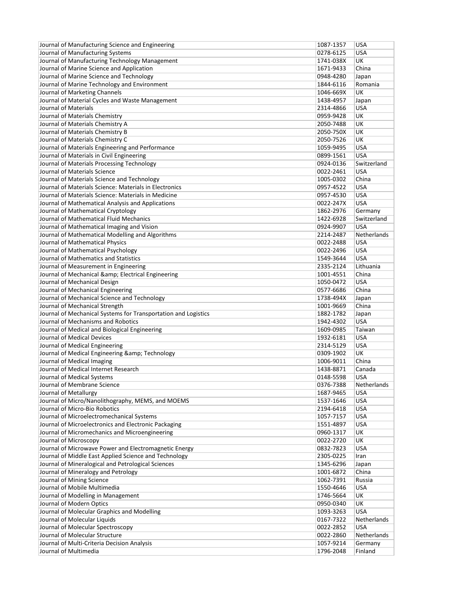| Journal of Manufacturing Science and Engineering                               | 1087-1357              | USA                |
|--------------------------------------------------------------------------------|------------------------|--------------------|
| Journal of Manufacturing Systems                                               | 0278-6125              | USA                |
| Journal of Manufacturing Technology Management                                 | 1741-038X              | UK                 |
| Journal of Marine Science and Application                                      | 1671-9433              | China              |
| Journal of Marine Science and Technology                                       | 0948-4280              | Japan              |
| Journal of Marine Technology and Environment                                   | 1844-6116              | Romania            |
| Journal of Marketing Channels                                                  | 1046-669X              | UK                 |
| Journal of Material Cycles and Waste Management                                | 1438-4957              | Japan              |
| Journal of Materials                                                           | 2314-4866              | USA                |
| Journal of Materials Chemistry                                                 | 0959-9428              | UK                 |
| Journal of Materials Chemistry A                                               | 2050-7488              | UK                 |
| Journal of Materials Chemistry B                                               | 2050-750X              | UK                 |
| Journal of Materials Chemistry C                                               | 2050-7526              | UK                 |
| Journal of Materials Engineering and Performance                               | 1059-9495              | <b>USA</b>         |
| Journal of Materials in Civil Engineering                                      | 0899-1561              | <b>USA</b>         |
| Journal of Materials Processing Technology                                     | 0924-0136              | Switzerland        |
| Journal of Materials Science                                                   | 0022-2461              | <b>USA</b>         |
| Journal of Materials Science and Technology                                    | 1005-0302              | China              |
| Journal of Materials Science: Materials in Electronics                         | 0957-4522              | USA                |
| Journal of Materials Science: Materials in Medicine                            | 0957-4530              | <b>USA</b>         |
| Journal of Mathematical Analysis and Applications                              | 0022-247X              | <b>USA</b>         |
| Journal of Mathematical Cryptology                                             | 1862-2976              | Germany            |
| Journal of Mathematical Fluid Mechanics                                        | 1422-6928              | Switzerland        |
| Journal of Mathematical Imaging and Vision                                     | 0924-9907              | <b>USA</b>         |
| Journal of Mathematical Modelling and Algorithms                               | 2214-2487              | Netherlands        |
| Journal of Mathematical Physics                                                | 0022-2488              | USA                |
| Journal of Mathematical Psychology<br>Journal of Mathematics and Statistics    | 0022-2496              | USA                |
|                                                                                | 1549-3644              | <b>USA</b>         |
| Journal of Measurement in Engineering                                          | 2335-2124<br>1001-4551 | Lithuania<br>China |
| Journal of Mechanical & Electrical Engineering<br>Journal of Mechanical Design |                        | <b>USA</b>         |
| Journal of Mechanical Engineering                                              | 1050-0472<br>0577-6686 | China              |
| Journal of Mechanical Science and Technology                                   | 1738-494X              | Japan              |
| Journal of Mechanical Strength                                                 | 1001-9669              | China              |
| Journal of Mechanical Systems for Transportation and Logistics                 | 1882-1782              | Japan              |
| Journal of Mechanisms and Robotics                                             | 1942-4302              | <b>USA</b>         |
| Journal of Medical and Biological Engineering                                  | 1609-0985              | Taiwan             |
| Journal of Medical Devices                                                     | 1932-6181              | USA                |
| Journal of Medical Engineering                                                 | 2314-5129              | <b>USA</b>         |
| Journal of Medical Engineering & Technology                                    | 0309-1902              | UK                 |
| Journal of Medical Imaging                                                     | 1006-9011              | China              |
| Journal of Medical Internet Research                                           | 1438-8871              | Canada             |
| Journal of Medical Systems                                                     | 0148-5598              | USA                |
| Journal of Membrane Science                                                    | 0376-7388              | Netherlands        |
| Journal of Metallurgy                                                          | 1687-9465              | USA                |
| Journal of Micro/Nanolithography, MEMS, and MOEMS                              | 1537-1646              | <b>USA</b>         |
| Journal of Micro-Bio Robotics                                                  | 2194-6418              | <b>USA</b>         |
| Journal of Microelectromechanical Systems                                      | 1057-7157              | <b>USA</b>         |
| Journal of Microelectronics and Electronic Packaging                           | 1551-4897              | <b>USA</b>         |
| Journal of Micromechanics and Microengineering                                 | 0960-1317              | UK                 |
| Journal of Microscopy                                                          | 0022-2720              | UK                 |
| Journal of Microwave Power and Electromagnetic Energy                          | 0832-7823              | <b>USA</b>         |
| Journal of Middle East Applied Science and Technology                          | 2305-0225              | Iran               |
| Journal of Mineralogical and Petrological Sciences                             | 1345-6296              | Japan              |
| Journal of Mineralogy and Petrology                                            | 1001-6872              | China              |
| Journal of Mining Science                                                      | 1062-7391              | Russia             |
| Journal of Mobile Multimedia                                                   | 1550-4646              | USA                |
| Journal of Modelling in Management                                             | 1746-5664              | UK                 |
| Journal of Modern Optics                                                       | 0950-0340              | UK                 |
| Journal of Molecular Graphics and Modelling                                    | 1093-3263              | <b>USA</b>         |
| Journal of Molecular Liquids                                                   | 0167-7322              | Netherlands        |
| Journal of Molecular Spectroscopy                                              | 0022-2852              | <b>USA</b>         |
| Journal of Molecular Structure                                                 | 0022-2860              | Netherlands        |
| Journal of Multi-Criteria Decision Analysis                                    | 1057-9214              | Germany            |
| Journal of Multimedia                                                          | 1796-2048              | Finland            |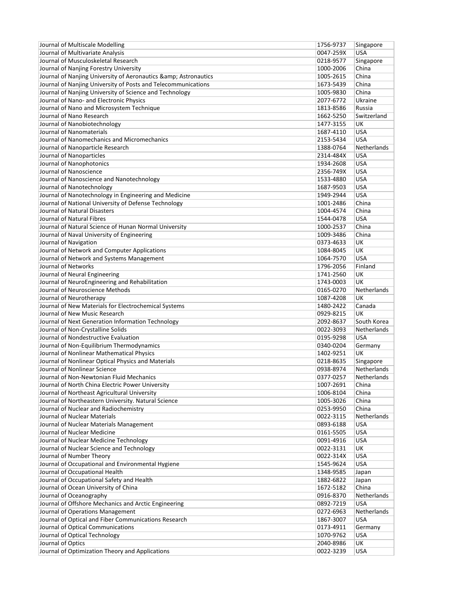| Journal of Multiscale Modelling                               | 1756-9737 | Singapore          |
|---------------------------------------------------------------|-----------|--------------------|
| Journal of Multivariate Analysis                              | 0047-259X | <b>USA</b>         |
| Journal of Musculoskeletal Research                           | 0218-9577 | Singapore          |
| Journal of Nanjing Forestry University                        | 1000-2006 | China              |
| Journal of Nanjing University of Aeronautics & Astronautics   | 1005-2615 | China              |
| Journal of Nanjing University of Posts and Telecommunications | 1673-5439 | China              |
| Journal of Nanjing University of Science and Technology       | 1005-9830 | China              |
| Journal of Nano- and Electronic Physics                       | 2077-6772 | Ukraine            |
| Journal of Nano and Microsystem Technique                     | 1813-8586 | Russia             |
| Journal of Nano Research                                      | 1662-5250 | Switzerland        |
| Journal of Nanobiotechnology                                  | 1477-3155 | UK                 |
| Journal of Nanomaterials                                      | 1687-4110 | <b>USA</b>         |
| Journal of Nanomechanics and Micromechanics                   | 2153-5434 | <b>USA</b>         |
| Journal of Nanoparticle Research                              | 1388-0764 | Netherlands        |
| Journal of Nanoparticles                                      | 2314-484X | <b>USA</b>         |
| Journal of Nanophotonics                                      | 1934-2608 | <b>USA</b>         |
| Journal of Nanoscience                                        | 2356-749X | <b>USA</b>         |
| Journal of Nanoscience and Nanotechnology                     | 1533-4880 | <b>USA</b>         |
| Journal of Nanotechnology                                     | 1687-9503 | <b>USA</b>         |
| Journal of Nanotechnology in Engineering and Medicine         | 1949-2944 | <b>USA</b>         |
| Journal of National University of Defense Technology          | 1001-2486 | China              |
| Journal of Natural Disasters                                  | 1004-4574 | China              |
| Journal of Natural Fibres                                     | 1544-0478 | <b>USA</b>         |
| Journal of Natural Science of Hunan Normal University         | 1000-2537 | China              |
| Journal of Naval University of Engineering                    | 1009-3486 | China              |
| Journal of Navigation                                         | 0373-4633 | UK                 |
| Journal of Network and Computer Applications                  | 1084-8045 | UK                 |
| Journal of Network and Systems Management                     | 1064-7570 | <b>USA</b>         |
| Journal of Networks                                           | 1796-2056 | Finland            |
| Journal of Neural Engineering                                 | 1741-2560 | UK                 |
| Journal of NeuroEngineering and Rehabilitation                | 1743-0003 | UK                 |
| Journal of Neuroscience Methods                               | 0165-0270 | <b>Netherlands</b> |
| Journal of Neurotherapy                                       | 1087-4208 | UK                 |
| Journal of New Materials for Electrochemical Systems          | 1480-2422 | Canada             |
| Journal of New Music Research                                 | 0929-8215 | UK                 |
| Journal of Next Generation Information Technology             | 2092-8637 | South Korea        |
| Journal of Non-Crystalline Solids                             | 0022-3093 | Netherlands        |
| Journal of Nondestructive Evaluation                          | 0195-9298 | <b>USA</b>         |
| Journal of Non-Equilibrium Thermodynamics                     | 0340-0204 | Germany            |
| Journal of Nonlinear Mathematical Physics                     | 1402-9251 | UK                 |
| Journal of Nonlinear Optical Physics and Materials            | 0218-8635 | Singapore          |
| Journal of Nonlinear Science                                  | 0938-8974 | Netherlands        |
| Journal of Non-Newtonian Fluid Mechanics                      | 0377-0257 | Netherlands        |
| Journal of North China Electric Power University              | 1007-2691 | China              |
| Journal of Northeast Agricultural University                  | 1006-8104 | China              |
| Journal of Northeastern University. Natural Science           | 1005-3026 | China              |
| Journal of Nuclear and Radiochemistry                         | 0253-9950 | China              |
| Journal of Nuclear Materials                                  | 0022-3115 | Netherlands        |
| Journal of Nuclear Materials Management                       | 0893-6188 | <b>USA</b>         |
| Journal of Nuclear Medicine                                   | 0161-5505 | <b>USA</b>         |
| Journal of Nuclear Medicine Technology                        | 0091-4916 | <b>USA</b>         |
| Journal of Nuclear Science and Technology                     | 0022-3131 | UK                 |
| Journal of Number Theory                                      | 0022-314X | <b>USA</b>         |
| Journal of Occupational and Environmental Hygiene             | 1545-9624 | <b>USA</b>         |
| Journal of Occupational Health                                | 1348-9585 | Japan              |
| Journal of Occupational Safety and Health                     | 1882-6822 | Japan              |
| Journal of Ocean University of China                          | 1672-5182 | China              |
| Journal of Oceanography                                       | 0916-8370 | Netherlands        |
| Journal of Offshore Mechanics and Arctic Engineering          | 0892-7219 | <b>USA</b>         |
| Journal of Operations Management                              | 0272-6963 | Netherlands        |
| Journal of Optical and Fiber Communications Research          | 1867-3007 | <b>USA</b>         |
| Journal of Optical Communications                             | 0173-4911 | Germany            |
| Journal of Optical Technology                                 | 1070-9762 | <b>USA</b>         |
| Journal of Optics                                             | 2040-8986 | UK                 |
| Journal of Optimization Theory and Applications               | 0022-3239 | <b>USA</b>         |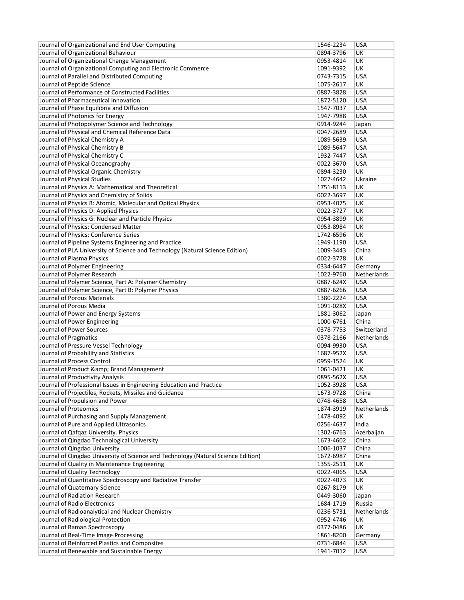| Journal of Organizational and End User Computing                                  | 1546-2234 | USA         |
|-----------------------------------------------------------------------------------|-----------|-------------|
| Journal of Organizational Behaviour                                               | 0894-3796 | UK          |
| Journal of Organizational Change Management                                       | 0953-4814 | UK          |
| Journal of Organizational Computing and Electronic Commerce                       | 1091-9392 | UK          |
| Journal of Parallel and Distributed Computing                                     | 0743-7315 | USA         |
| Journal of Peptide Science                                                        | 1075-2617 | UK          |
| Journal of Performance of Constructed Facilities                                  | 0887-3828 | USA         |
| Journal of Pharmaceutical Innovation                                              | 1872-5120 | <b>USA</b>  |
| Journal of Phase Equilibria and Diffusion                                         | 1547-7037 | <b>USA</b>  |
| Journal of Photonics for Energy                                                   | 1947-7988 | <b>USA</b>  |
| Journal of Photopolymer Science and Technology                                    | 0914-9244 | Japan       |
| Journal of Physical and Chemical Reference Data                                   | 0047-2689 | <b>USA</b>  |
| Journal of Physical Chemistry A                                                   | 1089-5639 | <b>USA</b>  |
| Journal of Physical Chemistry B                                                   | 1089-5647 | USA         |
| Journal of Physical Chemistry C                                                   | 1932-7447 | USA         |
| Journal of Physical Oceanography                                                  | 0022-3670 | USA         |
| Journal of Physical Organic Chemistry                                             | 0894-3230 | UK          |
| Journal of Physical Studies                                                       | 1027-4642 | Ukraine     |
|                                                                                   |           |             |
| Journal of Physics A: Mathematical and Theoretical                                | 1751-8113 | UK          |
| Journal of Physics and Chemistry of Solids                                        | 0022-3697 | UK          |
| Journal of Physics B: Atomic, Molecular and Optical Physics                       | 0953-4075 | UK          |
| Journal of Physics D: Applied Physics                                             | 0022-3727 | UK          |
| Journal of Physics G: Nuclear and Particle Physics                                | 0954-3899 | UK          |
| Journal of Physics: Condensed Matter                                              | 0953-8984 | UK          |
| Journal of Physics: Conference Series                                             | 1742-6596 | UK          |
| Journal of Pipeline Systems Engineering and Practice                              | 1949-1190 | USA         |
| Journal of PLA University of Science and Technology (Natural Science Edition)     | 1009-3443 | China       |
| Journal of Plasma Physics                                                         | 0022-3778 | UK          |
| Journal of Polymer Engineering                                                    | 0334-6447 | Germany     |
| Journal of Polymer Research                                                       | 1022-9760 | Netherlands |
| Journal of Polymer Science, Part A: Polymer Chemistry                             | 0887-624X | <b>USA</b>  |
| Journal of Polymer Science, Part B: Polymer Physics                               | 0887-6266 | USA         |
| Journal of Porous Materials                                                       | 1380-2224 | <b>USA</b>  |
| Journal of Porous Media                                                           | 1091-028X | USA         |
| Journal of Power and Energy Systems                                               | 1881-3062 | Japan       |
| Journal of Power Engineering                                                      | 1000-6761 | China       |
| Journal of Power Sources                                                          | 0378-7753 | Switzerland |
| Journal of Pragmatics                                                             | 0378-2166 | Netherlands |
| Journal of Pressure Vessel Technology                                             | 0094-9930 | USA         |
| Journal of Probability and Statistics                                             | 1687-952X | USA         |
| Journal of Process Control                                                        | 0959-1524 | UK          |
| Journal of Product & Brand Management                                             | 1061-0421 | UK          |
| Journal of Productivity Analysis                                                  | 0895-562X | USA         |
| Journal of Professional Issues in Engineering Education and Practice              | 1052-3928 | <b>USA</b>  |
| Journal of Projectiles, Rockets, Missiles and Guidance                            | 1673-9728 | China       |
| Journal of Propulsion and Power                                                   | 0748-4658 | <b>USA</b>  |
| Journal of Proteomics                                                             |           |             |
|                                                                                   | 1874-3919 | Netherlands |
| Journal of Purchasing and Supply Management                                       | 1478-4092 | UK          |
| Journal of Pure and Applied Ultrasonics                                           | 0256-4637 | India       |
| Journal of Qafqaz University. Physics                                             | 1302-6763 | Azerbaijan  |
| Journal of Qingdao Technological University                                       | 1673-4602 | China       |
| Journal of Qingdao University                                                     | 1006-1037 | China       |
| Journal of Qingdao University of Science and Technology (Natural Science Edition) | 1672-6987 | China       |
| Journal of Quality in Maintenance Engineering                                     | 1355-2511 | UK          |
| Journal of Quality Technology                                                     | 0022-4065 | <b>USA</b>  |
| Journal of Quantitative Spectroscopy and Radiative Transfer                       | 0022-4073 | UK          |
| Journal of Quaternary Science                                                     | 0267-8179 | UK          |
| Journal of Radiation Research                                                     | 0449-3060 | Japan       |
| Journal of Radio Electronics                                                      | 1684-1719 | Russia      |
| Journal of Radioanalytical and Nuclear Chemistry                                  | 0236-5731 | Netherlands |
| Journal of Radiological Protection                                                | 0952-4746 | UK          |
| Journal of Raman Spectroscopy                                                     | 0377-0486 | UK          |
| Journal of Real-Time Image Processing                                             | 1861-8200 | Germany     |
| Journal of Reinforced Plastics and Composites                                     | 0731-6844 | <b>USA</b>  |
| Journal of Renewable and Sustainable Energy                                       | 1941-7012 | <b>USA</b>  |
|                                                                                   |           |             |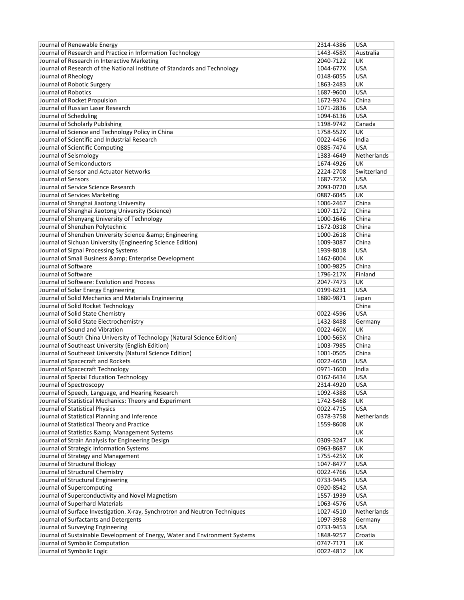| Journal of Renewable Energy                                                 | 2314-4386 | <b>USA</b>  |
|-----------------------------------------------------------------------------|-----------|-------------|
| Journal of Research and Practice in Information Technology                  | 1443-458X | Australia   |
| Journal of Research in Interactive Marketing                                | 2040-7122 | UK          |
| Journal of Research of the National Institute of Standards and Technology   | 1044-677X | USA         |
| Journal of Rheology                                                         | 0148-6055 | <b>USA</b>  |
| Journal of Robotic Surgery                                                  | 1863-2483 | UK          |
| Journal of Robotics                                                         | 1687-9600 | <b>USA</b>  |
| Journal of Rocket Propulsion                                                | 1672-9374 | China       |
| Journal of Russian Laser Research                                           | 1071-2836 | USA         |
| Journal of Scheduling                                                       | 1094-6136 | <b>USA</b>  |
| Journal of Scholarly Publishing                                             | 1198-9742 | Canada      |
| Journal of Science and Technology Policy in China                           | 1758-552X | UK          |
| Journal of Scientific and Industrial Research                               | 0022-4456 | India       |
| Journal of Scientific Computing                                             | 0885-7474 | <b>USA</b>  |
| Journal of Seismology                                                       | 1383-4649 | Netherlands |
| Journal of Semiconductors                                                   | 1674-4926 | UK          |
| Journal of Sensor and Actuator Networks                                     | 2224-2708 | Switzerland |
| Journal of Sensors                                                          | 1687-725X | USA         |
| Journal of Service Science Research                                         | 2093-0720 | USA         |
| Journal of Services Marketing                                               | 0887-6045 | UK          |
| Journal of Shanghai Jiaotong University                                     | 1006-2467 | China       |
| Journal of Shanghai Jiaotong University (Science)                           | 1007-1172 | China       |
| Journal of Shenyang University of Technology                                | 1000-1646 | China       |
| Journal of Shenzhen Polytechnic                                             | 1672-0318 | China       |
| Journal of Shenzhen University Science & Engineering                        | 1000-2618 | China       |
| Journal of Sichuan University (Engineering Science Edition)                 | 1009-3087 | China       |
| Journal of Signal Processing Systems                                        | 1939-8018 | USA         |
| Journal of Small Business & Enterprise Development                          | 1462-6004 | <b>UK</b>   |
| Journal of Software                                                         | 1000-9825 | China       |
| Journal of Software                                                         | 1796-217X | Finland     |
| Journal of Software: Evolution and Process                                  | 2047-7473 | UK          |
| Journal of Solar Energy Engineering                                         | 0199-6231 | <b>USA</b>  |
| Journal of Solid Mechanics and Materials Engineering                        | 1880-9871 | Japan       |
| Journal of Solid Rocket Technology                                          |           | China       |
| Journal of Solid State Chemistry                                            | 0022-4596 | <b>USA</b>  |
| Journal of Solid State Electrochemistry                                     | 1432-8488 | Germany     |
| Journal of Sound and Vibration                                              | 0022-460X | UK          |
| Journal of South China University of Technology (Natural Science Edition)   | 1000-565X | China       |
| Journal of Southeast University (English Edition)                           | 1003-7985 | China       |
| Journal of Southeast University (Natural Science Edition)                   | 1001-0505 | China       |
| Journal of Spacecraft and Rockets                                           | 0022-4650 | <b>USA</b>  |
| Journal of Spacecraft Technology                                            | 0971-1600 | India       |
| Journal of Special Education Technology                                     | 0162-6434 | USA         |
| Journal of Spectroscopy                                                     | 2314-4920 | USA         |
| Journal of Speech, Language, and Hearing Research                           | 1092-4388 | USA         |
| Journal of Statistical Mechanics: Theory and Experiment                     | 1742-5468 | UK          |
| Journal of Statistical Physics                                              | 0022-4715 | <b>USA</b>  |
| Journal of Statistical Planning and Inference                               | 0378-3758 | Netherlands |
| Journal of Statistical Theory and Practice                                  | 1559-8608 | UK          |
| Journal of Statistics & Management Systems                                  |           | UK          |
| Journal of Strain Analysis for Engineering Design                           | 0309-3247 | UK          |
| Journal of Strategic Information Systems                                    | 0963-8687 | UK          |
| Journal of Strategy and Management                                          | 1755-425X | UK          |
| Journal of Structural Biology                                               | 1047-8477 | <b>USA</b>  |
| Journal of Structural Chemistry                                             | 0022-4766 | <b>USA</b>  |
| Journal of Structural Engineering                                           | 0733-9445 | <b>USA</b>  |
| Journal of Supercomputing                                                   | 0920-8542 | <b>USA</b>  |
| Journal of Superconductivity and Novel Magnetism                            | 1557-1939 | <b>USA</b>  |
| Journal of Superhard Materials                                              | 1063-4576 | <b>USA</b>  |
| Journal of Surface Investigation. X-ray, Synchrotron and Neutron Techniques | 1027-4510 | Netherlands |
| Journal of Surfactants and Detergents                                       | 1097-3958 | Germany     |
| Journal of Surveying Engineering                                            | 0733-9453 | <b>USA</b>  |
| Journal of Sustainable Development of Energy, Water and Environment Systems | 1848-9257 | Croatia     |
| Journal of Symbolic Computation                                             | 0747-7171 | UK          |
| Journal of Symbolic Logic                                                   | 0022-4812 | UK          |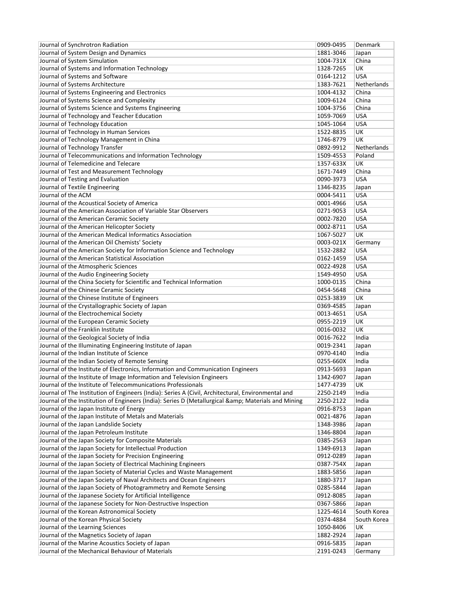| Journal of Synchrotron Radiation                                                                   | 0909-0495              | Denmark            |
|----------------------------------------------------------------------------------------------------|------------------------|--------------------|
| Journal of System Design and Dynamics                                                              | 1881-3046              | Japan              |
| Journal of System Simulation                                                                       | 1004-731X              | China              |
| Journal of Systems and Information Technology                                                      | 1328-7265              | UK                 |
| Journal of Systems and Software                                                                    | 0164-1212              | <b>USA</b>         |
| Journal of Systems Architecture                                                                    | 1383-7621              | <b>Netherlands</b> |
| Journal of Systems Engineering and Electronics                                                     | 1004-4132              | China              |
| Journal of Systems Science and Complexity                                                          | 1009-6124              | China              |
| Journal of Systems Science and Systems Engineering                                                 | 1004-3756              | China              |
| Journal of Technology and Teacher Education                                                        | 1059-7069              | <b>USA</b>         |
| Journal of Technology Education                                                                    | 1045-1064              | USA                |
| Journal of Technology in Human Services                                                            | 1522-8835              | UK                 |
| Journal of Technology Management in China                                                          | 1746-8779              | UK                 |
| Journal of Technology Transfer                                                                     | 0892-9912              | Netherlands        |
| Journal of Telecommunications and Information Technology                                           | 1509-4553              | Poland             |
| Journal of Telemedicine and Telecare                                                               | 1357-633X              | UK                 |
| Journal of Test and Measurement Technology                                                         | 1671-7449              | China              |
| Journal of Testing and Evaluation                                                                  | 0090-3973              | <b>USA</b>         |
| Journal of Textile Engineering                                                                     | 1346-8235              | Japan              |
| Journal of the ACM                                                                                 | 0004-5411              | <b>USA</b>         |
| Journal of the Acoustical Society of America                                                       | 0001-4966              | USA                |
| Journal of the American Association of Variable Star Observers                                     | 0271-9053              | USA                |
| Journal of the American Ceramic Society                                                            | 0002-7820              | USA                |
| Journal of the American Helicopter Society                                                         | 0002-8711              | USA                |
| Journal of the American Medical Informatics Association                                            | 1067-5027              | UK                 |
| Journal of the American Oil Chemists' Society                                                      | 0003-021X              | Germany            |
| Journal of the American Society for Information Science and Technology                             | 1532-2882              | USA                |
| Journal of the American Statistical Association                                                    | 0162-1459              | <b>USA</b>         |
| Journal of the Atmospheric Sciences                                                                | 0022-4928              | USA                |
| Journal of the Audio Engineering Society                                                           | 1549-4950              | USA                |
| Journal of the China Society for Scientific and Technical Information                              | 1000-0135              | China              |
| Journal of the Chinese Ceramic Society<br>Journal of the Chinese Institute of Engineers            | 0454-5648<br>0253-3839 | China<br>UK        |
| Journal of the Crystallographic Society of Japan                                                   | 0369-4585              | Japan              |
| Journal of the Electrochemical Society                                                             | 0013-4651              | USA                |
| Journal of the European Ceramic Society                                                            | 0955-2219              | UK                 |
| Journal of the Franklin Institute                                                                  | 0016-0032              | UK                 |
| Journal of the Geological Society of India                                                         | 0016-7622              | India              |
| Journal of the Illuminating Engineering Institute of Japan                                         | 0019-2341              | Japan              |
| Journal of the Indian Institute of Science                                                         | 0970-4140              | India              |
| Journal of the Indian Society of Remote Sensing                                                    | 0255-660X              | India              |
| Journal of the Institute of Electronics, Information and Communication Engineers                   | 0913-5693              | Japan              |
| Journal of the Institute of Image Information and Television Engineers                             | 1342-6907              | Japan              |
| Journal of the Institute of Telecommunications Professionals                                       | 1477-4739              | UK                 |
| Journal of The Institution of Engineers (India): Series A (Civil, Architectural, Environmental and | 2250-2149              | India              |
| Journal of the Institution of Engineers (India): Series D (Metallurgical & Materials and Mining    | 2250-2122              | India              |
| Journal of the Japan Institute of Energy                                                           | 0916-8753              | Japan              |
| Journal of the Japan Institute of Metals and Materials                                             | 0021-4876              | Japan              |
| Journal of the Japan Landslide Society                                                             | 1348-3986              | Japan              |
| Journal of the Japan Petroleum Institute                                                           | 1346-8804              | Japan              |
| Journal of the Japan Society for Composite Materials                                               | 0385-2563              | Japan              |
| Journal of the Japan Society for Intellectual Production                                           | 1349-6913              | Japan              |
| Journal of the Japan Society for Precision Engineering                                             | 0912-0289              | Japan              |
| Journal of the Japan Society of Electrical Machining Engineers                                     | 0387-754X              | Japan              |
| Journal of the Japan Society of Material Cycles and Waste Management                               | 1883-5856              | Japan              |
| Journal of the Japan Society of Naval Architects and Ocean Engineers                               | 1880-3717              | Japan              |
| Journal of the Japan Society of Photogrammetry and Remote Sensing                                  | 0285-5844              | Japan              |
| Journal of the Japanese Society for Artificial Intelligence                                        | 0912-8085              | Japan              |
| Journal of the Japanese Society for Non-Destructive Inspection                                     | 0367-5866              | Japan              |
| Journal of the Korean Astronomical Society                                                         | 1225-4614              | South Korea        |
| Journal of the Korean Physical Society                                                             | 0374-4884              | South Korea        |
| Journal of the Learning Sciences                                                                   | 1050-8406              | UK                 |
| Journal of the Magnetics Society of Japan                                                          | 1882-2924              | Japan              |
| Journal of the Marine Acoustics Society of Japan                                                   | 0916-5835              | Japan              |
| Journal of the Mechanical Behaviour of Materials                                                   | 2191-0243              | Germany            |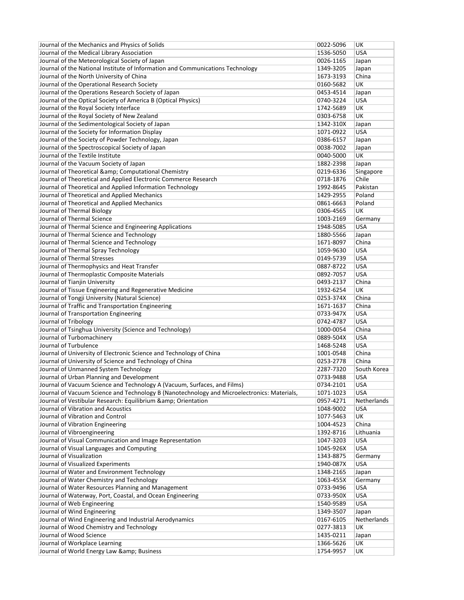| Journal of the Mechanics and Physics of Solids                                              | 0022-5096 | UK          |
|---------------------------------------------------------------------------------------------|-----------|-------------|
| Journal of the Medical Library Association                                                  | 1536-5050 | <b>USA</b>  |
| Journal of the Meteorological Society of Japan                                              | 0026-1165 | Japan       |
|                                                                                             |           |             |
| Journal of the National Institute of Information and Communications Technology              | 1349-3205 | Japan       |
| Journal of the North University of China                                                    | 1673-3193 | China       |
| Journal of the Operational Research Society                                                 | 0160-5682 | UK          |
| Journal of the Operations Research Society of Japan                                         | 0453-4514 | Japan       |
| Journal of the Optical Society of America B (Optical Physics)                               | 0740-3224 | <b>USA</b>  |
| Journal of the Royal Society Interface                                                      | 1742-5689 | UK          |
| Journal of the Royal Society of New Zealand                                                 | 0303-6758 | UK          |
| Journal of the Sedimentological Society of Japan                                            | 1342-310X | Japan       |
|                                                                                             |           |             |
| Journal of the Society for Information Display                                              | 1071-0922 | <b>USA</b>  |
| Journal of the Society of Powder Technology, Japan                                          | 0386-6157 | Japan       |
| Journal of the Spectroscopical Society of Japan                                             | 0038-7002 | Japan       |
| Journal of the Textile Institute                                                            | 0040-5000 | UK          |
| Journal of the Vacuum Society of Japan                                                      | 1882-2398 | Japan       |
| Journal of Theoretical & Computational Chemistry                                            | 0219-6336 | Singapore   |
| Journal of Theoretical and Applied Electronic Commerce Research                             | 0718-1876 | Chile       |
| Journal of Theoretical and Applied Information Technology                                   | 1992-8645 | Pakistan    |
|                                                                                             |           |             |
| Journal of Theoretical and Applied Mechanics                                                | 1429-2955 | Poland      |
| Journal of Theoretical and Applied Mechanics                                                | 0861-6663 | Poland      |
| Journal of Thermal Biology                                                                  | 0306-4565 | UK          |
| Journal of Thermal Science                                                                  | 1003-2169 | Germany     |
| Journal of Thermal Science and Engineering Applications                                     | 1948-5085 | USA         |
| Journal of Thermal Science and Technology                                                   | 1880-5566 | Japan       |
| Journal of Thermal Science and Technology                                                   | 1671-8097 | China       |
| Journal of Thermal Spray Technology                                                         | 1059-9630 | <b>USA</b>  |
| Journal of Thermal Stresses                                                                 | 0149-5739 | <b>USA</b>  |
|                                                                                             | 0887-8722 | <b>USA</b>  |
| Journal of Thermophysics and Heat Transfer                                                  |           |             |
| Journal of Thermoplastic Composite Materials                                                | 0892-7057 | USA         |
| Journal of Tianjin University                                                               | 0493-2137 | China       |
| Journal of Tissue Engineering and Regenerative Medicine                                     | 1932-6254 | UK          |
| Journal of Tongji University (Natural Science)                                              | 0253-374X | China       |
| Journal of Traffic and Transportation Engineering                                           | 1671-1637 | China       |
| Journal of Transportation Engineering                                                       | 0733-947X | <b>USA</b>  |
| Journal of Tribology                                                                        | 0742-4787 | <b>USA</b>  |
| Journal of Tsinghua University (Science and Technology)                                     | 1000-0054 | China       |
| Journal of Turbomachinery                                                                   | 0889-504X | <b>USA</b>  |
| Journal of Turbulence                                                                       |           | <b>USA</b>  |
|                                                                                             | 1468-5248 |             |
| Journal of University of Electronic Science and Technology of China                         | 1001-0548 | China       |
| Journal of University of Science and Technology of China                                    | 0253-2778 | China       |
| Journal of Unmanned System Technology                                                       | 2287-7320 | South Korea |
| Journal of Urban Planning and Development                                                   | 0733-9488 | USA         |
| Journal of Vacuum Science and Technology A (Vacuum, Surfaces, and Films)                    | 0734-2101 | <b>USA</b>  |
| Journal of Vacuum Science and Technology B (Nanotechnology and Microelectronics: Materials, | 1071-1023 | USA         |
| Journal of Vestibular Research: Equilibrium & Orientation                                   | 0957-4271 | Netherlands |
| Journal of Vibration and Acoustics                                                          | 1048-9002 | USA         |
|                                                                                             |           |             |
| Journal of Vibration and Control                                                            | 1077-5463 | UK          |
| Journal of Vibration Engineering                                                            | 1004-4523 | China       |
| Journal of Vibroengineering                                                                 | 1392-8716 | Lithuania   |
| Journal of Visual Communication and Image Representation                                    | 1047-3203 | USA         |
| Journal of Visual Languages and Computing                                                   | 1045-926X | <b>USA</b>  |
| Journal of Visualization                                                                    | 1343-8875 | Germany     |
| Journal of Visualized Experiments                                                           | 1940-087X | <b>USA</b>  |
| Journal of Water and Environment Technology                                                 | 1348-2165 | Japan       |
| Journal of Water Chemistry and Technology                                                   | 1063-455X | Germany     |
| Journal of Water Resources Planning and Management                                          |           |             |
|                                                                                             | 0733-9496 | <b>USA</b>  |
| Journal of Waterway, Port, Coastal, and Ocean Engineering                                   | 0733-950X | <b>USA</b>  |
| Journal of Web Engineering                                                                  | 1540-9589 | <b>USA</b>  |
| Journal of Wind Engineering                                                                 | 1349-3507 | Japan       |
| Journal of Wind Engineering and Industrial Aerodynamics                                     | 0167-6105 | Netherlands |
| Journal of Wood Chemistry and Technology                                                    | 0277-3813 | UK          |
| Journal of Wood Science                                                                     | 1435-0211 | Japan       |
| Journal of Workplace Learning                                                               | 1366-5626 | UK          |
| Journal of World Energy Law & Business                                                      | 1754-9957 | UK          |
|                                                                                             |           |             |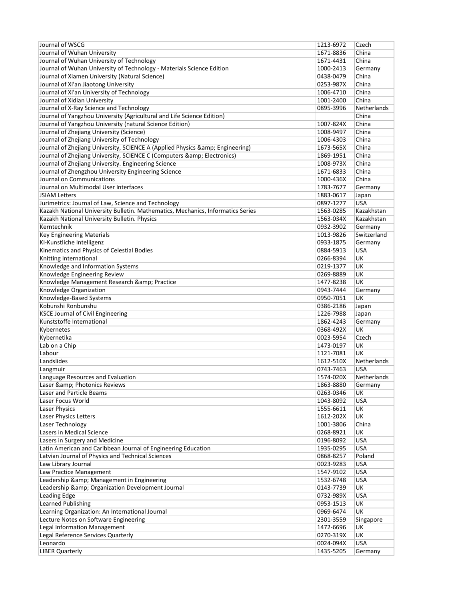| Journal of WSCG                                                                 | 1213-6972              | Czech              |
|---------------------------------------------------------------------------------|------------------------|--------------------|
| Journal of Wuhan University                                                     | 1671-8836              | China              |
| Journal of Wuhan University of Technology                                       | 1671-4431              | China              |
| Journal of Wuhan University of Technology - Materials Science Edition           | 1000-2413              | Germany            |
| Journal of Xiamen University (Natural Science)                                  | 0438-0479              | China              |
| Journal of Xi'an Jiaotong University                                            | 0253-987X              | China              |
| Journal of Xi'an University of Technology                                       | 1006-4710              | China              |
| Journal of Xidian University                                                    | 1001-2400              | China              |
| Journal of X-Ray Science and Technology                                         | 0895-3996              | Netherlands        |
| Journal of Yangzhou University (Agricultural and Life Science Edition)          |                        | China              |
| Journal of Yangzhou University (natural Science Edition)                        | 1007-824X              | China              |
| Journal of Zhejiang University (Science)                                        | 1008-9497              | China              |
| Journal of Zhejiang University of Technology                                    | 1006-4303              | China              |
| Journal of Zhejiang University, SCIENCE A (Applied Physics & Engineering)       | 1673-565X              | China              |
| Journal of Zhejiang University, SCIENCE C (Computers & Electronics)             | 1869-1951              | China              |
| Journal of Zhejiang University. Engineering Science                             | 1008-973X              | China              |
| Journal of Zhengzhou University Engineering Science                             | 1671-6833              | China              |
| Journal on Communications                                                       | 1000-436X              | China              |
| Journal on Multimodal User Interfaces                                           | 1783-7677              | Germany            |
| <b>JSIAM Letters</b>                                                            | 1883-0617              | Japan              |
| Jurimetrics: Journal of Law, Science and Technology                             | 0897-1277              | <b>USA</b>         |
| Kazakh National University Bulletin. Mathematics, Mechanics, Informatics Series | 1563-0285              | Kazakhstan         |
| Kazakh National University Bulletin. Physics                                    | 1563-034X              | Kazakhstan         |
| Kerntechnik                                                                     | 0932-3902              | Germany            |
| <b>Key Engineering Materials</b>                                                | 1013-9826              | Switzerland        |
| KI-Kunstliche Intelligenz                                                       | 0933-1875              | Germany            |
| Kinematics and Physics of Celestial Bodies                                      | 0884-5913              | <b>USA</b>         |
| Knitting International                                                          | 0266-8394              | UK                 |
| Knowledge and Information Systems                                               | 0219-1377              | UK                 |
| Knowledge Engineering Review                                                    | 0269-8889              | UK                 |
| Knowledge Management Research & Practice                                        | 1477-8238              | UK                 |
| Knowledge Organization                                                          | 0943-7444              |                    |
| Knowledge-Based Systems                                                         | 0950-7051              | Germany<br>UK      |
| Kobunshi Ronbunshu                                                              | 0386-2186              | Japan              |
| <b>KSCE Journal of Civil Engineering</b>                                        | 1226-7988              |                    |
| Kunststoffe International                                                       | 1862-4243              | Japan              |
|                                                                                 | 0368-492X              | Germany<br>UK      |
| Kybernetes<br>Kybernetika                                                       | 0023-5954              | Czech              |
| Lab on a Chip                                                                   |                        |                    |
| Labour                                                                          | 1473-0197<br>1121-7081 | UK<br>UK           |
| Landslides                                                                      |                        |                    |
|                                                                                 | 1612-510X              | Netherlands        |
| Langmuir                                                                        | 0743-7463              | <b>USA</b>         |
| Language Resources and Evaluation                                               | 1574-020X              | <b>Netherlands</b> |
| Laser & Photonics Reviews                                                       | 1863-8880              | Germany            |
| <b>Laser and Particle Beams</b>                                                 | 0263-0346              | UK                 |
| Laser Focus World                                                               | 1043-8092              | <b>USA</b>         |
| Laser Physics                                                                   | 1555-6611              | UK                 |
| Laser Physics Letters                                                           | 1612-202X              | UK                 |
| Laser Technology                                                                | 1001-3806              | China              |
| Lasers in Medical Science                                                       | 0268-8921              | UK                 |
| Lasers in Surgery and Medicine                                                  | 0196-8092              | <b>USA</b>         |
| Latin American and Caribbean Journal of Engineering Education                   | 1935-0295              | <b>USA</b>         |
| Latvian Journal of Physics and Technical Sciences                               | 0868-8257              | Poland             |
| Law Library Journal                                                             | 0023-9283              | <b>USA</b>         |
| Law Practice Management                                                         | 1547-9102              | <b>USA</b>         |
| Leadership & Management in Engineering                                          | 1532-6748              | <b>USA</b>         |
| Leadership & Organization Development Journal                                   | 0143-7739              | UK                 |
| Leading Edge                                                                    | 0732-989X              | <b>USA</b>         |
| <b>Learned Publishing</b>                                                       | 0953-1513              | UK                 |
| Learning Organization: An International Journal                                 | 0969-6474              | UK                 |
| Lecture Notes on Software Engineering                                           | 2301-3559              | Singapore          |
| Legal Information Management                                                    | 1472-6696              | UK                 |
| Legal Reference Services Quarterly                                              | 0270-319X              | UK                 |
| Leonardo                                                                        | 0024-094X              | <b>USA</b>         |
| <b>LIBER Quarterly</b>                                                          | 1435-5205              | Germany            |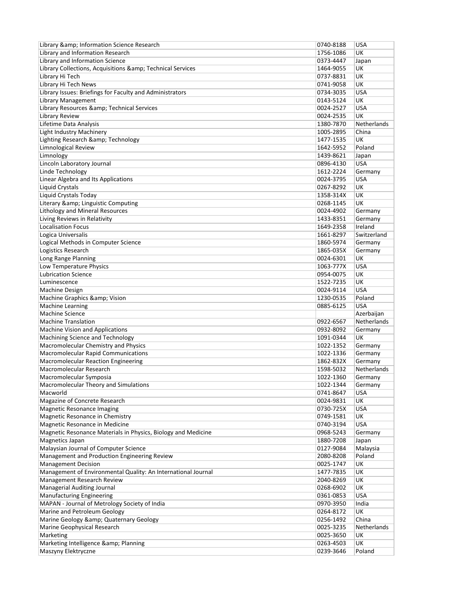| Library & Information Science Research                        | 0740-8188              | <b>USA</b>         |
|---------------------------------------------------------------|------------------------|--------------------|
| Library and Information Research                              | 1756-1086              | UK                 |
| Library and Information Science                               | 0373-4447              | Japan              |
| Library Collections, Acquisitions & Technical Services        | 1464-9055              | UK                 |
| Library Hi Tech                                               | 0737-8831              | UK                 |
| Library Hi Tech News                                          | 0741-9058              | UK                 |
| Library Issues: Briefings for Faculty and Administrators      | 0734-3035              | USA                |
| Library Management                                            | 0143-5124              | UK                 |
| Library Resources & Technical Services                        | 0024-2527              | <b>USA</b>         |
| Library Review                                                | 0024-2535              | UK                 |
| Lifetime Data Analysis                                        | 1380-7870              | Netherlands        |
| Light Industry Machinery                                      | 1005-2895              | China              |
| Lighting Research & Technology                                | 1477-1535              | UK                 |
| Limnological Review                                           | 1642-5952              | Poland             |
| Limnology                                                     | 1439-8621              | Japan              |
| Lincoln Laboratory Journal                                    | 0896-4130              | <b>USA</b>         |
| Linde Technology                                              | 1612-2224              | Germany            |
| Linear Algebra and Its Applications                           | 0024-3795              | <b>USA</b>         |
| <b>Liquid Crystals</b>                                        | 0267-8292              | UK                 |
| Liquid Crystals Today                                         | 1358-314X              | UK                 |
| Literary & Linguistic Computing                               | 0268-1145              | UK                 |
| Lithology and Mineral Resources                               | 0024-4902              | Germany            |
| Living Reviews in Relativity                                  | 1433-8351              | Germany            |
| <b>Localisation Focus</b>                                     | 1649-2358              | Ireland            |
| Logica Universalis                                            | 1661-8297              | Switzerland        |
| Logical Methods in Computer Science                           | 1860-5974              | Germany            |
| Logistics Research                                            | 1865-035X              | Germany            |
| Long Range Planning                                           | 0024-6301              | UK                 |
| Low Temperature Physics                                       | 1063-777X              | USA                |
| <b>Lubrication Science</b>                                    | 0954-0075              | UK                 |
| Luminescence                                                  | 1522-7235<br>0024-9114 | UK<br><b>USA</b>   |
| Machine Design                                                | 1230-0535              | Poland             |
| Machine Graphics & Vision<br><b>Machine Learning</b>          | 0885-6125              | USA                |
| <b>Machine Science</b>                                        |                        | Azerbaijan         |
| <b>Machine Translation</b>                                    | 0922-6567              | Netherlands        |
| Machine Vision and Applications                               | 0932-8092              | Germany            |
| Machining Science and Technology                              | 1091-0344              | UK                 |
| Macromolecular Chemistry and Physics                          | 1022-1352              | Germany            |
| <b>Macromolecular Rapid Communications</b>                    | 1022-1336              | Germany            |
| <b>Macromolecular Reaction Engineering</b>                    | 1862-832X              | Germany            |
| Macromolecular Research                                       | 1598-5032              | <b>Netherlands</b> |
| Macromolecular Symposia                                       | 1022-1360              | Germany            |
| Macromolecular Theory and Simulations                         | 1022-1344              | Germany            |
| Macworld                                                      | 0741-8647              | USA                |
| Magazine of Concrete Research                                 | 0024-9831              | UK                 |
| Magnetic Resonance Imaging                                    | 0730-725X              | <b>USA</b>         |
| Magnetic Resonance in Chemistry                               | 0749-1581              | UK                 |
| Magnetic Resonance in Medicine                                | 0740-3194              | <b>USA</b>         |
| Magnetic Resonance Materials in Physics, Biology and Medicine | 0968-5243              | Germany            |
| Magnetics Japan                                               | 1880-7208              | Japan              |
| Malaysian Journal of Computer Science                         | 0127-9084              | Malaysia           |
| Management and Production Engineering Review                  | 2080-8208              | Poland             |
| <b>Management Decision</b>                                    | 0025-1747              | UK                 |
| Management of Environmental Quality: An International Journal | 1477-7835              | UK                 |
| Management Research Review                                    | 2040-8269              | UK                 |
| Managerial Auditing Journal                                   | 0268-6902              | UK                 |
| <b>Manufacturing Engineering</b>                              | 0361-0853              | <b>USA</b>         |
| MAPAN - Journal of Metrology Society of India                 | 0970-3950              | India              |
| Marine and Petroleum Geology                                  |                        |                    |
|                                                               | 0264-8172              | UK                 |
| Marine Geology & Quaternary Geology                           | 0256-1492              | China              |
| Marine Geophysical Research                                   | 0025-3235              | Netherlands        |
| Marketing                                                     | 0025-3650              | UK                 |
| Marketing Intelligence & Planning<br>Maszyny Elektryczne      | 0263-4503<br>0239-3646 | UK<br>Poland       |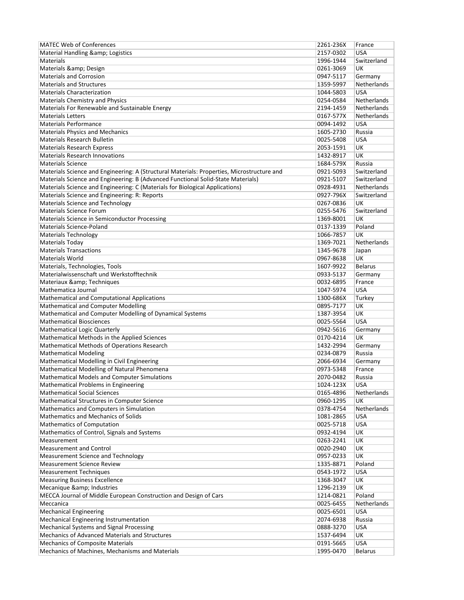| <b>MATEC Web of Conferences</b>                                                            | 2261-236X | France             |
|--------------------------------------------------------------------------------------------|-----------|--------------------|
| Material Handling & Logistics                                                              | 2157-0302 | <b>USA</b>         |
| <b>Materials</b>                                                                           | 1996-1944 | Switzerland        |
| Materials & Design                                                                         | 0261-3069 | UK                 |
| <b>Materials and Corrosion</b>                                                             | 0947-5117 | Germany            |
| <b>Materials and Structures</b>                                                            | 1359-5997 | Netherlands        |
| <b>Materials Characterization</b>                                                          | 1044-5803 | USA                |
| Materials Chemistry and Physics                                                            | 0254-0584 | Netherlands        |
| Materials For Renewable and Sustainable Energy                                             | 2194-1459 | <b>Netherlands</b> |
| <b>Materials Letters</b>                                                                   | 0167-577X | Netherlands        |
| <b>Materials Performance</b>                                                               | 0094-1492 | USA                |
| <b>Materials Physics and Mechanics</b>                                                     | 1605-2730 | Russia             |
| Materials Research Bulletin                                                                | 0025-5408 | USA                |
| <b>Materials Research Express</b>                                                          | 2053-1591 | UK                 |
| <b>Materials Research Innovations</b>                                                      | 1432-8917 | UK                 |
| <b>Materials Science</b>                                                                   | 1684-579X | <b>Russia</b>      |
| Materials Science and Engineering: A (Structural Materials: Properties, Microstructure and | 0921-5093 | Switzerland        |
| Materials Science and Engineering: B (Advanced Functional Solid-State Materials)           | 0921-5107 | Switzerland        |
| Materials Science and Engineering: C (Materials for Biological Applications)               | 0928-4931 | <b>Netherlands</b> |
| Materials Science and Engineering: R: Reports                                              | 0927-796X | Switzerland        |
| <b>Materials Science and Technology</b>                                                    | 0267-0836 | UK                 |
| <b>Materials Science Forum</b>                                                             | 0255-5476 | Switzerland        |
| Materials Science in Semiconductor Processing                                              | 1369-8001 | UK                 |
| <b>Materials Science-Poland</b>                                                            | 0137-1339 | Poland             |
| <b>Materials Technology</b>                                                                | 1066-7857 | UK                 |
| Materials Today                                                                            | 1369-7021 | <b>Netherlands</b> |
| <b>Materials Transactions</b>                                                              | 1345-9678 | Japan              |
| <b>Materials World</b>                                                                     | 0967-8638 | UK                 |
| Materials, Technologies, Tools                                                             | 1607-9922 | <b>Belarus</b>     |
| Materialwissenschaft und Werkstofftechnik                                                  | 0933-5137 | Germany            |
| Materiaux & Techniques                                                                     | 0032-6895 | France             |
| Mathematica Journal                                                                        | 1047-5974 | <b>USA</b>         |
| Mathematical and Computational Applications                                                | 1300-686X | Turkey             |
| Mathematical and Computer Modelling                                                        | 0895-7177 | UK                 |
| Mathematical and Computer Modelling of Dynamical Systems                                   | 1387-3954 | UK                 |
| <b>Mathematical Biosciences</b>                                                            | 0025-5564 | <b>USA</b>         |
| Mathematical Logic Quarterly                                                               | 0942-5616 | Germany            |
| Mathematical Methods in the Applied Sciences                                               | 0170-4214 | UK                 |
| Mathematical Methods of Operations Research                                                | 1432-2994 | Germany            |
| <b>Mathematical Modeling</b>                                                               | 0234-0879 | Russia             |
| Mathematical Modelling in Civil Engineering                                                | 2066-6934 | Germany            |
| Mathematical Modelling of Natural Phenomena                                                | 0973-5348 | France             |
| Mathematical Models and Computer Simulations                                               | 2070-0482 | Russia             |
| Mathematical Problems in Engineering                                                       | 1024-123X | <b>USA</b>         |
| <b>Mathematical Social Sciences</b>                                                        | 0165-4896 | <b>Netherlands</b> |
| Mathematical Structures in Computer Science                                                | 0960-1295 | UK                 |
| Mathematics and Computers in Simulation                                                    | 0378-4754 | Netherlands        |
| Mathematics and Mechanics of Solids                                                        | 1081-2865 | USA                |
| Mathematics of Computation                                                                 | 0025-5718 | <b>USA</b>         |
| Mathematics of Control, Signals and Systems                                                | 0932-4194 | UK                 |
| Measurement                                                                                | 0263-2241 | UK                 |
| <b>Measurement and Control</b>                                                             | 0020-2940 | UK                 |
| Measurement Science and Technology                                                         | 0957-0233 | UK                 |
| <b>Measurement Science Review</b>                                                          | 1335-8871 | Poland             |
| <b>Measurement Techniques</b>                                                              | 0543-1972 | USA                |
| <b>Measuring Business Excellence</b>                                                       | 1368-3047 | UK                 |
| Mecanique & Industries                                                                     | 1296-2139 | UK                 |
| MECCA Journal of Middle European Construction and Design of Cars                           | 1214-0821 | Poland             |
| Meccanica                                                                                  | 0025-6455 | Netherlands        |
| <b>Mechanical Engineering</b>                                                              | 0025-6501 | <b>USA</b>         |
| Mechanical Engineering Instrumentation                                                     |           | Russia             |
|                                                                                            | 2074-6938 |                    |
| Mechanical Systems and Signal Processing                                                   | 0888-3270 | <b>USA</b>         |
| Mechanics of Advanced Materials and Structures                                             | 1537-6494 | UK                 |
| <b>Mechanics of Composite Materials</b>                                                    | 0191-5665 | <b>USA</b>         |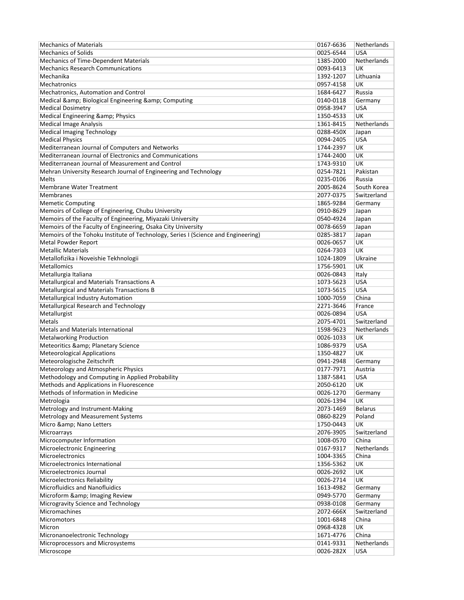| <b>Mechanics of Materials</b>                                                     | 0167-6636              | <b>Netherlands</b> |
|-----------------------------------------------------------------------------------|------------------------|--------------------|
| <b>Mechanics of Solids</b>                                                        | 0025-6544              | <b>USA</b>         |
| Mechanics of Time-Dependent Materials                                             | 1385-2000              | Netherlands        |
| <b>Mechanics Research Communications</b>                                          | 0093-6413              | UK                 |
| Mechanika                                                                         | 1392-1207              | Lithuania          |
| Mechatronics                                                                      | 0957-4158              | UK                 |
| Mechatronics, Automation and Control                                              | 1684-6427              | Russia             |
| Medical & Biological Engineering & Computing                                      | 0140-0118              | Germany            |
| <b>Medical Dosimetry</b>                                                          | 0958-3947              | USA                |
| Medical Engineering & Physics                                                     | 1350-4533              | UK                 |
| <b>Medical Image Analysis</b>                                                     | 1361-8415              | <b>Netherlands</b> |
| <b>Medical Imaging Technology</b>                                                 | 0288-450X              | Japan              |
| <b>Medical Physics</b>                                                            | 0094-2405              | <b>USA</b>         |
| Mediterranean Journal of Computers and Networks                                   | 1744-2397              | UK                 |
| Mediterranean Journal of Electronics and Communications                           | 1744-2400              | UK                 |
| Mediterranean Journal of Measurement and Control                                  | 1743-9310              | UK                 |
| Mehran University Research Journal of Engineering and Technology                  | 0254-7821              | Pakistan           |
| Melts                                                                             | 0235-0106              | Russia             |
| <b>Membrane Water Treatment</b>                                                   | 2005-8624              | South Korea        |
| Membranes                                                                         | 2077-0375              | Switzerland        |
| <b>Memetic Computing</b>                                                          | 1865-9284              | Germany            |
| Memoirs of College of Engineering, Chubu University                               | 0910-8629              | Japan              |
| Memoirs of the Faculty of Engineering, Miyazaki University                        | 0540-4924              | Japan              |
| Memoirs of the Faculty of Engineering, Osaka City University                      | 0078-6659              | Japan              |
| Memoirs of the Tohoku Institute of Technology, Series I (Science and Engineering) | 0285-3817              | Japan              |
| <b>Metal Powder Report</b>                                                        | 0026-0657              | UK                 |
| <b>Metallic Materials</b>                                                         | 0264-7303              | UK                 |
| Metallofizika i Noveishie Tekhnologii                                             | 1024-1809              | Ukraine            |
| Metallomics                                                                       | 1756-5901              | UK                 |
| Metallurgia Italiana                                                              | 0026-0843              | Italy              |
| Metallurgical and Materials Transactions A                                        | 1073-5623              | <b>USA</b>         |
| Metallurgical and Materials Transactions B                                        | 1073-5615              | <b>USA</b>         |
| Metallurgical Industry Automation                                                 | 1000-7059              | China              |
| Metallurgical Research and Technology                                             | 2271-3646              | France             |
| Metallurgist                                                                      | 0026-0894              | <b>USA</b>         |
| Metals                                                                            | 2075-4701              | Switzerland        |
| <b>Metals and Materials International</b>                                         | 1598-9623              | <b>Netherlands</b> |
| <b>Metalworking Production</b>                                                    | 0026-1033              | UK                 |
| Meteoritics & Planetary Science                                                   |                        |                    |
| <b>Meteorological Applications</b>                                                | 1086-9379<br>1350-4827 | <b>USA</b><br>UK   |
| Meteorologische Zeitschrift                                                       |                        |                    |
|                                                                                   | 0941-2948<br>0177-7971 | Germany            |
| Meteorology and Atmospheric Physics                                               |                        | Austria            |
| Methodology and Computing in Applied Probability                                  | 1387-5841              | USA                |
| Methods and Applications in Fluorescence                                          | 2050-6120              | UK                 |
| Methods of Information in Medicine                                                | 0026-1270              | Germany            |
| Metrologia                                                                        | 0026-1394              | UK                 |
| Metrology and Instrument-Making                                                   | 2073-1469              | <b>Belarus</b>     |
| Metrology and Measurement Systems                                                 | 0860-8229              | Poland             |
| Micro & Nano Letters                                                              | 1750-0443              | UK                 |
| Microarrays                                                                       | 2076-3905              | Switzerland        |
| Microcomputer Information                                                         | 1008-0570              | China              |
| Microelectronic Engineering                                                       | 0167-9317              | Netherlands        |
| Microelectronics                                                                  | 1004-3365              | China              |
| Microelectronics International                                                    | 1356-5362              | UK                 |
| Microelectronics Journal                                                          | 0026-2692              | UK                 |
| Microelectronics Reliability                                                      | 0026-2714              | UK                 |
| Microfluidics and Nanofluidics                                                    | 1613-4982              | Germany            |
| Microform & Imaging Review                                                        | 0949-5770              | Germany            |
| Microgravity Science and Technology                                               | 0938-0108              | Germany            |
| Micromachines                                                                     | 2072-666X              | Switzerland        |
| Micromotors                                                                       | 1001-6848              | China              |
| Micron                                                                            | 0968-4328              | UK                 |
| Micronanoelectronic Technology                                                    | 1671-4776              | China              |
| Microprocessors and Microsystems                                                  | 0141-9331              | Netherlands        |
| Microscope                                                                        | 0026-282X              | USA                |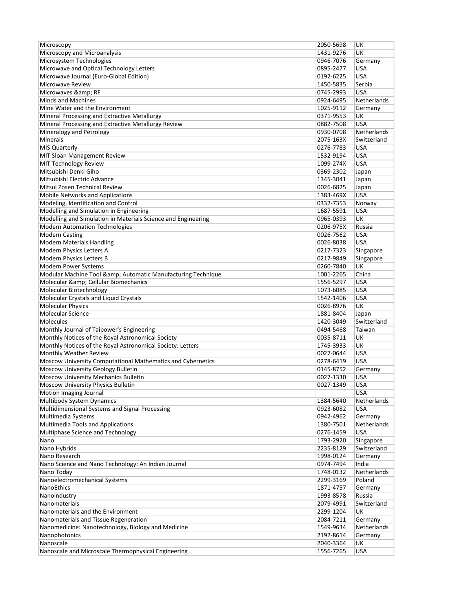| Microscopy                                                    | 2050-5698 | UK          |
|---------------------------------------------------------------|-----------|-------------|
| Microscopy and Microanalysis                                  | 1431-9276 | UK          |
| Microsystem Technologies                                      | 0946-7076 | Germany     |
| Microwave and Optical Technology Letters                      | 0895-2477 | USA         |
| Microwave Journal (Euro-Global Edition)                       | 0192-6225 | <b>USA</b>  |
| <b>Microwave Review</b>                                       | 1450-5835 | Serbia      |
| Microwaves & RF                                               | 0745-2993 | <b>USA</b>  |
| <b>Minds and Machines</b>                                     | 0924-6495 | Netherlands |
| Mine Water and the Environment                                | 1025-9112 | Germany     |
| Mineral Processing and Extractive Metallurgy                  | 0371-9553 | UK          |
| Mineral Processing and Extractive Metallurgy Review           | 0882-7508 | <b>USA</b>  |
| Mineralogy and Petrology                                      | 0930-0708 | Netherlands |
| Minerals                                                      | 2075-163X | Switzerland |
| <b>MIS Quarterly</b>                                          | 0276-7783 | USA         |
| MIT Sloan Management Review                                   | 1532-9194 | USA         |
| <b>MIT Technology Review</b>                                  | 1099-274X | <b>USA</b>  |
| Mitsubishi Denki Giho                                         | 0369-2302 | Japan       |
| Mitsubishi Electric Advance                                   | 1345-3041 | Japan       |
| Mitsui Zosen Technical Review                                 | 0026-6825 | Japan       |
| Mobile Networks and Applications                              | 1383-469X | <b>USA</b>  |
| Modeling, Identification and Control                          | 0332-7353 | Norway      |
| Modelling and Simulation in Engineering                       | 1687-5591 | USA         |
| Modelling and Simulation in Materials Science and Engineering | 0965-0393 | UK          |
| <b>Modern Automation Technologies</b>                         | 0206-975X | Russia      |
| <b>Modern Casting</b>                                         | 0026-7562 | USA         |
| <b>Modern Materials Handling</b>                              | 0026-8038 | <b>USA</b>  |
| Modern Physics Letters A                                      | 0217-7323 | Singapore   |
| Modern Physics Letters B                                      | 0217-9849 | Singapore   |
| Modern Power Systems                                          | 0260-7840 | UK          |
| Modular Machine Tool & Automatic Manufacturing Technique      | 1001-2265 | China       |
| Molecular & Cellular Biomechanics                             | 1556-5297 | USA         |
| Molecular Biotechnology                                       | 1073-6085 | <b>USA</b>  |
| Molecular Crystals and Liquid Crystals                        | 1542-1406 | USA         |
| <b>Molecular Physics</b>                                      | 0026-8976 | UK          |
| <b>Molecular Science</b>                                      | 1881-8404 | Japan       |
| <b>Molecules</b>                                              | 1420-3049 | Switzerland |
| Monthly Journal of Taipower's Engineering                     | 0494-5468 | Taiwan      |
| Monthly Notices of the Royal Astronomical Society             | 0035-8711 | UK          |
| Monthly Notices of the Royal Astronomical Society: Letters    | 1745-3933 | UK          |
| Monthly Weather Review                                        | 0027-0644 | <b>USA</b>  |
| Moscow University Computational Mathematics and Cybernetics   | 0278-6419 | <b>USA</b>  |
| Moscow University Geology Bulletin                            | 0145-8752 | Germany     |
| Moscow University Mechanics Bulletin                          | 0027-1330 | USA         |
| Moscow University Physics Bulletin                            | 0027-1349 | USA         |
| Motion Imaging Journal                                        |           | <b>USA</b>  |
| Multibody System Dynamics                                     | 1384-5640 | Netherlands |
| Multidimensional Systems and Signal Processing                | 0923-6082 | <b>USA</b>  |
| Multimedia Systems                                            | 0942-4962 | Germany     |
| Multimedia Tools and Applications                             | 1380-7501 | Netherlands |
| Multiphase Science and Technology                             | 0276-1459 | USA         |
| Nano                                                          | 1793-2920 | Singapore   |
| Nano Hybrids                                                  | 2235-8129 | Switzerland |
| Nano Research                                                 | 1998-0124 | Germany     |
| Nano Science and Nano Technology: An Indian Journal           | 0974-7494 | India       |
| Nano Today                                                    | 1748-0132 | Netherlands |
| Nanoelectromechanical Systems                                 | 2299-3169 | Poland      |
| NanoEthics                                                    | 1871-4757 | Germany     |
| Nanoindustry                                                  | 1993-8578 | Russia      |
| Nanomaterials                                                 | 2079-4991 | Switzerland |
| Nanomaterials and the Environment                             | 2299-1204 | UK          |
| Nanomaterials and Tissue Regeneration                         | 2084-7211 | Germany     |
| Nanomedicine: Nanotechnology, Biology and Medicine            | 1549-9634 | Netherlands |
| Nanophotonics                                                 | 2192-8614 | Germany     |
| Nanoscale                                                     | 2040-3364 | UK          |
| Nanoscale and Microscale Thermophysical Engineering           | 1556-7265 | <b>USA</b>  |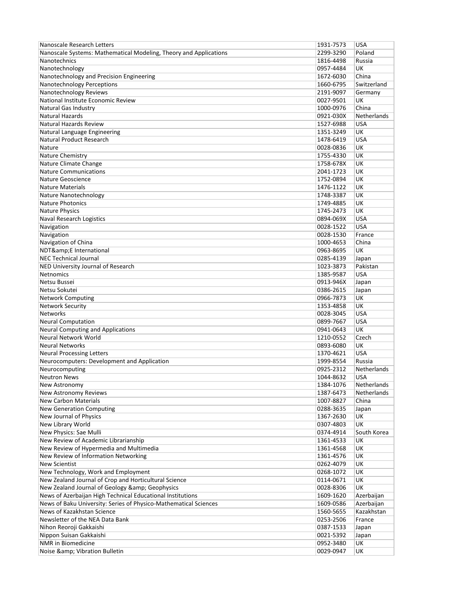| Nanoscale Research Letters                                        | 1931-7573              | <b>USA</b>         |
|-------------------------------------------------------------------|------------------------|--------------------|
| Nanoscale Systems: Mathematical Modeling, Theory and Applications | 2299-3290              | Poland             |
| Nanotechnics                                                      | 1816-4498              | <b>Russia</b>      |
| Nanotechnology                                                    | 0957-4484              | UK                 |
| Nanotechnology and Precision Engineering                          | 1672-6030              | China              |
| Nanotechnology Perceptions                                        | 1660-6795              | Switzerland        |
| Nanotechnology Reviews                                            | 2191-9097              | Germany            |
| National Institute Economic Review                                | 0027-9501              | UK                 |
| Natural Gas Industry                                              | 1000-0976              | China              |
| <b>Natural Hazards</b>                                            | 0921-030X              | Netherlands        |
| <b>Natural Hazards Review</b>                                     | 1527-6988              | USA                |
| Natural Language Engineering                                      | 1351-3249              | UK                 |
| Natural Product Research                                          | 1478-6419              | <b>USA</b>         |
| Nature                                                            | 0028-0836              | UK                 |
| Nature Chemistry                                                  | 1755-4330              | UK<br>UK           |
| Nature Climate Change<br><b>Nature Communications</b>             | 1758-678X              | UK                 |
| Nature Geoscience                                                 | 2041-1723              | UK                 |
| <b>Nature Materials</b>                                           | 1752-0894<br>1476-1122 | UK                 |
|                                                                   | 1748-3387              | UK                 |
| Nature Nanotechnology<br><b>Nature Photonics</b>                  | 1749-4885              | UK                 |
| <b>Nature Physics</b>                                             | 1745-2473              | UK                 |
| Naval Research Logistics                                          | 0894-069X              | <b>USA</b>         |
| Navigation                                                        | 0028-1522              | <b>USA</b>         |
| Navigation                                                        | 0028-1530              | France             |
| Navigation of China                                               | 1000-4653              | China              |
| NDT&E International                                               | 0963-8695              | UK                 |
| <b>NEC Technical Journal</b>                                      | 0285-4139              | Japan              |
| NED University Journal of Research                                | 1023-3873              | Pakistan           |
| <b>Netnomics</b>                                                  | 1385-9587              | USA                |
| Netsu Bussei                                                      | 0913-946X              | Japan              |
| Netsu Sokutei                                                     | 0386-2615              | Japan              |
| <b>Network Computing</b>                                          | 0966-7873              | UK                 |
| <b>Network Security</b>                                           | 1353-4858              | UK                 |
| Networks                                                          | 0028-3045              | <b>USA</b>         |
| <b>Neural Computation</b>                                         | 0899-7667              | <b>USA</b>         |
| <b>Neural Computing and Applications</b>                          | 0941-0643              | UK                 |
| Neural Network World                                              | 1210-0552              | Czech              |
| <b>Neural Networks</b>                                            | 0893-6080              | UK                 |
| <b>Neural Processing Letters</b>                                  | 1370-4621              | <b>USA</b>         |
| Neurocomputers: Development and Application                       | 1999-8554              | Russia             |
| Neurocomputing                                                    | 0925-2312              | <b>Netherlands</b> |
| <b>Neutron News</b>                                               | 1044-8632              | <b>USA</b>         |
| New Astronomy                                                     | 1384-1076              | Netherlands        |
| <b>New Astronomy Reviews</b>                                      | 1387-6473              | Netherlands        |
| <b>New Carbon Materials</b>                                       | 1007-8827              | China              |
| <b>New Generation Computing</b>                                   | 0288-3635              | Japan              |
| New Journal of Physics                                            | 1367-2630              | UK                 |
| New Library World                                                 | 0307-4803              | UK                 |
| New Physics: Sae Mulli                                            | 0374-4914              | South Korea        |
| New Review of Academic Librarianship                              | 1361-4533              | UK                 |
| New Review of Hypermedia and Multimedia                           | 1361-4568              | UK                 |
| New Review of Information Networking                              | 1361-4576              | UK                 |
| <b>New Scientist</b>                                              | 0262-4079              | UK                 |
| New Technology, Work and Employment                               | 0268-1072              | UK                 |
| New Zealand Journal of Crop and Horticultural Science             | 0114-0671              | UK                 |
| New Zealand Journal of Geology & Geophysics                       | 0028-8306              | UK                 |
| News of Azerbaijan High Technical Educational Institutions        | 1609-1620              | Azerbaijan         |
| News of Baku University: Series of Physico-Mathematical Sciences  | 1609-0586              | Azerbaijan         |
| News of Kazakhstan Science                                        | 1560-5655              | Kazakhstan         |
| Newsletter of the NEA Data Bank                                   | 0253-2506              | France             |
| Nihon Reoroji Gakkaishi                                           | 0387-1533              | Japan              |
| Nippon Suisan Gakkaishi                                           | 0021-5392              | Japan              |
| NMR in Biomedicine                                                | 0952-3480              | UK                 |
| Noise & Vibration Bulletin                                        | 0029-0947              | UK                 |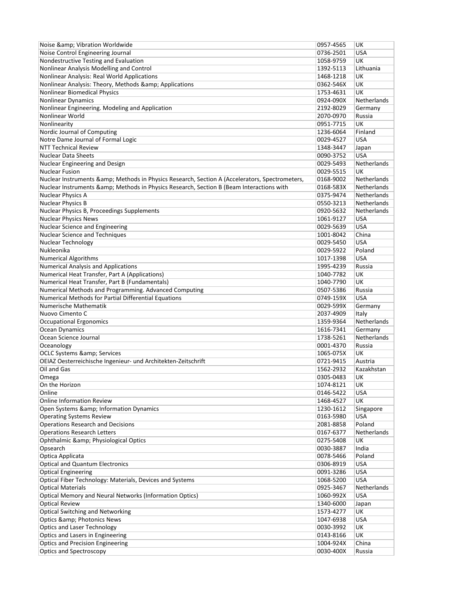| Noise & Vibration Worldwide                                                                | 0957-4565 | UK                 |
|--------------------------------------------------------------------------------------------|-----------|--------------------|
| Noise Control Engineering Journal                                                          | 0736-2501 | <b>USA</b>         |
| Nondestructive Testing and Evaluation                                                      | 1058-9759 | UK                 |
| Nonlinear Analysis Modelling and Control                                                   | 1392-5113 | Lithuania          |
| Nonlinear Analysis: Real World Applications                                                | 1468-1218 | UK                 |
| Nonlinear Analysis: Theory, Methods & Applications                                         | 0362-546X | UK                 |
| <b>Nonlinear Biomedical Physics</b>                                                        | 1753-4631 | UK                 |
| Nonlinear Dynamics                                                                         | 0924-090X | Netherlands        |
| Nonlinear Engineering. Modeling and Application                                            | 2192-8029 | Germany            |
| Nonlinear World                                                                            | 2070-0970 | Russia             |
| Nonlinearity                                                                               | 0951-7715 | UK                 |
| Nordic Journal of Computing                                                                | 1236-6064 | Finland            |
| Notre Dame Journal of Formal Logic                                                         | 0029-4527 | <b>USA</b>         |
| <b>NTT Technical Review</b>                                                                | 1348-3447 | Japan              |
| <b>Nuclear Data Sheets</b>                                                                 | 0090-3752 | <b>USA</b>         |
| Nuclear Engineering and Design                                                             | 0029-5493 | Netherlands        |
| <b>Nuclear Fusion</b>                                                                      | 0029-5515 | UK                 |
| Nuclear Instruments & Methods in Physics Research, Section A (Accelerators, Spectrometers, | 0168-9002 | Netherlands        |
| Nuclear Instruments & Methods in Physics Research, Section B (Beam Interactions with       | 0168-583X | <b>Netherlands</b> |
| <b>Nuclear Physics A</b>                                                                   | 0375-9474 | <b>Netherlands</b> |
| <b>Nuclear Physics B</b>                                                                   | 0550-3213 | <b>Netherlands</b> |
| Nuclear Physics B, Proceedings Supplements                                                 | 0920-5632 | <b>Netherlands</b> |
| <b>Nuclear Physics News</b>                                                                | 1061-9127 | <b>USA</b>         |
| Nuclear Science and Engineering                                                            | 0029-5639 | <b>USA</b>         |
| <b>Nuclear Science and Techniques</b>                                                      | 1001-8042 | China              |
| <b>Nuclear Technology</b>                                                                  | 0029-5450 | <b>USA</b>         |
| Nukleonika                                                                                 | 0029-5922 | Poland             |
| <b>Numerical Algorithms</b>                                                                | 1017-1398 | <b>USA</b>         |
| <b>Numerical Analysis and Applications</b>                                                 | 1995-4239 | Russia             |
| Numerical Heat Transfer, Part A (Applications)                                             | 1040-7782 | UK                 |
| Numerical Heat Transfer, Part B (Fundamentals)                                             | 1040-7790 | UK                 |
| Numerical Methods and Programming. Advanced Computing                                      | 0507-5386 | Russia             |
| Numerical Methods for Partial Differential Equations                                       | 0749-159X | <b>USA</b>         |
| Numerische Mathematik                                                                      | 0029-599X | Germany            |
| Nuovo Cimento C                                                                            | 2037-4909 | Italy              |
| <b>Occupational Ergonomics</b>                                                             | 1359-9364 | Netherlands        |
| Ocean Dynamics                                                                             | 1616-7341 | Germany            |
| Ocean Science Journal                                                                      | 1738-5261 | <b>Netherlands</b> |
| Oceanology                                                                                 | 0001-4370 | Russia             |
| <b>OCLC Systems &amp; Services</b>                                                         | 1065-075X | UK                 |
| OEIAZ Oesterreichische Ingenieur- und Architekten-Zeitschrift                              | 0721-9415 | Austria            |
| Oil and Gas                                                                                | 1562-2932 | Kazakhstan         |
|                                                                                            | 0305-0483 | UK                 |
| Omega<br>On the Horizon                                                                    | 1074-8121 | UK                 |
| Online                                                                                     | 0146-5422 | USA                |
| <b>Online Information Review</b>                                                           | 1468-4527 | UK                 |
| Open Systems & Information Dynamics                                                        | 1230-1612 | Singapore          |
| <b>Operating Systems Review</b>                                                            | 0163-5980 | <b>USA</b>         |
| <b>Operations Research and Decisions</b>                                                   | 2081-8858 | Poland             |
| <b>Operations Research Letters</b>                                                         | 0167-6377 | Netherlands        |
| Ophthalmic & Physiological Optics                                                          | 0275-5408 | UK                 |
| Opsearch                                                                                   | 0030-3887 | India              |
| Optica Applicata                                                                           | 0078-5466 | Poland             |
|                                                                                            |           |                    |
| <b>Optical and Quantum Electronics</b>                                                     | 0306-8919 | <b>USA</b>         |
| <b>Optical Engineering</b>                                                                 | 0091-3286 | USA                |
| Optical Fiber Technology: Materials, Devices and Systems                                   | 1068-5200 | <b>USA</b>         |
| <b>Optical Materials</b>                                                                   | 0925-3467 | Netherlands        |
| Optical Memory and Neural Networks (Information Optics)                                    | 1060-992X | <b>USA</b>         |
| <b>Optical Review</b>                                                                      | 1340-6000 | Japan              |
| <b>Optical Switching and Networking</b>                                                    | 1573-4277 | UK                 |
| Optics & Photonics News                                                                    | 1047-6938 | <b>USA</b>         |
| <b>Optics and Laser Technology</b>                                                         | 0030-3992 | UK                 |
| Optics and Lasers in Engineering                                                           | 0143-8166 | UK                 |
| <b>Optics and Precision Engineering</b>                                                    | 1004-924X | China              |
| <b>Optics and Spectroscopy</b>                                                             | 0030-400X | Russia             |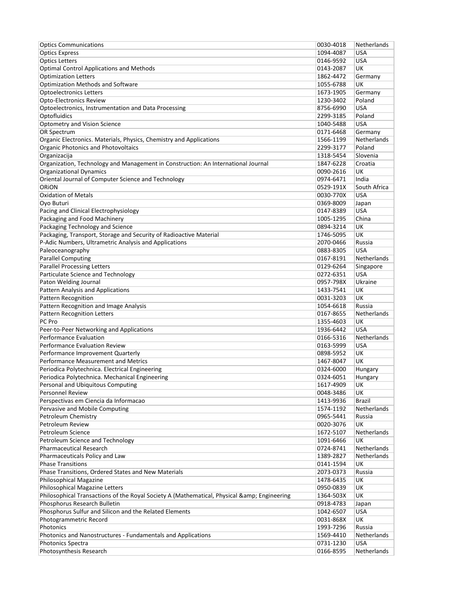| <b>Optics Communications</b>                                                            | 0030-4018              | Netherlands             |
|-----------------------------------------------------------------------------------------|------------------------|-------------------------|
| <b>Optics Express</b>                                                                   | 1094-4087              | <b>USA</b>              |
| <b>Optics Letters</b>                                                                   | 0146-9592              | USA                     |
| <b>Optimal Control Applications and Methods</b>                                         | 0143-2087              | UK                      |
| <b>Optimization Letters</b>                                                             | 1862-4472              | Germany                 |
| <b>Optimization Methods and Software</b>                                                | 1055-6788              | UK                      |
| <b>Optoelectronics Letters</b>                                                          | 1673-1905              | Germany                 |
| <b>Opto-Electronics Review</b>                                                          | 1230-3402              | Poland                  |
| Optoelectronics, Instrumentation and Data Processing                                    | 8756-6990              | <b>USA</b>              |
| Optofluidics                                                                            | 2299-3185              | Poland                  |
| <b>Optometry and Vision Science</b>                                                     | 1040-5488              | <b>USA</b>              |
| OR Spectrum                                                                             | 0171-6468              | Germany                 |
| Organic Electronics. Materials, Physics, Chemistry and Applications                     | 1566-1199              | Netherlands             |
| <b>Organic Photonics and Photovoltaics</b>                                              | 2299-3177              | Poland                  |
| Organizacija                                                                            | 1318-5454              | Slovenia                |
| Organization, Technology and Management in Construction: An International Journal       | 1847-6228              | Croatia                 |
| <b>Organizational Dynamics</b>                                                          | 0090-2616              | UK                      |
| Oriental Journal of Computer Science and Technology                                     | 0974-6471              | India                   |
| ORION                                                                                   | 0529-191X              | South Africa            |
| <b>Oxidation of Metals</b>                                                              | 0030-770X              | USA                     |
| Oyo Buturi                                                                              | 0369-8009              | Japan                   |
| Pacing and Clinical Electrophysiology                                                   | 0147-8389              | <b>USA</b>              |
| Packaging and Food Machinery                                                            | 1005-1295              | China                   |
| Packaging Technology and Science                                                        | 0894-3214              | UK                      |
| Packaging, Transport, Storage and Security of Radioactive Material                      | 1746-5095              | UK                      |
| P-Adic Numbers, Ultrametric Analysis and Applications                                   | 2070-0466              | Russia                  |
| Paleoceanography                                                                        | 0883-8305              | USA                     |
| <b>Parallel Computing</b>                                                               | 0167-8191              | <b>Netherlands</b>      |
| <b>Parallel Processing Letters</b>                                                      | 0129-6264              | Singapore<br><b>USA</b> |
| Particulate Science and Technology<br>Paton Welding Journal                             | 0272-6351<br>0957-798X | Ukraine                 |
| Pattern Analysis and Applications                                                       | 1433-7541              | UK                      |
| <b>Pattern Recognition</b>                                                              | 0031-3203              | UK                      |
| Pattern Recognition and Image Analysis                                                  | 1054-6618              | Russia                  |
| <b>Pattern Recognition Letters</b>                                                      | 0167-8655              | Netherlands             |
| PC Pro                                                                                  | 1355-4603              | UK                      |
| Peer-to-Peer Networking and Applications                                                | 1936-6442              | <b>USA</b>              |
| <b>Performance Evaluation</b>                                                           | 0166-5316              | <b>Netherlands</b>      |
| Performance Evaluation Review                                                           | 0163-5999              | USA                     |
| Performance Improvement Quarterly                                                       | 0898-5952              | UK                      |
| Performance Measurement and Metrics                                                     | 1467-8047              | UK                      |
| Periodica Polytechnica. Electrical Engineering                                          | 0324-6000              | Hungary                 |
| Periodica Polytechnica. Mechanical Engineering                                          | 0324-6051              | Hungary                 |
| Personal and Ubiquitous Computing                                                       | 1617-4909              | UK                      |
| <b>Personnel Review</b>                                                                 | 0048-3486              | UK                      |
| Perspectivas em Ciencia da Informacao                                                   | 1413-9936              | Brazil                  |
| Pervasive and Mobile Computing                                                          | 1574-1192              | Netherlands             |
| Petroleum Chemistry                                                                     | 0965-5441              | Russia                  |
| Petroleum Review                                                                        | 0020-3076              | UK                      |
| Petroleum Science                                                                       | 1672-5107              | Netherlands             |
| Petroleum Science and Technology                                                        | 1091-6466              | UK                      |
| <b>Pharmaceutical Research</b>                                                          | 0724-8741              | Netherlands             |
| Pharmaceuticals Policy and Law                                                          | 1389-2827              | Netherlands             |
| <b>Phase Transitions</b>                                                                | 0141-1594              | UK                      |
| Phase Transitions, Ordered States and New Materials                                     | 2073-0373              | Russia                  |
| <b>Philosophical Magazine</b>                                                           | 1478-6435              | UK                      |
| <b>Philosophical Magazine Letters</b>                                                   | 0950-0839              | UK                      |
| Philosophical Transactions of the Royal Society A (Mathematical, Physical & Engineering | 1364-503X              | UK                      |
| Phosphorus Research Bulletin                                                            | 0918-4783              | Japan                   |
| Phosphorus Sulfur and Silicon and the Related Elements                                  | 1042-6507              | USA                     |
| Photogrammetric Record                                                                  | 0031-868X              | UK                      |
| Photonics                                                                               | 1993-7296              | Russia                  |
| Photonics and Nanostructures - Fundamentals and Applications                            | 1569-4410              | Netherlands             |
| Photonics Spectra<br>Photosynthesis Research                                            | 0731-1230              | USA<br>Netherlands      |
|                                                                                         | 0166-8595              |                         |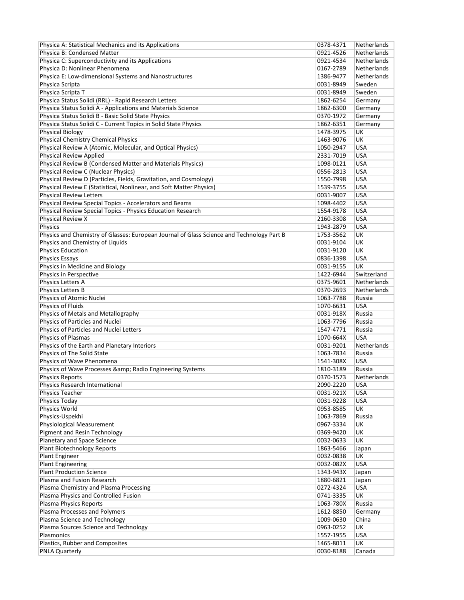| Physica A: Statistical Mechanics and its Applications                                     | 0378-4371              | Netherlands        |
|-------------------------------------------------------------------------------------------|------------------------|--------------------|
| Physica B: Condensed Matter                                                               | 0921-4526              | <b>Netherlands</b> |
| Physica C: Superconductivity and its Applications                                         | 0921-4534              | <b>Netherlands</b> |
| Physica D: Nonlinear Phenomena                                                            | 0167-2789              | <b>Netherlands</b> |
| Physica E: Low-dimensional Systems and Nanostructures                                     | 1386-9477              | <b>Netherlands</b> |
| Physica Scripta                                                                           | 0031-8949              | Sweden             |
| Physica Scripta T                                                                         | 0031-8949              | Sweden             |
| Physica Status Solidi (RRL) - Rapid Research Letters                                      | 1862-6254              | Germany            |
| Physica Status Solidi A - Applications and Materials Science                              | 1862-6300              | Germany            |
| Physica Status Solidi B - Basic Solid State Physics                                       | 0370-1972              | Germany            |
| Physica Status Solidi C - Current Topics in Solid State Physics                           | 1862-6351              | Germany            |
| <b>Physical Biology</b>                                                                   | 1478-3975              | UK                 |
| <b>Physical Chemistry Chemical Physics</b>                                                | 1463-9076              | UK                 |
| Physical Review A (Atomic, Molecular, and Optical Physics)                                | 1050-2947              | USA                |
| Physical Review Applied                                                                   | 2331-7019              | <b>USA</b>         |
| Physical Review B (Condensed Matter and Materials Physics)                                | 1098-0121              | <b>USA</b>         |
| Physical Review C (Nuclear Physics)                                                       | 0556-2813              | <b>USA</b>         |
| Physical Review D (Particles, Fields, Gravitation, and Cosmology)                         | 1550-7998              | <b>USA</b>         |
| Physical Review E (Statistical, Nonlinear, and Soft Matter Physics)                       | 1539-3755              | USA                |
| <b>Physical Review Letters</b>                                                            | 0031-9007              | <b>USA</b>         |
| Physical Review Special Topics - Accelerators and Beams                                   | 1098-4402              | <b>USA</b>         |
| Physical Review Special Topics - Physics Education Research                               | 1554-9178              | USA                |
| Physical Review X                                                                         | 2160-3308              | <b>USA</b>         |
| Physics                                                                                   | 1943-2879              | <b>USA</b>         |
| Physics and Chemistry of Glasses: European Journal of Glass Science and Technology Part B | 1753-3562              | UK                 |
| Physics and Chemistry of Liquids                                                          | 0031-9104              | UK                 |
| <b>Physics Education</b>                                                                  | 0031-9120              | UK                 |
| <b>Physics Essays</b>                                                                     | 0836-1398              | <b>USA</b>         |
| Physics in Medicine and Biology                                                           | 0031-9155              | <b>UK</b>          |
| Physics in Perspective                                                                    | 1422-6944              | Switzerland        |
| Physics Letters A                                                                         | 0375-9601              | <b>Netherlands</b> |
| Physics Letters B                                                                         | 0370-2693              | Netherlands        |
| Physics of Atomic Nuclei                                                                  | 1063-7788              | Russia             |
| Physics of Fluids                                                                         | 1070-6631              | <b>USA</b>         |
| Physics of Metals and Metallography                                                       | 0031-918X              | Russia             |
| Physics of Particles and Nuclei                                                           | 1063-7796              | Russia             |
| Physics of Particles and Nuclei Letters                                                   | 1547-4771              | Russia             |
| Physics of Plasmas                                                                        | 1070-664X              | <b>USA</b>         |
| Physics of the Earth and Planetary Interiors                                              | 0031-9201              | Netherlands        |
| Physics of The Solid State                                                                | 1063-7834              | Russia             |
| Physics of Wave Phenomena                                                                 | 1541-308X              | <b>USA</b>         |
| Physics of Wave Processes & Radio Engineering Systems                                     | 1810-3189              | Russia             |
| <b>Physics Reports</b>                                                                    | 0370-1573              | <b>Netherlands</b> |
| Physics Research International                                                            | 2090-2220              | USA                |
| Physics Teacher<br><b>Physics Today</b>                                                   | 0031-921X<br>0031-9228 | USA<br><b>USA</b>  |
| Physics World                                                                             | 0953-8585              | UK                 |
| Physics-Uspekhi                                                                           | 1063-7869              | Russia             |
| Physiological Measurement                                                                 | 0967-3334              | UK                 |
| <b>Pigment and Resin Technology</b>                                                       | 0369-9420              | UK                 |
| Planetary and Space Science                                                               | 0032-0633              | UK                 |
| Plant Biotechnology Reports                                                               | 1863-5466              | Japan              |
| Plant Engineer                                                                            | 0032-0838              | UK                 |
| <b>Plant Engineering</b>                                                                  | 0032-082X              | <b>USA</b>         |
| <b>Plant Production Science</b>                                                           | 1343-943X              | Japan              |
| Plasma and Fusion Research                                                                | 1880-6821              | Japan              |
| Plasma Chemistry and Plasma Processing                                                    | 0272-4324              | <b>USA</b>         |
| Plasma Physics and Controlled Fusion                                                      | 0741-3335              | UK                 |
| Plasma Physics Reports                                                                    | 1063-780X              | Russia             |
| Plasma Processes and Polymers                                                             | 1612-8850              | Germany            |
| Plasma Science and Technology                                                             | 1009-0630              | China              |
| Plasma Sources Science and Technology                                                     | 0963-0252              | UK                 |
| Plasmonics                                                                                |                        |                    |
|                                                                                           |                        | <b>USA</b>         |
|                                                                                           | 1557-1955<br>1465-8011 | UK                 |
| Plastics, Rubber and Composites<br><b>PNLA Quarterly</b>                                  | 0030-8188              | Canada             |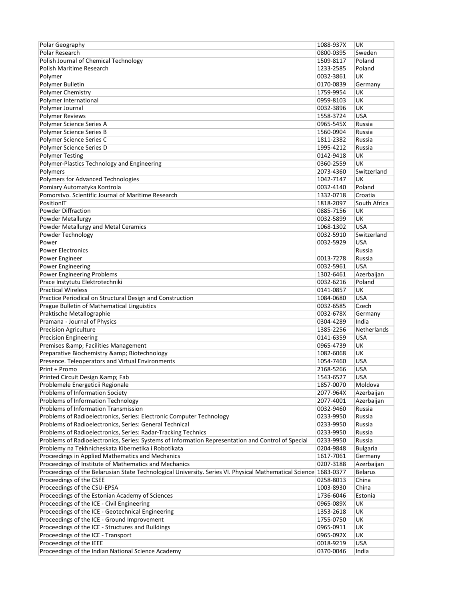| Polar Geography                                                                                                  | 1088-937X | UK              |
|------------------------------------------------------------------------------------------------------------------|-----------|-----------------|
| Polar Research                                                                                                   | 0800-0395 | Sweden          |
| Polish Journal of Chemical Technology                                                                            | 1509-8117 | Poland          |
| Polish Maritime Research                                                                                         | 1233-2585 | Poland          |
| Polymer                                                                                                          | 0032-3861 | UK              |
| Polymer Bulletin                                                                                                 | 0170-0839 | Germany         |
| Polymer Chemistry                                                                                                | 1759-9954 | UK              |
| Polymer International                                                                                            | 0959-8103 | UK              |
| Polymer Journal                                                                                                  | 0032-3896 | UK              |
| <b>Polymer Reviews</b>                                                                                           | 1558-3724 | <b>USA</b>      |
| Polymer Science Series A                                                                                         | 0965-545X | Russia          |
| Polymer Science Series B                                                                                         | 1560-0904 | Russia          |
| Polymer Science Series C                                                                                         | 1811-2382 | Russia          |
| Polymer Science Series D                                                                                         | 1995-4212 | Russia          |
| <b>Polymer Testing</b>                                                                                           | 0142-9418 | UK              |
| Polymer-Plastics Technology and Engineering                                                                      | 0360-2559 | UK              |
|                                                                                                                  |           | Switzerland     |
| Polymers                                                                                                         | 2073-4360 |                 |
| Polymers for Advanced Technologies                                                                               | 1042-7147 | UK              |
| Pomiary Automatyka Kontrola                                                                                      | 0032-4140 | Poland          |
| Pomorstvo. Scientific Journal of Maritime Research                                                               | 1332-0718 | Croatia         |
| PositionIT                                                                                                       | 1818-2097 | South Africa    |
| <b>Powder Diffraction</b>                                                                                        | 0885-7156 | UK              |
| <b>Powder Metallurgy</b>                                                                                         | 0032-5899 | UK              |
| Powder Metallurgy and Metal Ceramics                                                                             | 1068-1302 | <b>USA</b>      |
| Powder Technology                                                                                                | 0032-5910 | Switzerland     |
| Power                                                                                                            | 0032-5929 | <b>USA</b>      |
| <b>Power Electronics</b>                                                                                         |           | Russia          |
| Power Engineer                                                                                                   | 0013-7278 | Russia          |
| Power Engineering                                                                                                | 0032-5961 | <b>USA</b>      |
| Power Engineering Problems                                                                                       | 1302-6461 | Azerbaijan      |
| Prace Instytutu Elektrotechniki                                                                                  | 0032-6216 | Poland          |
| <b>Practical Wireless</b>                                                                                        | 0141-0857 | UK              |
| Practice Periodical on Structural Design and Construction                                                        | 1084-0680 | <b>USA</b>      |
| Prague Bulletin of Mathematical Linguistics                                                                      | 0032-6585 | Czech           |
| Praktische Metallographie                                                                                        | 0032-678X | Germany         |
| Pramana - Journal of Physics                                                                                     | 0304-4289 | India           |
| <b>Precision Agriculture</b>                                                                                     | 1385-2256 | Netherlands     |
| <b>Precision Engineering</b>                                                                                     | 0141-6359 | <b>USA</b>      |
| Premises & Facilities Management                                                                                 | 0965-4739 | UK              |
| Preparative Biochemistry & Biotechnology                                                                         | 1082-6068 | UK              |
| Presence. Teleoperators and Virtual Environments                                                                 | 1054-7460 | <b>USA</b>      |
| Print + Promo                                                                                                    | 2168-5266 | USA             |
| Printed Circuit Design & Fab                                                                                     | 1543-6527 | <b>USA</b>      |
|                                                                                                                  | 1857-0070 | Moldova         |
| Problemele Energeticii Regionale                                                                                 |           |                 |
| Problems of Information Society                                                                                  | 2077-964X | Azerbaijan      |
| Problems of Information Technology                                                                               | 2077-4001 | Azerbaijan      |
| <b>Problems of Information Transmission</b>                                                                      | 0032-9460 | Russia          |
| Problems of Radioelectronics, Series: Electronic Computer Technology                                             | 0233-9950 | Russia          |
| Problems of Radioelectronics, Series: General Technical                                                          | 0233-9950 | Russia          |
| Problems of Radioelectronics, Series: Radar-Tracking Technics                                                    | 0233-9950 | Russia          |
| Problems of Radioelectronics, Series: Systems of Information Representation and Control of Special               | 0233-9950 | Russia          |
| Problemy na Tekhnicheskata Kibernetika i Robotikata                                                              | 0204-9848 | <b>Bulgaria</b> |
| Proceedings in Applied Mathematics and Mechanics                                                                 | 1617-7061 | Germany         |
| Proceedings of Institute of Mathematics and Mechanics                                                            | 0207-3188 | Azerbaijan      |
| Proceedings of the Belarusian State Technological University. Series VI. Physical Mathematical Science 1683-0377 |           | <b>Belarus</b>  |
| Proceedings of the CSEE                                                                                          | 0258-8013 | China           |
| Proceedings of the CSU-EPSA                                                                                      | 1003-8930 | China           |
| Proceedings of the Estonian Academy of Sciences                                                                  | 1736-6046 | Estonia         |
| Proceedings of the ICE - Civil Engineering                                                                       | 0965-089X | UK              |
| Proceedings of the ICE - Geotechnical Engineering                                                                | 1353-2618 | UK              |
| Proceedings of the ICE - Ground Improvement                                                                      | 1755-0750 | UK              |
| Proceedings of the ICE - Structures and Buildings                                                                | 0965-0911 | UK              |
| Proceedings of the ICE - Transport                                                                               | 0965-092X | UK              |
| Proceedings of the IEEE                                                                                          | 0018-9219 | <b>USA</b>      |
| Proceedings of the Indian National Science Academy                                                               | 0370-0046 | India           |
|                                                                                                                  |           |                 |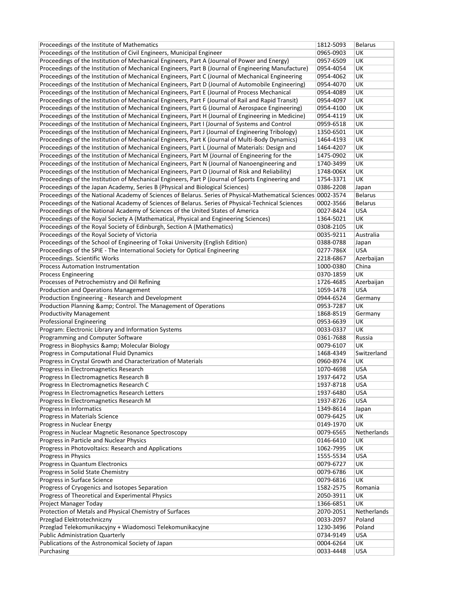| Proceedings of the Institute of Mathematics                                                                    | 1812-5093 | <b>Belarus</b> |
|----------------------------------------------------------------------------------------------------------------|-----------|----------------|
| Proceedings of the Institution of Civil Engineers, Municipal Engineer                                          | 0965-0903 | UK             |
| Proceedings of the Institution of Mechanical Engineers, Part A (Journal of Power and Energy)                   | 0957-6509 | UK             |
| Proceedings of the Institution of Mechanical Engineers, Part B (Journal of Engineering Manufacture)            | 0954-4054 | UK             |
| Proceedings of the Institution of Mechanical Engineers, Part C (Journal of Mechanical Engineering              | 0954-4062 | UK             |
| Proceedings of the Institution of Mechanical Engineers, Part D (Journal of Automobile Engineering)             | 0954-4070 | UK             |
| Proceedings of the Institution of Mechanical Engineers, Part E (Journal of Process Mechanical                  | 0954-4089 | UK             |
| Proceedings of the Institution of Mechanical Engineers, Part F (Journal of Rail and Rapid Transit)             | 0954-4097 | UK             |
| Proceedings of the Institution of Mechanical Engineers, Part G (Journal of Aerospace Engineering)              | 0954-4100 | UK             |
| Proceedings of the Institution of Mechanical Engineers, Part H (Journal of Engineering in Medicine)            | 0954-4119 | UK             |
|                                                                                                                | 0959-6518 | UK             |
| Proceedings of the Institution of Mechanical Engineers, Part I (Journal of Systems and Control                 |           |                |
| Proceedings of the Institution of Mechanical Engineers, Part J (Journal of Engineering Tribology)              | 1350-6501 | UK             |
| Proceedings of the Institution of Mechanical Engineers, Part K (Journal of Multi-Body Dynamics)                | 1464-4193 | UK             |
| Proceedings of the Institution of Mechanical Engineers, Part L (Journal of Materials: Design and               | 1464-4207 | UK             |
| Proceedings of the Institution of Mechanical Engineers, Part M (Journal of Engineering for the                 | 1475-0902 | UK             |
| Proceedings of the Institution of Mechanical Engineers, Part N (Journal of Nanoengineering and                 | 1740-3499 | UK             |
| Proceedings of the Institution of Mechanical Engineers, Part O (Journal of Risk and Reliability)               | 1748-006X | UK             |
| Proceedings of the Institution of Mechanical Engineers, Part P (Journal of Sports Engineering and              | 1754-3371 | UK             |
| Proceedings of the Japan Academy, Series B (Physical and Biological Sciences)                                  | 0386-2208 | Japan          |
| Proceedings of the National Academy of Sciences of Belarus. Series of Physical-Mathematical Sciences 0002-3574 |           | <b>Belarus</b> |
| Proceedings of the National Academy of Sciences of Belarus. Series of Physical-Technical Sciences              | 0002-3566 | <b>Belarus</b> |
| Proceedings of the National Academy of Sciences of the United States of America                                | 0027-8424 | <b>USA</b>     |
| Proceedings of the Royal Society A (Mathematical, Physical and Engineering Sciences)                           | 1364-5021 | UK             |
| Proceedings of the Royal Society of Edinburgh, Section A (Mathematics)                                         | 0308-2105 | UK             |
| Proceedings of the Royal Society of Victoria                                                                   | 0035-9211 | Australia      |
| Proceedings of the School of Engineering of Tokai University (English Edition)                                 |           |                |
|                                                                                                                | 0388-0788 | Japan          |
| Proceedings of the SPIE - The International Society for Optical Engineering                                    | 0277-786X | USA            |
| Proceedings. Scientific Works                                                                                  | 2218-6867 | Azerbaijan     |
| <b>Process Automation Instrumentation</b>                                                                      | 1000-0380 | China          |
| Process Engineering                                                                                            | 0370-1859 | UK             |
| Processes of Petrochemistry and Oil Refining                                                                   | 1726-4685 | Azerbaijan     |
| Production and Operations Management                                                                           | 1059-1478 | USA            |
| Production Engineering - Research and Development                                                              | 0944-6524 | Germany        |
| Production Planning & Control. The Management of Operations                                                    | 0953-7287 | UK             |
| <b>Productivity Management</b>                                                                                 | 1868-8519 | Germany        |
| Professional Engineering                                                                                       | 0953-6639 | UK             |
| Program: Electronic Library and Information Systems                                                            | 0033-0337 | UK             |
| Programming and Computer Software                                                                              | 0361-7688 | Russia         |
| Progress in Biophysics & Molecular Biology                                                                     | 0079-6107 | UK             |
| Progress in Computational Fluid Dynamics                                                                       | 1468-4349 | Switzerland    |
| Progress in Crystal Growth and Characterization of Materials                                                   | 0960-8974 | UK             |
| Progress in Electromagnetics Research                                                                          | 1070-4698 | <b>USA</b>     |
| Progress In Electromagnetics Research B                                                                        | 1937-6472 | USA            |
| Progress In Electromagnetics Research C                                                                        | 1937-8718 | <b>USA</b>     |
| Progress In Electromagnetics Research Letters                                                                  | 1937-6480 | <b>USA</b>     |
| Progress In Electromagnetics Research M                                                                        | 1937-8726 | <b>USA</b>     |
|                                                                                                                |           |                |
| Progress in Informatics                                                                                        | 1349-8614 | Japan          |
| Progress in Materials Science                                                                                  | 0079-6425 | UK             |
| Progress in Nuclear Energy                                                                                     | 0149-1970 | UK             |
| Progress in Nuclear Magnetic Resonance Spectroscopy                                                            | 0079-6565 | Netherlands    |
| Progress in Particle and Nuclear Physics                                                                       | 0146-6410 | UK             |
| Progress in Photovoltaics: Research and Applications                                                           | 1062-7995 | UK             |
| Progress in Physics                                                                                            | 1555-5534 | <b>USA</b>     |
| Progress in Quantum Electronics                                                                                | 0079-6727 | UK             |
| Progress in Solid State Chemistry                                                                              | 0079-6786 | UK             |
| Progress in Surface Science                                                                                    | 0079-6816 | UK             |
| Progress of Cryogenics and Isotopes Separation                                                                 | 1582-2575 | Romania        |
| Progress of Theoretical and Experimental Physics                                                               | 2050-3911 | UK             |
| Project Manager Today                                                                                          | 1366-6851 | UK             |
| Protection of Metals and Physical Chemistry of Surfaces                                                        | 2070-2051 | Netherlands    |
| Przeglad Elektrotechniczny                                                                                     | 0033-2097 | Poland         |
| Przeglad Telekomunikacyjny + Wiadomosci Telekomunikacyjne                                                      | 1230-3496 | Poland         |
| <b>Public Administration Quarterly</b>                                                                         | 0734-9149 | <b>USA</b>     |
| Publications of the Astronomical Society of Japan                                                              | 0004-6264 | UK             |
|                                                                                                                | 0033-4448 | <b>USA</b>     |
| Purchasing                                                                                                     |           |                |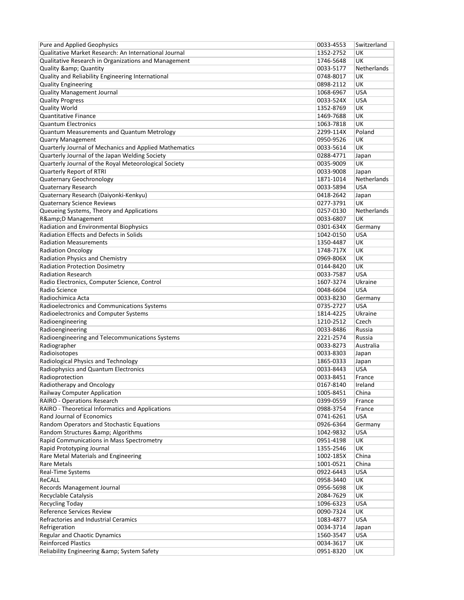| Pure and Applied Geophysics                            | 0033-4553 | Switzerland        |
|--------------------------------------------------------|-----------|--------------------|
| Qualitative Market Research: An International Journal  | 1352-2752 | UK                 |
| Qualitative Research in Organizations and Management   | 1746-5648 | UK                 |
| Quality & Quantity                                     | 0033-5177 | Netherlands        |
| Quality and Reliability Engineering International      | 0748-8017 | UK                 |
| <b>Quality Engineering</b>                             | 0898-2112 | UK                 |
| <b>Quality Management Journal</b>                      | 1068-6967 | <b>USA</b>         |
| <b>Quality Progress</b>                                | 0033-524X | USA                |
| <b>Quality World</b>                                   | 1352-8769 | UK                 |
| <b>Quantitative Finance</b>                            | 1469-7688 | UK                 |
| <b>Quantum Electronics</b>                             | 1063-7818 | UK                 |
| Quantum Measurements and Quantum Metrology             | 2299-114X | Poland             |
| <b>Quarry Management</b>                               | 0950-9526 | UK                 |
| Quarterly Journal of Mechanics and Applied Mathematics | 0033-5614 | UK                 |
| Quarterly Journal of the Japan Welding Society         | 0288-4771 | Japan              |
| Quarterly Journal of the Royal Meteorological Society  | 0035-9009 | UK                 |
| Quarterly Report of RTRI                               | 0033-9008 | Japan              |
| Quaternary Geochronology                               | 1871-1014 | Netherlands        |
| Quaternary Research                                    | 0033-5894 | USA                |
| Quaternary Research (Daiyonki-Kenkyu)                  | 0418-2642 | Japan              |
| <b>Quaternary Science Reviews</b>                      | 0277-3791 | UK                 |
| Queueing Systems, Theory and Applications              | 0257-0130 | <b>Netherlands</b> |
| R&D Management                                         | 0033-6807 | UK                 |
| Radiation and Environmental Biophysics                 | 0301-634X | Germany            |
| Radiation Effects and Defects in Solids                | 1042-0150 | <b>USA</b>         |
| <b>Radiation Measurements</b>                          | 1350-4487 | UK                 |
| <b>Radiation Oncology</b>                              | 1748-717X | UK                 |
| Radiation Physics and Chemistry                        | 0969-806X | UK                 |
| <b>Radiation Protection Dosimetry</b>                  | 0144-8420 | UK                 |
| <b>Radiation Research</b>                              | 0033-7587 | <b>USA</b>         |
| Radio Electronics, Computer Science, Control           | 1607-3274 | Ukraine            |
| Radio Science                                          | 0048-6604 | <b>USA</b>         |
| Radiochimica Acta                                      | 0033-8230 | Germany            |
| Radioelectronics and Communications Systems            | 0735-2727 | <b>USA</b>         |
| Radioelectronics and Computer Systems                  | 1814-4225 | Ukraine            |
| Radioengineering                                       | 1210-2512 | Czech              |
| Radioengineering                                       | 0033-8486 | Russia             |
| Radioengineering and Telecommunications Systems        | 2221-2574 | Russia             |
| Radiographer                                           | 0033-8273 | Australia          |
| Radioisotopes                                          | 0033-8303 | Japan              |
| Radiological Physics and Technology                    | 1865-0333 | Japan              |
| Radiophysics and Quantum Electronics                   | 0033-8443 | USA                |
| Radioprotection                                        | 0033-8451 | France             |
| Radiotherapy and Oncology                              | 0167-8140 | Ireland            |
| Railway Computer Application                           | 1005-8451 | China              |
| RAIRO - Operations Research                            | 0399-0559 | France             |
| RAIRO - Theoretical Informatics and Applications       | 0988-3754 | France             |
| Rand Journal of Economics                              | 0741-6261 | <b>USA</b>         |
| <b>Random Operators and Stochastic Equations</b>       | 0926-6364 | Germany            |
| Random Structures & Algorithms                         | 1042-9832 | <b>USA</b>         |
| Rapid Communications in Mass Spectrometry              | 0951-4198 | UK                 |
| Rapid Prototyping Journal                              | 1355-2546 | UK                 |
| Rare Metal Materials and Engineering                   | 1002-185X | China              |
| <b>Rare Metals</b>                                     | 1001-0521 | China              |
| Real-Time Systems                                      | 0922-6443 | <b>USA</b>         |
| ReCALL                                                 | 0958-3440 | UK                 |
| Records Management Journal                             | 0956-5698 | UK                 |
| Recyclable Catalysis                                   | 2084-7629 | UK                 |
| Recycling Today                                        | 1096-6323 | USA                |
| Reference Services Review                              | 0090-7324 | UK                 |
| Refractories and Industrial Ceramics                   | 1083-4877 | USA                |
| Refrigeration                                          | 0034-3714 | Japan              |
| <b>Regular and Chaotic Dynamics</b>                    | 1560-3547 | <b>USA</b>         |
| <b>Reinforced Plastics</b>                             | 0034-3617 | UK                 |
| Reliability Engineering & System Safety                | 0951-8320 | UK                 |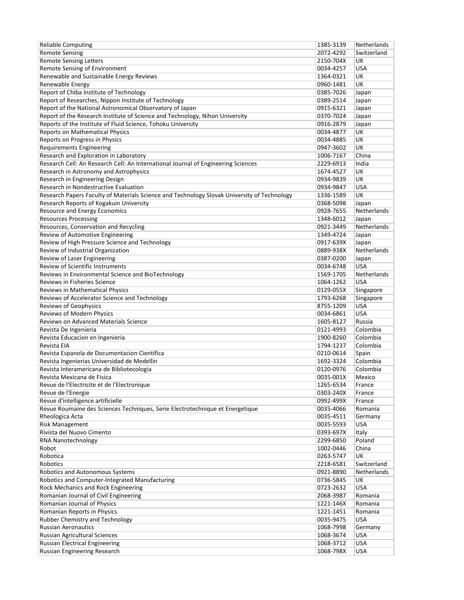| <b>Reliable Computing</b>                                                                   | 1385-3139              | Netherlands         |
|---------------------------------------------------------------------------------------------|------------------------|---------------------|
| <b>Remote Sensing</b>                                                                       | 2072-4292              | Switzerland         |
| <b>Remote Sensing Letters</b>                                                               | 2150-704X              | UK                  |
| Remote Sensing of Environment                                                               | 0034-4257              | USA                 |
| Renewable and Sustainable Energy Reviews                                                    | 1364-0321              | UK                  |
| Renewable Energy                                                                            | 0960-1481              | UK                  |
| Report of Chiba Institute of Technology                                                     | 0385-7026              | Japan               |
| Report of Researches, Nippon Institute of Technology                                        | 0389-2514              | Japan               |
| Report of the National Astronomical Observatory of Japan                                    | 0915-6321              | Japan               |
| Report of the Research Institute of Science and Technology, Nihon University                | 0370-7024              | Japan               |
| Reports of the Institute of Fluid Science, Tohoku University                                | 0916-2879              | Japan               |
| Reports on Mathematical Physics                                                             | 0034-4877              | UK                  |
| Reports on Progress in Physics                                                              | 0034-4885              | UK                  |
| Requirements Engineering                                                                    | 0947-3602              | UK                  |
| Research and Exploration in Laboratory                                                      | 1006-7167              | China               |
| Research Cell: An Research Cell: An International Journal of Engineering Sciences           | 2229-6913              | India               |
| Research in Astronomy and Astrophysics                                                      | 1674-4527              | UK                  |
| Research in Engineering Design                                                              | 0934-9839              | UK                  |
| Research in Nondestructive Evaluation                                                       | 0934-9847              | USA                 |
| Research Papers Faculty of Materials Science and Technology Slovak University of Technology | 1336-1589              | UK                  |
| Research Reports of Kogakuin University                                                     | 0368-5098              | Japan               |
| Resource and Energy Economics                                                               | 0928-7655              | Netherlands         |
| <b>Resources Processing</b>                                                                 | 1348-6012              | Japan               |
| Resources, Conservation and Recycling                                                       | 0921-3449              | Netherlands         |
| Review of Automotive Engineering                                                            | 1349-4724              | Japan               |
| Review of High Pressure Science and Technology                                              | 0917-639X              | Japan               |
| Review of Industrial Organization                                                           | 0889-938X              | Netherlands         |
| Review of Laser Engineering                                                                 | 0387-0200              | Japan<br><b>USA</b> |
| Review of Scientific Instruments                                                            | 0034-6748<br>1569-1705 | <b>Netherlands</b>  |
| Reviews in Environmental Science and BioTechnology                                          | 1064-1262              | <b>USA</b>          |
| Reviews in Fisheries Science<br>Reviews in Mathematical Physics                             | 0129-055X              | Singapore           |
| Reviews of Accelerator Science and Technology                                               | 1793-6268              | Singapore           |
| Reviews of Geophysics                                                                       | 8755-1209              | USA                 |
| Reviews of Modern Physics                                                                   | 0034-6861              | USA                 |
| Reviews on Advanced Materials Science                                                       | 1605-8127              | Russia              |
| Revista De Ingenieria                                                                       | 0121-4993              | Colombia            |
| Revista Educacion en Ingenieria                                                             | 1900-8260              | Colombia            |
| Revista EIA                                                                                 | 1794-1237              | Colombia            |
| Revista Espanola de Documentacion Cientifica                                                | 0210-0614              | Spain               |
| Revista Ingenierias Universidad de Medellin                                                 | 1692-3324              | Colombia            |
| Revista Interamericana de Bibliotecologia                                                   | 0120-0976              | Colombia            |
| Revista Mexicana de Fisica                                                                  | 0035-001X              | Mexico              |
| Revue de l'Electricite et de l'Electronique                                                 | 1265-6534              | France              |
| Revue de l'Energie                                                                          | 0303-240X              | France              |
| Revue d'intelligence artificielle                                                           | 0992-499X              | France              |
| Revue Roumaine des Sciences Techniques, Serie Electrotechnique et Energetique               | 0035-4066              | Romania             |
| Rheologica Acta                                                                             | 0035-4511              | Germany             |
| <b>Risk Management</b>                                                                      | 0035-5593              | <b>USA</b>          |
| Rivista del Nuovo Cimento                                                                   | 0393-697X              | Italy               |
| RNA Nanotechnology                                                                          | 2299-6850              | Poland              |
| Robot                                                                                       | 1002-0446              | China               |
| Robotica                                                                                    | 0263-5747              | UK                  |
| Robotics                                                                                    | 2218-6581              | Switzerland         |
| Robotics and Autonomous Systems                                                             | 0921-8890              | Netherlands         |
| Robotics and Computer-Integrated Manufacturing                                              | 0736-5845              | UK                  |
| Rock Mechanics and Rock Engineering                                                         | 0723-2632              | USA                 |
| Romanian Journal of Civil Engineering                                                       | 2068-3987              | Romania             |
| Romanian Journal of Physics                                                                 | 1221-146X              | Romania             |
| Romanian Reports in Physics                                                                 | 1221-1451              | Romania             |
| Rubber Chemistry and Technology                                                             | 0035-9475              | USA                 |
| <b>Russian Aeronautics</b>                                                                  | 1068-7998              | Germany             |
| Russian Agricultural Sciences                                                               | 1068-3674              | USA                 |
| <b>Russian Electrical Engineering</b>                                                       | 1068-3712              | <b>USA</b>          |
| Russian Engineering Research                                                                | 1068-798X              | USA                 |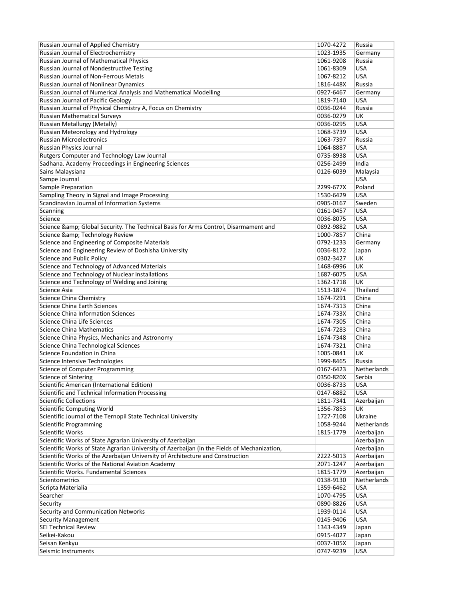| Russian Journal of Applied Chemistry                                                         | 1070-4272 | Russia      |
|----------------------------------------------------------------------------------------------|-----------|-------------|
| Russian Journal of Electrochemistry                                                          | 1023-1935 | Germany     |
| <b>Russian Journal of Mathematical Physics</b>                                               | 1061-9208 | Russia      |
| Russian Journal of Nondestructive Testing                                                    | 1061-8309 | USA         |
| Russian Journal of Non-Ferrous Metals                                                        | 1067-8212 | <b>USA</b>  |
| Russian Journal of Nonlinear Dynamics                                                        | 1816-448X | Russia      |
| Russian Journal of Numerical Analysis and Mathematical Modelling                             | 0927-6467 | Germany     |
| Russian Journal of Pacific Geology                                                           | 1819-7140 | USA         |
| Russian Journal of Physical Chemistry A, Focus on Chemistry                                  | 0036-0244 | Russia      |
| <b>Russian Mathematical Surveys</b>                                                          | 0036-0279 | UK          |
| <b>Russian Metallurgy (Metally)</b>                                                          | 0036-0295 | USA         |
| Russian Meteorology and Hydrology                                                            | 1068-3739 | <b>USA</b>  |
| <b>Russian Microelectronics</b>                                                              | 1063-7397 | Russia      |
| <b>Russian Physics Journal</b>                                                               | 1064-8887 | <b>USA</b>  |
| Rutgers Computer and Technology Law Journal                                                  | 0735-8938 | USA         |
| Sadhana. Academy Proceedings in Engineering Sciences                                         | 0256-2499 | India       |
|                                                                                              | 0126-6039 | Malaysia    |
| Sains Malaysiana                                                                             |           | <b>USA</b>  |
| Sampe Journal                                                                                |           |             |
| Sample Preparation                                                                           | 2299-677X | Poland      |
| Sampling Theory in Signal and Image Processing                                               | 1530-6429 | <b>USA</b>  |
| Scandinavian Journal of Information Systems                                                  | 0905-0167 | Sweden      |
| Scanning                                                                                     | 0161-0457 | <b>USA</b>  |
| Science                                                                                      | 0036-8075 | USA         |
| Science & Global Security. The Technical Basis for Arms Control, Disarmament and             | 0892-9882 | <b>USA</b>  |
| Science & Technology Review                                                                  | 1000-7857 | China       |
| Science and Engineering of Composite Materials                                               | 0792-1233 | Germany     |
| Science and Engineering Review of Doshisha University                                        | 0036-8172 | Japan       |
| <b>Science and Public Policy</b>                                                             | 0302-3427 | UK          |
| Science and Technology of Advanced Materials                                                 | 1468-6996 | UK          |
| Science and Technology of Nuclear Installations                                              | 1687-6075 | USA         |
| Science and Technology of Welding and Joining                                                | 1362-1718 | UK          |
| Science Asia                                                                                 | 1513-1874 | Thailand    |
| <b>Science China Chemistry</b>                                                               | 1674-7291 | China       |
| <b>Science China Earth Sciences</b>                                                          | 1674-7313 | China       |
| <b>Science China Information Sciences</b>                                                    | 1674-733X | China       |
| Science China Life Sciences                                                                  | 1674-7305 | China       |
| <b>Science China Mathematics</b>                                                             | 1674-7283 | China       |
| Science China Physics, Mechanics and Astronomy                                               | 1674-7348 | China       |
| Science China Technological Sciences                                                         | 1674-7321 | China       |
| Science Foundation in China                                                                  | 1005-0841 | UK          |
| Science Intensive Technologies                                                               | 1999-8465 | Russia      |
| Science of Computer Programming                                                              | 0167-6423 | Netherlands |
| <b>Science of Sintering</b>                                                                  | 0350-820X | Serbia      |
| Scientific American (International Edition)                                                  | 0036-8733 | <b>USA</b>  |
|                                                                                              |           |             |
| Scientific and Technical Information Processing<br><b>Scientific Collections</b>             | 0147-6882 | USA         |
|                                                                                              | 1811-7341 | Azerbaijan  |
| <b>Scientific Computing World</b>                                                            | 1356-7853 | UK          |
| Scientific Journal of the Ternopil State Technical University                                | 1727-7108 | Ukraine     |
| <b>Scientific Programming</b>                                                                | 1058-9244 | Netherlands |
| <b>Scientific Works</b>                                                                      | 1815-1779 | Azerbaijan  |
| Scientific Works of State Agrarian University of Azerbaijan                                  |           | Azerbaijan  |
| Scientific Works of State Agrarian University of Azerbaijan (in the Fields of Mechanization, |           | Azerbaijan  |
| Scientific Works of the Azerbaijan University of Architecture and Construction               | 2222-5013 | Azerbaijan  |
| Scientific Works of the National Aviation Academy                                            | 2071-1247 | Azerbaijan  |
| Scientific Works. Fundamental Sciences                                                       | 1815-1779 | Azerbaijan  |
| Scientometrics                                                                               | 0138-9130 | Netherlands |
| Scripta Materialia                                                                           | 1359-6462 | USA         |
| Searcher                                                                                     |           | <b>USA</b>  |
| Security                                                                                     | 1070-4795 |             |
|                                                                                              | 0890-8826 | <b>USA</b>  |
| Security and Communication Networks                                                          | 1939-0114 | <b>USA</b>  |
| <b>Security Management</b>                                                                   | 0145-9406 | <b>USA</b>  |
| <b>SEI Technical Review</b>                                                                  | 1343-4349 | Japan       |
| Seikei-Kakou                                                                                 | 0915-4027 | Japan       |
| Seisan Kenkyu                                                                                | 0037-105X | Japan       |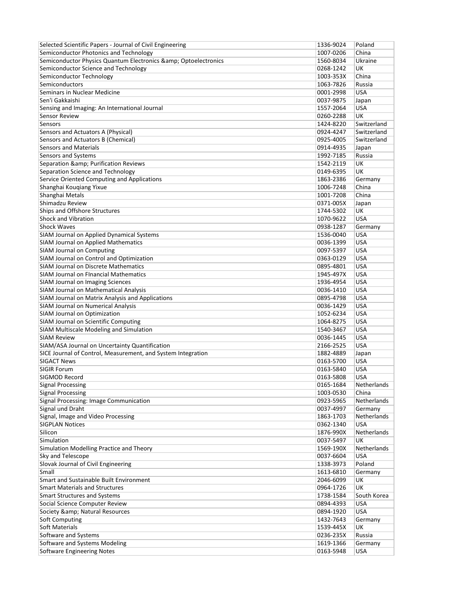| Selected Scientific Papers - Journal of Civil Engineering    | 1336-9024 | Poland             |
|--------------------------------------------------------------|-----------|--------------------|
| Semiconductor Photonics and Technology                       | 1007-0206 | China              |
| Semiconductor Physics Quantum Electronics & Optoelectronics  | 1560-8034 | Ukraine            |
| Semiconductor Science and Technology                         | 0268-1242 | UK                 |
| Semiconductor Technology                                     | 1003-353X | China              |
| Semiconductors                                               | 1063-7826 | Russia             |
| Seminars in Nuclear Medicine                                 | 0001-2998 | <b>USA</b>         |
| Sen'i Gakkaishi                                              | 0037-9875 | Japan              |
| Sensing and Imaging: An International Journal                | 1557-2064 | <b>USA</b>         |
| <b>Sensor Review</b>                                         | 0260-2288 | UK                 |
| Sensors                                                      | 1424-8220 | Switzerland        |
| Sensors and Actuators A (Physical)                           | 0924-4247 | Switzerland        |
| Sensors and Actuators B (Chemical)                           | 0925-4005 | Switzerland        |
| <b>Sensors and Materials</b>                                 | 0914-4935 | Japan              |
| Sensors and Systems                                          | 1992-7185 | Russia             |
| Separation & Purification Reviews                            | 1542-2119 | UK                 |
| Separation Science and Technology                            | 0149-6395 | UK                 |
| Service Oriented Computing and Applications                  | 1863-2386 | Germany            |
| Shanghai Kouqiang Yixue                                      | 1006-7248 | China              |
| Shanghai Metals                                              | 1001-7208 | China              |
| Shimadzu Review                                              | 0371-005X | Japan              |
| Ships and Offshore Structures                                | 1744-5302 | UK                 |
|                                                              |           | <b>USA</b>         |
| <b>Shock and Vibration</b>                                   | 1070-9622 |                    |
| <b>Shock Waves</b>                                           | 0938-1287 | Germany            |
| SIAM Journal on Applied Dynamical Systems                    | 1536-0040 | <b>USA</b>         |
| SIAM Journal on Applied Mathematics                          | 0036-1399 | <b>USA</b>         |
| <b>SIAM Journal on Computing</b>                             | 0097-5397 | USA                |
| SIAM Journal on Control and Optimization                     | 0363-0129 | <b>USA</b>         |
| <b>SIAM Journal on Discrete Mathematics</b>                  | 0895-4801 | <b>USA</b>         |
| <b>SIAM Journal on Financial Mathematics</b>                 | 1945-497X | USA                |
| SIAM Journal on Imaging Sciences                             | 1936-4954 | USA                |
| SIAM Journal on Mathematical Analysis                        | 0036-1410 | <b>USA</b>         |
| SIAM Journal on Matrix Analysis and Applications             | 0895-4798 | <b>USA</b>         |
| SIAM Journal on Numerical Analysis                           | 0036-1429 | USA                |
| SIAM Journal on Optimization                                 | 1052-6234 | USA                |
| SIAM Journal on Scientific Computing                         | 1064-8275 | USA                |
| SIAM Multiscale Modeling and Simulation                      | 1540-3467 | USA                |
| <b>SIAM Review</b>                                           | 0036-1445 | USA                |
| SIAM/ASA Journal on Uncertainty Quantification               | 2166-2525 | <b>USA</b>         |
| SICE Journal of Control, Measurement, and System Integration | 1882-4889 | Japan              |
| <b>SIGACT News</b>                                           | 0163-5700 | <b>USA</b>         |
| <b>SIGIR Forum</b>                                           | 0163-5840 | USA                |
| SIGMOD Record                                                | 0163-5808 | <b>USA</b>         |
| <b>Signal Processing</b>                                     | 0165-1684 | Netherlands        |
| <b>Signal Processing</b>                                     | 1003-0530 | China              |
| Signal Processing: Image Communication                       | 0923-5965 | Netherlands        |
| Signal und Draht                                             | 0037-4997 | Germany            |
| Signal, Image and Video Processing                           | 1863-1703 | <b>Netherlands</b> |
| <b>SIGPLAN Notices</b>                                       | 0362-1340 | <b>USA</b>         |
| Silicon                                                      | 1876-990X | Netherlands        |
| Simulation                                                   | 0037-5497 | UK                 |
| Simulation Modelling Practice and Theory                     | 1569-190X | Netherlands        |
| Sky and Telescope                                            | 0037-6604 | USA                |
| Slovak Journal of Civil Engineering                          | 1338-3973 | Poland             |
| Small                                                        | 1613-6810 | Germany            |
| Smart and Sustainable Built Environment                      | 2046-6099 | UK                 |
|                                                              |           | UK                 |
| <b>Smart Materials and Structures</b>                        | 0964-1726 |                    |
| <b>Smart Structures and Systems</b>                          | 1738-1584 | South Korea        |
| <b>Social Science Computer Review</b>                        | 0894-4393 | USA                |
| Society & Natural Resources                                  | 0894-1920 | <b>USA</b>         |
| <b>Soft Computing</b>                                        | 1432-7643 | Germany            |
| Soft Materials                                               | 1539-445X | UK                 |
| Software and Systems                                         | 0236-235X | Russia             |
| Software and Systems Modeling                                | 1619-1366 | Germany            |
| <b>Software Engineering Notes</b>                            | 0163-5948 | USA                |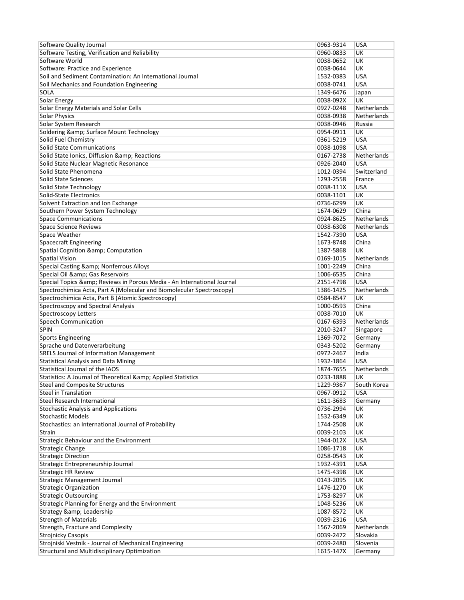| Software Quality Journal                                              | 0963-9314 | <b>USA</b>         |
|-----------------------------------------------------------------------|-----------|--------------------|
| Software Testing, Verification and Reliability                        | 0960-0833 | UK                 |
| Software World                                                        | 0038-0652 | UK                 |
| Software: Practice and Experience                                     | 0038-0644 | UK                 |
| Soil and Sediment Contamination: An International Journal             | 1532-0383 | <b>USA</b>         |
| Soil Mechanics and Foundation Engineering                             | 0038-0741 | <b>USA</b>         |
|                                                                       |           |                    |
| SOLA                                                                  | 1349-6476 | Japan              |
| Solar Energy                                                          | 0038-092X | UK                 |
| Solar Energy Materials and Solar Cells                                | 0927-0248 | Netherlands        |
| <b>Solar Physics</b>                                                  | 0038-0938 | <b>Netherlands</b> |
| Solar System Research                                                 | 0038-0946 | Russia             |
| Soldering & Surface Mount Technology                                  | 0954-0911 | UK                 |
| Solid Fuel Chemistry                                                  | 0361-5219 | <b>USA</b>         |
| <b>Solid State Communications</b>                                     | 0038-1098 | <b>USA</b>         |
| Solid State Ionics, Diffusion & Reactions                             | 0167-2738 | Netherlands        |
| Solid State Nuclear Magnetic Resonance                                | 0926-2040 | <b>USA</b>         |
| Solid State Phenomena                                                 | 1012-0394 | Switzerland        |
| <b>Solid State Sciences</b>                                           | 1293-2558 | France             |
| Solid State Technology                                                | 0038-111X | USA                |
| Solid-State Electronics                                               | 0038-1101 | UK                 |
| Solvent Extraction and Ion Exchange                                   | 0736-6299 | UK                 |
| Southern Power System Technology                                      | 1674-0629 | China              |
| <b>Space Communications</b>                                           | 0924-8625 | Netherlands        |
| <b>Space Science Reviews</b>                                          | 0038-6308 | Netherlands        |
| Space Weather                                                         | 1542-7390 | <b>USA</b>         |
| <b>Spacecraft Engineering</b>                                         | 1673-8748 | China              |
| Spatial Cognition & Computation                                       | 1387-5868 | UK                 |
|                                                                       | 0169-1015 | Netherlands        |
| <b>Spatial Vision</b><br>Special Casting & Nonferrous Alloys          | 1001-2249 | China              |
|                                                                       |           |                    |
| Special Oil & Gas Reservoirs                                          | 1006-6535 | China              |
| Special Topics & Reviews in Porous Media - An International Journal   | 2151-4798 | <b>USA</b>         |
| Spectrochimica Acta, Part A (Molecular and Biomolecular Spectroscopy) | 1386-1425 | Netherlands        |
| Spectrochimica Acta, Part B (Atomic Spectroscopy)                     | 0584-8547 | UK                 |
| Spectroscopy and Spectral Analysis                                    | 1000-0593 | China              |
| <b>Spectroscopy Letters</b>                                           | 0038-7010 | UK                 |
| <b>Speech Communication</b>                                           | 0167-6393 | Netherlands        |
| SPIN                                                                  | 2010-3247 | Singapore          |
| <b>Sports Engineering</b>                                             | 1369-7072 | Germany            |
| Sprache und Datenverarbeitung                                         | 0343-5202 | Germany            |
| <b>SRELS Journal of Information Management</b>                        | 0972-2467 | India              |
| <b>Statistical Analysis and Data Mining</b>                           | 1932-1864 | <b>USA</b>         |
| Statistical Journal of the IAOS                                       | 1874-7655 | Netherlands        |
| Statistics: A Journal of Theoretical & Applied Statistics             | 0233-1888 | UK                 |
| <b>Steel and Composite Structures</b>                                 | 1229-9367 | South Korea        |
| <b>Steel in Translation</b>                                           | 0967-0912 | USA                |
| Steel Research International                                          | 1611-3683 | Germany            |
| <b>Stochastic Analysis and Applications</b>                           | 0736-2994 | UK                 |
| <b>Stochastic Models</b>                                              | 1532-6349 | UK                 |
| Stochastics: an International Journal of Probability                  | 1744-2508 | UK                 |
| Strain                                                                | 0039-2103 | UK                 |
| Strategic Behaviour and the Environment                               | 1944-012X | <b>USA</b>         |
| <b>Strategic Change</b>                                               | 1086-1718 | UK                 |
| <b>Strategic Direction</b>                                            | 0258-0543 | UK                 |
| Strategic Entrepreneurship Journal                                    | 1932-4391 | USA                |
| <b>Strategic HR Review</b>                                            | 1475-4398 | UK                 |
| <b>Strategic Management Journal</b>                                   | 0143-2095 | UK                 |
| <b>Strategic Organization</b>                                         | 1476-1270 | UK                 |
| <b>Strategic Outsourcing</b>                                          | 1753-8297 | UK                 |
| Strategic Planning for Energy and the Environment                     | 1048-5236 | UK                 |
| Strategy & Leadership                                                 | 1087-8572 | UK                 |
| <b>Strength of Materials</b>                                          | 0039-2316 | <b>USA</b>         |
| Strength, Fracture and Complexity                                     | 1567-2069 | Netherlands        |
| <b>Strojnicky Casopis</b>                                             | 0039-2472 | Slovakia           |
| Strojniski Vestnik - Journal of Mechanical Engineering                | 0039-2480 | Slovenia           |
| Structural and Multidisciplinary Optimization                         | 1615-147X |                    |
|                                                                       |           | Germany            |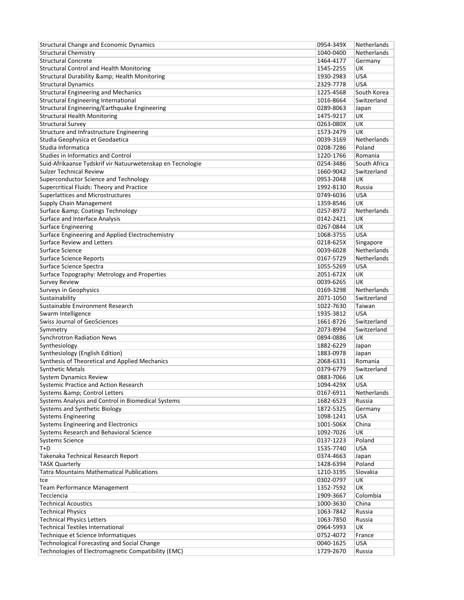| <b>Structural Change and Economic Dynamics</b>             | 0954-349X | Netherlands        |
|------------------------------------------------------------|-----------|--------------------|
| <b>Structural Chemistry</b>                                | 1040-0400 | <b>Netherlands</b> |
| <b>Structural Concrete</b>                                 | 1464-4177 | Germany            |
| <b>Structural Control and Health Monitoring</b>            | 1545-2255 | UK                 |
| Structural Durability & Health Monitoring                  | 1930-2983 | <b>USA</b>         |
| <b>Structural Dynamics</b>                                 | 2329-7778 | <b>USA</b>         |
| <b>Structural Engineering and Mechanics</b>                | 1225-4568 | South Korea        |
| <b>Structural Engineering International</b>                | 1016-8664 | Switzerland        |
| Structural Engineering/Earthquake Engineering              | 0289-8063 | Japan              |
| <b>Structural Health Monitoring</b>                        | 1475-9217 | UK                 |
| <b>Structural Survey</b>                                   | 0263-080X | UK                 |
| Structure and Infrastructure Engineering                   | 1573-2479 | UK                 |
| Studia Geophysica et Geodaetica                            | 0039-3169 | Netherlands        |
| Studia Informatica                                         | 0208-7286 | Poland             |
| Studies in Informatics and Control                         | 1220-1766 | Romania            |
| Suid-Afrikaanse Tydskrif vir Natuurwetenskap en Tecnologie | 0254-3486 | South Africa       |
| <b>Sulzer Technical Review</b>                             | 1660-9042 | Switzerland        |
| <b>Superconductor Science and Technology</b>               | 0953-2048 | UK                 |
| Supercritical Fluids: Theory and Practice                  | 1992-8130 | Russia             |
| Superlattices and Microstructures                          | 0749-6036 | <b>USA</b>         |
| <b>Supply Chain Management</b>                             | 1359-8546 | UK                 |
| Surface & Coatings Technology                              | 0257-8972 | Netherlands        |
| Surface and Interface Analysis                             | 0142-2421 | UK                 |
| <b>Surface Engineering</b>                                 | 0267-0844 | UK                 |
| Surface Engineering and Applied Electrochemistry           | 1068-3755 | <b>USA</b>         |
| Surface Review and Letters                                 | 0218-625X | Singapore          |
| Surface Science                                            | 0039-6028 | <b>Netherlands</b> |
| <b>Surface Science Reports</b>                             | 0167-5729 | <b>Netherlands</b> |
| Surface Science Spectra                                    | 1055-5269 | <b>USA</b>         |
| Surface Topography: Metrology and Properties               | 2051-672X | UK                 |
| <b>Survey Review</b>                                       | 0039-6265 | UK                 |
| Surveys in Geophysics                                      | 0169-3298 | <b>Netherlands</b> |
| Sustainability                                             | 2071-1050 | Switzerland        |
| Sustainable Environment Research                           | 1022-7630 | Taiwan             |
| Swarm Intelligence                                         | 1935-3812 | <b>USA</b>         |
| <b>Swiss Journal of GeoSciences</b>                        | 1661-8726 | Switzerland        |
| Symmetry                                                   | 2073-8994 | Switzerland        |
| <b>Synchrotron Radiation News</b>                          | 0894-0886 | UK                 |
| Synthesiology                                              | 1882-6229 | Japan              |
| Synthesiology (English Edition)                            | 1883-0978 | Japan              |
| Synthesis of Theoretical and Applied Mechanics             | 2068-6331 | Romania            |
| <b>Synthetic Metals</b>                                    | 0379-6779 | Switzerland        |
| <b>System Dynamics Review</b>                              | 0883-7066 | UK                 |
| Systemic Practice and Action Research                      | 1094-429X | <b>USA</b>         |
| Systems & Control Letters                                  | 0167-6911 | Netherlands        |
| Systems Analysis and Control in Biomedical Systems         | 1682-6523 | Russia             |
| Systems and Synthetic Biology                              | 1872-5325 | Germany            |
| <b>Systems Engineering</b>                                 | 1098-1241 | <b>USA</b>         |
| Systems Engineering and Electronics                        | 1001-506X | China              |
| Systems Research and Behavioral Science                    | 1092-7026 | UK                 |
| <b>Systems Science</b>                                     | 0137-1223 | Poland             |
| $T+D$                                                      | 1535-7740 | <b>USA</b>         |
| Takenaka Technical Research Report                         | 0374-4663 | Japan              |
| <b>TASK Quarterly</b>                                      | 1428-6394 | Poland             |
| <b>Tatra Mountains Mathematical Publications</b>           | 1210-3195 | Slovakia           |
| tce                                                        | 0302-0797 | UK                 |
| Team Performance Management                                | 1352-7592 | UK                 |
| Tecciencia                                                 | 1909-3667 | Colombia           |
| <b>Technical Acoustics</b>                                 | 1000-3630 | China              |
| <b>Technical Physics</b>                                   | 1063-7842 | Russia             |
| <b>Technical Physics Letters</b>                           | 1063-7850 | Russia             |
| <b>Technical Textiles International</b>                    | 0964-5993 | UK                 |
| Technique et Science Informatiques                         | 0752-4072 | France             |
| <b>Technological Forecasting and Social Change</b>         | 0040-1625 | <b>USA</b>         |
| Technologies of Electromagnetic Compatibility (EMC)        | 1729-2670 | Russia             |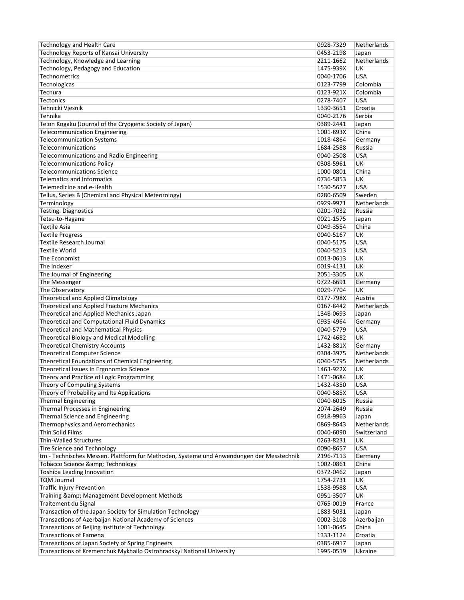| <b>Technology and Health Care</b>                                                        | 0928-7329 | Netherlands        |
|------------------------------------------------------------------------------------------|-----------|--------------------|
| Technology Reports of Kansai University                                                  | 0453-2198 | Japan              |
| Technology, Knowledge and Learning                                                       | 2211-1662 | <b>Netherlands</b> |
| Technology, Pedagogy and Education                                                       | 1475-939X | UK                 |
| Technometrics                                                                            | 0040-1706 | <b>USA</b>         |
| Tecnologicas                                                                             | 0123-7799 | Colombia           |
| Tecnura                                                                                  | 0123-921X | Colombia           |
| <b>Tectonics</b>                                                                         | 0278-7407 | <b>USA</b>         |
| Tehnicki Vjesnik                                                                         | 1330-3651 | Croatia            |
| Tehnika                                                                                  | 0040-2176 | Serbia             |
| Teion Kogaku (Journal of the Cryogenic Society of Japan)                                 | 0389-2441 | Japan              |
| <b>Telecommunication Engineering</b>                                                     | 1001-893X | China              |
| <b>Telecommunication Systems</b>                                                         | 1018-4864 | Germany            |
| Telecommunications                                                                       | 1684-2588 | Russia             |
| <b>Telecommunications and Radio Engineering</b>                                          | 0040-2508 | USA                |
| <b>Telecommunications Policy</b>                                                         | 0308-5961 | UK                 |
| <b>Telecommunications Science</b>                                                        | 1000-0801 | China              |
| <b>Telematics and Informatics</b>                                                        | 0736-5853 | UK                 |
| Telemedicine and e-Health                                                                | 1530-5627 | USA                |
| Tellus, Series B (Chemical and Physical Meteorology)                                     | 0280-6509 | Sweden             |
| Terminology                                                                              | 0929-9971 | <b>Netherlands</b> |
| <b>Testing. Diagnostics</b>                                                              | 0201-7032 | Russia             |
| Tetsu-to-Hagane                                                                          | 0021-1575 | Japan              |
| <b>Textile Asia</b>                                                                      | 0049-3554 | China              |
| <b>Textile Progress</b>                                                                  | 0040-5167 | UK                 |
| <b>Textile Research Journal</b>                                                          | 0040-5175 | USA                |
| <b>Textile World</b>                                                                     | 0040-5213 | USA                |
| The Economist                                                                            | 0013-0613 | UK                 |
| The Indexer                                                                              | 0019-4131 | UK                 |
| The Journal of Engineering                                                               | 2051-3305 | UK                 |
| The Messenger                                                                            | 0722-6691 | Germany            |
| The Observatory                                                                          | 0029-7704 | UK                 |
| Theoretical and Applied Climatology                                                      | 0177-798X | Austria            |
| Theoretical and Applied Fracture Mechanics                                               | 0167-8442 | Netherlands        |
| Theoretical and Applied Mechanics Japan                                                  | 1348-0693 | Japan              |
| Theoretical and Computational Fluid Dynamics                                             | 0935-4964 | Germany            |
| Theoretical and Mathematical Physics                                                     | 0040-5779 | USA                |
| Theoretical Biology and Medical Modelling                                                | 1742-4682 | UK                 |
| <b>Theoretical Chemistry Accounts</b>                                                    | 1432-881X | Germany            |
| <b>Theoretical Computer Science</b>                                                      | 0304-3975 | <b>Netherlands</b> |
| Theoretical Foundations of Chemical Engineering                                          | 0040-5795 | Netherlands        |
| Theoretical Issues In Ergonomics Science                                                 | 1463-922X | UK                 |
| Theory and Practice of Logic Programming                                                 | 1471-0684 | UK                 |
| Theory of Computing Systems                                                              | 1432-4350 | <b>USA</b>         |
| Theory of Probability and Its Applications                                               | 0040-585X | <b>USA</b>         |
| <b>Thermal Engineering</b>                                                               | 0040-6015 | Russia             |
| Thermal Processes in Engineering                                                         | 2074-2649 | Russia             |
| Thermal Science and Engineering                                                          | 0918-9963 | Japan              |
| Thermophysics and Aeromechanics                                                          | 0869-8643 | Netherlands        |
| Thin Solid Films                                                                         | 0040-6090 | Switzerland        |
| <b>Thin-Walled Structures</b>                                                            | 0263-8231 | UK                 |
| Tire Science and Technology                                                              | 0090-8657 | <b>USA</b>         |
| tm - Technisches Messen. Plattform fur Methoden, Systeme und Anwendungen der Messtechnik | 2196-7113 | Germany            |
| Tobacco Science & Technology                                                             | 1002-0861 | China              |
| Toshiba Leading Innovation                                                               | 0372-0462 | Japan              |
| <b>TQM Journal</b>                                                                       | 1754-2731 | UK                 |
| <b>Traffic Injury Prevention</b>                                                         | 1538-9588 | <b>USA</b>         |
| Training & Management Development Methods                                                | 0951-3507 | UK                 |
| Traitement du Signal                                                                     | 0765-0019 | France             |
| Transaction of the Japan Society for Simulation Technology                               | 1883-5031 | Japan              |
| Transactions of Azerbaijan National Academy of Sciences                                  | 0002-3108 | Azerbaijan         |
| Transactions of Beijing Institute of Technology                                          | 1001-0645 | China              |
| <b>Transactions of Famena</b>                                                            | 1333-1124 | Croatia            |
| Transactions of Japan Society of Spring Engineers                                        | 0385-6917 | Japan              |
| Transactions of Kremenchuk Mykhailo Ostrohradskyi National University                    | 1995-0519 | Ukraine            |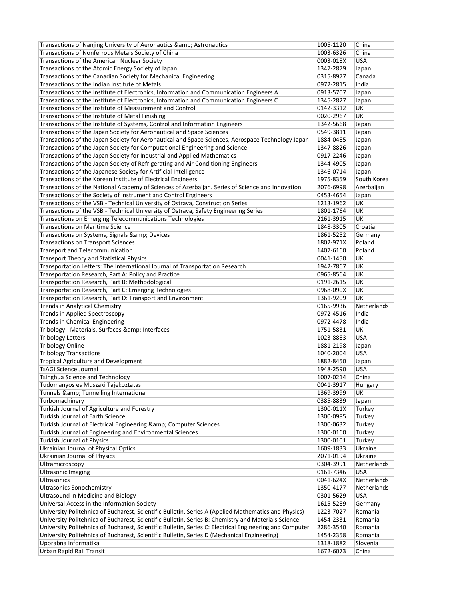| 1003-6326<br>China<br>0003-018X<br><b>USA</b><br>1347-2879<br>Japan<br>Transactions of the Canadian Society for Mechanical Engineering<br>Canada<br>0315-8977<br>Transactions of the Indian Institute of Metals<br>India<br>0972-2815<br>Transactions of the Institute of Electronics, Information and Communication Engineers A<br>0913-5707<br>Japan<br>Transactions of the Institute of Electronics, Information and Communication Engineers C<br>1345-2827<br>Japan<br>Transactions of the Institute of Measurement and Control<br>UK<br>0142-3312<br><b>UK</b><br>Transactions of the Institute of Metal Finishing<br>0020-2967<br>Transactions of the Institute of Systems, Control and Information Engineers<br>1342-5668<br>Japan<br>Transactions of the Japan Society for Aeronautical and Space Sciences<br>0549-3811<br>Japan<br>Transactions of the Japan Society for Aeronautical and Space Sciences, Aerospace Technology Japan<br>1884-0485<br>Japan<br>Transactions of the Japan Society for Computational Engineering and Science<br>1347-8826<br>Japan<br>Transactions of the Japan Society for Industrial and Applied Mathematics<br>0917-2246<br>Japan<br>Transactions of the Japan Society of Refrigerating and Air Conditioning Engineers<br>1344-4905<br>Japan<br>Transactions of the Japanese Society for Artificial Intelligence<br>1346-0714<br>Japan<br>Transactions of the Korean Institute of Electrical Engineers<br>1975-8359<br>South Korea<br>Transactions of the National Academy of Sciences of Azerbaijan. Series of Science and Innovation<br>2076-6998<br>Azerbaijan<br>0453-4654<br>Japan<br>Transactions of the VSB - Technical University of Ostrava, Construction Series<br>1213-1962<br>UK<br>Transactions of the VSB - Technical University of Ostrava, Safety Engineering Series<br>1801-1764<br>UK<br>Transactions on Emerging Telecommunications Technologies<br>2161-3915<br>UK<br><b>Transactions on Maritime Science</b><br>1848-3305<br>Croatia<br>Transactions on Systems, Signals & amp; Devices<br>1861-5252<br>Germany<br>Poland<br><b>Transactions on Transport Sciences</b><br>1802-971X<br>Transport and Telecommunication<br>Poland<br>1407-6160<br><b>Transport Theory and Statistical Physics</b><br>0041-1450<br>UK<br>UK<br>Transportation Letters: The International Journal of Transportation Research<br>1942-7867<br>Transportation Research, Part A: Policy and Practice<br>0965-8564<br>UK<br>Transportation Research, Part B: Methodological<br>0191-2615<br>UK<br>UK<br>0968-090X<br><b>UK</b><br>1361-9209<br>0165-9936<br>Netherlands<br>0972-4516<br>India<br><b>Trends in Chemical Engineering</b><br>0972-4478<br>India<br>Tribology - Materials, Surfaces & Interfaces<br>UK<br>1751-5831<br><b>Tribology Letters</b><br>1023-8883<br><b>USA</b><br><b>Tribology Online</b><br>1881-2198<br>Japan<br><b>USA</b><br><b>Tribology Transactions</b><br>1040-2004<br><b>Tropical Agriculture and Development</b><br>1882-8450<br>Japan<br><b>TsAGI Science Journal</b><br>1948-2590<br><b>USA</b><br>Tsinghua Science and Technology<br>1007-0214<br>China<br>Tudomanyos es Muszaki Tajekoztatas<br>0041-3917<br>Hungary<br>UK<br>Tunnels & Tunnelling International<br>1369-3999<br>Turbomachinery<br>0385-8839<br>Japan<br>Turkish Journal of Agriculture and Forestry<br>1300-011X<br>Turkey<br><b>Turkish Journal of Earth Science</b><br>Turkey<br>1300-0985<br>Turkish Journal of Electrical Engineering & Computer Sciences<br>1300-0632<br>Turkey<br>Turkish Journal of Engineering and Environmental Sciences<br>Turkey<br>1300-0160<br>Turkey<br>1300-0101<br>Ukrainian Journal of Physical Optics<br>Ukraine<br>1609-1833<br>Ukrainian Journal of Physics<br>Ukraine<br>2071-0194<br>Ultramicroscopy<br>0304-3991<br>Netherlands<br><b>Ultrasonic Imaging</b><br>0161-7346<br><b>USA</b><br><b>Ultrasonics</b><br>0041-624X<br>Netherlands<br><b>Ultrasonics Sonochemistry</b><br>Netherlands<br>1350-4177<br><b>Ultrasound in Medicine and Biology</b><br>0301-5629<br>USA<br>Universal Access in the Information Society<br>1615-5289<br>Germany<br>University Politehnica of Bucharest, Scientific Bulletin, Series A (Applied Mathematics and Physics)<br>Romania<br>1223-7027<br>University Politehnica of Bucharest, Scientific Bulletin, Series B: Chemistry and Materials Science<br>1454-2331<br>Romania<br>University Politehnica of Bucharest, Scientific Bulletin, Series C: Electrical Engineering and Computer<br>2286-3540<br>Romania<br>University Politehnica of Bucharest, Scientific Bulletin, Series D (Mechanical Engineering)<br>1454-2358<br>Romania<br>Uporabna Informatika<br>Slovenia<br>1318-1882 | Transactions of Nanjing University of Aeronautics & amp; Astronautics | 1005-1120 | China |
|------------------------------------------------------------------------------------------------------------------------------------------------------------------------------------------------------------------------------------------------------------------------------------------------------------------------------------------------------------------------------------------------------------------------------------------------------------------------------------------------------------------------------------------------------------------------------------------------------------------------------------------------------------------------------------------------------------------------------------------------------------------------------------------------------------------------------------------------------------------------------------------------------------------------------------------------------------------------------------------------------------------------------------------------------------------------------------------------------------------------------------------------------------------------------------------------------------------------------------------------------------------------------------------------------------------------------------------------------------------------------------------------------------------------------------------------------------------------------------------------------------------------------------------------------------------------------------------------------------------------------------------------------------------------------------------------------------------------------------------------------------------------------------------------------------------------------------------------------------------------------------------------------------------------------------------------------------------------------------------------------------------------------------------------------------------------------------------------------------------------------------------------------------------------------------------------------------------------------------------------------------------------------------------------------------------------------------------------------------------------------------------------------------------------------------------------------------------------------------------------------------------------------------------------------------------------------------------------------------------------------------------------------------------------------------------------------------------------------------------------------------------------------------------------------------------------------------------------------------------------------------------------------------------------------------------------------------------------------------------------------------------------------------------------------------------------------------------------------------------------------------------------------------------------------------------------------------------------------------------------------------------------------------------------------------------------------------------------------------------------------------------------------------------------------------------------------------------------------------------------------------------------------------------------------------------------------------------------------------------------------------------------------------------------------------------------------------------------------------------------------------------------------------------------------------------------------------------------------------------------------------------------------------------------------------------------------------------------------------------------------------------------------------------------------------------------------------------------------------------------------------------------------------------------------------------------------------------------------------------------------------------------------------------------------------------------------------------------------------------------------------------------------------------------------------------------------------------------------------------------------------------------------------------------------------------------------------------------------------------------------------------------------------------------------------------------------------------|-----------------------------------------------------------------------|-----------|-------|
|                                                                                                                                                                                                                                                                                                                                                                                                                                                                                                                                                                                                                                                                                                                                                                                                                                                                                                                                                                                                                                                                                                                                                                                                                                                                                                                                                                                                                                                                                                                                                                                                                                                                                                                                                                                                                                                                                                                                                                                                                                                                                                                                                                                                                                                                                                                                                                                                                                                                                                                                                                                                                                                                                                                                                                                                                                                                                                                                                                                                                                                                                                                                                                                                                                                                                                                                                                                                                                                                                                                                                                                                                                                                                                                                                                                                                                                                                                                                                                                                                                                                                                                                                                                                                                                                                                                                                                                                                                                                                                                                                                                                                                                                                                                  | Transactions of Nonferrous Metals Society of China                    |           |       |
|                                                                                                                                                                                                                                                                                                                                                                                                                                                                                                                                                                                                                                                                                                                                                                                                                                                                                                                                                                                                                                                                                                                                                                                                                                                                                                                                                                                                                                                                                                                                                                                                                                                                                                                                                                                                                                                                                                                                                                                                                                                                                                                                                                                                                                                                                                                                                                                                                                                                                                                                                                                                                                                                                                                                                                                                                                                                                                                                                                                                                                                                                                                                                                                                                                                                                                                                                                                                                                                                                                                                                                                                                                                                                                                                                                                                                                                                                                                                                                                                                                                                                                                                                                                                                                                                                                                                                                                                                                                                                                                                                                                                                                                                                                                  | Transactions of the American Nuclear Society                          |           |       |
|                                                                                                                                                                                                                                                                                                                                                                                                                                                                                                                                                                                                                                                                                                                                                                                                                                                                                                                                                                                                                                                                                                                                                                                                                                                                                                                                                                                                                                                                                                                                                                                                                                                                                                                                                                                                                                                                                                                                                                                                                                                                                                                                                                                                                                                                                                                                                                                                                                                                                                                                                                                                                                                                                                                                                                                                                                                                                                                                                                                                                                                                                                                                                                                                                                                                                                                                                                                                                                                                                                                                                                                                                                                                                                                                                                                                                                                                                                                                                                                                                                                                                                                                                                                                                                                                                                                                                                                                                                                                                                                                                                                                                                                                                                                  | Transactions of the Atomic Energy Society of Japan                    |           |       |
|                                                                                                                                                                                                                                                                                                                                                                                                                                                                                                                                                                                                                                                                                                                                                                                                                                                                                                                                                                                                                                                                                                                                                                                                                                                                                                                                                                                                                                                                                                                                                                                                                                                                                                                                                                                                                                                                                                                                                                                                                                                                                                                                                                                                                                                                                                                                                                                                                                                                                                                                                                                                                                                                                                                                                                                                                                                                                                                                                                                                                                                                                                                                                                                                                                                                                                                                                                                                                                                                                                                                                                                                                                                                                                                                                                                                                                                                                                                                                                                                                                                                                                                                                                                                                                                                                                                                                                                                                                                                                                                                                                                                                                                                                                                  |                                                                       |           |       |
|                                                                                                                                                                                                                                                                                                                                                                                                                                                                                                                                                                                                                                                                                                                                                                                                                                                                                                                                                                                                                                                                                                                                                                                                                                                                                                                                                                                                                                                                                                                                                                                                                                                                                                                                                                                                                                                                                                                                                                                                                                                                                                                                                                                                                                                                                                                                                                                                                                                                                                                                                                                                                                                                                                                                                                                                                                                                                                                                                                                                                                                                                                                                                                                                                                                                                                                                                                                                                                                                                                                                                                                                                                                                                                                                                                                                                                                                                                                                                                                                                                                                                                                                                                                                                                                                                                                                                                                                                                                                                                                                                                                                                                                                                                                  |                                                                       |           |       |
|                                                                                                                                                                                                                                                                                                                                                                                                                                                                                                                                                                                                                                                                                                                                                                                                                                                                                                                                                                                                                                                                                                                                                                                                                                                                                                                                                                                                                                                                                                                                                                                                                                                                                                                                                                                                                                                                                                                                                                                                                                                                                                                                                                                                                                                                                                                                                                                                                                                                                                                                                                                                                                                                                                                                                                                                                                                                                                                                                                                                                                                                                                                                                                                                                                                                                                                                                                                                                                                                                                                                                                                                                                                                                                                                                                                                                                                                                                                                                                                                                                                                                                                                                                                                                                                                                                                                                                                                                                                                                                                                                                                                                                                                                                                  |                                                                       |           |       |
|                                                                                                                                                                                                                                                                                                                                                                                                                                                                                                                                                                                                                                                                                                                                                                                                                                                                                                                                                                                                                                                                                                                                                                                                                                                                                                                                                                                                                                                                                                                                                                                                                                                                                                                                                                                                                                                                                                                                                                                                                                                                                                                                                                                                                                                                                                                                                                                                                                                                                                                                                                                                                                                                                                                                                                                                                                                                                                                                                                                                                                                                                                                                                                                                                                                                                                                                                                                                                                                                                                                                                                                                                                                                                                                                                                                                                                                                                                                                                                                                                                                                                                                                                                                                                                                                                                                                                                                                                                                                                                                                                                                                                                                                                                                  |                                                                       |           |       |
|                                                                                                                                                                                                                                                                                                                                                                                                                                                                                                                                                                                                                                                                                                                                                                                                                                                                                                                                                                                                                                                                                                                                                                                                                                                                                                                                                                                                                                                                                                                                                                                                                                                                                                                                                                                                                                                                                                                                                                                                                                                                                                                                                                                                                                                                                                                                                                                                                                                                                                                                                                                                                                                                                                                                                                                                                                                                                                                                                                                                                                                                                                                                                                                                                                                                                                                                                                                                                                                                                                                                                                                                                                                                                                                                                                                                                                                                                                                                                                                                                                                                                                                                                                                                                                                                                                                                                                                                                                                                                                                                                                                                                                                                                                                  |                                                                       |           |       |
|                                                                                                                                                                                                                                                                                                                                                                                                                                                                                                                                                                                                                                                                                                                                                                                                                                                                                                                                                                                                                                                                                                                                                                                                                                                                                                                                                                                                                                                                                                                                                                                                                                                                                                                                                                                                                                                                                                                                                                                                                                                                                                                                                                                                                                                                                                                                                                                                                                                                                                                                                                                                                                                                                                                                                                                                                                                                                                                                                                                                                                                                                                                                                                                                                                                                                                                                                                                                                                                                                                                                                                                                                                                                                                                                                                                                                                                                                                                                                                                                                                                                                                                                                                                                                                                                                                                                                                                                                                                                                                                                                                                                                                                                                                                  |                                                                       |           |       |
|                                                                                                                                                                                                                                                                                                                                                                                                                                                                                                                                                                                                                                                                                                                                                                                                                                                                                                                                                                                                                                                                                                                                                                                                                                                                                                                                                                                                                                                                                                                                                                                                                                                                                                                                                                                                                                                                                                                                                                                                                                                                                                                                                                                                                                                                                                                                                                                                                                                                                                                                                                                                                                                                                                                                                                                                                                                                                                                                                                                                                                                                                                                                                                                                                                                                                                                                                                                                                                                                                                                                                                                                                                                                                                                                                                                                                                                                                                                                                                                                                                                                                                                                                                                                                                                                                                                                                                                                                                                                                                                                                                                                                                                                                                                  |                                                                       |           |       |
|                                                                                                                                                                                                                                                                                                                                                                                                                                                                                                                                                                                                                                                                                                                                                                                                                                                                                                                                                                                                                                                                                                                                                                                                                                                                                                                                                                                                                                                                                                                                                                                                                                                                                                                                                                                                                                                                                                                                                                                                                                                                                                                                                                                                                                                                                                                                                                                                                                                                                                                                                                                                                                                                                                                                                                                                                                                                                                                                                                                                                                                                                                                                                                                                                                                                                                                                                                                                                                                                                                                                                                                                                                                                                                                                                                                                                                                                                                                                                                                                                                                                                                                                                                                                                                                                                                                                                                                                                                                                                                                                                                                                                                                                                                                  |                                                                       |           |       |
|                                                                                                                                                                                                                                                                                                                                                                                                                                                                                                                                                                                                                                                                                                                                                                                                                                                                                                                                                                                                                                                                                                                                                                                                                                                                                                                                                                                                                                                                                                                                                                                                                                                                                                                                                                                                                                                                                                                                                                                                                                                                                                                                                                                                                                                                                                                                                                                                                                                                                                                                                                                                                                                                                                                                                                                                                                                                                                                                                                                                                                                                                                                                                                                                                                                                                                                                                                                                                                                                                                                                                                                                                                                                                                                                                                                                                                                                                                                                                                                                                                                                                                                                                                                                                                                                                                                                                                                                                                                                                                                                                                                                                                                                                                                  |                                                                       |           |       |
|                                                                                                                                                                                                                                                                                                                                                                                                                                                                                                                                                                                                                                                                                                                                                                                                                                                                                                                                                                                                                                                                                                                                                                                                                                                                                                                                                                                                                                                                                                                                                                                                                                                                                                                                                                                                                                                                                                                                                                                                                                                                                                                                                                                                                                                                                                                                                                                                                                                                                                                                                                                                                                                                                                                                                                                                                                                                                                                                                                                                                                                                                                                                                                                                                                                                                                                                                                                                                                                                                                                                                                                                                                                                                                                                                                                                                                                                                                                                                                                                                                                                                                                                                                                                                                                                                                                                                                                                                                                                                                                                                                                                                                                                                                                  |                                                                       |           |       |
|                                                                                                                                                                                                                                                                                                                                                                                                                                                                                                                                                                                                                                                                                                                                                                                                                                                                                                                                                                                                                                                                                                                                                                                                                                                                                                                                                                                                                                                                                                                                                                                                                                                                                                                                                                                                                                                                                                                                                                                                                                                                                                                                                                                                                                                                                                                                                                                                                                                                                                                                                                                                                                                                                                                                                                                                                                                                                                                                                                                                                                                                                                                                                                                                                                                                                                                                                                                                                                                                                                                                                                                                                                                                                                                                                                                                                                                                                                                                                                                                                                                                                                                                                                                                                                                                                                                                                                                                                                                                                                                                                                                                                                                                                                                  |                                                                       |           |       |
|                                                                                                                                                                                                                                                                                                                                                                                                                                                                                                                                                                                                                                                                                                                                                                                                                                                                                                                                                                                                                                                                                                                                                                                                                                                                                                                                                                                                                                                                                                                                                                                                                                                                                                                                                                                                                                                                                                                                                                                                                                                                                                                                                                                                                                                                                                                                                                                                                                                                                                                                                                                                                                                                                                                                                                                                                                                                                                                                                                                                                                                                                                                                                                                                                                                                                                                                                                                                                                                                                                                                                                                                                                                                                                                                                                                                                                                                                                                                                                                                                                                                                                                                                                                                                                                                                                                                                                                                                                                                                                                                                                                                                                                                                                                  |                                                                       |           |       |
|                                                                                                                                                                                                                                                                                                                                                                                                                                                                                                                                                                                                                                                                                                                                                                                                                                                                                                                                                                                                                                                                                                                                                                                                                                                                                                                                                                                                                                                                                                                                                                                                                                                                                                                                                                                                                                                                                                                                                                                                                                                                                                                                                                                                                                                                                                                                                                                                                                                                                                                                                                                                                                                                                                                                                                                                                                                                                                                                                                                                                                                                                                                                                                                                                                                                                                                                                                                                                                                                                                                                                                                                                                                                                                                                                                                                                                                                                                                                                                                                                                                                                                                                                                                                                                                                                                                                                                                                                                                                                                                                                                                                                                                                                                                  |                                                                       |           |       |
|                                                                                                                                                                                                                                                                                                                                                                                                                                                                                                                                                                                                                                                                                                                                                                                                                                                                                                                                                                                                                                                                                                                                                                                                                                                                                                                                                                                                                                                                                                                                                                                                                                                                                                                                                                                                                                                                                                                                                                                                                                                                                                                                                                                                                                                                                                                                                                                                                                                                                                                                                                                                                                                                                                                                                                                                                                                                                                                                                                                                                                                                                                                                                                                                                                                                                                                                                                                                                                                                                                                                                                                                                                                                                                                                                                                                                                                                                                                                                                                                                                                                                                                                                                                                                                                                                                                                                                                                                                                                                                                                                                                                                                                                                                                  |                                                                       |           |       |
|                                                                                                                                                                                                                                                                                                                                                                                                                                                                                                                                                                                                                                                                                                                                                                                                                                                                                                                                                                                                                                                                                                                                                                                                                                                                                                                                                                                                                                                                                                                                                                                                                                                                                                                                                                                                                                                                                                                                                                                                                                                                                                                                                                                                                                                                                                                                                                                                                                                                                                                                                                                                                                                                                                                                                                                                                                                                                                                                                                                                                                                                                                                                                                                                                                                                                                                                                                                                                                                                                                                                                                                                                                                                                                                                                                                                                                                                                                                                                                                                                                                                                                                                                                                                                                                                                                                                                                                                                                                                                                                                                                                                                                                                                                                  |                                                                       |           |       |
|                                                                                                                                                                                                                                                                                                                                                                                                                                                                                                                                                                                                                                                                                                                                                                                                                                                                                                                                                                                                                                                                                                                                                                                                                                                                                                                                                                                                                                                                                                                                                                                                                                                                                                                                                                                                                                                                                                                                                                                                                                                                                                                                                                                                                                                                                                                                                                                                                                                                                                                                                                                                                                                                                                                                                                                                                                                                                                                                                                                                                                                                                                                                                                                                                                                                                                                                                                                                                                                                                                                                                                                                                                                                                                                                                                                                                                                                                                                                                                                                                                                                                                                                                                                                                                                                                                                                                                                                                                                                                                                                                                                                                                                                                                                  |                                                                       |           |       |
|                                                                                                                                                                                                                                                                                                                                                                                                                                                                                                                                                                                                                                                                                                                                                                                                                                                                                                                                                                                                                                                                                                                                                                                                                                                                                                                                                                                                                                                                                                                                                                                                                                                                                                                                                                                                                                                                                                                                                                                                                                                                                                                                                                                                                                                                                                                                                                                                                                                                                                                                                                                                                                                                                                                                                                                                                                                                                                                                                                                                                                                                                                                                                                                                                                                                                                                                                                                                                                                                                                                                                                                                                                                                                                                                                                                                                                                                                                                                                                                                                                                                                                                                                                                                                                                                                                                                                                                                                                                                                                                                                                                                                                                                                                                  | Transactions of the Society of Instrument and Control Engineers       |           |       |
|                                                                                                                                                                                                                                                                                                                                                                                                                                                                                                                                                                                                                                                                                                                                                                                                                                                                                                                                                                                                                                                                                                                                                                                                                                                                                                                                                                                                                                                                                                                                                                                                                                                                                                                                                                                                                                                                                                                                                                                                                                                                                                                                                                                                                                                                                                                                                                                                                                                                                                                                                                                                                                                                                                                                                                                                                                                                                                                                                                                                                                                                                                                                                                                                                                                                                                                                                                                                                                                                                                                                                                                                                                                                                                                                                                                                                                                                                                                                                                                                                                                                                                                                                                                                                                                                                                                                                                                                                                                                                                                                                                                                                                                                                                                  |                                                                       |           |       |
|                                                                                                                                                                                                                                                                                                                                                                                                                                                                                                                                                                                                                                                                                                                                                                                                                                                                                                                                                                                                                                                                                                                                                                                                                                                                                                                                                                                                                                                                                                                                                                                                                                                                                                                                                                                                                                                                                                                                                                                                                                                                                                                                                                                                                                                                                                                                                                                                                                                                                                                                                                                                                                                                                                                                                                                                                                                                                                                                                                                                                                                                                                                                                                                                                                                                                                                                                                                                                                                                                                                                                                                                                                                                                                                                                                                                                                                                                                                                                                                                                                                                                                                                                                                                                                                                                                                                                                                                                                                                                                                                                                                                                                                                                                                  |                                                                       |           |       |
|                                                                                                                                                                                                                                                                                                                                                                                                                                                                                                                                                                                                                                                                                                                                                                                                                                                                                                                                                                                                                                                                                                                                                                                                                                                                                                                                                                                                                                                                                                                                                                                                                                                                                                                                                                                                                                                                                                                                                                                                                                                                                                                                                                                                                                                                                                                                                                                                                                                                                                                                                                                                                                                                                                                                                                                                                                                                                                                                                                                                                                                                                                                                                                                                                                                                                                                                                                                                                                                                                                                                                                                                                                                                                                                                                                                                                                                                                                                                                                                                                                                                                                                                                                                                                                                                                                                                                                                                                                                                                                                                                                                                                                                                                                                  |                                                                       |           |       |
|                                                                                                                                                                                                                                                                                                                                                                                                                                                                                                                                                                                                                                                                                                                                                                                                                                                                                                                                                                                                                                                                                                                                                                                                                                                                                                                                                                                                                                                                                                                                                                                                                                                                                                                                                                                                                                                                                                                                                                                                                                                                                                                                                                                                                                                                                                                                                                                                                                                                                                                                                                                                                                                                                                                                                                                                                                                                                                                                                                                                                                                                                                                                                                                                                                                                                                                                                                                                                                                                                                                                                                                                                                                                                                                                                                                                                                                                                                                                                                                                                                                                                                                                                                                                                                                                                                                                                                                                                                                                                                                                                                                                                                                                                                                  |                                                                       |           |       |
|                                                                                                                                                                                                                                                                                                                                                                                                                                                                                                                                                                                                                                                                                                                                                                                                                                                                                                                                                                                                                                                                                                                                                                                                                                                                                                                                                                                                                                                                                                                                                                                                                                                                                                                                                                                                                                                                                                                                                                                                                                                                                                                                                                                                                                                                                                                                                                                                                                                                                                                                                                                                                                                                                                                                                                                                                                                                                                                                                                                                                                                                                                                                                                                                                                                                                                                                                                                                                                                                                                                                                                                                                                                                                                                                                                                                                                                                                                                                                                                                                                                                                                                                                                                                                                                                                                                                                                                                                                                                                                                                                                                                                                                                                                                  |                                                                       |           |       |
|                                                                                                                                                                                                                                                                                                                                                                                                                                                                                                                                                                                                                                                                                                                                                                                                                                                                                                                                                                                                                                                                                                                                                                                                                                                                                                                                                                                                                                                                                                                                                                                                                                                                                                                                                                                                                                                                                                                                                                                                                                                                                                                                                                                                                                                                                                                                                                                                                                                                                                                                                                                                                                                                                                                                                                                                                                                                                                                                                                                                                                                                                                                                                                                                                                                                                                                                                                                                                                                                                                                                                                                                                                                                                                                                                                                                                                                                                                                                                                                                                                                                                                                                                                                                                                                                                                                                                                                                                                                                                                                                                                                                                                                                                                                  |                                                                       |           |       |
|                                                                                                                                                                                                                                                                                                                                                                                                                                                                                                                                                                                                                                                                                                                                                                                                                                                                                                                                                                                                                                                                                                                                                                                                                                                                                                                                                                                                                                                                                                                                                                                                                                                                                                                                                                                                                                                                                                                                                                                                                                                                                                                                                                                                                                                                                                                                                                                                                                                                                                                                                                                                                                                                                                                                                                                                                                                                                                                                                                                                                                                                                                                                                                                                                                                                                                                                                                                                                                                                                                                                                                                                                                                                                                                                                                                                                                                                                                                                                                                                                                                                                                                                                                                                                                                                                                                                                                                                                                                                                                                                                                                                                                                                                                                  |                                                                       |           |       |
|                                                                                                                                                                                                                                                                                                                                                                                                                                                                                                                                                                                                                                                                                                                                                                                                                                                                                                                                                                                                                                                                                                                                                                                                                                                                                                                                                                                                                                                                                                                                                                                                                                                                                                                                                                                                                                                                                                                                                                                                                                                                                                                                                                                                                                                                                                                                                                                                                                                                                                                                                                                                                                                                                                                                                                                                                                                                                                                                                                                                                                                                                                                                                                                                                                                                                                                                                                                                                                                                                                                                                                                                                                                                                                                                                                                                                                                                                                                                                                                                                                                                                                                                                                                                                                                                                                                                                                                                                                                                                                                                                                                                                                                                                                                  |                                                                       |           |       |
|                                                                                                                                                                                                                                                                                                                                                                                                                                                                                                                                                                                                                                                                                                                                                                                                                                                                                                                                                                                                                                                                                                                                                                                                                                                                                                                                                                                                                                                                                                                                                                                                                                                                                                                                                                                                                                                                                                                                                                                                                                                                                                                                                                                                                                                                                                                                                                                                                                                                                                                                                                                                                                                                                                                                                                                                                                                                                                                                                                                                                                                                                                                                                                                                                                                                                                                                                                                                                                                                                                                                                                                                                                                                                                                                                                                                                                                                                                                                                                                                                                                                                                                                                                                                                                                                                                                                                                                                                                                                                                                                                                                                                                                                                                                  |                                                                       |           |       |
|                                                                                                                                                                                                                                                                                                                                                                                                                                                                                                                                                                                                                                                                                                                                                                                                                                                                                                                                                                                                                                                                                                                                                                                                                                                                                                                                                                                                                                                                                                                                                                                                                                                                                                                                                                                                                                                                                                                                                                                                                                                                                                                                                                                                                                                                                                                                                                                                                                                                                                                                                                                                                                                                                                                                                                                                                                                                                                                                                                                                                                                                                                                                                                                                                                                                                                                                                                                                                                                                                                                                                                                                                                                                                                                                                                                                                                                                                                                                                                                                                                                                                                                                                                                                                                                                                                                                                                                                                                                                                                                                                                                                                                                                                                                  |                                                                       |           |       |
|                                                                                                                                                                                                                                                                                                                                                                                                                                                                                                                                                                                                                                                                                                                                                                                                                                                                                                                                                                                                                                                                                                                                                                                                                                                                                                                                                                                                                                                                                                                                                                                                                                                                                                                                                                                                                                                                                                                                                                                                                                                                                                                                                                                                                                                                                                                                                                                                                                                                                                                                                                                                                                                                                                                                                                                                                                                                                                                                                                                                                                                                                                                                                                                                                                                                                                                                                                                                                                                                                                                                                                                                                                                                                                                                                                                                                                                                                                                                                                                                                                                                                                                                                                                                                                                                                                                                                                                                                                                                                                                                                                                                                                                                                                                  |                                                                       |           |       |
|                                                                                                                                                                                                                                                                                                                                                                                                                                                                                                                                                                                                                                                                                                                                                                                                                                                                                                                                                                                                                                                                                                                                                                                                                                                                                                                                                                                                                                                                                                                                                                                                                                                                                                                                                                                                                                                                                                                                                                                                                                                                                                                                                                                                                                                                                                                                                                                                                                                                                                                                                                                                                                                                                                                                                                                                                                                                                                                                                                                                                                                                                                                                                                                                                                                                                                                                                                                                                                                                                                                                                                                                                                                                                                                                                                                                                                                                                                                                                                                                                                                                                                                                                                                                                                                                                                                                                                                                                                                                                                                                                                                                                                                                                                                  |                                                                       |           |       |
|                                                                                                                                                                                                                                                                                                                                                                                                                                                                                                                                                                                                                                                                                                                                                                                                                                                                                                                                                                                                                                                                                                                                                                                                                                                                                                                                                                                                                                                                                                                                                                                                                                                                                                                                                                                                                                                                                                                                                                                                                                                                                                                                                                                                                                                                                                                                                                                                                                                                                                                                                                                                                                                                                                                                                                                                                                                                                                                                                                                                                                                                                                                                                                                                                                                                                                                                                                                                                                                                                                                                                                                                                                                                                                                                                                                                                                                                                                                                                                                                                                                                                                                                                                                                                                                                                                                                                                                                                                                                                                                                                                                                                                                                                                                  | Transportation Research, Part C: Emerging Technologies                |           |       |
|                                                                                                                                                                                                                                                                                                                                                                                                                                                                                                                                                                                                                                                                                                                                                                                                                                                                                                                                                                                                                                                                                                                                                                                                                                                                                                                                                                                                                                                                                                                                                                                                                                                                                                                                                                                                                                                                                                                                                                                                                                                                                                                                                                                                                                                                                                                                                                                                                                                                                                                                                                                                                                                                                                                                                                                                                                                                                                                                                                                                                                                                                                                                                                                                                                                                                                                                                                                                                                                                                                                                                                                                                                                                                                                                                                                                                                                                                                                                                                                                                                                                                                                                                                                                                                                                                                                                                                                                                                                                                                                                                                                                                                                                                                                  | Transportation Research, Part D: Transport and Environment            |           |       |
|                                                                                                                                                                                                                                                                                                                                                                                                                                                                                                                                                                                                                                                                                                                                                                                                                                                                                                                                                                                                                                                                                                                                                                                                                                                                                                                                                                                                                                                                                                                                                                                                                                                                                                                                                                                                                                                                                                                                                                                                                                                                                                                                                                                                                                                                                                                                                                                                                                                                                                                                                                                                                                                                                                                                                                                                                                                                                                                                                                                                                                                                                                                                                                                                                                                                                                                                                                                                                                                                                                                                                                                                                                                                                                                                                                                                                                                                                                                                                                                                                                                                                                                                                                                                                                                                                                                                                                                                                                                                                                                                                                                                                                                                                                                  | Trends in Analytical Chemistry                                        |           |       |
|                                                                                                                                                                                                                                                                                                                                                                                                                                                                                                                                                                                                                                                                                                                                                                                                                                                                                                                                                                                                                                                                                                                                                                                                                                                                                                                                                                                                                                                                                                                                                                                                                                                                                                                                                                                                                                                                                                                                                                                                                                                                                                                                                                                                                                                                                                                                                                                                                                                                                                                                                                                                                                                                                                                                                                                                                                                                                                                                                                                                                                                                                                                                                                                                                                                                                                                                                                                                                                                                                                                                                                                                                                                                                                                                                                                                                                                                                                                                                                                                                                                                                                                                                                                                                                                                                                                                                                                                                                                                                                                                                                                                                                                                                                                  | Trends in Applied Spectroscopy                                        |           |       |
|                                                                                                                                                                                                                                                                                                                                                                                                                                                                                                                                                                                                                                                                                                                                                                                                                                                                                                                                                                                                                                                                                                                                                                                                                                                                                                                                                                                                                                                                                                                                                                                                                                                                                                                                                                                                                                                                                                                                                                                                                                                                                                                                                                                                                                                                                                                                                                                                                                                                                                                                                                                                                                                                                                                                                                                                                                                                                                                                                                                                                                                                                                                                                                                                                                                                                                                                                                                                                                                                                                                                                                                                                                                                                                                                                                                                                                                                                                                                                                                                                                                                                                                                                                                                                                                                                                                                                                                                                                                                                                                                                                                                                                                                                                                  |                                                                       |           |       |
|                                                                                                                                                                                                                                                                                                                                                                                                                                                                                                                                                                                                                                                                                                                                                                                                                                                                                                                                                                                                                                                                                                                                                                                                                                                                                                                                                                                                                                                                                                                                                                                                                                                                                                                                                                                                                                                                                                                                                                                                                                                                                                                                                                                                                                                                                                                                                                                                                                                                                                                                                                                                                                                                                                                                                                                                                                                                                                                                                                                                                                                                                                                                                                                                                                                                                                                                                                                                                                                                                                                                                                                                                                                                                                                                                                                                                                                                                                                                                                                                                                                                                                                                                                                                                                                                                                                                                                                                                                                                                                                                                                                                                                                                                                                  |                                                                       |           |       |
|                                                                                                                                                                                                                                                                                                                                                                                                                                                                                                                                                                                                                                                                                                                                                                                                                                                                                                                                                                                                                                                                                                                                                                                                                                                                                                                                                                                                                                                                                                                                                                                                                                                                                                                                                                                                                                                                                                                                                                                                                                                                                                                                                                                                                                                                                                                                                                                                                                                                                                                                                                                                                                                                                                                                                                                                                                                                                                                                                                                                                                                                                                                                                                                                                                                                                                                                                                                                                                                                                                                                                                                                                                                                                                                                                                                                                                                                                                                                                                                                                                                                                                                                                                                                                                                                                                                                                                                                                                                                                                                                                                                                                                                                                                                  |                                                                       |           |       |
|                                                                                                                                                                                                                                                                                                                                                                                                                                                                                                                                                                                                                                                                                                                                                                                                                                                                                                                                                                                                                                                                                                                                                                                                                                                                                                                                                                                                                                                                                                                                                                                                                                                                                                                                                                                                                                                                                                                                                                                                                                                                                                                                                                                                                                                                                                                                                                                                                                                                                                                                                                                                                                                                                                                                                                                                                                                                                                                                                                                                                                                                                                                                                                                                                                                                                                                                                                                                                                                                                                                                                                                                                                                                                                                                                                                                                                                                                                                                                                                                                                                                                                                                                                                                                                                                                                                                                                                                                                                                                                                                                                                                                                                                                                                  |                                                                       |           |       |
|                                                                                                                                                                                                                                                                                                                                                                                                                                                                                                                                                                                                                                                                                                                                                                                                                                                                                                                                                                                                                                                                                                                                                                                                                                                                                                                                                                                                                                                                                                                                                                                                                                                                                                                                                                                                                                                                                                                                                                                                                                                                                                                                                                                                                                                                                                                                                                                                                                                                                                                                                                                                                                                                                                                                                                                                                                                                                                                                                                                                                                                                                                                                                                                                                                                                                                                                                                                                                                                                                                                                                                                                                                                                                                                                                                                                                                                                                                                                                                                                                                                                                                                                                                                                                                                                                                                                                                                                                                                                                                                                                                                                                                                                                                                  |                                                                       |           |       |
|                                                                                                                                                                                                                                                                                                                                                                                                                                                                                                                                                                                                                                                                                                                                                                                                                                                                                                                                                                                                                                                                                                                                                                                                                                                                                                                                                                                                                                                                                                                                                                                                                                                                                                                                                                                                                                                                                                                                                                                                                                                                                                                                                                                                                                                                                                                                                                                                                                                                                                                                                                                                                                                                                                                                                                                                                                                                                                                                                                                                                                                                                                                                                                                                                                                                                                                                                                                                                                                                                                                                                                                                                                                                                                                                                                                                                                                                                                                                                                                                                                                                                                                                                                                                                                                                                                                                                                                                                                                                                                                                                                                                                                                                                                                  |                                                                       |           |       |
|                                                                                                                                                                                                                                                                                                                                                                                                                                                                                                                                                                                                                                                                                                                                                                                                                                                                                                                                                                                                                                                                                                                                                                                                                                                                                                                                                                                                                                                                                                                                                                                                                                                                                                                                                                                                                                                                                                                                                                                                                                                                                                                                                                                                                                                                                                                                                                                                                                                                                                                                                                                                                                                                                                                                                                                                                                                                                                                                                                                                                                                                                                                                                                                                                                                                                                                                                                                                                                                                                                                                                                                                                                                                                                                                                                                                                                                                                                                                                                                                                                                                                                                                                                                                                                                                                                                                                                                                                                                                                                                                                                                                                                                                                                                  |                                                                       |           |       |
|                                                                                                                                                                                                                                                                                                                                                                                                                                                                                                                                                                                                                                                                                                                                                                                                                                                                                                                                                                                                                                                                                                                                                                                                                                                                                                                                                                                                                                                                                                                                                                                                                                                                                                                                                                                                                                                                                                                                                                                                                                                                                                                                                                                                                                                                                                                                                                                                                                                                                                                                                                                                                                                                                                                                                                                                                                                                                                                                                                                                                                                                                                                                                                                                                                                                                                                                                                                                                                                                                                                                                                                                                                                                                                                                                                                                                                                                                                                                                                                                                                                                                                                                                                                                                                                                                                                                                                                                                                                                                                                                                                                                                                                                                                                  |                                                                       |           |       |
|                                                                                                                                                                                                                                                                                                                                                                                                                                                                                                                                                                                                                                                                                                                                                                                                                                                                                                                                                                                                                                                                                                                                                                                                                                                                                                                                                                                                                                                                                                                                                                                                                                                                                                                                                                                                                                                                                                                                                                                                                                                                                                                                                                                                                                                                                                                                                                                                                                                                                                                                                                                                                                                                                                                                                                                                                                                                                                                                                                                                                                                                                                                                                                                                                                                                                                                                                                                                                                                                                                                                                                                                                                                                                                                                                                                                                                                                                                                                                                                                                                                                                                                                                                                                                                                                                                                                                                                                                                                                                                                                                                                                                                                                                                                  |                                                                       |           |       |
|                                                                                                                                                                                                                                                                                                                                                                                                                                                                                                                                                                                                                                                                                                                                                                                                                                                                                                                                                                                                                                                                                                                                                                                                                                                                                                                                                                                                                                                                                                                                                                                                                                                                                                                                                                                                                                                                                                                                                                                                                                                                                                                                                                                                                                                                                                                                                                                                                                                                                                                                                                                                                                                                                                                                                                                                                                                                                                                                                                                                                                                                                                                                                                                                                                                                                                                                                                                                                                                                                                                                                                                                                                                                                                                                                                                                                                                                                                                                                                                                                                                                                                                                                                                                                                                                                                                                                                                                                                                                                                                                                                                                                                                                                                                  |                                                                       |           |       |
|                                                                                                                                                                                                                                                                                                                                                                                                                                                                                                                                                                                                                                                                                                                                                                                                                                                                                                                                                                                                                                                                                                                                                                                                                                                                                                                                                                                                                                                                                                                                                                                                                                                                                                                                                                                                                                                                                                                                                                                                                                                                                                                                                                                                                                                                                                                                                                                                                                                                                                                                                                                                                                                                                                                                                                                                                                                                                                                                                                                                                                                                                                                                                                                                                                                                                                                                                                                                                                                                                                                                                                                                                                                                                                                                                                                                                                                                                                                                                                                                                                                                                                                                                                                                                                                                                                                                                                                                                                                                                                                                                                                                                                                                                                                  |                                                                       |           |       |
|                                                                                                                                                                                                                                                                                                                                                                                                                                                                                                                                                                                                                                                                                                                                                                                                                                                                                                                                                                                                                                                                                                                                                                                                                                                                                                                                                                                                                                                                                                                                                                                                                                                                                                                                                                                                                                                                                                                                                                                                                                                                                                                                                                                                                                                                                                                                                                                                                                                                                                                                                                                                                                                                                                                                                                                                                                                                                                                                                                                                                                                                                                                                                                                                                                                                                                                                                                                                                                                                                                                                                                                                                                                                                                                                                                                                                                                                                                                                                                                                                                                                                                                                                                                                                                                                                                                                                                                                                                                                                                                                                                                                                                                                                                                  |                                                                       |           |       |
|                                                                                                                                                                                                                                                                                                                                                                                                                                                                                                                                                                                                                                                                                                                                                                                                                                                                                                                                                                                                                                                                                                                                                                                                                                                                                                                                                                                                                                                                                                                                                                                                                                                                                                                                                                                                                                                                                                                                                                                                                                                                                                                                                                                                                                                                                                                                                                                                                                                                                                                                                                                                                                                                                                                                                                                                                                                                                                                                                                                                                                                                                                                                                                                                                                                                                                                                                                                                                                                                                                                                                                                                                                                                                                                                                                                                                                                                                                                                                                                                                                                                                                                                                                                                                                                                                                                                                                                                                                                                                                                                                                                                                                                                                                                  |                                                                       |           |       |
|                                                                                                                                                                                                                                                                                                                                                                                                                                                                                                                                                                                                                                                                                                                                                                                                                                                                                                                                                                                                                                                                                                                                                                                                                                                                                                                                                                                                                                                                                                                                                                                                                                                                                                                                                                                                                                                                                                                                                                                                                                                                                                                                                                                                                                                                                                                                                                                                                                                                                                                                                                                                                                                                                                                                                                                                                                                                                                                                                                                                                                                                                                                                                                                                                                                                                                                                                                                                                                                                                                                                                                                                                                                                                                                                                                                                                                                                                                                                                                                                                                                                                                                                                                                                                                                                                                                                                                                                                                                                                                                                                                                                                                                                                                                  |                                                                       |           |       |
|                                                                                                                                                                                                                                                                                                                                                                                                                                                                                                                                                                                                                                                                                                                                                                                                                                                                                                                                                                                                                                                                                                                                                                                                                                                                                                                                                                                                                                                                                                                                                                                                                                                                                                                                                                                                                                                                                                                                                                                                                                                                                                                                                                                                                                                                                                                                                                                                                                                                                                                                                                                                                                                                                                                                                                                                                                                                                                                                                                                                                                                                                                                                                                                                                                                                                                                                                                                                                                                                                                                                                                                                                                                                                                                                                                                                                                                                                                                                                                                                                                                                                                                                                                                                                                                                                                                                                                                                                                                                                                                                                                                                                                                                                                                  |                                                                       |           |       |
|                                                                                                                                                                                                                                                                                                                                                                                                                                                                                                                                                                                                                                                                                                                                                                                                                                                                                                                                                                                                                                                                                                                                                                                                                                                                                                                                                                                                                                                                                                                                                                                                                                                                                                                                                                                                                                                                                                                                                                                                                                                                                                                                                                                                                                                                                                                                                                                                                                                                                                                                                                                                                                                                                                                                                                                                                                                                                                                                                                                                                                                                                                                                                                                                                                                                                                                                                                                                                                                                                                                                                                                                                                                                                                                                                                                                                                                                                                                                                                                                                                                                                                                                                                                                                                                                                                                                                                                                                                                                                                                                                                                                                                                                                                                  |                                                                       |           |       |
|                                                                                                                                                                                                                                                                                                                                                                                                                                                                                                                                                                                                                                                                                                                                                                                                                                                                                                                                                                                                                                                                                                                                                                                                                                                                                                                                                                                                                                                                                                                                                                                                                                                                                                                                                                                                                                                                                                                                                                                                                                                                                                                                                                                                                                                                                                                                                                                                                                                                                                                                                                                                                                                                                                                                                                                                                                                                                                                                                                                                                                                                                                                                                                                                                                                                                                                                                                                                                                                                                                                                                                                                                                                                                                                                                                                                                                                                                                                                                                                                                                                                                                                                                                                                                                                                                                                                                                                                                                                                                                                                                                                                                                                                                                                  | <b>Turkish Journal of Physics</b>                                     |           |       |
|                                                                                                                                                                                                                                                                                                                                                                                                                                                                                                                                                                                                                                                                                                                                                                                                                                                                                                                                                                                                                                                                                                                                                                                                                                                                                                                                                                                                                                                                                                                                                                                                                                                                                                                                                                                                                                                                                                                                                                                                                                                                                                                                                                                                                                                                                                                                                                                                                                                                                                                                                                                                                                                                                                                                                                                                                                                                                                                                                                                                                                                                                                                                                                                                                                                                                                                                                                                                                                                                                                                                                                                                                                                                                                                                                                                                                                                                                                                                                                                                                                                                                                                                                                                                                                                                                                                                                                                                                                                                                                                                                                                                                                                                                                                  |                                                                       |           |       |
|                                                                                                                                                                                                                                                                                                                                                                                                                                                                                                                                                                                                                                                                                                                                                                                                                                                                                                                                                                                                                                                                                                                                                                                                                                                                                                                                                                                                                                                                                                                                                                                                                                                                                                                                                                                                                                                                                                                                                                                                                                                                                                                                                                                                                                                                                                                                                                                                                                                                                                                                                                                                                                                                                                                                                                                                                                                                                                                                                                                                                                                                                                                                                                                                                                                                                                                                                                                                                                                                                                                                                                                                                                                                                                                                                                                                                                                                                                                                                                                                                                                                                                                                                                                                                                                                                                                                                                                                                                                                                                                                                                                                                                                                                                                  |                                                                       |           |       |
|                                                                                                                                                                                                                                                                                                                                                                                                                                                                                                                                                                                                                                                                                                                                                                                                                                                                                                                                                                                                                                                                                                                                                                                                                                                                                                                                                                                                                                                                                                                                                                                                                                                                                                                                                                                                                                                                                                                                                                                                                                                                                                                                                                                                                                                                                                                                                                                                                                                                                                                                                                                                                                                                                                                                                                                                                                                                                                                                                                                                                                                                                                                                                                                                                                                                                                                                                                                                                                                                                                                                                                                                                                                                                                                                                                                                                                                                                                                                                                                                                                                                                                                                                                                                                                                                                                                                                                                                                                                                                                                                                                                                                                                                                                                  |                                                                       |           |       |
|                                                                                                                                                                                                                                                                                                                                                                                                                                                                                                                                                                                                                                                                                                                                                                                                                                                                                                                                                                                                                                                                                                                                                                                                                                                                                                                                                                                                                                                                                                                                                                                                                                                                                                                                                                                                                                                                                                                                                                                                                                                                                                                                                                                                                                                                                                                                                                                                                                                                                                                                                                                                                                                                                                                                                                                                                                                                                                                                                                                                                                                                                                                                                                                                                                                                                                                                                                                                                                                                                                                                                                                                                                                                                                                                                                                                                                                                                                                                                                                                                                                                                                                                                                                                                                                                                                                                                                                                                                                                                                                                                                                                                                                                                                                  |                                                                       |           |       |
|                                                                                                                                                                                                                                                                                                                                                                                                                                                                                                                                                                                                                                                                                                                                                                                                                                                                                                                                                                                                                                                                                                                                                                                                                                                                                                                                                                                                                                                                                                                                                                                                                                                                                                                                                                                                                                                                                                                                                                                                                                                                                                                                                                                                                                                                                                                                                                                                                                                                                                                                                                                                                                                                                                                                                                                                                                                                                                                                                                                                                                                                                                                                                                                                                                                                                                                                                                                                                                                                                                                                                                                                                                                                                                                                                                                                                                                                                                                                                                                                                                                                                                                                                                                                                                                                                                                                                                                                                                                                                                                                                                                                                                                                                                                  |                                                                       |           |       |
|                                                                                                                                                                                                                                                                                                                                                                                                                                                                                                                                                                                                                                                                                                                                                                                                                                                                                                                                                                                                                                                                                                                                                                                                                                                                                                                                                                                                                                                                                                                                                                                                                                                                                                                                                                                                                                                                                                                                                                                                                                                                                                                                                                                                                                                                                                                                                                                                                                                                                                                                                                                                                                                                                                                                                                                                                                                                                                                                                                                                                                                                                                                                                                                                                                                                                                                                                                                                                                                                                                                                                                                                                                                                                                                                                                                                                                                                                                                                                                                                                                                                                                                                                                                                                                                                                                                                                                                                                                                                                                                                                                                                                                                                                                                  |                                                                       |           |       |
|                                                                                                                                                                                                                                                                                                                                                                                                                                                                                                                                                                                                                                                                                                                                                                                                                                                                                                                                                                                                                                                                                                                                                                                                                                                                                                                                                                                                                                                                                                                                                                                                                                                                                                                                                                                                                                                                                                                                                                                                                                                                                                                                                                                                                                                                                                                                                                                                                                                                                                                                                                                                                                                                                                                                                                                                                                                                                                                                                                                                                                                                                                                                                                                                                                                                                                                                                                                                                                                                                                                                                                                                                                                                                                                                                                                                                                                                                                                                                                                                                                                                                                                                                                                                                                                                                                                                                                                                                                                                                                                                                                                                                                                                                                                  |                                                                       |           |       |
|                                                                                                                                                                                                                                                                                                                                                                                                                                                                                                                                                                                                                                                                                                                                                                                                                                                                                                                                                                                                                                                                                                                                                                                                                                                                                                                                                                                                                                                                                                                                                                                                                                                                                                                                                                                                                                                                                                                                                                                                                                                                                                                                                                                                                                                                                                                                                                                                                                                                                                                                                                                                                                                                                                                                                                                                                                                                                                                                                                                                                                                                                                                                                                                                                                                                                                                                                                                                                                                                                                                                                                                                                                                                                                                                                                                                                                                                                                                                                                                                                                                                                                                                                                                                                                                                                                                                                                                                                                                                                                                                                                                                                                                                                                                  |                                                                       |           |       |
|                                                                                                                                                                                                                                                                                                                                                                                                                                                                                                                                                                                                                                                                                                                                                                                                                                                                                                                                                                                                                                                                                                                                                                                                                                                                                                                                                                                                                                                                                                                                                                                                                                                                                                                                                                                                                                                                                                                                                                                                                                                                                                                                                                                                                                                                                                                                                                                                                                                                                                                                                                                                                                                                                                                                                                                                                                                                                                                                                                                                                                                                                                                                                                                                                                                                                                                                                                                                                                                                                                                                                                                                                                                                                                                                                                                                                                                                                                                                                                                                                                                                                                                                                                                                                                                                                                                                                                                                                                                                                                                                                                                                                                                                                                                  |                                                                       |           |       |
|                                                                                                                                                                                                                                                                                                                                                                                                                                                                                                                                                                                                                                                                                                                                                                                                                                                                                                                                                                                                                                                                                                                                                                                                                                                                                                                                                                                                                                                                                                                                                                                                                                                                                                                                                                                                                                                                                                                                                                                                                                                                                                                                                                                                                                                                                                                                                                                                                                                                                                                                                                                                                                                                                                                                                                                                                                                                                                                                                                                                                                                                                                                                                                                                                                                                                                                                                                                                                                                                                                                                                                                                                                                                                                                                                                                                                                                                                                                                                                                                                                                                                                                                                                                                                                                                                                                                                                                                                                                                                                                                                                                                                                                                                                                  |                                                                       |           |       |
|                                                                                                                                                                                                                                                                                                                                                                                                                                                                                                                                                                                                                                                                                                                                                                                                                                                                                                                                                                                                                                                                                                                                                                                                                                                                                                                                                                                                                                                                                                                                                                                                                                                                                                                                                                                                                                                                                                                                                                                                                                                                                                                                                                                                                                                                                                                                                                                                                                                                                                                                                                                                                                                                                                                                                                                                                                                                                                                                                                                                                                                                                                                                                                                                                                                                                                                                                                                                                                                                                                                                                                                                                                                                                                                                                                                                                                                                                                                                                                                                                                                                                                                                                                                                                                                                                                                                                                                                                                                                                                                                                                                                                                                                                                                  |                                                                       |           |       |
|                                                                                                                                                                                                                                                                                                                                                                                                                                                                                                                                                                                                                                                                                                                                                                                                                                                                                                                                                                                                                                                                                                                                                                                                                                                                                                                                                                                                                                                                                                                                                                                                                                                                                                                                                                                                                                                                                                                                                                                                                                                                                                                                                                                                                                                                                                                                                                                                                                                                                                                                                                                                                                                                                                                                                                                                                                                                                                                                                                                                                                                                                                                                                                                                                                                                                                                                                                                                                                                                                                                                                                                                                                                                                                                                                                                                                                                                                                                                                                                                                                                                                                                                                                                                                                                                                                                                                                                                                                                                                                                                                                                                                                                                                                                  |                                                                       |           |       |
|                                                                                                                                                                                                                                                                                                                                                                                                                                                                                                                                                                                                                                                                                                                                                                                                                                                                                                                                                                                                                                                                                                                                                                                                                                                                                                                                                                                                                                                                                                                                                                                                                                                                                                                                                                                                                                                                                                                                                                                                                                                                                                                                                                                                                                                                                                                                                                                                                                                                                                                                                                                                                                                                                                                                                                                                                                                                                                                                                                                                                                                                                                                                                                                                                                                                                                                                                                                                                                                                                                                                                                                                                                                                                                                                                                                                                                                                                                                                                                                                                                                                                                                                                                                                                                                                                                                                                                                                                                                                                                                                                                                                                                                                                                                  |                                                                       |           |       |
|                                                                                                                                                                                                                                                                                                                                                                                                                                                                                                                                                                                                                                                                                                                                                                                                                                                                                                                                                                                                                                                                                                                                                                                                                                                                                                                                                                                                                                                                                                                                                                                                                                                                                                                                                                                                                                                                                                                                                                                                                                                                                                                                                                                                                                                                                                                                                                                                                                                                                                                                                                                                                                                                                                                                                                                                                                                                                                                                                                                                                                                                                                                                                                                                                                                                                                                                                                                                                                                                                                                                                                                                                                                                                                                                                                                                                                                                                                                                                                                                                                                                                                                                                                                                                                                                                                                                                                                                                                                                                                                                                                                                                                                                                                                  |                                                                       |           |       |
|                                                                                                                                                                                                                                                                                                                                                                                                                                                                                                                                                                                                                                                                                                                                                                                                                                                                                                                                                                                                                                                                                                                                                                                                                                                                                                                                                                                                                                                                                                                                                                                                                                                                                                                                                                                                                                                                                                                                                                                                                                                                                                                                                                                                                                                                                                                                                                                                                                                                                                                                                                                                                                                                                                                                                                                                                                                                                                                                                                                                                                                                                                                                                                                                                                                                                                                                                                                                                                                                                                                                                                                                                                                                                                                                                                                                                                                                                                                                                                                                                                                                                                                                                                                                                                                                                                                                                                                                                                                                                                                                                                                                                                                                                                                  | Urban Rapid Rail Transit                                              | 1672-6073 | China |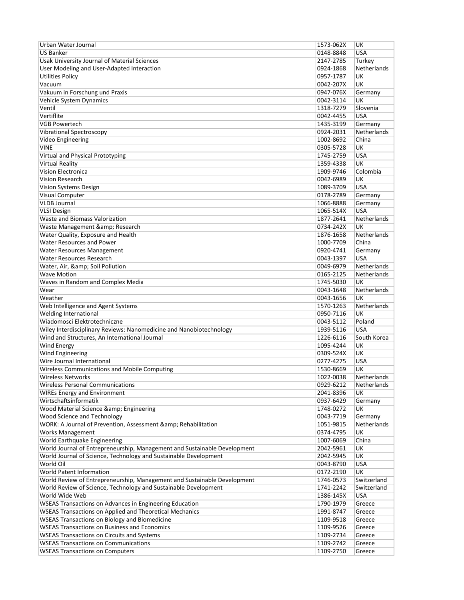| Urban Water Journal                                                       | 1573-062X              | UK                 |
|---------------------------------------------------------------------------|------------------------|--------------------|
| <b>US Banker</b>                                                          | 0148-8848              | USA                |
| Usak University Journal of Material Sciences                              | 2147-2785              | Turkey             |
| User Modeling and User-Adapted Interaction                                | 0924-1868              | Netherlands        |
| <b>Utilities Policy</b>                                                   | 0957-1787              | UK                 |
| Vacuum                                                                    | 0042-207X              | UK                 |
| Vakuum in Forschung und Praxis                                            | 0947-076X              | Germany            |
| Vehicle System Dynamics                                                   | 0042-3114              | UK                 |
| Ventil                                                                    | 1318-7279              | Slovenia           |
| Vertiflite                                                                | 0042-4455              | <b>USA</b>         |
| <b>VGB Powertech</b>                                                      | 1435-3199              | Germany            |
| Vibrational Spectroscopy                                                  | 0924-2031              | Netherlands        |
| Video Engineering                                                         | 1002-8692              | China              |
| <b>VINE</b>                                                               | 0305-5728              | UK                 |
| Virtual and Physical Prototyping                                          | 1745-2759              | USA                |
| <b>Virtual Reality</b>                                                    | 1359-4338              | UK                 |
| <b>Vision Electronica</b>                                                 | 1909-9746              | Colombia           |
| Vision Research                                                           | 0042-6989              | UK                 |
| Vision Systems Design                                                     | 1089-3709              | USA                |
| <b>Visual Computer</b>                                                    | 0178-2789              | Germany            |
| <b>VLDB Journal</b>                                                       | 1066-8888              | Germany            |
| <b>VLSI Design</b>                                                        | 1065-514X              | <b>USA</b>         |
| <b>Waste and Biomass Valorization</b>                                     | 1877-2641              | Netherlands        |
| Waste Management & Research                                               | 0734-242X              | UK                 |
| Water Quality, Exposure and Health                                        | 1876-1658              | Netherlands        |
| <b>Water Resources and Power</b>                                          | 1000-7709              | China              |
| Water Resources Management                                                | 0920-4741              | Germany            |
| <b>Water Resources Research</b>                                           | 0043-1397              | <b>USA</b>         |
| Water, Air, & Soil Pollution                                              | 0049-6979              | Netherlands        |
| <b>Wave Motion</b>                                                        | 0165-2125              | Netherlands        |
| Waves in Random and Complex Media                                         | 1745-5030              | UK                 |
| Wear<br>Weather                                                           | 0043-1648              | Netherlands<br>UK  |
| Web Intelligence and Agent Systems                                        | 0043-1656<br>1570-1263 | <b>Netherlands</b> |
| Welding International                                                     | 0950-7116              | UK                 |
| Wiadomosci Elektrotechniczne                                              | 0043-5112              | Poland             |
| Wiley Interdisciplinary Reviews: Nanomedicine and Nanobiotechnology       | 1939-5116              | <b>USA</b>         |
| Wind and Structures, An International Journal                             | 1226-6116              | South Korea        |
| Wind Energy                                                               | 1095-4244              | UK                 |
| <b>Wind Engineering</b>                                                   | 0309-524X              | UK                 |
| Wire Journal International                                                | 0277-4275              | <b>USA</b>         |
| Wireless Communications and Mobile Computing                              | 1530-8669              | UK                 |
| <b>Wireless Networks</b>                                                  | 1022-0038              | Netherlands        |
| <b>Wireless Personal Communications</b>                                   | 0929-6212              | Netherlands        |
| <b>WIREs Energy and Environment</b>                                       | 2041-8396              | UK                 |
| Wirtschaftsinformatik                                                     | 0937-6429              | Germany            |
| Wood Material Science & Engineering                                       | 1748-0272              | UK                 |
| Wood Science and Technology                                               | 0043-7719              | Germany            |
| WORK: A Journal of Prevention, Assessment & Rehabilitation                | 1051-9815              | Netherlands        |
| <b>Works Management</b>                                                   | 0374-4795              | UK                 |
| World Earthquake Engineering                                              | 1007-6069              | China              |
| World Journal of Entrepreneurship, Management and Sustainable Development | 2042-5961              | UK                 |
| World Journal of Science, Technology and Sustainable Development          | 2042-5945              | UK                 |
| World Oil                                                                 | 0043-8790              | <b>USA</b>         |
| World Patent Information                                                  | 0172-2190              | UK                 |
| World Review of Entrepreneurship, Management and Sustainable Development  | 1746-0573              | Switzerland        |
| World Review of Science, Technology and Sustainable Development           | 1741-2242              | Switzerland        |
| World Wide Web                                                            | 1386-145X              | <b>USA</b>         |
| <b>WSEAS Transactions on Advances in Engineering Education</b>            | 1790-1979              | Greece             |
| <b>WSEAS Transactions on Applied and Theoretical Mechanics</b>            | 1991-8747              | Greece             |
| <b>WSEAS Transactions on Biology and Biomedicine</b>                      | 1109-9518              | Greece             |
| <b>WSEAS Transactions on Business and Economics</b>                       | 1109-9526              | Greece             |
| <b>WSEAS Transactions on Circuits and Systems</b>                         | 1109-2734              | Greece             |
| <b>WSEAS Transactions on Communications</b>                               | 1109-2742              | Greece             |
| <b>WSEAS Transactions on Computers</b>                                    | 1109-2750              | Greece             |